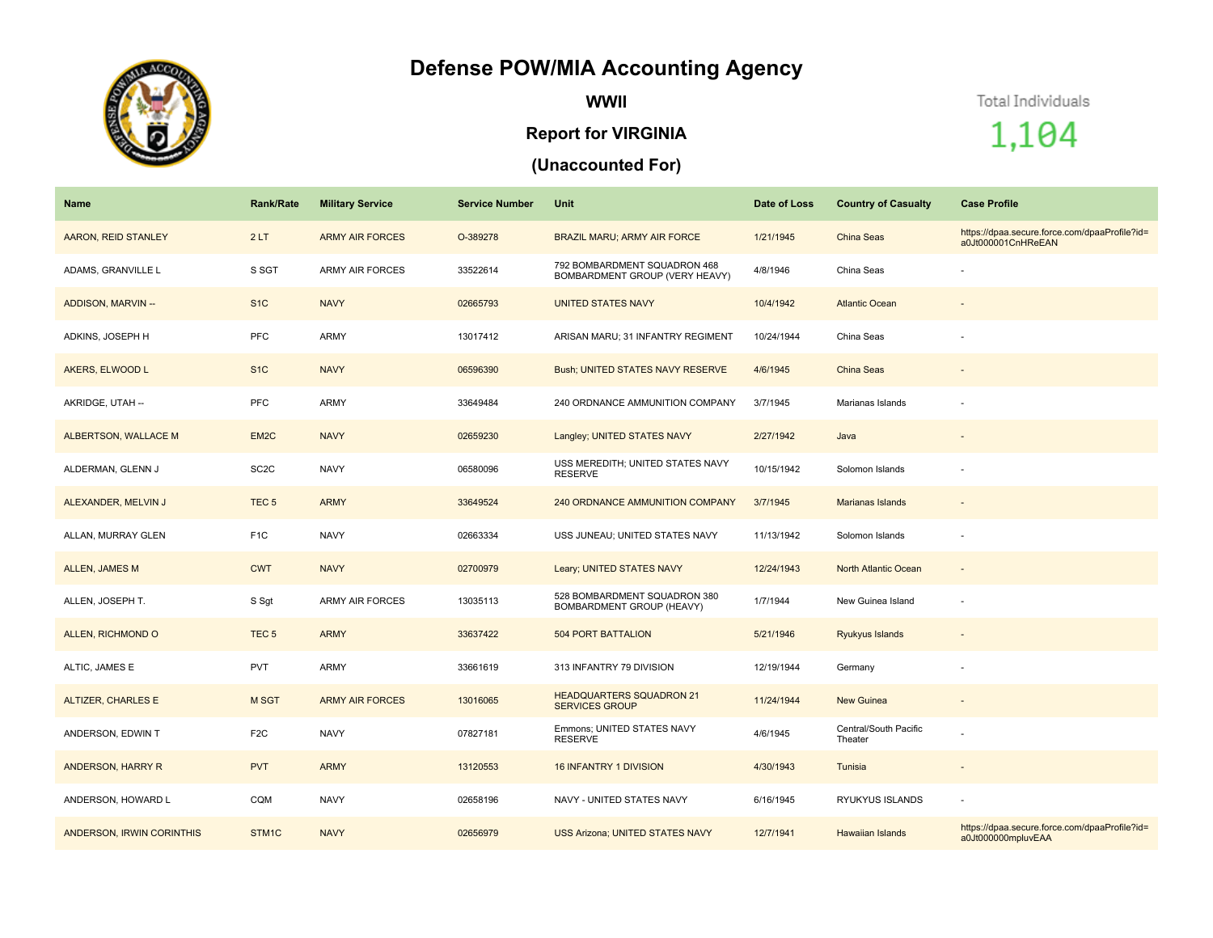## **Defense POW/MIA Accounting Agency**



**WWII**

## **Report for VIRGINIA**

## **(Unaccounted For)**

Total Individuals

1,104

| Name                       | <b>Rank/Rate</b>  | <b>Military Service</b> | <b>Service Number</b> | Unit                                                           | Date of Loss | <b>Country of Casualty</b>       | <b>Case Profile</b>                                                 |
|----------------------------|-------------------|-------------------------|-----------------------|----------------------------------------------------------------|--------------|----------------------------------|---------------------------------------------------------------------|
| <b>AARON, REID STANLEY</b> | 2LT               | <b>ARMY AIR FORCES</b>  | O-389278              | <b>BRAZIL MARU; ARMY AIR FORCE</b>                             | 1/21/1945    | China Seas                       | https://dpaa.secure.force.com/dpaaProfile?id=<br>a0Jt000001CnHReEAN |
| ADAMS, GRANVILLE L         | S SGT             | <b>ARMY AIR FORCES</b>  | 33522614              | 792 BOMBARDMENT SQUADRON 468<br>BOMBARDMENT GROUP (VERY HEAVY) | 4/8/1946     | China Seas                       |                                                                     |
| ADDISON, MARVIN --         | S <sub>1C</sub>   | <b>NAVY</b>             | 02665793              | <b>UNITED STATES NAVY</b>                                      | 10/4/1942    | <b>Atlantic Ocean</b>            |                                                                     |
| ADKINS, JOSEPH H           | PFC               | ARMY                    | 13017412              | ARISAN MARU; 31 INFANTRY REGIMENT                              | 10/24/1944   | China Seas                       |                                                                     |
| AKERS, ELWOOD L            | S <sub>1</sub> C  | <b>NAVY</b>             | 06596390              | Bush; UNITED STATES NAVY RESERVE                               | 4/6/1945     | <b>China Seas</b>                |                                                                     |
| AKRIDGE, UTAH --           | <b>PFC</b>        | <b>ARMY</b>             | 33649484              | 240 ORDNANCE AMMUNITION COMPANY                                | 3/7/1945     | Marianas Islands                 |                                                                     |
| ALBERTSON, WALLACE M       | EM <sub>2</sub> C | <b>NAVY</b>             | 02659230              | Langley; UNITED STATES NAVY                                    | 2/27/1942    | Java                             |                                                                     |
| ALDERMAN, GLENN J          | SC <sub>2</sub> C | <b>NAVY</b>             | 06580096              | USS MEREDITH; UNITED STATES NAVY<br><b>RESERVE</b>             | 10/15/1942   | Solomon Islands                  |                                                                     |
| ALEXANDER, MELVIN J        | TEC <sub>5</sub>  | <b>ARMY</b>             | 33649524              | 240 ORDNANCE AMMUNITION COMPANY                                | 3/7/1945     | <b>Marianas Islands</b>          |                                                                     |
| ALLAN, MURRAY GLEN         | F <sub>1</sub> C  | <b>NAVY</b>             | 02663334              | USS JUNEAU; UNITED STATES NAVY                                 | 11/13/1942   | Solomon Islands                  |                                                                     |
| <b>ALLEN, JAMES M</b>      | <b>CWT</b>        | <b>NAVY</b>             | 02700979              | Leary; UNITED STATES NAVY                                      | 12/24/1943   | North Atlantic Ocean             |                                                                     |
| ALLEN, JOSEPH T.           | S Sgt             | <b>ARMY AIR FORCES</b>  | 13035113              | 528 BOMBARDMENT SQUADRON 380<br>BOMBARDMENT GROUP (HEAVY)      | 1/7/1944     | New Guinea Island                |                                                                     |
| ALLEN, RICHMOND O          | TEC <sub>5</sub>  | <b>ARMY</b>             | 33637422              | <b>504 PORT BATTALION</b>                                      | 5/21/1946    | Ryukyus Islands                  |                                                                     |
| ALTIC, JAMES E             | <b>PVT</b>        | ARMY                    | 33661619              | 313 INFANTRY 79 DIVISION                                       | 12/19/1944   | Germany                          |                                                                     |
| ALTIZER, CHARLES E         | M SGT             | <b>ARMY AIR FORCES</b>  | 13016065              | <b>HEADQUARTERS SQUADRON 21</b><br><b>SERVICES GROUP</b>       | 11/24/1944   | <b>New Guinea</b>                |                                                                     |
| ANDERSON, EDWIN T          | F <sub>2C</sub>   | <b>NAVY</b>             | 07827181              | Emmons; UNITED STATES NAVY<br><b>RESERVE</b>                   | 4/6/1945     | Central/South Pacific<br>Theater |                                                                     |
| ANDERSON, HARRY R          | <b>PVT</b>        | <b>ARMY</b>             | 13120553              | <b>16 INFANTRY 1 DIVISION</b>                                  | 4/30/1943    | Tunisia                          |                                                                     |
| ANDERSON, HOWARD L         | CQM               | <b>NAVY</b>             | 02658196              | NAVY - UNITED STATES NAVY                                      | 6/16/1945    | RYUKYUS ISLANDS                  |                                                                     |
| ANDERSON, IRWIN CORINTHIS  | STM1C             | <b>NAVY</b>             | 02656979              | USS Arizona; UNITED STATES NAVY                                | 12/7/1941    | <b>Hawaiian Islands</b>          | https://dpaa.secure.force.com/dpaaProfile?id=<br>a0Jt000000mpluvEAA |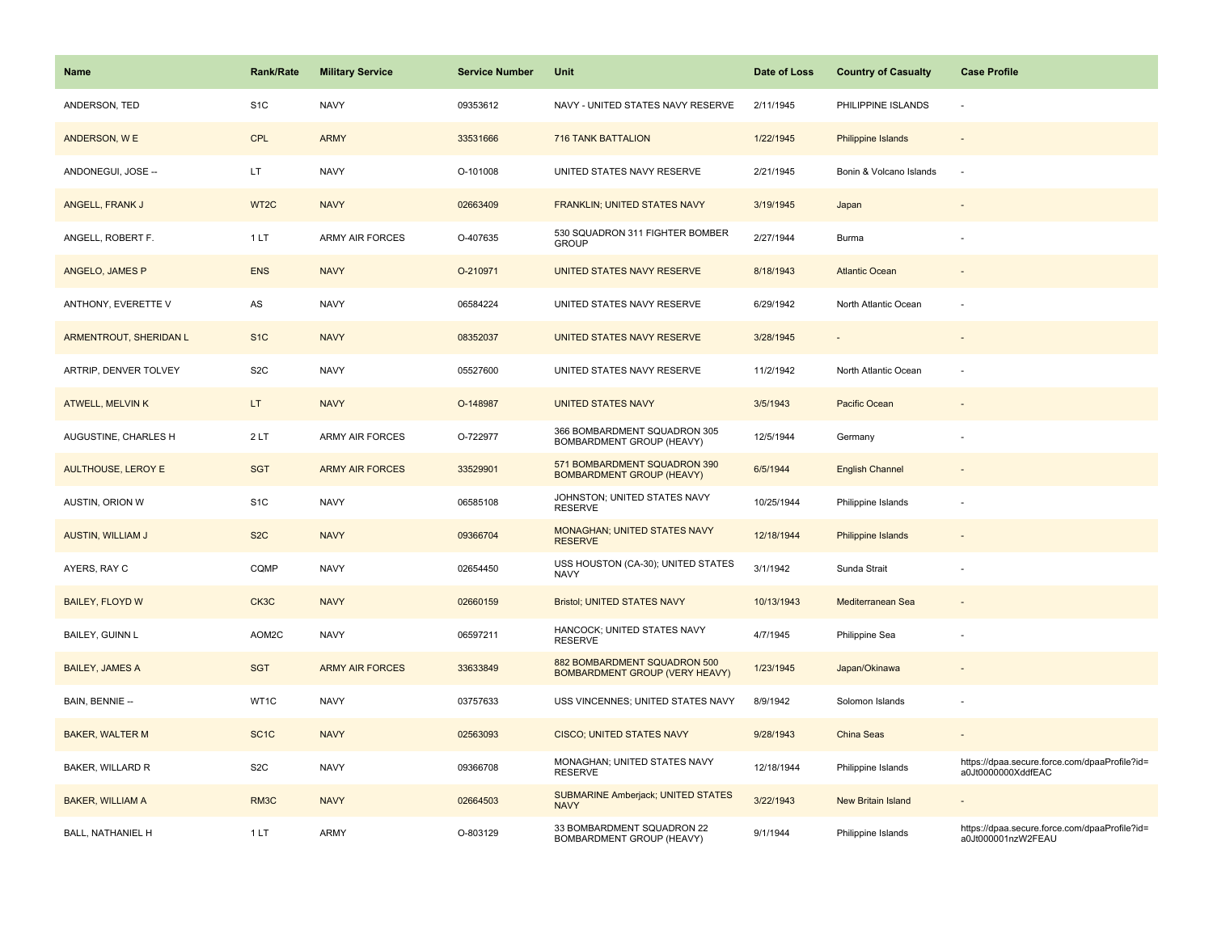| Name                      | <b>Rank/Rate</b>  | <b>Military Service</b> | <b>Service Number</b> | Unit                                                             | Date of Loss | <b>Country of Casualty</b> | <b>Case Profile</b>                                                 |
|---------------------------|-------------------|-------------------------|-----------------------|------------------------------------------------------------------|--------------|----------------------------|---------------------------------------------------------------------|
| ANDERSON, TED             | S <sub>1</sub> C  | <b>NAVY</b>             | 09353612              | NAVY - UNITED STATES NAVY RESERVE                                | 2/11/1945    | PHILIPPINE ISLANDS         | $\sim$                                                              |
| ANDERSON, WE              | <b>CPL</b>        | <b>ARMY</b>             | 33531666              | <b>716 TANK BATTALION</b>                                        | 1/22/1945    | Philippine Islands         |                                                                     |
| ANDONEGUI, JOSE --        | LT.               | <b>NAVY</b>             | O-101008              | UNITED STATES NAVY RESERVE                                       | 2/21/1945    | Bonin & Volcano Islands    | $\sim$                                                              |
| ANGELL, FRANK J           | WT <sub>2</sub> C | <b>NAVY</b>             | 02663409              | FRANKLIN; UNITED STATES NAVY                                     | 3/19/1945    | Japan                      |                                                                     |
| ANGELL, ROBERT F.         | 1 LT              | ARMY AIR FORCES         | O-407635              | 530 SQUADRON 311 FIGHTER BOMBER<br><b>GROUP</b>                  | 2/27/1944    | Burma                      |                                                                     |
| ANGELO, JAMES P           | <b>ENS</b>        | <b>NAVY</b>             | O-210971              | UNITED STATES NAVY RESERVE                                       | 8/18/1943    | <b>Atlantic Ocean</b>      |                                                                     |
| ANTHONY, EVERETTE V       | AS                | <b>NAVY</b>             | 06584224              | UNITED STATES NAVY RESERVE                                       | 6/29/1942    | North Atlantic Ocean       |                                                                     |
| ARMENTROUT, SHERIDAN L    | S <sub>1C</sub>   | <b>NAVY</b>             | 08352037              | UNITED STATES NAVY RESERVE                                       | 3/28/1945    | $\blacksquare$             |                                                                     |
| ARTRIP, DENVER TOLVEY     | S <sub>2</sub> C  | <b>NAVY</b>             | 05527600              | UNITED STATES NAVY RESERVE                                       | 11/2/1942    | North Atlantic Ocean       |                                                                     |
| ATWELL, MELVIN K          | LT.               | <b>NAVY</b>             | O-148987              | <b>UNITED STATES NAVY</b>                                        | 3/5/1943     | Pacific Ocean              |                                                                     |
| AUGUSTINE, CHARLES H      | 2LT               | ARMY AIR FORCES         | O-722977              | 366 BOMBARDMENT SQUADRON 305<br>BOMBARDMENT GROUP (HEAVY)        | 12/5/1944    | Germany                    |                                                                     |
| <b>AULTHOUSE, LEROY E</b> | <b>SGT</b>        | <b>ARMY AIR FORCES</b>  | 33529901              | 571 BOMBARDMENT SQUADRON 390<br><b>BOMBARDMENT GROUP (HEAVY)</b> | 6/5/1944     | <b>English Channel</b>     |                                                                     |
| AUSTIN, ORION W           | S <sub>1</sub> C  | <b>NAVY</b>             | 06585108              | JOHNSTON; UNITED STATES NAVY<br><b>RESERVE</b>                   | 10/25/1944   | Philippine Islands         |                                                                     |
| <b>AUSTIN, WILLIAM J</b>  | S <sub>2</sub> C  | <b>NAVY</b>             | 09366704              | MONAGHAN; UNITED STATES NAVY<br><b>RESERVE</b>                   | 12/18/1944   | Philippine Islands         |                                                                     |
| AYERS, RAY C              | CQMP              | <b>NAVY</b>             | 02654450              | USS HOUSTON (CA-30); UNITED STATES<br><b>NAVY</b>                | 3/1/1942     | Sunda Strait               |                                                                     |
| <b>BAILEY, FLOYD W</b>    | CK3C              | <b>NAVY</b>             | 02660159              | <b>Bristol; UNITED STATES NAVY</b>                               | 10/13/1943   | Mediterranean Sea          |                                                                     |
| BAILEY, GUINN L           | AOM2C             | <b>NAVY</b>             | 06597211              | HANCOCK; UNITED STATES NAVY<br><b>RESERVE</b>                    | 4/7/1945     | Philippine Sea             |                                                                     |
| <b>BAILEY, JAMES A</b>    | <b>SGT</b>        | <b>ARMY AIR FORCES</b>  | 33633849              | 882 BOMBARDMENT SQUADRON 500<br>BOMBARDMENT GROUP (VERY HEAVY)   | 1/23/1945    | Japan/Okinawa              |                                                                     |
| BAIN, BENNIE --           | WT1C              | <b>NAVY</b>             | 03757633              | USS VINCENNES; UNITED STATES NAVY                                | 8/9/1942     | Solomon Islands            |                                                                     |
| <b>BAKER, WALTER M</b>    | SC <sub>1</sub> C | <b>NAVY</b>             | 02563093              | <b>CISCO; UNITED STATES NAVY</b>                                 | 9/28/1943    | China Seas                 |                                                                     |
| BAKER, WILLARD R          | S <sub>2</sub> C  | <b>NAVY</b>             | 09366708              | MONAGHAN; UNITED STATES NAVY<br><b>RESERVE</b>                   | 12/18/1944   | Philippine Islands         | https://dpaa.secure.force.com/dpaaProfile?id=<br>a0Jt0000000XddfEAC |
| <b>BAKER, WILLIAM A</b>   | RM3C              | <b>NAVY</b>             | 02664503              | <b>SUBMARINE Amberjack; UNITED STATES</b><br><b>NAVY</b>         | 3/22/1943    | New Britain Island         |                                                                     |
| BALL, NATHANIEL H         | 1LT               | ARMY                    | O-803129              | 33 BOMBARDMENT SQUADRON 22<br>BOMBARDMENT GROUP (HEAVY)          | 9/1/1944     | Philippine Islands         | https://dpaa.secure.force.com/dpaaProfile?id=<br>a0Jt000001nzW2FEAU |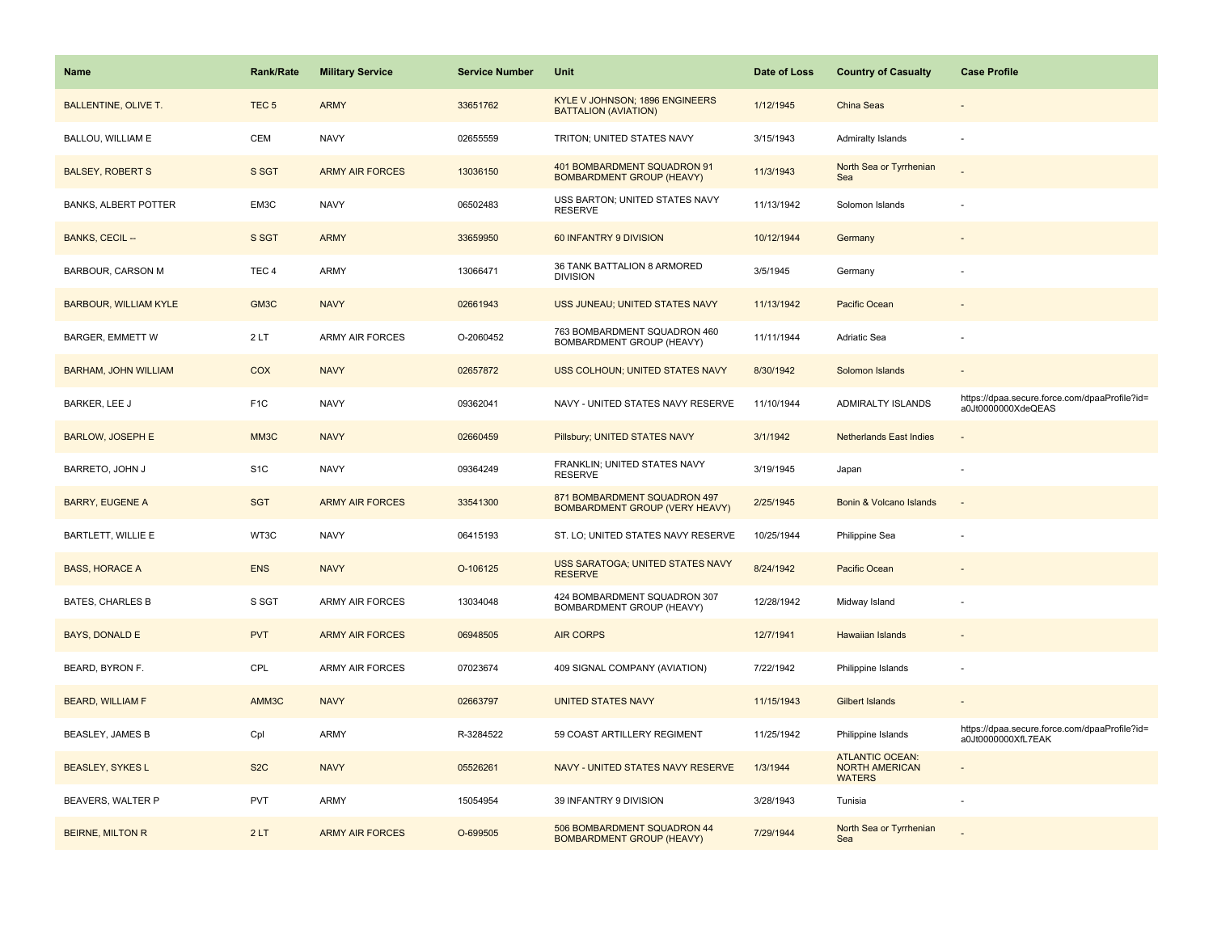| <b>Name</b>                  | <b>Rank/Rate</b> | <b>Military Service</b> | <b>Service Number</b> | Unit                                                                  | Date of Loss | <b>Country of Casualty</b>                                | <b>Case Profile</b>                                                 |
|------------------------------|------------------|-------------------------|-----------------------|-----------------------------------------------------------------------|--------------|-----------------------------------------------------------|---------------------------------------------------------------------|
| <b>BALLENTINE, OLIVE T.</b>  | TEC <sub>5</sub> | <b>ARMY</b>             | 33651762              | KYLE V JOHNSON; 1896 ENGINEERS<br><b>BATTALION (AVIATION)</b>         | 1/12/1945    | <b>China Seas</b>                                         |                                                                     |
| BALLOU, WILLIAM E            | <b>CEM</b>       | <b>NAVY</b>             | 02655559              | TRITON; UNITED STATES NAVY                                            | 3/15/1943    | <b>Admiralty Islands</b>                                  |                                                                     |
| <b>BALSEY, ROBERT S</b>      | S SGT            | <b>ARMY AIR FORCES</b>  | 13036150              | 401 BOMBARDMENT SQUADRON 91<br><b>BOMBARDMENT GROUP (HEAVY)</b>       | 11/3/1943    | North Sea or Tyrrhenian<br>Sea                            |                                                                     |
| <b>BANKS, ALBERT POTTER</b>  | EM3C             | <b>NAVY</b>             | 06502483              | USS BARTON; UNITED STATES NAVY<br><b>RESERVE</b>                      | 11/13/1942   | Solomon Islands                                           |                                                                     |
| <b>BANKS, CECIL --</b>       | S SGT            | <b>ARMY</b>             | 33659950              | 60 INFANTRY 9 DIVISION                                                | 10/12/1944   | Germany                                                   |                                                                     |
| <b>BARBOUR, CARSON M</b>     | TEC <sub>4</sub> | <b>ARMY</b>             | 13066471              | 36 TANK BATTALION 8 ARMORED<br><b>DIVISION</b>                        | 3/5/1945     | Germany                                                   |                                                                     |
| <b>BARBOUR, WILLIAM KYLE</b> | GM3C             | <b>NAVY</b>             | 02661943              | USS JUNEAU; UNITED STATES NAVY                                        | 11/13/1942   | Pacific Ocean                                             |                                                                     |
| BARGER, EMMETT W             | 2LT              | <b>ARMY AIR FORCES</b>  | O-2060452             | 763 BOMBARDMENT SQUADRON 460<br>BOMBARDMENT GROUP (HEAVY)             | 11/11/1944   | <b>Adriatic Sea</b>                                       |                                                                     |
| <b>BARHAM, JOHN WILLIAM</b>  | COX              | <b>NAVY</b>             | 02657872              | USS COLHOUN; UNITED STATES NAVY                                       | 8/30/1942    | Solomon Islands                                           |                                                                     |
| <b>BARKER, LEE J</b>         | F <sub>1</sub> C | <b>NAVY</b>             | 09362041              | NAVY - UNITED STATES NAVY RESERVE                                     | 11/10/1944   | <b>ADMIRALTY ISLANDS</b>                                  | https://dpaa.secure.force.com/dpaaProfile?id=<br>a0Jt0000000XdeQEAS |
| <b>BARLOW, JOSEPH E</b>      | MM3C             | <b>NAVY</b>             | 02660459              | Pillsbury; UNITED STATES NAVY                                         | 3/1/1942     | <b>Netherlands East Indies</b>                            |                                                                     |
| BARRETO, JOHN J              | S <sub>1</sub> C | <b>NAVY</b>             | 09364249              | FRANKLIN; UNITED STATES NAVY<br><b>RESERVE</b>                        | 3/19/1945    | Japan                                                     |                                                                     |
| <b>BARRY, EUGENE A</b>       | <b>SGT</b>       | <b>ARMY AIR FORCES</b>  | 33541300              | 871 BOMBARDMENT SQUADRON 497<br><b>BOMBARDMENT GROUP (VERY HEAVY)</b> | 2/25/1945    | Bonin & Volcano Islands                                   | $\sim$                                                              |
| BARTLETT, WILLIE E           | WT3C             | <b>NAVY</b>             | 06415193              | ST. LO; UNITED STATES NAVY RESERVE                                    | 10/25/1944   | Philippine Sea                                            |                                                                     |
| <b>BASS, HORACE A</b>        | <b>ENS</b>       | <b>NAVY</b>             | O-106125              | USS SARATOGA; UNITED STATES NAVY<br><b>RESERVE</b>                    | 8/24/1942    | Pacific Ocean                                             |                                                                     |
| <b>BATES, CHARLES B</b>      | S SGT            | <b>ARMY AIR FORCES</b>  | 13034048              | 424 BOMBARDMENT SQUADRON 307<br>BOMBARDMENT GROUP (HEAVY)             | 12/28/1942   | Midway Island                                             |                                                                     |
| BAYS, DONALD E               | <b>PVT</b>       | <b>ARMY AIR FORCES</b>  | 06948505              | <b>AIR CORPS</b>                                                      | 12/7/1941    | <b>Hawaiian Islands</b>                                   |                                                                     |
| BEARD, BYRON F.              | CPL              | <b>ARMY AIR FORCES</b>  | 07023674              | 409 SIGNAL COMPANY (AVIATION)                                         | 7/22/1942    | Philippine Islands                                        |                                                                     |
| <b>BEARD, WILLIAM F</b>      | AMM3C            | <b>NAVY</b>             | 02663797              | <b>UNITED STATES NAVY</b>                                             | 11/15/1943   | <b>Gilbert Islands</b>                                    |                                                                     |
| <b>BEASLEY, JAMES B</b>      | Cpl              | <b>ARMY</b>             | R-3284522             | 59 COAST ARTILLERY REGIMENT                                           | 11/25/1942   | Philippine Islands                                        | https://dpaa.secure.force.com/dpaaProfile?id=<br>a0Jt0000000XfL7EAK |
| <b>BEASLEY, SYKES L</b>      | S <sub>2</sub> C | <b>NAVY</b>             | 05526261              | NAVY - UNITED STATES NAVY RESERVE                                     | 1/3/1944     | <b>ATLANTIC OCEAN:</b><br>NORTH AMERICAN<br><b>WATERS</b> |                                                                     |
| BEAVERS, WALTER P            | <b>PVT</b>       | <b>ARMY</b>             | 15054954              | 39 INFANTRY 9 DIVISION                                                | 3/28/1943    | Tunisia                                                   |                                                                     |
| <b>BEIRNE, MILTON R</b>      | 2LT              | <b>ARMY AIR FORCES</b>  | O-699505              | 506 BOMBARDMENT SQUADRON 44<br><b>BOMBARDMENT GROUP (HEAVY)</b>       | 7/29/1944    | North Sea or Tyrrhenian<br>Sea                            |                                                                     |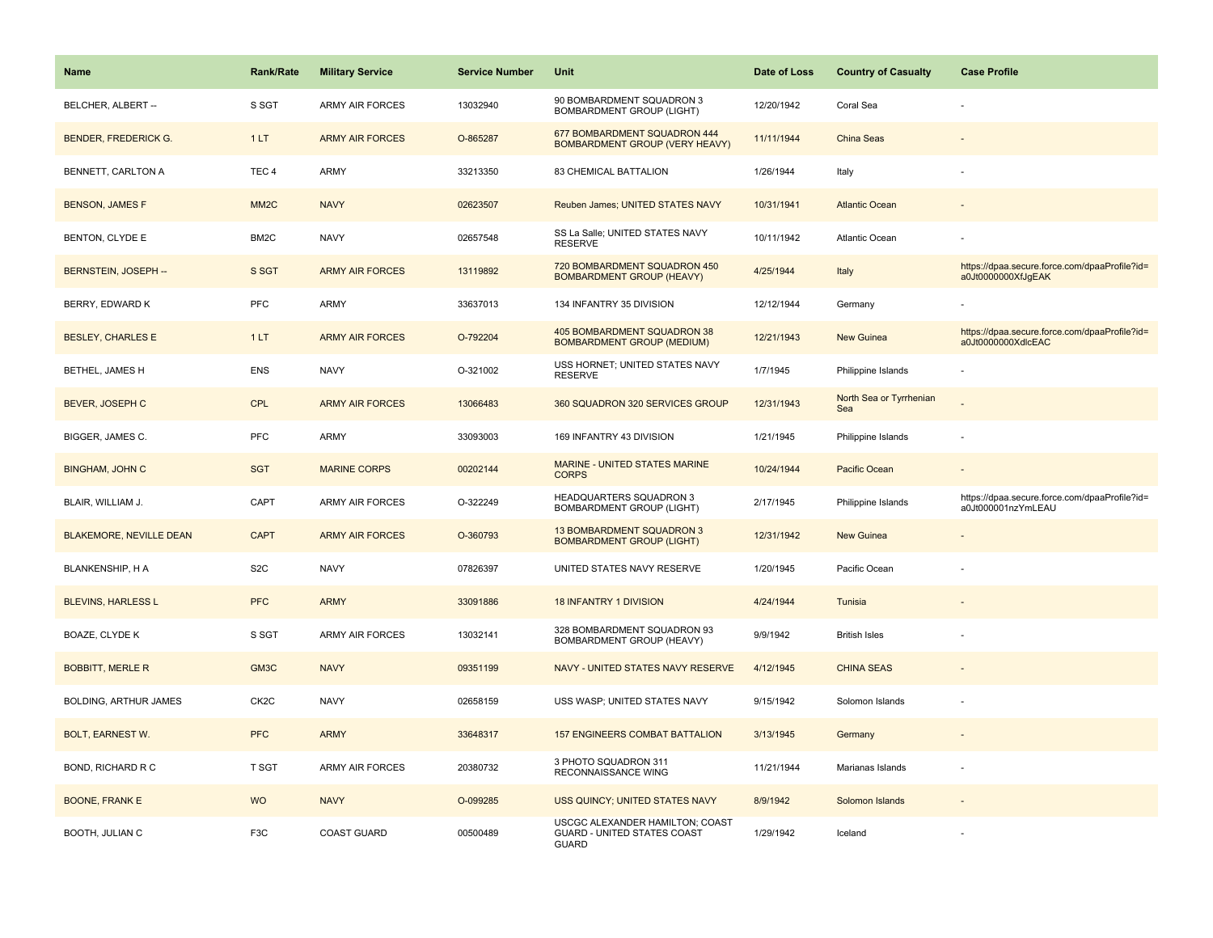| <b>Name</b>                    | <b>Rank/Rate</b>  | <b>Military Service</b> | <b>Service Number</b> | <b>Unit</b>                                                                    | Date of Loss | <b>Country of Casualty</b>     | <b>Case Profile</b>                                                 |
|--------------------------------|-------------------|-------------------------|-----------------------|--------------------------------------------------------------------------------|--------------|--------------------------------|---------------------------------------------------------------------|
| BELCHER, ALBERT --             | S SGT             | ARMY AIR FORCES         | 13032940              | 90 BOMBARDMENT SQUADRON 3<br>BOMBARDMENT GROUP (LIGHT)                         | 12/20/1942   | Coral Sea                      |                                                                     |
| <b>BENDER, FREDERICK G.</b>    | 1LT               | <b>ARMY AIR FORCES</b>  | O-865287              | 677 BOMBARDMENT SQUADRON 444<br>BOMBARDMENT GROUP (VERY HEAVY)                 | 11/11/1944   | China Seas                     |                                                                     |
| BENNETT, CARLTON A             | TEC <sub>4</sub>  | <b>ARMY</b>             | 33213350              | 83 CHEMICAL BATTALION                                                          | 1/26/1944    | Italy                          |                                                                     |
| <b>BENSON, JAMES F</b>         | MM <sub>2</sub> C | <b>NAVY</b>             | 02623507              | Reuben James; UNITED STATES NAVY                                               | 10/31/1941   | <b>Atlantic Ocean</b>          |                                                                     |
| <b>BENTON, CLYDE E</b>         | BM2C              | <b>NAVY</b>             | 02657548              | SS La Salle; UNITED STATES NAVY<br><b>RESERVE</b>                              | 10/11/1942   | Atlantic Ocean                 |                                                                     |
| BERNSTEIN, JOSEPH --           | S SGT             | <b>ARMY AIR FORCES</b>  | 13119892              | 720 BOMBARDMENT SQUADRON 450<br><b>BOMBARDMENT GROUP (HEAVY)</b>               | 4/25/1944    | Italy                          | https://dpaa.secure.force.com/dpaaProfile?id=<br>a0Jt0000000XfJqEAK |
| BERRY, EDWARD K                | <b>PFC</b>        | <b>ARMY</b>             | 33637013              | 134 INFANTRY 35 DIVISION                                                       | 12/12/1944   | Germany                        |                                                                     |
| <b>BESLEY, CHARLES E</b>       | 1LT               | <b>ARMY AIR FORCES</b>  | O-792204              | 405 BOMBARDMENT SQUADRON 38<br><b>BOMBARDMENT GROUP (MEDIUM)</b>               | 12/21/1943   | <b>New Guinea</b>              | https://dpaa.secure.force.com/dpaaProfile?id=<br>a0Jt0000000XdlcEAC |
| BETHEL, JAMES H                | <b>ENS</b>        | <b>NAVY</b>             | O-321002              | USS HORNET; UNITED STATES NAVY<br><b>RESERVE</b>                               | 1/7/1945     | Philippine Islands             |                                                                     |
| <b>BEVER, JOSEPH C</b>         | <b>CPL</b>        | <b>ARMY AIR FORCES</b>  | 13066483              | 360 SQUADRON 320 SERVICES GROUP                                                | 12/31/1943   | North Sea or Tyrrhenian<br>Sea |                                                                     |
| BIGGER, JAMES C.               | PFC               | <b>ARMY</b>             | 33093003              | 169 INFANTRY 43 DIVISION                                                       | 1/21/1945    | Philippine Islands             |                                                                     |
| <b>BINGHAM, JOHN C</b>         | <b>SGT</b>        | <b>MARINE CORPS</b>     | 00202144              | <b>MARINE - UNITED STATES MARINE</b><br><b>CORPS</b>                           | 10/24/1944   | <b>Pacific Ocean</b>           |                                                                     |
| BLAIR, WILLIAM J.              | CAPT              | <b>ARMY AIR FORCES</b>  | O-322249              | HEADQUARTERS SQUADRON 3<br><b>BOMBARDMENT GROUP (LIGHT)</b>                    | 2/17/1945    | Philippine Islands             | https://dpaa.secure.force.com/dpaaProfile?id=<br>a0Jt000001nzYmLEAU |
| <b>BLAKEMORE, NEVILLE DEAN</b> | <b>CAPT</b>       | <b>ARMY AIR FORCES</b>  | O-360793              | 13 BOMBARDMENT SQUADRON 3<br><b>BOMBARDMENT GROUP (LIGHT)</b>                  | 12/31/1942   | <b>New Guinea</b>              |                                                                     |
| BLANKENSHIP, H A               | S <sub>2</sub> C  | <b>NAVY</b>             | 07826397              | UNITED STATES NAVY RESERVE                                                     | 1/20/1945    | Pacific Ocean                  |                                                                     |
| <b>BLEVINS, HARLESS L</b>      | <b>PFC</b>        | <b>ARMY</b>             | 33091886              | <b>18 INFANTRY 1 DIVISION</b>                                                  | 4/24/1944    | Tunisia                        |                                                                     |
| BOAZE, CLYDE K                 | S SGT             | ARMY AIR FORCES         | 13032141              | 328 BOMBARDMENT SQUADRON 93<br>BOMBARDMENT GROUP (HEAVY)                       | 9/9/1942     | <b>British Isles</b>           |                                                                     |
| <b>BOBBITT, MERLE R</b>        | GM3C              | <b>NAVY</b>             | 09351199              | NAVY - UNITED STATES NAVY RESERVE                                              | 4/12/1945    | <b>CHINA SEAS</b>              |                                                                     |
| BOLDING, ARTHUR JAMES          | CK <sub>2</sub> C | <b>NAVY</b>             | 02658159              | USS WASP; UNITED STATES NAVY                                                   | 9/15/1942    | Solomon Islands                |                                                                     |
| <b>BOLT, EARNEST W.</b>        | <b>PFC</b>        | <b>ARMY</b>             | 33648317              | <b>157 ENGINEERS COMBAT BATTALION</b>                                          | 3/13/1945    | Germany                        |                                                                     |
| <b>BOND, RICHARD R C</b>       | T SGT             | <b>ARMY AIR FORCES</b>  | 20380732              | 3 PHOTO SQUADRON 311<br>RECONNAISSANCE WING                                    | 11/21/1944   | Marianas Islands               |                                                                     |
| <b>BOONE, FRANK E</b>          | <b>WO</b>         | <b>NAVY</b>             | O-099285              | USS QUINCY; UNITED STATES NAVY                                                 | 8/9/1942     | Solomon Islands                |                                                                     |
| BOOTH, JULIAN C                | F <sub>3</sub> C  | COAST GUARD             | 00500489              | USCGC ALEXANDER HAMILTON; COAST<br>GUARD - UNITED STATES COAST<br><b>GUARD</b> | 1/29/1942    | Iceland                        |                                                                     |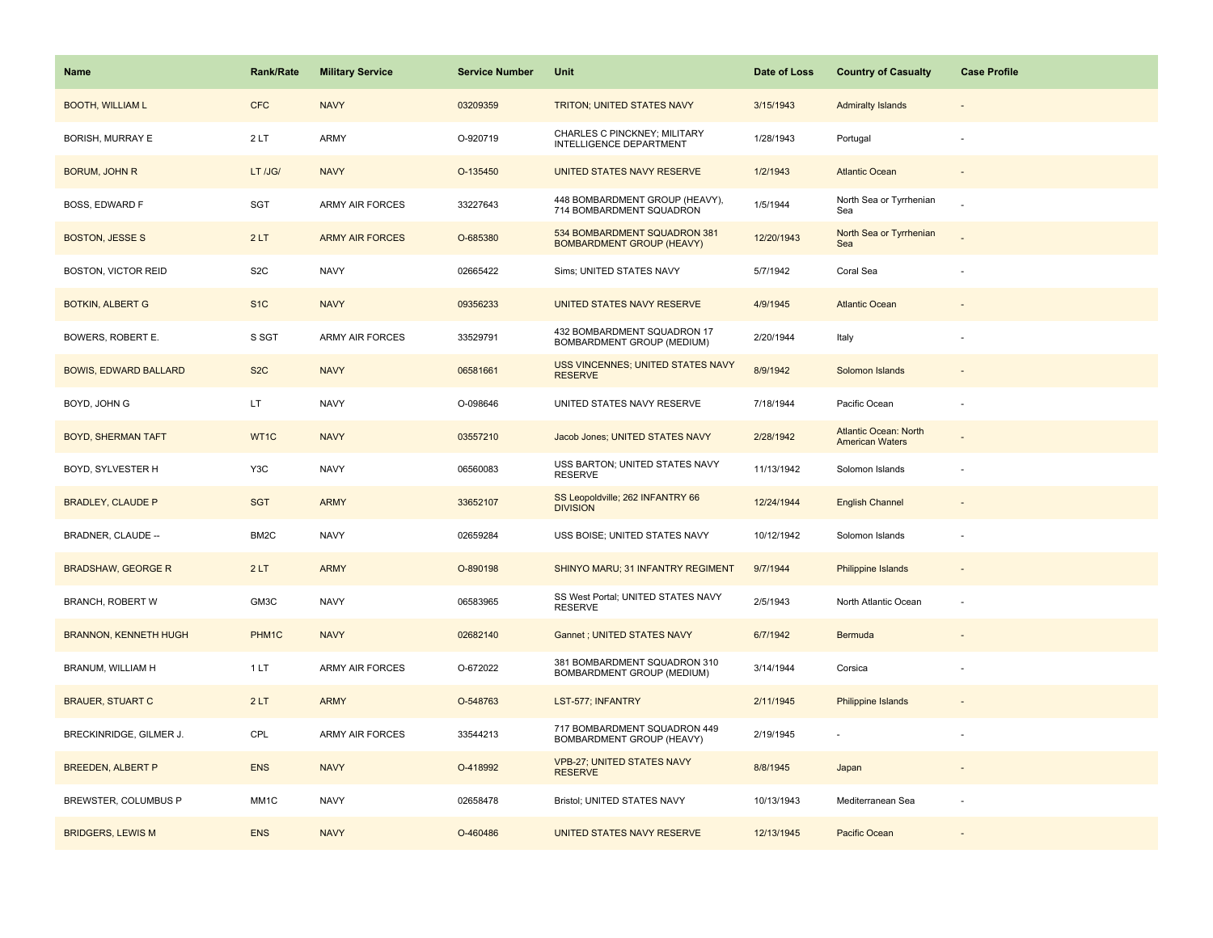| <b>Name</b>                  | <b>Rank/Rate</b> | <b>Military Service</b> | <b>Service Number</b> | Unit                                                             | Date of Loss | <b>Country of Casualty</b>                      | <b>Case Profile</b> |
|------------------------------|------------------|-------------------------|-----------------------|------------------------------------------------------------------|--------------|-------------------------------------------------|---------------------|
| <b>BOOTH, WILLIAM L</b>      | <b>CFC</b>       | <b>NAVY</b>             | 03209359              | TRITON; UNITED STATES NAVY                                       | 3/15/1943    | <b>Admiralty Islands</b>                        |                     |
| BORISH, MURRAY E             | 2LT              | ARMY                    | O-920719              | CHARLES C PINCKNEY; MILITARY<br>INTELLIGENCE DEPARTMENT          | 1/28/1943    | Portugal                                        |                     |
| <b>BORUM, JOHN R</b>         | LT /JG/          | <b>NAVY</b>             | O-135450              | UNITED STATES NAVY RESERVE                                       | 1/2/1943     | <b>Atlantic Ocean</b>                           |                     |
| <b>BOSS, EDWARD F</b>        | SGT              | <b>ARMY AIR FORCES</b>  | 33227643              | 448 BOMBARDMENT GROUP (HEAVY),<br>714 BOMBARDMENT SQUADRON       | 1/5/1944     | North Sea or Tyrrhenian<br>Sea                  |                     |
| <b>BOSTON, JESSE S</b>       | 2LT              | <b>ARMY AIR FORCES</b>  | O-685380              | 534 BOMBARDMENT SQUADRON 381<br><b>BOMBARDMENT GROUP (HEAVY)</b> | 12/20/1943   | North Sea or Tyrrhenian<br>Sea                  |                     |
| <b>BOSTON, VICTOR REID</b>   | S <sub>2</sub> C | <b>NAVY</b>             | 02665422              | Sims; UNITED STATES NAVY                                         | 5/7/1942     | Coral Sea                                       |                     |
| <b>BOTKIN, ALBERT G</b>      | S <sub>1C</sub>  | <b>NAVY</b>             | 09356233              | UNITED STATES NAVY RESERVE                                       | 4/9/1945     | <b>Atlantic Ocean</b>                           |                     |
| BOWERS, ROBERT E.            | S SGT            | <b>ARMY AIR FORCES</b>  | 33529791              | 432 BOMBARDMENT SQUADRON 17<br>BOMBARDMENT GROUP (MEDIUM)        | 2/20/1944    | Italy                                           |                     |
| <b>BOWIS, EDWARD BALLARD</b> | S <sub>2</sub> C | <b>NAVY</b>             | 06581661              | USS VINCENNES; UNITED STATES NAVY<br><b>RESERVE</b>              | 8/9/1942     | Solomon Islands                                 |                     |
| BOYD, JOHN G                 | LT.              | <b>NAVY</b>             | O-098646              | UNITED STATES NAVY RESERVE                                       | 7/18/1944    | Pacific Ocean                                   |                     |
| <b>BOYD, SHERMAN TAFT</b>    | WT1C             | <b>NAVY</b>             | 03557210              | Jacob Jones; UNITED STATES NAVY                                  | 2/28/1942    | Atlantic Ocean: North<br><b>American Waters</b> |                     |
| BOYD, SYLVESTER H            | Y3C              | <b>NAVY</b>             | 06560083              | USS BARTON; UNITED STATES NAVY<br><b>RESERVE</b>                 | 11/13/1942   | Solomon Islands                                 |                     |
| <b>BRADLEY, CLAUDE P</b>     | <b>SGT</b>       | <b>ARMY</b>             | 33652107              | SS Leopoldville; 262 INFANTRY 66<br><b>DIVISION</b>              | 12/24/1944   | <b>English Channel</b>                          |                     |
| BRADNER, CLAUDE --           | BM2C             | <b>NAVY</b>             | 02659284              | USS BOISE; UNITED STATES NAVY                                    | 10/12/1942   | Solomon Islands                                 |                     |
| <b>BRADSHAW, GEORGE R</b>    | 2LT              | <b>ARMY</b>             | O-890198              | SHINYO MARU; 31 INFANTRY REGIMENT                                | 9/7/1944     | Philippine Islands                              |                     |
| <b>BRANCH, ROBERT W</b>      | GM3C             | <b>NAVY</b>             | 06583965              | SS West Portal; UNITED STATES NAVY<br><b>RESERVE</b>             | 2/5/1943     | North Atlantic Ocean                            |                     |
| <b>BRANNON, KENNETH HUGH</b> | PHM1C            | <b>NAVY</b>             | 02682140              | Gannet ; UNITED STATES NAVY                                      | 6/7/1942     | Bermuda                                         |                     |
| BRANUM, WILLIAM H            | 1LT              | ARMY AIR FORCES         | O-672022              | 381 BOMBARDMENT SQUADRON 310<br>BOMBARDMENT GROUP (MEDIUM)       | 3/14/1944    | Corsica                                         |                     |
| <b>BRAUER, STUART C</b>      | 2LT              | <b>ARMY</b>             | O-548763              | LST-577; INFANTRY                                                | 2/11/1945    | <b>Philippine Islands</b>                       |                     |
| BRECKINRIDGE, GILMER J.      | CPL              | ARMY AIR FORCES         | 33544213              | 717 BOMBARDMENT SQUADRON 449<br>BOMBARDMENT GROUP (HEAVY)        | 2/19/1945    |                                                 |                     |
| <b>BREEDEN, ALBERT P</b>     | <b>ENS</b>       | <b>NAVY</b>             | O-418992              | <b>VPB-27; UNITED STATES NAVY</b><br><b>RESERVE</b>              | 8/8/1945     | Japan                                           |                     |
| BREWSTER, COLUMBUS P         | MM1C             | <b>NAVY</b>             | 02658478              | Bristol; UNITED STATES NAVY                                      | 10/13/1943   | Mediterranean Sea                               |                     |
| <b>BRIDGERS, LEWIS M</b>     | <b>ENS</b>       | <b>NAVY</b>             | O-460486              | UNITED STATES NAVY RESERVE                                       | 12/13/1945   | Pacific Ocean                                   |                     |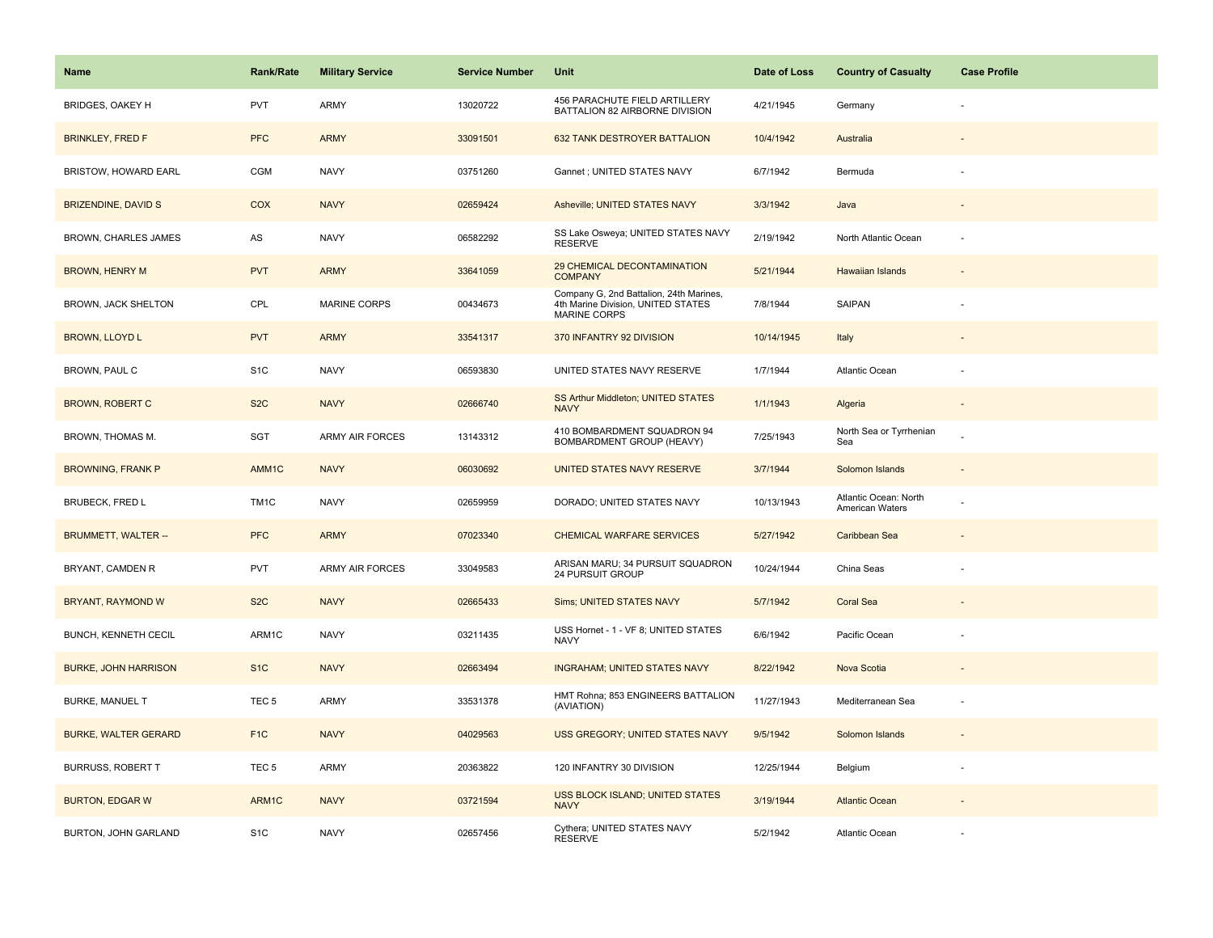| Name                        | <b>Rank/Rate</b>  | <b>Military Service</b> | <b>Service Number</b> | Unit                                                                                                 | Date of Loss | <b>Country of Casualty</b>               | <b>Case Profile</b>      |
|-----------------------------|-------------------|-------------------------|-----------------------|------------------------------------------------------------------------------------------------------|--------------|------------------------------------------|--------------------------|
| BRIDGES, OAKEY H            | <b>PVT</b>        | ARMY                    | 13020722              | 456 PARACHUTE FIELD ARTILLERY<br>BATTALION 82 AIRBORNE DIVISION                                      | 4/21/1945    | Germany                                  |                          |
| <b>BRINKLEY, FRED F</b>     | <b>PFC</b>        | <b>ARMY</b>             | 33091501              | 632 TANK DESTROYER BATTALION                                                                         | 10/4/1942    | Australia                                |                          |
| <b>BRISTOW, HOWARD EARL</b> | CGM               | <b>NAVY</b>             | 03751260              | Gannet ; UNITED STATES NAVY                                                                          | 6/7/1942     | Bermuda                                  |                          |
| <b>BRIZENDINE, DAVID S</b>  | <b>COX</b>        | <b>NAVY</b>             | 02659424              | Asheville; UNITED STATES NAVY                                                                        | 3/3/1942     | Java                                     |                          |
| <b>BROWN, CHARLES JAMES</b> | AS                | <b>NAVY</b>             | 06582292              | SS Lake Osweya; UNITED STATES NAVY<br><b>RESERVE</b>                                                 | 2/19/1942    | North Atlantic Ocean                     |                          |
| <b>BROWN, HENRY M</b>       | <b>PVT</b>        | <b>ARMY</b>             | 33641059              | 29 CHEMICAL DECONTAMINATION<br><b>COMPANY</b>                                                        | 5/21/1944    | <b>Hawaiian Islands</b>                  | $\overline{\phantom{a}}$ |
| BROWN, JACK SHELTON         | CPL               | MARINE CORPS            | 00434673              | Company G, 2nd Battalion, 24th Marines,<br>4th Marine Division, UNITED STATES<br><b>MARINE CORPS</b> | 7/8/1944     | SAIPAN                                   |                          |
| <b>BROWN, LLOYD L</b>       | <b>PVT</b>        | <b>ARMY</b>             | 33541317              | 370 INFANTRY 92 DIVISION                                                                             | 10/14/1945   | Italy                                    |                          |
| BROWN, PAUL C               | S <sub>1</sub> C  | <b>NAVY</b>             | 06593830              | UNITED STATES NAVY RESERVE                                                                           | 1/7/1944     | Atlantic Ocean                           |                          |
| <b>BROWN, ROBERT C</b>      | S <sub>2</sub> C  | <b>NAVY</b>             | 02666740              | SS Arthur Middleton; UNITED STATES<br><b>NAVY</b>                                                    | 1/1/1943     | Algeria                                  |                          |
| BROWN, THOMAS M.            | SGT               | <b>ARMY AIR FORCES</b>  | 13143312              | 410 BOMBARDMENT SQUADRON 94<br>BOMBARDMENT GROUP (HEAVY)                                             | 7/25/1943    | North Sea or Tyrrhenian<br>Sea           |                          |
| <b>BROWNING, FRANK P</b>    | AMM1C             | <b>NAVY</b>             | 06030692              | UNITED STATES NAVY RESERVE                                                                           | 3/7/1944     | Solomon Islands                          | $\overline{\phantom{a}}$ |
| <b>BRUBECK, FRED L</b>      | TM <sub>1</sub> C | <b>NAVY</b>             | 02659959              | DORADO; UNITED STATES NAVY                                                                           | 10/13/1943   | Atlantic Ocean: North<br>American Waters |                          |
| <b>BRUMMETT, WALTER --</b>  | <b>PFC</b>        | <b>ARMY</b>             | 07023340              | <b>CHEMICAL WARFARE SERVICES</b>                                                                     | 5/27/1942    | Caribbean Sea                            |                          |
| BRYANT, CAMDEN R            | PVT               | <b>ARMY AIR FORCES</b>  | 33049583              | ARISAN MARU; 34 PURSUIT SQUADRON<br>24 PURSUIT GROUP                                                 | 10/24/1944   | China Seas                               |                          |
| BRYANT, RAYMOND W           | S <sub>2</sub> C  | <b>NAVY</b>             | 02665433              | Sims; UNITED STATES NAVY                                                                             | 5/7/1942     | <b>Coral Sea</b>                         |                          |
| <b>BUNCH, KENNETH CECIL</b> | ARM1C             | <b>NAVY</b>             | 03211435              | USS Hornet - 1 - VF 8; UNITED STATES<br><b>NAVY</b>                                                  | 6/6/1942     | Pacific Ocean                            |                          |
| <b>BURKE, JOHN HARRISON</b> | S <sub>1C</sub>   | <b>NAVY</b>             | 02663494              | <b>INGRAHAM; UNITED STATES NAVY</b>                                                                  | 8/22/1942    | Nova Scotia                              |                          |
| <b>BURKE, MANUEL T</b>      | TEC <sub>5</sub>  | ARMY                    | 33531378              | HMT Rohna; 853 ENGINEERS BATTALION<br>(AVIATION)                                                     | 11/27/1943   | Mediterranean Sea                        |                          |
| <b>BURKE, WALTER GERARD</b> | F <sub>1C</sub>   | <b>NAVY</b>             | 04029563              | USS GREGORY; UNITED STATES NAVY                                                                      | 9/5/1942     | Solomon Islands                          |                          |
| BURRUSS, ROBERT T           | TEC <sub>5</sub>  | ARMY                    | 20363822              | 120 INFANTRY 30 DIVISION                                                                             | 12/25/1944   | Belgium                                  | ×,                       |
| <b>BURTON, EDGAR W</b>      | ARM1C             | <b>NAVY</b>             | 03721594              | USS BLOCK ISLAND; UNITED STATES<br><b>NAVY</b>                                                       | 3/19/1944    | <b>Atlantic Ocean</b>                    |                          |
| BURTON, JOHN GARLAND        | S <sub>1</sub> C  | <b>NAVY</b>             | 02657456              | Cythera; UNITED STATES NAVY<br><b>RESERVE</b>                                                        | 5/2/1942     | Atlantic Ocean                           |                          |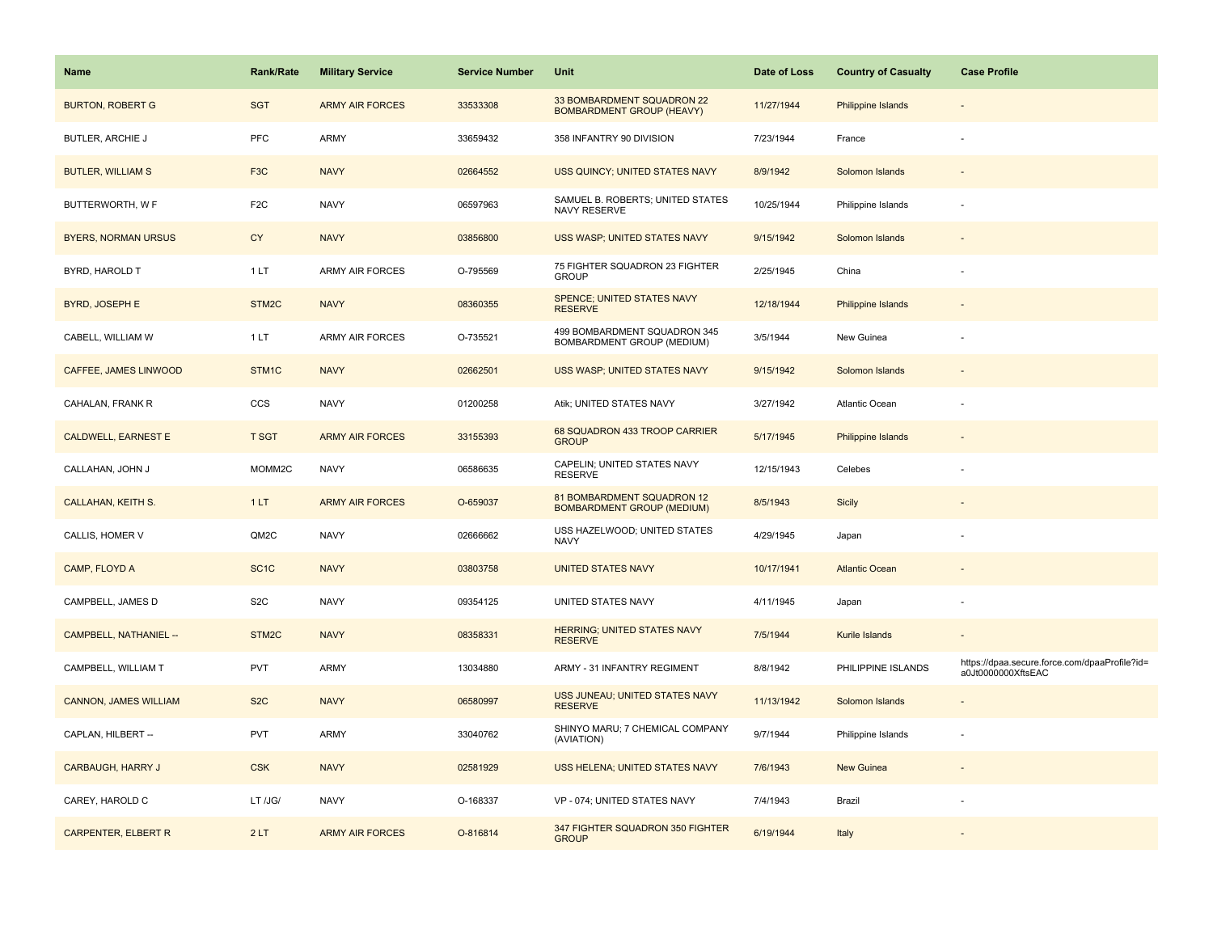| Name                         | <b>Rank/Rate</b>  | <b>Military Service</b> | <b>Service Number</b> | Unit                                                            | Date of Loss | <b>Country of Casualty</b> | <b>Case Profile</b>                                                 |
|------------------------------|-------------------|-------------------------|-----------------------|-----------------------------------------------------------------|--------------|----------------------------|---------------------------------------------------------------------|
| <b>BURTON, ROBERT G</b>      | <b>SGT</b>        | <b>ARMY AIR FORCES</b>  | 33533308              | 33 BOMBARDMENT SQUADRON 22<br><b>BOMBARDMENT GROUP (HEAVY)</b>  | 11/27/1944   | Philippine Islands         |                                                                     |
| BUTLER, ARCHIE J             | PFC               | ARMY                    | 33659432              | 358 INFANTRY 90 DIVISION                                        | 7/23/1944    | France                     |                                                                     |
| <b>BUTLER, WILLIAM S</b>     | F <sub>3</sub> C  | <b>NAVY</b>             | 02664552              | USS QUINCY; UNITED STATES NAVY                                  | 8/9/1942     | Solomon Islands            |                                                                     |
| BUTTERWORTH, W F             | F <sub>2C</sub>   | <b>NAVY</b>             | 06597963              | SAMUEL B. ROBERTS; UNITED STATES<br>NAVY RESERVE                | 10/25/1944   | Philippine Islands         |                                                                     |
| <b>BYERS, NORMAN URSUS</b>   | <b>CY</b>         | <b>NAVY</b>             | 03856800              | USS WASP; UNITED STATES NAVY                                    | 9/15/1942    | Solomon Islands            |                                                                     |
| BYRD, HAROLD T               | 1 LT              | <b>ARMY AIR FORCES</b>  | O-795569              | 75 FIGHTER SQUADRON 23 FIGHTER<br><b>GROUP</b>                  | 2/25/1945    | China                      |                                                                     |
| BYRD, JOSEPH E               | STM2C             | <b>NAVY</b>             | 08360355              | SPENCE; UNITED STATES NAVY<br><b>RESERVE</b>                    | 12/18/1944   | Philippine Islands         | $\overline{a}$                                                      |
| CABELL, WILLIAM W            | 1LT               | <b>ARMY AIR FORCES</b>  | O-735521              | 499 BOMBARDMENT SQUADRON 345<br>BOMBARDMENT GROUP (MEDIUM)      | 3/5/1944     | New Guinea                 |                                                                     |
| <b>CAFFEE, JAMES LINWOOD</b> | STM1C             | <b>NAVY</b>             | 02662501              | USS WASP; UNITED STATES NAVY                                    | 9/15/1942    | Solomon Islands            |                                                                     |
| CAHALAN, FRANK R             | CCS               | <b>NAVY</b>             | 01200258              | Atik; UNITED STATES NAVY                                        | 3/27/1942    | Atlantic Ocean             |                                                                     |
| <b>CALDWELL, EARNEST E</b>   | <b>T SGT</b>      | <b>ARMY AIR FORCES</b>  | 33155393              | 68 SQUADRON 433 TROOP CARRIER<br><b>GROUP</b>                   | 5/17/1945    | Philippine Islands         |                                                                     |
| CALLAHAN, JOHN J             | MOMM2C            | <b>NAVY</b>             | 06586635              | CAPELIN; UNITED STATES NAVY<br><b>RESERVE</b>                   | 12/15/1943   | Celebes                    |                                                                     |
| <b>CALLAHAN, KEITH S.</b>    | 1LT               | <b>ARMY AIR FORCES</b>  | O-659037              | 81 BOMBARDMENT SQUADRON 12<br><b>BOMBARDMENT GROUP (MEDIUM)</b> | 8/5/1943     | <b>Sicily</b>              |                                                                     |
| CALLIS, HOMER V              | QM2C              | <b>NAVY</b>             | 02666662              | USS HAZELWOOD; UNITED STATES<br><b>NAVY</b>                     | 4/29/1945    | Japan                      |                                                                     |
| CAMP, FLOYD A                | SC <sub>1</sub> C | <b>NAVY</b>             | 03803758              | <b>UNITED STATES NAVY</b>                                       | 10/17/1941   | <b>Atlantic Ocean</b>      |                                                                     |
| CAMPBELL, JAMES D            | S <sub>2</sub> C  | <b>NAVY</b>             | 09354125              | UNITED STATES NAVY                                              | 4/11/1945    | Japan                      |                                                                     |
| CAMPBELL, NATHANIEL --       | STM2C             | <b>NAVY</b>             | 08358331              | HERRING; UNITED STATES NAVY<br><b>RESERVE</b>                   | 7/5/1944     | Kurile Islands             |                                                                     |
| CAMPBELL, WILLIAM T          | <b>PVT</b>        | ARMY                    | 13034880              | ARMY - 31 INFANTRY REGIMENT                                     | 8/8/1942     | PHILIPPINE ISLANDS         | https://dpaa.secure.force.com/dpaaProfile?id=<br>a0Jt0000000XftsEAC |
| <b>CANNON, JAMES WILLIAM</b> | S <sub>2</sub> C  | <b>NAVY</b>             | 06580997              | USS JUNEAU; UNITED STATES NAVY<br><b>RESERVE</b>                | 11/13/1942   | Solomon Islands            |                                                                     |
| CAPLAN, HILBERT --           | <b>PVT</b>        | ARMY                    | 33040762              | SHINYO MARU; 7 CHEMICAL COMPANY<br>(AVIATION)                   | 9/7/1944     | Philippine Islands         |                                                                     |
| <b>CARBAUGH, HARRY J</b>     | <b>CSK</b>        | <b>NAVY</b>             | 02581929              | USS HELENA; UNITED STATES NAVY                                  | 7/6/1943     | New Guinea                 |                                                                     |
| CAREY, HAROLD C              | LT /JG/           | <b>NAVY</b>             | O-168337              | VP - 074; UNITED STATES NAVY                                    | 7/4/1943     | Brazil                     |                                                                     |
| <b>CARPENTER, ELBERT R</b>   | 2LT               | <b>ARMY AIR FORCES</b>  | O-816814              | 347 FIGHTER SQUADRON 350 FIGHTER<br><b>GROUP</b>                | 6/19/1944    | Italy                      |                                                                     |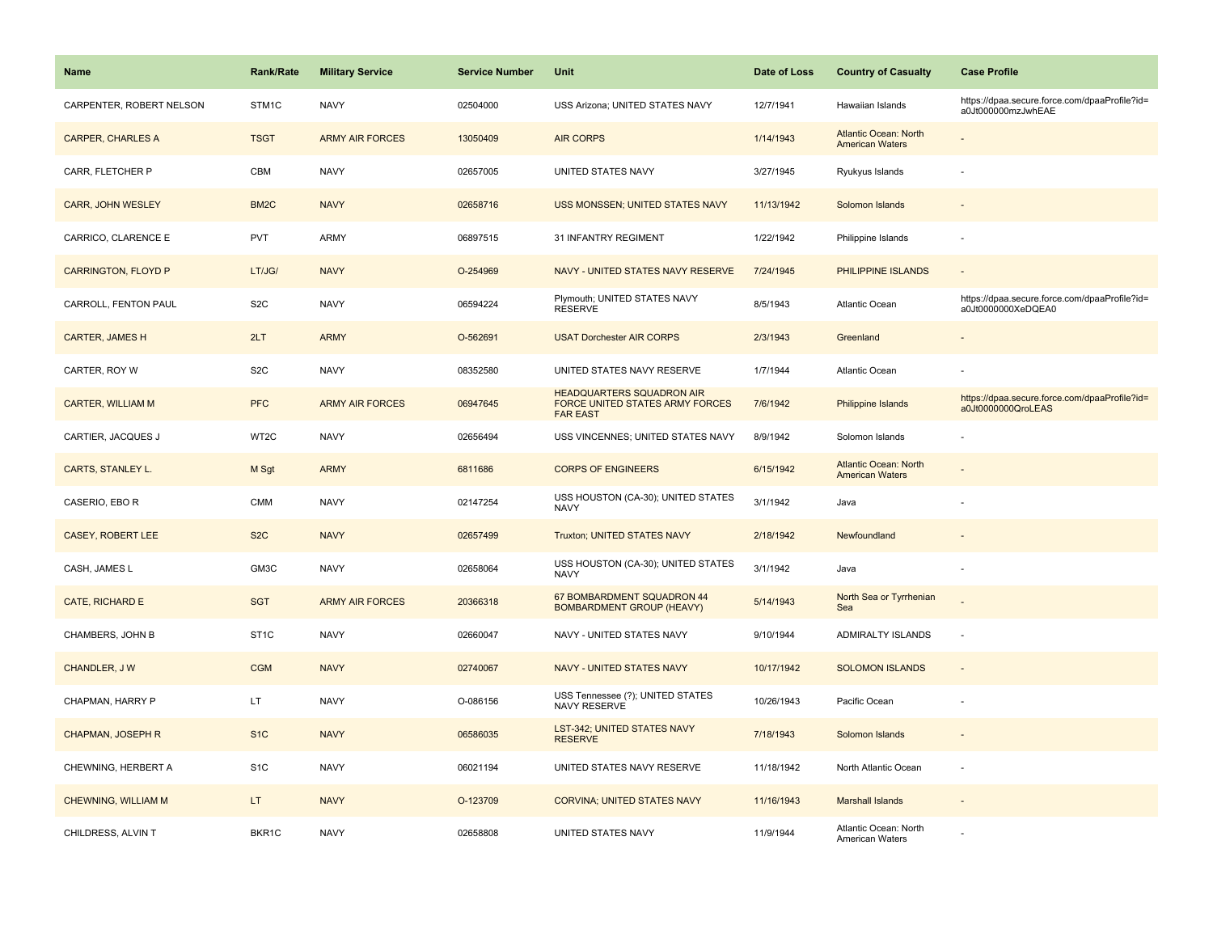| <b>Name</b>                | <b>Rank/Rate</b>  | <b>Military Service</b> | <b>Service Number</b> | Unit                                                                                          | Date of Loss | <b>Country of Casualty</b>                             | <b>Case Profile</b>                                                 |
|----------------------------|-------------------|-------------------------|-----------------------|-----------------------------------------------------------------------------------------------|--------------|--------------------------------------------------------|---------------------------------------------------------------------|
| CARPENTER, ROBERT NELSON   | STM <sub>1C</sub> | <b>NAVY</b>             | 02504000              | USS Arizona; UNITED STATES NAVY                                                               | 12/7/1941    | Hawaiian Islands                                       | https://dpaa.secure.force.com/dpaaProfile?id=<br>a0Jt000000mzJwhEAE |
| <b>CARPER, CHARLES A</b>   | <b>TSGT</b>       | <b>ARMY AIR FORCES</b>  | 13050409              | <b>AIR CORPS</b>                                                                              | 1/14/1943    | <b>Atlantic Ocean: North</b><br><b>American Waters</b> |                                                                     |
| CARR, FLETCHER P           | CBM               | <b>NAVY</b>             | 02657005              | UNITED STATES NAVY                                                                            | 3/27/1945    | Ryukyus Islands                                        |                                                                     |
| CARR, JOHN WESLEY          | BM <sub>2</sub> C | <b>NAVY</b>             | 02658716              | USS MONSSEN; UNITED STATES NAVY                                                               | 11/13/1942   | Solomon Islands                                        |                                                                     |
| CARRICO, CLARENCE E        | <b>PVT</b>        | <b>ARMY</b>             | 06897515              | 31 INFANTRY REGIMENT                                                                          | 1/22/1942    | Philippine Islands                                     |                                                                     |
| <b>CARRINGTON, FLOYD P</b> | LT/JG/            | <b>NAVY</b>             | O-254969              | NAVY - UNITED STATES NAVY RESERVE                                                             | 7/24/1945    | PHILIPPINE ISLANDS                                     | $\omega$                                                            |
| CARROLL, FENTON PAUL       | S <sub>2</sub> C  | <b>NAVY</b>             | 06594224              | Plymouth; UNITED STATES NAVY<br><b>RESERVE</b>                                                | 8/5/1943     | Atlantic Ocean                                         | https://dpaa.secure.force.com/dpaaProfile?id=<br>a0Jt0000000XeDQEA0 |
| <b>CARTER, JAMES H</b>     | 2LT               | <b>ARMY</b>             | O-562691              | <b>USAT Dorchester AIR CORPS</b>                                                              | 2/3/1943     | Greenland                                              |                                                                     |
| CARTER, ROY W              | S <sub>2</sub> C  | <b>NAVY</b>             | 08352580              | UNITED STATES NAVY RESERVE                                                                    | 1/7/1944     | Atlantic Ocean                                         |                                                                     |
| <b>CARTER, WILLIAM M</b>   | <b>PFC</b>        | <b>ARMY AIR FORCES</b>  | 06947645              | <b>HEADQUARTERS SQUADRON AIR</b><br><b>FORCE UNITED STATES ARMY FORCES</b><br><b>FAR EAST</b> | 7/6/1942     | Philippine Islands                                     | https://dpaa.secure.force.com/dpaaProfile?id=<br>a0Jt0000000QroLEAS |
| CARTIER, JACQUES J         | WT2C              | <b>NAVY</b>             | 02656494              | USS VINCENNES; UNITED STATES NAVY                                                             | 8/9/1942     | Solomon Islands                                        |                                                                     |
| CARTS, STANLEY L.          | M Sgt             | <b>ARMY</b>             | 6811686               | <b>CORPS OF ENGINEERS</b>                                                                     | 6/15/1942    | <b>Atlantic Ocean: North</b><br><b>American Waters</b> |                                                                     |
| CASERIO, EBO R             | <b>CMM</b>        | <b>NAVY</b>             | 02147254              | USS HOUSTON (CA-30); UNITED STATES<br><b>NAVY</b>                                             | 3/1/1942     | Java                                                   |                                                                     |
| CASEY, ROBERT LEE          | S <sub>2</sub> C  | <b>NAVY</b>             | 02657499              | Truxton; UNITED STATES NAVY                                                                   | 2/18/1942    | Newfoundland                                           |                                                                     |
| CASH, JAMES L              | GM3C              | <b>NAVY</b>             | 02658064              | USS HOUSTON (CA-30); UNITED STATES<br>NAVY                                                    | 3/1/1942     | Java                                                   | $\overline{\phantom{a}}$                                            |
| CATE, RICHARD E            | <b>SGT</b>        | <b>ARMY AIR FORCES</b>  | 20366318              | 67 BOMBARDMENT SQUADRON 44<br><b>BOMBARDMENT GROUP (HEAVY)</b>                                | 5/14/1943    | North Sea or Tyrrhenian<br>Sea                         |                                                                     |
| CHAMBERS, JOHN B           | ST <sub>1</sub> C | <b>NAVY</b>             | 02660047              | NAVY - UNITED STATES NAVY                                                                     | 9/10/1944    | ADMIRALTY ISLANDS                                      | ÷,                                                                  |
| CHANDLER, J W              | <b>CGM</b>        | <b>NAVY</b>             | 02740067              | NAVY - UNITED STATES NAVY                                                                     | 10/17/1942   | <b>SOLOMON ISLANDS</b>                                 |                                                                     |
| CHAPMAN, HARRY P           | LT.               | <b>NAVY</b>             | O-086156              | USS Tennessee (?); UNITED STATES<br><b>NAVY RESERVE</b>                                       | 10/26/1943   | Pacific Ocean                                          |                                                                     |
| CHAPMAN, JOSEPH R          | S <sub>1</sub> C  | <b>NAVY</b>             | 06586035              | LST-342; UNITED STATES NAVY<br><b>RESERVE</b>                                                 | 7/18/1943    | Solomon Islands                                        |                                                                     |
| CHEWNING, HERBERT A        | S <sub>1</sub> C  | <b>NAVY</b>             | 06021194              | UNITED STATES NAVY RESERVE                                                                    | 11/18/1942   | North Atlantic Ocean                                   | $\overline{\phantom{a}}$                                            |
| <b>CHEWNING, WILLIAM M</b> | LT.               | <b>NAVY</b>             | O-123709              | <b>CORVINA; UNITED STATES NAVY</b>                                                            | 11/16/1943   | <b>Marshall Islands</b>                                |                                                                     |
| CHILDRESS, ALVIN T         | BKR1C             | <b>NAVY</b>             | 02658808              | UNITED STATES NAVY                                                                            | 11/9/1944    | Atlantic Ocean: North<br>American Waters               |                                                                     |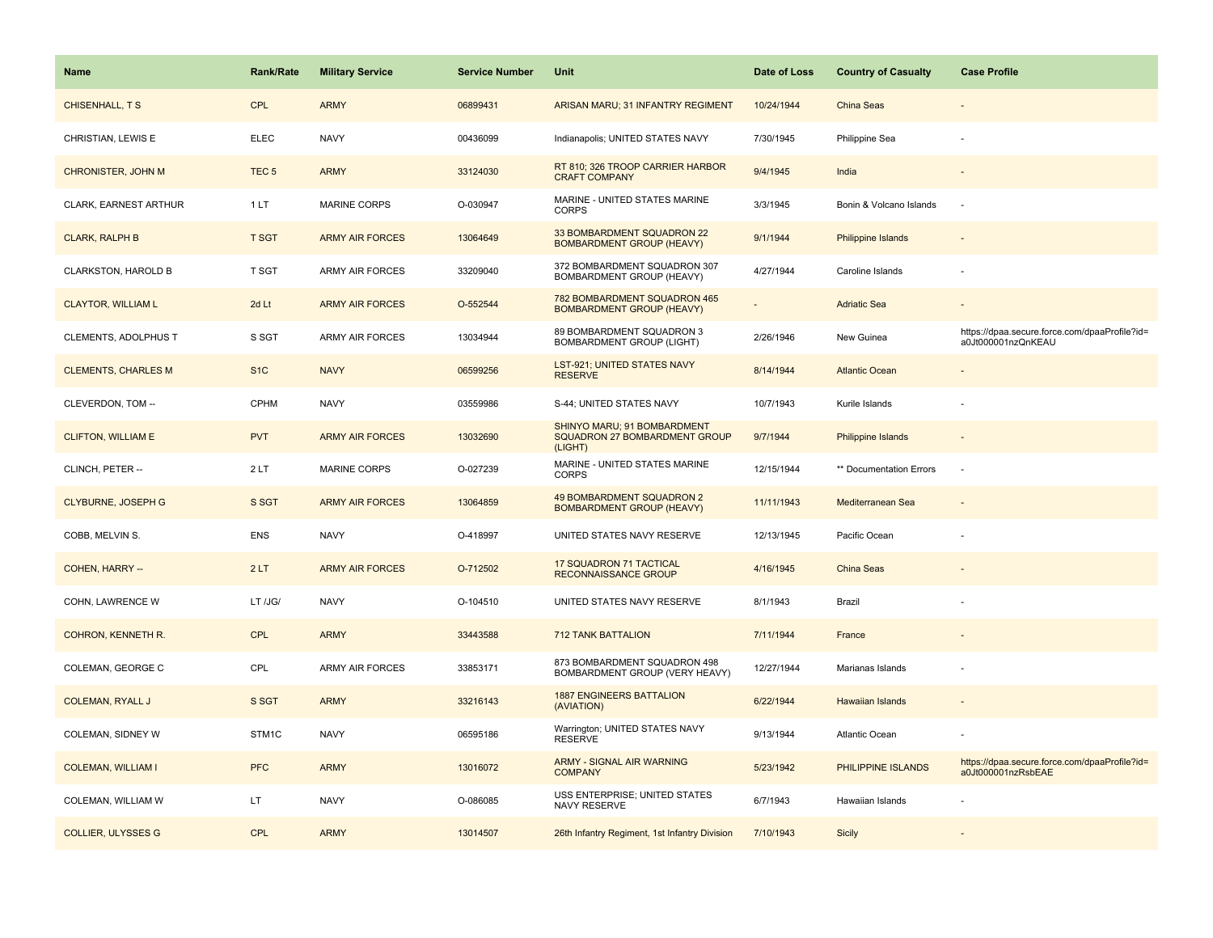| <b>Name</b>                | <b>Rank/Rate</b> | <b>Military Service</b> | <b>Service Number</b> | Unit                                                                           | Date of Loss | <b>Country of Casualty</b> | <b>Case Profile</b>                                                 |
|----------------------------|------------------|-------------------------|-----------------------|--------------------------------------------------------------------------------|--------------|----------------------------|---------------------------------------------------------------------|
| CHISENHALL, T S            | <b>CPL</b>       | <b>ARMY</b>             | 06899431              | ARISAN MARU; 31 INFANTRY REGIMENT                                              | 10/24/1944   | China Seas                 |                                                                     |
| CHRISTIAN, LEWIS E         | <b>ELEC</b>      | <b>NAVY</b>             | 00436099              | Indianapolis; UNITED STATES NAVY                                               | 7/30/1945    | Philippine Sea             |                                                                     |
| <b>CHRONISTER, JOHN M</b>  | TEC <sub>5</sub> | <b>ARMY</b>             | 33124030              | RT 810; 326 TROOP CARRIER HARBOR<br><b>CRAFT COMPANY</b>                       | 9/4/1945     | India                      |                                                                     |
| CLARK, EARNEST ARTHUR      | 1 LT             | <b>MARINE CORPS</b>     | O-030947              | MARINE - UNITED STATES MARINE<br><b>CORPS</b>                                  | 3/3/1945     | Bonin & Volcano Islands    |                                                                     |
| <b>CLARK, RALPH B</b>      | <b>T SGT</b>     | <b>ARMY AIR FORCES</b>  | 13064649              | 33 BOMBARDMENT SQUADRON 22<br><b>BOMBARDMENT GROUP (HEAVY)</b>                 | 9/1/1944     | <b>Philippine Islands</b>  |                                                                     |
| CLARKSTON, HAROLD B        | T SGT            | <b>ARMY AIR FORCES</b>  | 33209040              | 372 BOMBARDMENT SQUADRON 307<br>BOMBARDMENT GROUP (HEAVY)                      | 4/27/1944    | Caroline Islands           |                                                                     |
| <b>CLAYTOR, WILLIAM L</b>  | 2d Lt            | <b>ARMY AIR FORCES</b>  | O-552544              | 782 BOMBARDMENT SQUADRON 465<br><b>BOMBARDMENT GROUP (HEAVY)</b>               |              | <b>Adriatic Sea</b>        |                                                                     |
| CLEMENTS, ADOLPHUS T       | S SGT            | <b>ARMY AIR FORCES</b>  | 13034944              | 89 BOMBARDMENT SQUADRON 3<br><b>BOMBARDMENT GROUP (LIGHT)</b>                  | 2/26/1946    | New Guinea                 | https://dpaa.secure.force.com/dpaaProfile?id=<br>a0Jt000001nzQnKEAU |
| <b>CLEMENTS, CHARLES M</b> | S <sub>1</sub> C | <b>NAVY</b>             | 06599256              | LST-921; UNITED STATES NAVY<br><b>RESERVE</b>                                  | 8/14/1944    | <b>Atlantic Ocean</b>      |                                                                     |
| CLEVERDON, TOM --          | CPHM             | <b>NAVY</b>             | 03559986              | S-44; UNITED STATES NAVY                                                       | 10/7/1943    | Kurile Islands             |                                                                     |
| <b>CLIFTON, WILLIAM E</b>  | <b>PVT</b>       | <b>ARMY AIR FORCES</b>  | 13032690              | SHINYO MARU; 91 BOMBARDMENT<br><b>SQUADRON 27 BOMBARDMENT GROUP</b><br>(LIGHT) | 9/7/1944     | <b>Philippine Islands</b>  |                                                                     |
| CLINCH, PETER --           | 2LT              | <b>MARINE CORPS</b>     | O-027239              | MARINE - UNITED STATES MARINE<br><b>CORPS</b>                                  | 12/15/1944   | ** Documentation Errors    |                                                                     |
| <b>CLYBURNE, JOSEPH G</b>  | S SGT            | <b>ARMY AIR FORCES</b>  | 13064859              | 49 BOMBARDMENT SQUADRON 2<br><b>BOMBARDMENT GROUP (HEAVY)</b>                  | 11/11/1943   | Mediterranean Sea          |                                                                     |
| COBB, MELVIN S.            | ENS              | <b>NAVY</b>             | O-418997              | UNITED STATES NAVY RESERVE                                                     | 12/13/1945   | Pacific Ocean              |                                                                     |
| COHEN, HARRY --            | 2LT              | <b>ARMY AIR FORCES</b>  | O-712502              | 17 SQUADRON 71 TACTICAL<br>RECONNAISSANCE GROUP                                | 4/16/1945    | <b>China Seas</b>          |                                                                     |
| COHN, LAWRENCE W           | LT /JG/          | <b>NAVY</b>             | O-104510              | UNITED STATES NAVY RESERVE                                                     | 8/1/1943     | Brazil                     |                                                                     |
| COHRON, KENNETH R.         | <b>CPL</b>       | <b>ARMY</b>             | 33443588              | <b>712 TANK BATTALION</b>                                                      | 7/11/1944    | France                     |                                                                     |
| COLEMAN, GEORGE C          | CPL              | ARMY AIR FORCES         | 33853171              | 873 BOMBARDMENT SQUADRON 498<br>BOMBARDMENT GROUP (VERY HEAVY)                 | 12/27/1944   | Marianas Islands           |                                                                     |
| <b>COLEMAN, RYALL J</b>    | S SGT            | <b>ARMY</b>             | 33216143              | <b>1887 ENGINEERS BATTALION</b><br>(AVIATION)                                  | 6/22/1944    | <b>Hawaiian Islands</b>    |                                                                     |
| COLEMAN, SIDNEY W          | STM1C            | <b>NAVY</b>             | 06595186              | Warrington; UNITED STATES NAVY<br><b>RESERVE</b>                               | 9/13/1944    | Atlantic Ocean             |                                                                     |
| <b>COLEMAN, WILLIAM I</b>  | <b>PFC</b>       | <b>ARMY</b>             | 13016072              | <b>ARMY - SIGNAL AIR WARNING</b><br><b>COMPANY</b>                             | 5/23/1942    | PHILIPPINE ISLANDS         | https://dpaa.secure.force.com/dpaaProfile?id=<br>a0Jt000001nzRsbEAE |
| COLEMAN, WILLIAM W         | LT               | <b>NAVY</b>             | O-086085              | USS ENTERPRISE; UNITED STATES<br>NAVY RESERVE                                  | 6/7/1943     | Hawaiian Islands           |                                                                     |
| <b>COLLIER, ULYSSES G</b>  | CPL              | <b>ARMY</b>             | 13014507              | 26th Infantry Regiment, 1st Infantry Division                                  | 7/10/1943    | <b>Sicily</b>              |                                                                     |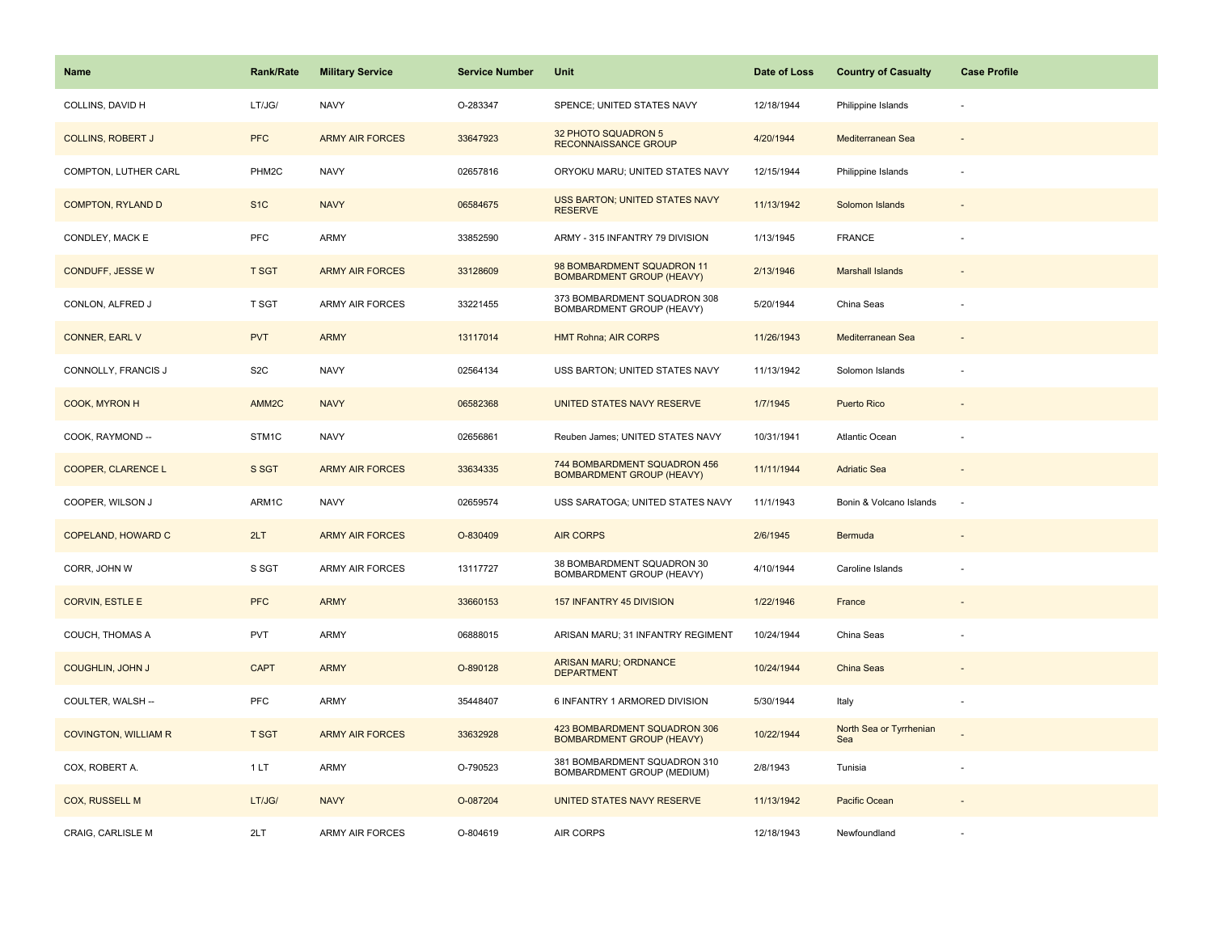| Name                        | <b>Rank/Rate</b>   | <b>Military Service</b> | <b>Service Number</b> | Unit                                                             | Date of Loss | <b>Country of Casualty</b>     | <b>Case Profile</b> |
|-----------------------------|--------------------|-------------------------|-----------------------|------------------------------------------------------------------|--------------|--------------------------------|---------------------|
| COLLINS, DAVID H            | LT/JG/             | <b>NAVY</b>             | O-283347              | SPENCE; UNITED STATES NAVY                                       | 12/18/1944   | Philippine Islands             |                     |
| <b>COLLINS, ROBERT J</b>    | <b>PFC</b>         | <b>ARMY AIR FORCES</b>  | 33647923              | 32 PHOTO SQUADRON 5<br>RECONNAISSANCE GROUP                      | 4/20/1944    | Mediterranean Sea              |                     |
| COMPTON, LUTHER CARL        | PHM <sub>2</sub> C | <b>NAVY</b>             | 02657816              | ORYOKU MARU; UNITED STATES NAVY                                  | 12/15/1944   | Philippine Islands             |                     |
| <b>COMPTON, RYLAND D</b>    | S <sub>1</sub> C   | <b>NAVY</b>             | 06584675              | USS BARTON; UNITED STATES NAVY<br><b>RESERVE</b>                 | 11/13/1942   | Solomon Islands                |                     |
| CONDLEY, MACK E             | <b>PFC</b>         | ARMY                    | 33852590              | ARMY - 315 INFANTRY 79 DIVISION                                  | 1/13/1945    | <b>FRANCE</b>                  |                     |
| CONDUFF, JESSE W            | <b>T SGT</b>       | <b>ARMY AIR FORCES</b>  | 33128609              | 98 BOMBARDMENT SQUADRON 11<br><b>BOMBARDMENT GROUP (HEAVY)</b>   | 2/13/1946    | <b>Marshall Islands</b>        |                     |
| CONLON, ALFRED J            | T SGT              | <b>ARMY AIR FORCES</b>  | 33221455              | 373 BOMBARDMENT SQUADRON 308<br>BOMBARDMENT GROUP (HEAVY)        | 5/20/1944    | China Seas                     |                     |
| CONNER, EARL V              | <b>PVT</b>         | <b>ARMY</b>             | 13117014              | <b>HMT Rohna; AIR CORPS</b>                                      | 11/26/1943   | Mediterranean Sea              |                     |
| CONNOLLY, FRANCIS J         | S <sub>2</sub> C   | <b>NAVY</b>             | 02564134              | USS BARTON; UNITED STATES NAVY                                   | 11/13/1942   | Solomon Islands                |                     |
| COOK, MYRON H               | AMM <sub>2C</sub>  | <b>NAVY</b>             | 06582368              | UNITED STATES NAVY RESERVE                                       | 1/7/1945     | <b>Puerto Rico</b>             |                     |
| COOK, RAYMOND --            | STM1C              | <b>NAVY</b>             | 02656861              | Reuben James; UNITED STATES NAVY                                 | 10/31/1941   | Atlantic Ocean                 |                     |
| <b>COOPER, CLARENCE L</b>   | S SGT              | <b>ARMY AIR FORCES</b>  | 33634335              | 744 BOMBARDMENT SQUADRON 456<br><b>BOMBARDMENT GROUP (HEAVY)</b> | 11/11/1944   | <b>Adriatic Sea</b>            |                     |
| COOPER, WILSON J            | ARM1C              | <b>NAVY</b>             | 02659574              | USS SARATOGA; UNITED STATES NAVY                                 | 11/1/1943    | Bonin & Volcano Islands        | ÷.                  |
| COPELAND, HOWARD C          | 2LT                | <b>ARMY AIR FORCES</b>  | O-830409              | <b>AIR CORPS</b>                                                 | 2/6/1945     | Bermuda                        |                     |
| CORR, JOHN W                | S SGT              | ARMY AIR FORCES         | 13117727              | 38 BOMBARDMENT SQUADRON 30<br>BOMBARDMENT GROUP (HEAVY)          | 4/10/1944    | Caroline Islands               |                     |
| <b>CORVIN, ESTLE E</b>      | <b>PFC</b>         | <b>ARMY</b>             | 33660153              | 157 INFANTRY 45 DIVISION                                         | 1/22/1946    | France                         |                     |
| COUCH, THOMAS A             | <b>PVT</b>         | ARMY                    | 06888015              | ARISAN MARU; 31 INFANTRY REGIMENT                                | 10/24/1944   | China Seas                     |                     |
| <b>COUGHLIN, JOHN J</b>     | <b>CAPT</b>        | <b>ARMY</b>             | O-890128              | ARISAN MARU; ORDNANCE<br><b>DEPARTMENT</b>                       | 10/24/1944   | <b>China Seas</b>              |                     |
| COULTER, WALSH --           | <b>PFC</b>         | ARMY                    | 35448407              | 6 INFANTRY 1 ARMORED DIVISION                                    | 5/30/1944    | Italy                          |                     |
| <b>COVINGTON, WILLIAM R</b> | <b>T SGT</b>       | <b>ARMY AIR FORCES</b>  | 33632928              | 423 BOMBARDMENT SQUADRON 306<br><b>BOMBARDMENT GROUP (HEAVY)</b> | 10/22/1944   | North Sea or Tyrrhenian<br>Sea |                     |
| COX, ROBERT A.              | 1 LT               | ARMY                    | O-790523              | 381 BOMBARDMENT SQUADRON 310<br>BOMBARDMENT GROUP (MEDIUM)       | 2/8/1943     | Tunisia                        |                     |
| <b>COX, RUSSELL M</b>       | LT/JG/             | <b>NAVY</b>             | O-087204              | UNITED STATES NAVY RESERVE                                       | 11/13/1942   | Pacific Ocean                  |                     |
| CRAIG, CARLISLE M           | 2LT                | <b>ARMY AIR FORCES</b>  | O-804619              | <b>AIR CORPS</b>                                                 | 12/18/1943   | Newfoundland                   |                     |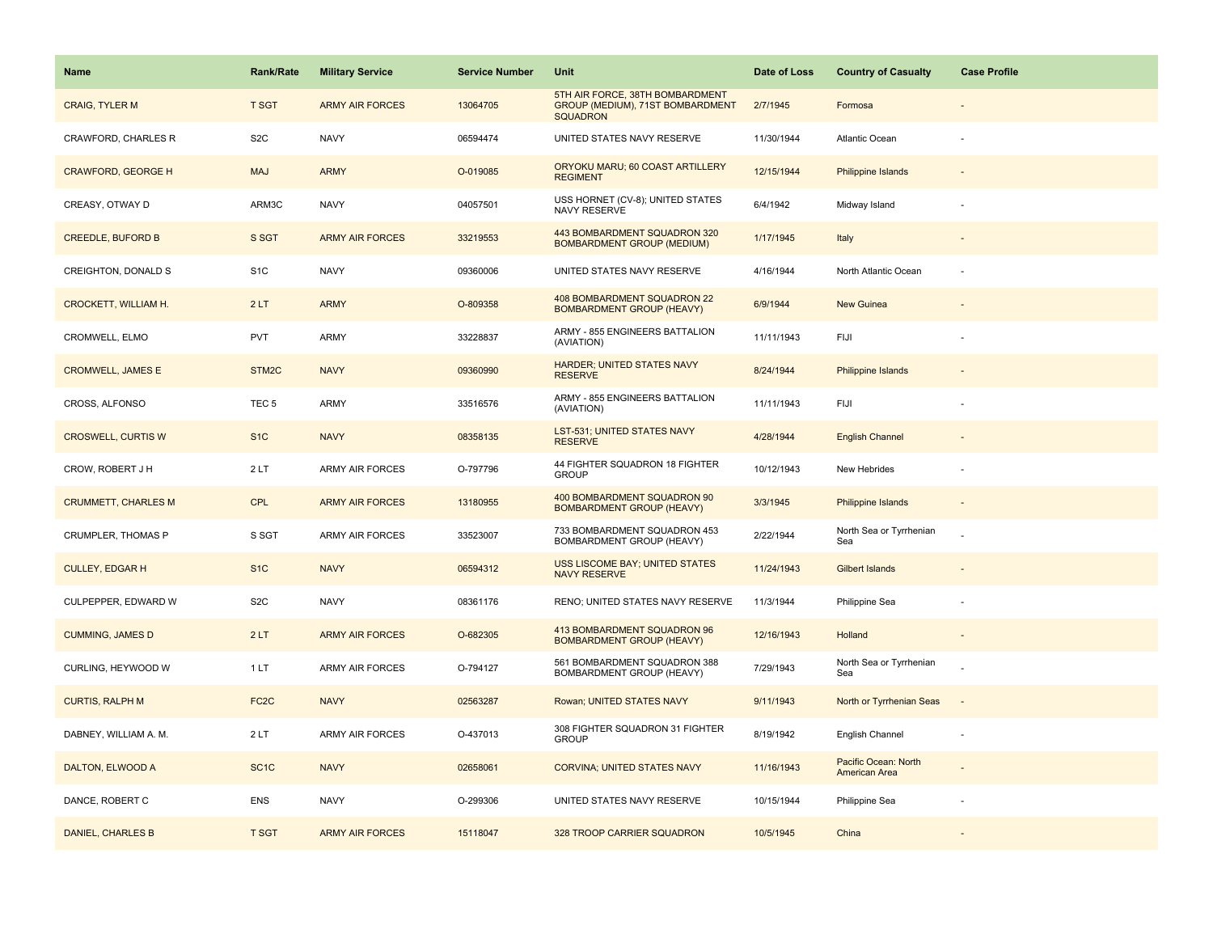| Name                        | <b>Rank/Rate</b>   | <b>Military Service</b> | <b>Service Number</b> | Unit                                                                                   | Date of Loss | <b>Country of Casualty</b>            | <b>Case Profile</b> |
|-----------------------------|--------------------|-------------------------|-----------------------|----------------------------------------------------------------------------------------|--------------|---------------------------------------|---------------------|
| <b>CRAIG, TYLER M</b>       | <b>T SGT</b>       | <b>ARMY AIR FORCES</b>  | 13064705              | 5TH AIR FORCE, 38TH BOMBARDMENT<br>GROUP (MEDIUM), 71ST BOMBARDMENT<br><b>SQUADRON</b> | 2/7/1945     | Formosa                               |                     |
| CRAWFORD, CHARLES R         | S <sub>2</sub> C   | <b>NAVY</b>             | 06594474              | UNITED STATES NAVY RESERVE                                                             | 11/30/1944   | Atlantic Ocean                        |                     |
| <b>CRAWFORD, GEORGE H</b>   | <b>MAJ</b>         | <b>ARMY</b>             | O-019085              | ORYOKU MARU; 60 COAST ARTILLERY<br><b>REGIMENT</b>                                     | 12/15/1944   | <b>Philippine Islands</b>             |                     |
| CREASY, OTWAY D             | ARM3C              | <b>NAVY</b>             | 04057501              | USS HORNET (CV-8); UNITED STATES<br>NAVY RESERVE                                       | 6/4/1942     | Midway Island                         |                     |
| <b>CREEDLE, BUFORD B</b>    | S SGT              | <b>ARMY AIR FORCES</b>  | 33219553              | 443 BOMBARDMENT SQUADRON 320<br><b>BOMBARDMENT GROUP (MEDIUM)</b>                      | 1/17/1945    | Italy                                 |                     |
| CREIGHTON, DONALD S         | S <sub>1</sub> C   | <b>NAVY</b>             | 09360006              | UNITED STATES NAVY RESERVE                                                             | 4/16/1944    | North Atlantic Ocean                  |                     |
| <b>CROCKETT, WILLIAM H.</b> | 2LT                | <b>ARMY</b>             | O-809358              | 408 BOMBARDMENT SQUADRON 22<br><b>BOMBARDMENT GROUP (HEAVY)</b>                        | 6/9/1944     | New Guinea                            |                     |
| CROMWELL, ELMO              | PVT                | ARMY                    | 33228837              | ARMY - 855 ENGINEERS BATTALION<br>(AVIATION)                                           | 11/11/1943   | FIJI                                  |                     |
| <b>CROMWELL, JAMES E</b>    | STM <sub>2</sub> C | <b>NAVY</b>             | 09360990              | <b>HARDER; UNITED STATES NAVY</b><br><b>RESERVE</b>                                    | 8/24/1944    | <b>Philippine Islands</b>             |                     |
| CROSS, ALFONSO              | TEC <sub>5</sub>   | ARMY                    | 33516576              | ARMY - 855 ENGINEERS BATTALION<br>(AVIATION)                                           | 11/11/1943   | FIJI                                  |                     |
| <b>CROSWELL, CURTIS W</b>   | S <sub>1</sub> C   | <b>NAVY</b>             | 08358135              | <b>LST-531; UNITED STATES NAVY</b><br><b>RESERVE</b>                                   | 4/28/1944    | <b>English Channel</b>                |                     |
| CROW, ROBERT J H            | 2LT                | ARMY AIR FORCES         | O-797796              | 44 FIGHTER SQUADRON 18 FIGHTER<br><b>GROUP</b>                                         | 10/12/1943   | New Hebrides                          |                     |
| <b>CRUMMETT, CHARLES M</b>  | <b>CPL</b>         | <b>ARMY AIR FORCES</b>  | 13180955              | 400 BOMBARDMENT SQUADRON 90<br><b>BOMBARDMENT GROUP (HEAVY)</b>                        | 3/3/1945     | <b>Philippine Islands</b>             |                     |
| CRUMPLER, THOMAS P          | S SGT              | ARMY AIR FORCES         | 33523007              | 733 BOMBARDMENT SQUADRON 453<br>BOMBARDMENT GROUP (HEAVY)                              | 2/22/1944    | North Sea or Tyrrhenian<br>Sea        |                     |
| <b>CULLEY, EDGAR H</b>      | S <sub>1C</sub>    | <b>NAVY</b>             | 06594312              | <b>USS LISCOME BAY; UNITED STATES</b><br><b>NAVY RESERVE</b>                           | 11/24/1943   | Gilbert Islands                       |                     |
| CULPEPPER, EDWARD W         | S <sub>2</sub> C   | <b>NAVY</b>             | 08361176              | RENO; UNITED STATES NAVY RESERVE                                                       | 11/3/1944    | Philippine Sea                        |                     |
| <b>CUMMING, JAMES D</b>     | 2LT                | <b>ARMY AIR FORCES</b>  | O-682305              | 413 BOMBARDMENT SQUADRON 96<br><b>BOMBARDMENT GROUP (HEAVY)</b>                        | 12/16/1943   | Holland                               |                     |
| CURLING, HEYWOOD W          | 1LT                | ARMY AIR FORCES         | O-794127              | 561 BOMBARDMENT SQUADRON 388<br>BOMBARDMENT GROUP (HEAVY)                              | 7/29/1943    | North Sea or Tyrrhenian<br>Sea        |                     |
| <b>CURTIS, RALPH M</b>      | FC <sub>2</sub> C  | <b>NAVY</b>             | 02563287              | Rowan; UNITED STATES NAVY                                                              | 9/11/1943    | North or Tyrrhenian Seas              |                     |
| DABNEY, WILLIAM A. M.       | 2LT                | ARMY AIR FORCES         | O-437013              | 308 FIGHTER SQUADRON 31 FIGHTER<br><b>GROUP</b>                                        | 8/19/1942    | English Channel                       |                     |
| DALTON, ELWOOD A            | SC <sub>1</sub> C  | <b>NAVY</b>             | 02658061              | <b>CORVINA; UNITED STATES NAVY</b>                                                     | 11/16/1943   | Pacific Ocean: North<br>American Area |                     |
| DANCE, ROBERT C             | <b>ENS</b>         | <b>NAVY</b>             | O-299306              | UNITED STATES NAVY RESERVE                                                             | 10/15/1944   | Philippine Sea                        |                     |
| <b>DANIEL, CHARLES B</b>    | <b>T SGT</b>       | <b>ARMY AIR FORCES</b>  | 15118047              | 328 TROOP CARRIER SQUADRON                                                             | 10/5/1945    | China                                 |                     |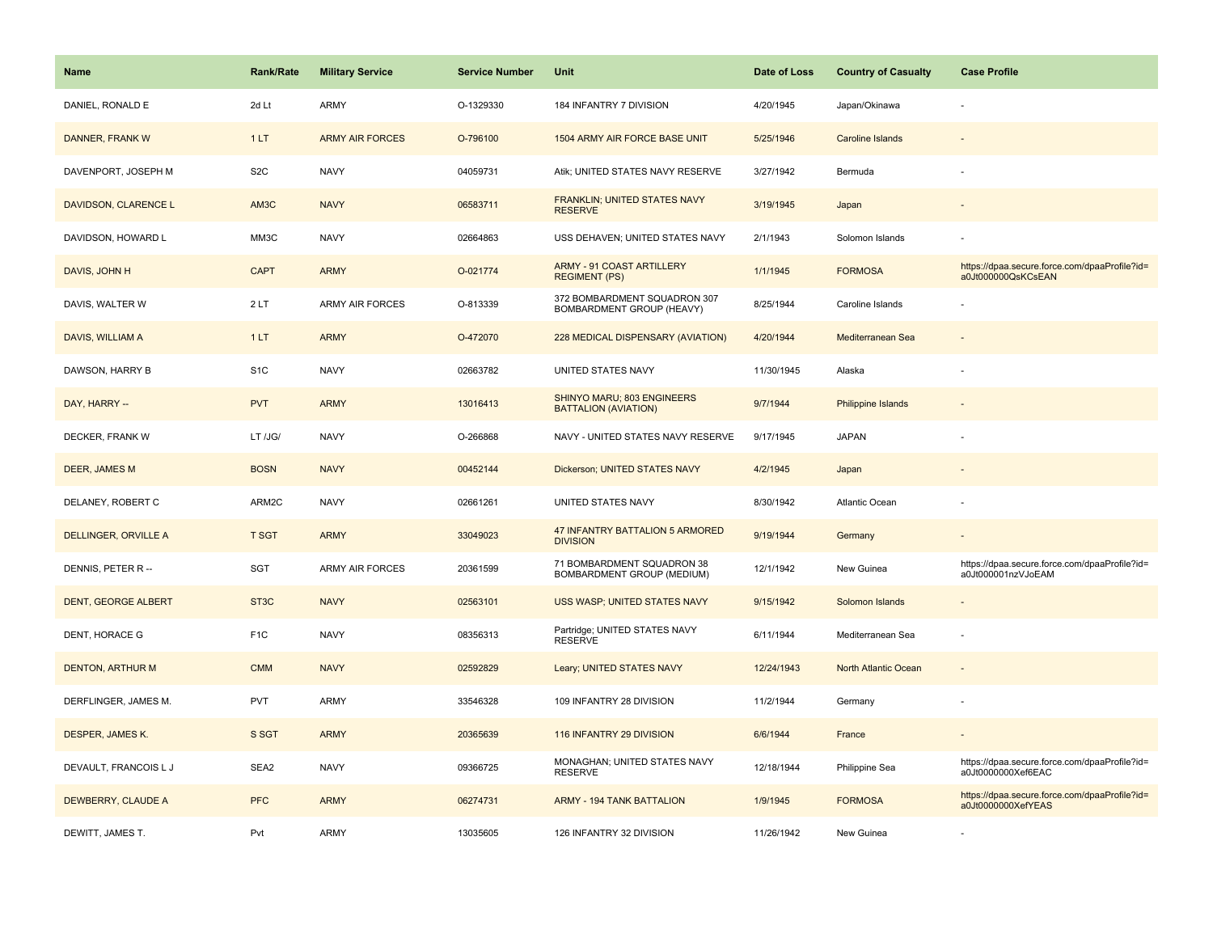| <b>Name</b>                | <b>Rank/Rate</b>  | <b>Military Service</b> | <b>Service Number</b> | Unit                                                      | Date of Loss | <b>Country of Casualty</b> | <b>Case Profile</b>                                                 |
|----------------------------|-------------------|-------------------------|-----------------------|-----------------------------------------------------------|--------------|----------------------------|---------------------------------------------------------------------|
| DANIEL, RONALD E           | 2d Lt             | ARMY                    | O-1329330             | 184 INFANTRY 7 DIVISION                                   | 4/20/1945    | Japan/Okinawa              |                                                                     |
| DANNER, FRANK W            | 1LT               | <b>ARMY AIR FORCES</b>  | O-796100              | 1504 ARMY AIR FORCE BASE UNIT                             | 5/25/1946    | <b>Caroline Islands</b>    |                                                                     |
| DAVENPORT, JOSEPH M        | S <sub>2</sub> C  | <b>NAVY</b>             | 04059731              | Atik; UNITED STATES NAVY RESERVE                          | 3/27/1942    | Bermuda                    |                                                                     |
| DAVIDSON, CLARENCE L       | AM <sub>3</sub> C | <b>NAVY</b>             | 06583711              | FRANKLIN; UNITED STATES NAVY<br><b>RESERVE</b>            | 3/19/1945    | Japan                      |                                                                     |
| DAVIDSON, HOWARD L         | MM3C              | <b>NAVY</b>             | 02664863              | USS DEHAVEN; UNITED STATES NAVY                           | 2/1/1943     | Solomon Islands            |                                                                     |
| DAVIS, JOHN H              | <b>CAPT</b>       | <b>ARMY</b>             | O-021774              | <b>ARMY - 91 COAST ARTILLERY</b><br><b>REGIMENT (PS)</b>  | 1/1/1945     | <b>FORMOSA</b>             | https://dpaa.secure.force.com/dpaaProfile?id=<br>a0Jt000000QsKCsEAN |
| DAVIS, WALTER W            | 2LT               | ARMY AIR FORCES         | O-813339              | 372 BOMBARDMENT SQUADRON 307<br>BOMBARDMENT GROUP (HEAVY) | 8/25/1944    | Caroline Islands           |                                                                     |
| DAVIS, WILLIAM A           | 1LT               | <b>ARMY</b>             | O-472070              | 228 MEDICAL DISPENSARY (AVIATION)                         | 4/20/1944    | Mediterranean Sea          |                                                                     |
| DAWSON, HARRY B            | S <sub>1</sub> C  | <b>NAVY</b>             | 02663782              | UNITED STATES NAVY                                        | 11/30/1945   | Alaska                     |                                                                     |
| DAY, HARRY --              | <b>PVT</b>        | <b>ARMY</b>             | 13016413              | SHINYO MARU; 803 ENGINEERS<br><b>BATTALION (AVIATION)</b> | 9/7/1944     | Philippine Islands         |                                                                     |
| DECKER, FRANK W            | LT /JG/           | <b>NAVY</b>             | O-266868              | NAVY - UNITED STATES NAVY RESERVE                         | 9/17/1945    | <b>JAPAN</b>               |                                                                     |
| DEER, JAMES M              | <b>BOSN</b>       | <b>NAVY</b>             | 00452144              | Dickerson; UNITED STATES NAVY                             | 4/2/1945     | Japan                      |                                                                     |
| DELANEY, ROBERT C          | ARM2C             | <b>NAVY</b>             | 02661261              | UNITED STATES NAVY                                        | 8/30/1942    | <b>Atlantic Ocean</b>      |                                                                     |
| DELLINGER, ORVILLE A       | <b>T SGT</b>      | <b>ARMY</b>             | 33049023              | <b>47 INFANTRY BATTALION 5 ARMORED</b><br><b>DIVISION</b> | 9/19/1944    | Germany                    |                                                                     |
| DENNIS, PETER R --         | SGT               | ARMY AIR FORCES         | 20361599              | 71 BOMBARDMENT SQUADRON 38<br>BOMBARDMENT GROUP (MEDIUM)  | 12/1/1942    | New Guinea                 | https://dpaa.secure.force.com/dpaaProfile?id=<br>a0Jt000001nzVJoEAM |
| <b>DENT, GEORGE ALBERT</b> | ST <sub>3</sub> C | <b>NAVY</b>             | 02563101              | USS WASP; UNITED STATES NAVY                              | 9/15/1942    | Solomon Islands            |                                                                     |
| DENT, HORACE G             | F <sub>1</sub> C  | <b>NAVY</b>             | 08356313              | Partridge; UNITED STATES NAVY<br><b>RESERVE</b>           | 6/11/1944    | Mediterranean Sea          |                                                                     |
| <b>DENTON, ARTHUR M</b>    | <b>CMM</b>        | <b>NAVY</b>             | 02592829              | Leary; UNITED STATES NAVY                                 | 12/24/1943   | North Atlantic Ocean       |                                                                     |
| DERFLINGER, JAMES M.       | <b>PVT</b>        | ARMY                    | 33546328              | 109 INFANTRY 28 DIVISION                                  | 11/2/1944    | Germany                    |                                                                     |
| DESPER, JAMES K.           | S SGT             | <b>ARMY</b>             | 20365639              | 116 INFANTRY 29 DIVISION                                  | 6/6/1944     | France                     |                                                                     |
| DEVAULT, FRANCOIS L J      | SEA2              | <b>NAVY</b>             | 09366725              | MONAGHAN; UNITED STATES NAVY<br><b>RESERVE</b>            | 12/18/1944   | Philippine Sea             | https://dpaa.secure.force.com/dpaaProfile?id=<br>a0Jt0000000Xef6EAC |
| DEWBERRY, CLAUDE A         | <b>PFC</b>        | <b>ARMY</b>             | 06274731              | <b>ARMY - 194 TANK BATTALION</b>                          | 1/9/1945     | <b>FORMOSA</b>             | https://dpaa.secure.force.com/dpaaProfile?id=<br>a0Jt0000000XefYEAS |
| DEWITT, JAMES T.           | Pvt               | ARMY                    | 13035605              | 126 INFANTRY 32 DIVISION                                  | 11/26/1942   | New Guinea                 |                                                                     |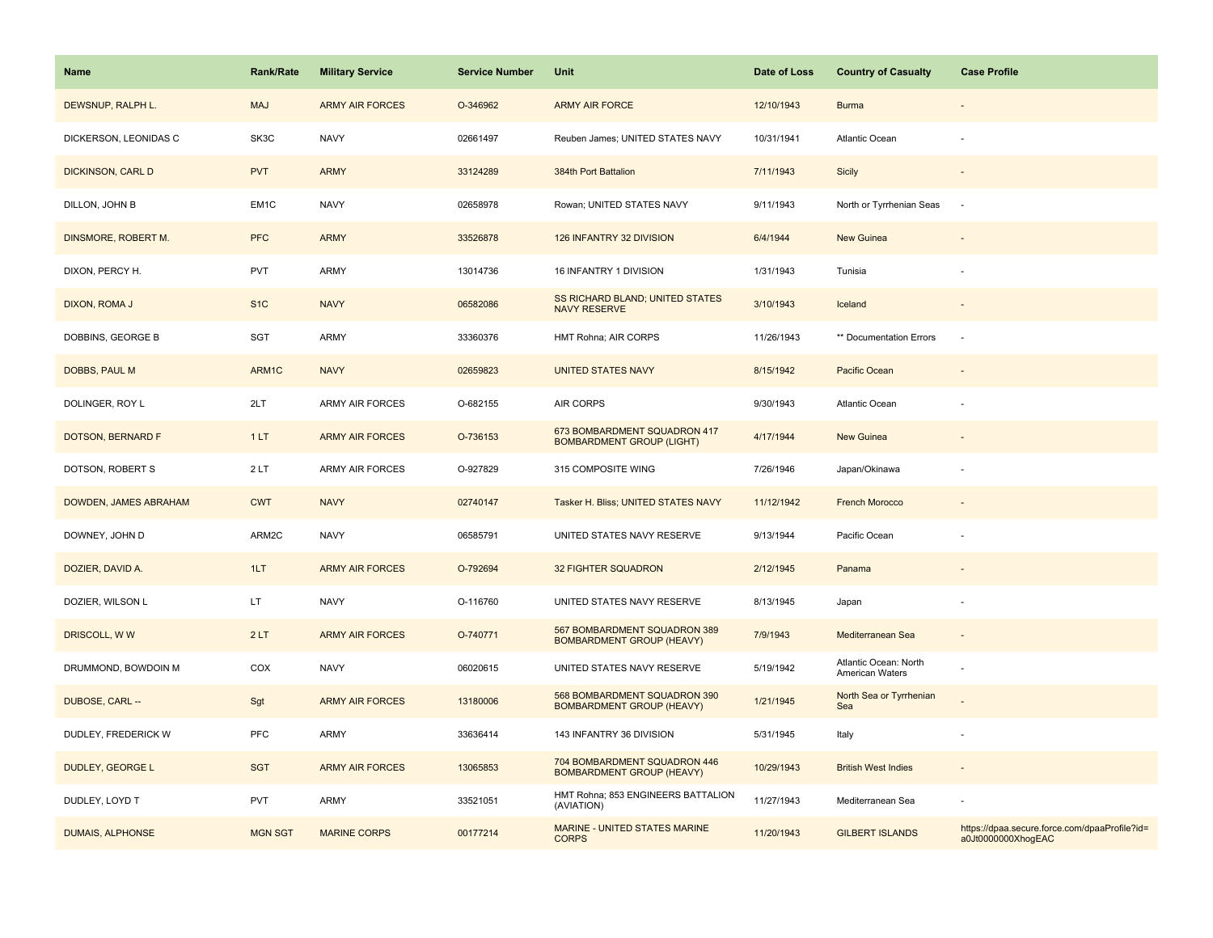| <b>Name</b>             | <b>Rank/Rate</b> | <b>Military Service</b> | <b>Service Number</b> | Unit                                                             | Date of Loss | <b>Country of Casualty</b>               | <b>Case Profile</b>                                                 |
|-------------------------|------------------|-------------------------|-----------------------|------------------------------------------------------------------|--------------|------------------------------------------|---------------------------------------------------------------------|
| DEWSNUP, RALPH L.       | <b>MAJ</b>       | <b>ARMY AIR FORCES</b>  | O-346962              | <b>ARMY AIR FORCE</b>                                            | 12/10/1943   | <b>Burma</b>                             |                                                                     |
| DICKERSON, LEONIDAS C   | SK3C             | <b>NAVY</b>             | 02661497              | Reuben James; UNITED STATES NAVY                                 | 10/31/1941   | Atlantic Ocean                           |                                                                     |
| DICKINSON, CARL D       | <b>PVT</b>       | <b>ARMY</b>             | 33124289              | 384th Port Battalion                                             | 7/11/1943    | Sicily                                   |                                                                     |
| DILLON, JOHN B          | EM1C             | <b>NAVY</b>             | 02658978              | Rowan; UNITED STATES NAVY                                        | 9/11/1943    | North or Tyrrhenian Seas                 | $\overline{\phantom{a}}$                                            |
| DINSMORE, ROBERT M.     | <b>PFC</b>       | <b>ARMY</b>             | 33526878              | 126 INFANTRY 32 DIVISION                                         | 6/4/1944     | New Guinea                               |                                                                     |
| DIXON, PERCY H.         | <b>PVT</b>       | ARMY                    | 13014736              | 16 INFANTRY 1 DIVISION                                           | 1/31/1943    | Tunisia                                  |                                                                     |
| DIXON, ROMA J           | S <sub>1</sub> C | <b>NAVY</b>             | 06582086              | SS RICHARD BLAND; UNITED STATES<br><b>NAVY RESERVE</b>           | 3/10/1943    | Iceland                                  | $\overline{\phantom{a}}$                                            |
| DOBBINS, GEORGE B       | SGT              | <b>ARMY</b>             | 33360376              | HMT Rohna; AIR CORPS                                             | 11/26/1943   | ** Documentation Errors                  | $\overline{\phantom{a}}$                                            |
| DOBBS, PAUL M           | ARM1C            | <b>NAVY</b>             | 02659823              | <b>UNITED STATES NAVY</b>                                        | 8/15/1942    | Pacific Ocean                            |                                                                     |
| DOLINGER, ROY L         | 2LT              | <b>ARMY AIR FORCES</b>  | O-682155              | AIR CORPS                                                        | 9/30/1943    | Atlantic Ocean                           |                                                                     |
| DOTSON, BERNARD F       | 1LT              | <b>ARMY AIR FORCES</b>  | O-736153              | 673 BOMBARDMENT SQUADRON 417<br><b>BOMBARDMENT GROUP (LIGHT)</b> | 4/17/1944    | New Guinea                               |                                                                     |
| DOTSON, ROBERT S        | 2LT              | <b>ARMY AIR FORCES</b>  | O-927829              | 315 COMPOSITE WING                                               | 7/26/1946    | Japan/Okinawa                            |                                                                     |
| DOWDEN, JAMES ABRAHAM   | <b>CWT</b>       | <b>NAVY</b>             | 02740147              | Tasker H. Bliss; UNITED STATES NAVY                              | 11/12/1942   | <b>French Morocco</b>                    |                                                                     |
| DOWNEY, JOHN D          | ARM2C            | <b>NAVY</b>             | 06585791              | UNITED STATES NAVY RESERVE                                       | 9/13/1944    | Pacific Ocean                            |                                                                     |
| DOZIER, DAVID A.        | 1LT              | <b>ARMY AIR FORCES</b>  | O-792694              | 32 FIGHTER SQUADRON                                              | 2/12/1945    | Panama                                   |                                                                     |
| DOZIER, WILSON L        | LT.              | <b>NAVY</b>             | O-116760              | UNITED STATES NAVY RESERVE                                       | 8/13/1945    | Japan                                    | $\sim$                                                              |
| DRISCOLL, WW            | 2LT              | <b>ARMY AIR FORCES</b>  | O-740771              | 567 BOMBARDMENT SQUADRON 389<br><b>BOMBARDMENT GROUP (HEAVY)</b> | 7/9/1943     | Mediterranean Sea                        | $\sim$                                                              |
| DRUMMOND, BOWDOIN M     | COX              | <b>NAVY</b>             | 06020615              | UNITED STATES NAVY RESERVE                                       | 5/19/1942    | Atlantic Ocean: North<br>American Waters |                                                                     |
| DUBOSE, CARL --         | Sgt              | <b>ARMY AIR FORCES</b>  | 13180006              | 568 BOMBARDMENT SQUADRON 390<br><b>BOMBARDMENT GROUP (HEAVY)</b> | 1/21/1945    | North Sea or Tyrrhenian<br>Sea           |                                                                     |
| DUDLEY, FREDERICK W     | PFC              | ARMY                    | 33636414              | 143 INFANTRY 36 DIVISION                                         | 5/31/1945    | Italy                                    |                                                                     |
| DUDLEY, GEORGE L        | <b>SGT</b>       | <b>ARMY AIR FORCES</b>  | 13065853              | 704 BOMBARDMENT SQUADRON 446<br><b>BOMBARDMENT GROUP (HEAVY)</b> | 10/29/1943   | <b>British West Indies</b>               |                                                                     |
| DUDLEY, LOYD T          | <b>PVT</b>       | <b>ARMY</b>             | 33521051              | HMT Rohna; 853 ENGINEERS BATTALION<br>(AVIATION)                 | 11/27/1943   | Mediterranean Sea                        |                                                                     |
| <b>DUMAIS, ALPHONSE</b> | <b>MGN SGT</b>   | <b>MARINE CORPS</b>     | 00177214              | MARINE - UNITED STATES MARINE<br><b>CORPS</b>                    | 11/20/1943   | <b>GILBERT ISLANDS</b>                   | https://dpaa.secure.force.com/dpaaProfile?id=<br>a0Jt0000000XhogEAC |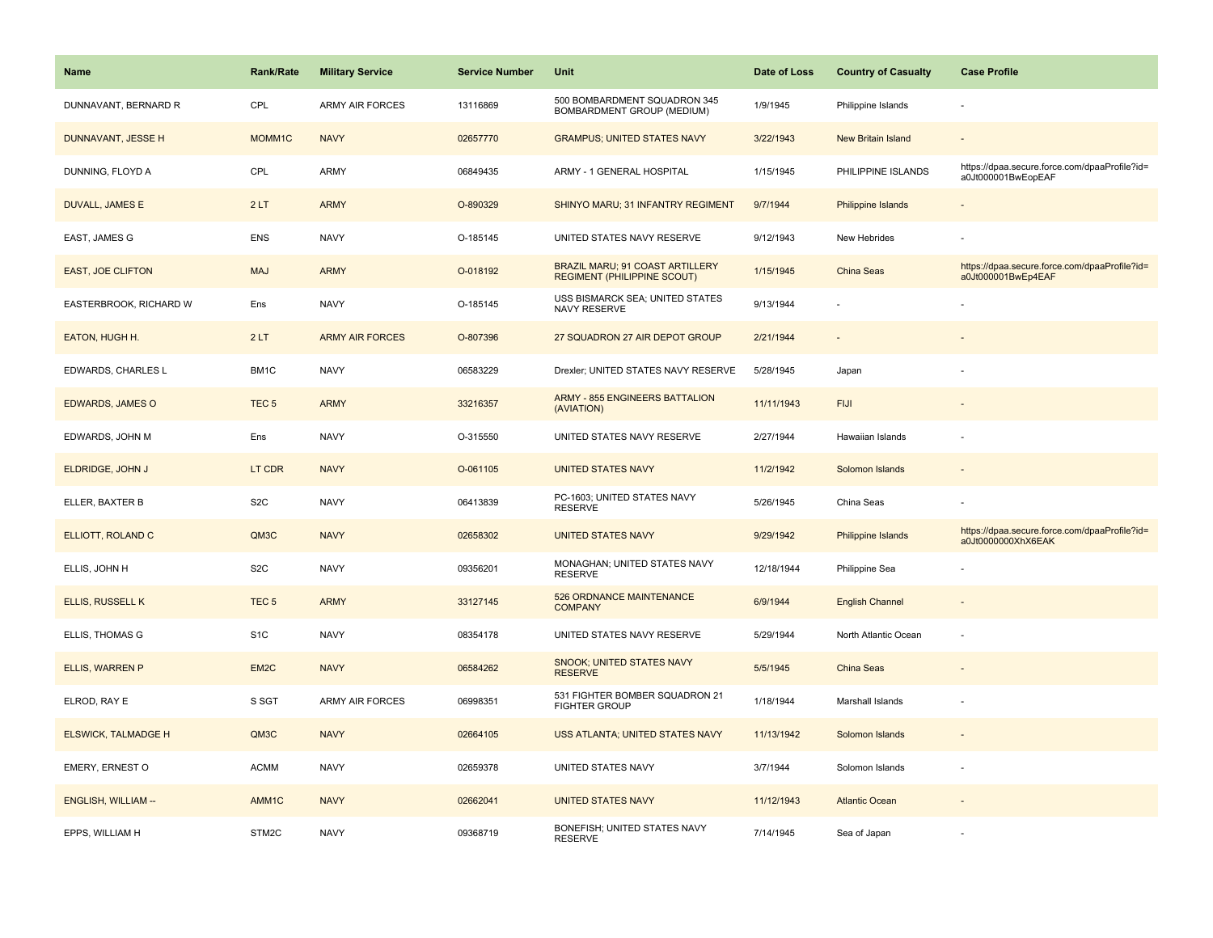| <b>Name</b>                | Rank/Rate         | <b>Military Service</b> | <b>Service Number</b> | Unit                                                                         | Date of Loss | <b>Country of Casualty</b> | <b>Case Profile</b>                                                 |
|----------------------------|-------------------|-------------------------|-----------------------|------------------------------------------------------------------------------|--------------|----------------------------|---------------------------------------------------------------------|
| DUNNAVANT, BERNARD R       | CPL               | <b>ARMY AIR FORCES</b>  | 13116869              | 500 BOMBARDMENT SQUADRON 345<br>BOMBARDMENT GROUP (MEDIUM)                   | 1/9/1945     | Philippine Islands         |                                                                     |
| DUNNAVANT, JESSE H         | MOMM1C            | <b>NAVY</b>             | 02657770              | <b>GRAMPUS; UNITED STATES NAVY</b>                                           | 3/22/1943    | New Britain Island         | $\sim$                                                              |
| DUNNING, FLOYD A           | CPL               | <b>ARMY</b>             | 06849435              | ARMY - 1 GENERAL HOSPITAL                                                    | 1/15/1945    | PHILIPPINE ISLANDS         | https://dpaa.secure.force.com/dpaaProfile?id=<br>a0Jt000001BwEopEAF |
| <b>DUVALL, JAMES E</b>     | 2LT               | <b>ARMY</b>             | O-890329              | SHINYO MARU; 31 INFANTRY REGIMENT                                            | 9/7/1944     | <b>Philippine Islands</b>  |                                                                     |
| EAST, JAMES G              | ENS               | <b>NAVY</b>             | O-185145              | UNITED STATES NAVY RESERVE                                                   | 9/12/1943    | New Hebrides               |                                                                     |
| <b>EAST, JOE CLIFTON</b>   | <b>MAJ</b>        | <b>ARMY</b>             | O-018192              | <b>BRAZIL MARU; 91 COAST ARTILLERY</b><br><b>REGIMENT (PHILIPPINE SCOUT)</b> | 1/15/1945    | China Seas                 | https://dpaa.secure.force.com/dpaaProfile?id=<br>a0Jt000001BwEp4EAF |
| EASTERBROOK, RICHARD W     | Ens               | <b>NAVY</b>             | O-185145              | USS BISMARCK SEA; UNITED STATES<br>NAVY RESERVE                              | 9/13/1944    |                            |                                                                     |
| EATON, HUGH H.             | 2LT               | <b>ARMY AIR FORCES</b>  | O-807396              | 27 SQUADRON 27 AIR DEPOT GROUP                                               | 2/21/1944    |                            |                                                                     |
| EDWARDS, CHARLES L         | BM1C              | <b>NAVY</b>             | 06583229              | Drexler; UNITED STATES NAVY RESERVE                                          | 5/28/1945    | Japan                      |                                                                     |
| <b>EDWARDS, JAMES O</b>    | TEC <sub>5</sub>  | <b>ARMY</b>             | 33216357              | <b>ARMY - 855 ENGINEERS BATTALION</b><br>(AVIATION)                          | 11/11/1943   | <b>FIJI</b>                |                                                                     |
| EDWARDS, JOHN M            | Ens               | <b>NAVY</b>             | O-315550              | UNITED STATES NAVY RESERVE                                                   | 2/27/1944    | Hawaiian Islands           |                                                                     |
| ELDRIDGE, JOHN J           | LT CDR            | <b>NAVY</b>             | O-061105              | <b>UNITED STATES NAVY</b>                                                    | 11/2/1942    | Solomon Islands            |                                                                     |
| ELLER, BAXTER B            | S <sub>2</sub> C  | <b>NAVY</b>             | 06413839              | PC-1603; UNITED STATES NAVY<br><b>RESERVE</b>                                | 5/26/1945    | China Seas                 |                                                                     |
| ELLIOTT, ROLAND C          | QM3C              | <b>NAVY</b>             | 02658302              | <b>UNITED STATES NAVY</b>                                                    | 9/29/1942    | Philippine Islands         | https://dpaa.secure.force.com/dpaaProfile?id=<br>a0Jt0000000XhX6EAK |
| ELLIS, JOHN H              | S <sub>2</sub> C  | <b>NAVY</b>             | 09356201              | MONAGHAN; UNITED STATES NAVY<br><b>RESERVE</b>                               | 12/18/1944   | Philippine Sea             |                                                                     |
| <b>ELLIS, RUSSELL K</b>    | TEC <sub>5</sub>  | <b>ARMY</b>             | 33127145              | 526 ORDNANCE MAINTENANCE<br><b>COMPANY</b>                                   | 6/9/1944     | <b>English Channel</b>     |                                                                     |
| ELLIS, THOMAS G            | S <sub>1</sub> C  | <b>NAVY</b>             | 08354178              | UNITED STATES NAVY RESERVE                                                   | 5/29/1944    | North Atlantic Ocean       | ÷,                                                                  |
| ELLIS, WARREN P            | EM <sub>2</sub> C | <b>NAVY</b>             | 06584262              | SNOOK; UNITED STATES NAVY<br><b>RESERVE</b>                                  | 5/5/1945     | China Seas                 |                                                                     |
| ELROD, RAY E               | S SGT             | <b>ARMY AIR FORCES</b>  | 06998351              | 531 FIGHTER BOMBER SQUADRON 21<br><b>FIGHTER GROUP</b>                       | 1/18/1944    | Marshall Islands           |                                                                     |
| <b>ELSWICK, TALMADGE H</b> | QM3C              | <b>NAVY</b>             | 02664105              | USS ATLANTA; UNITED STATES NAVY                                              | 11/13/1942   | Solomon Islands            |                                                                     |
| EMERY, ERNEST O            | <b>ACMM</b>       | <b>NAVY</b>             | 02659378              | UNITED STATES NAVY                                                           | 3/7/1944     | Solomon Islands            |                                                                     |
| <b>ENGLISH, WILLIAM --</b> | AMM1C             | <b>NAVY</b>             | 02662041              | <b>UNITED STATES NAVY</b>                                                    | 11/12/1943   | <b>Atlantic Ocean</b>      |                                                                     |
| EPPS, WILLIAM H            | STM2C             | <b>NAVY</b>             | 09368719              | BONEFISH; UNITED STATES NAVY<br><b>RESERVE</b>                               | 7/14/1945    | Sea of Japan               |                                                                     |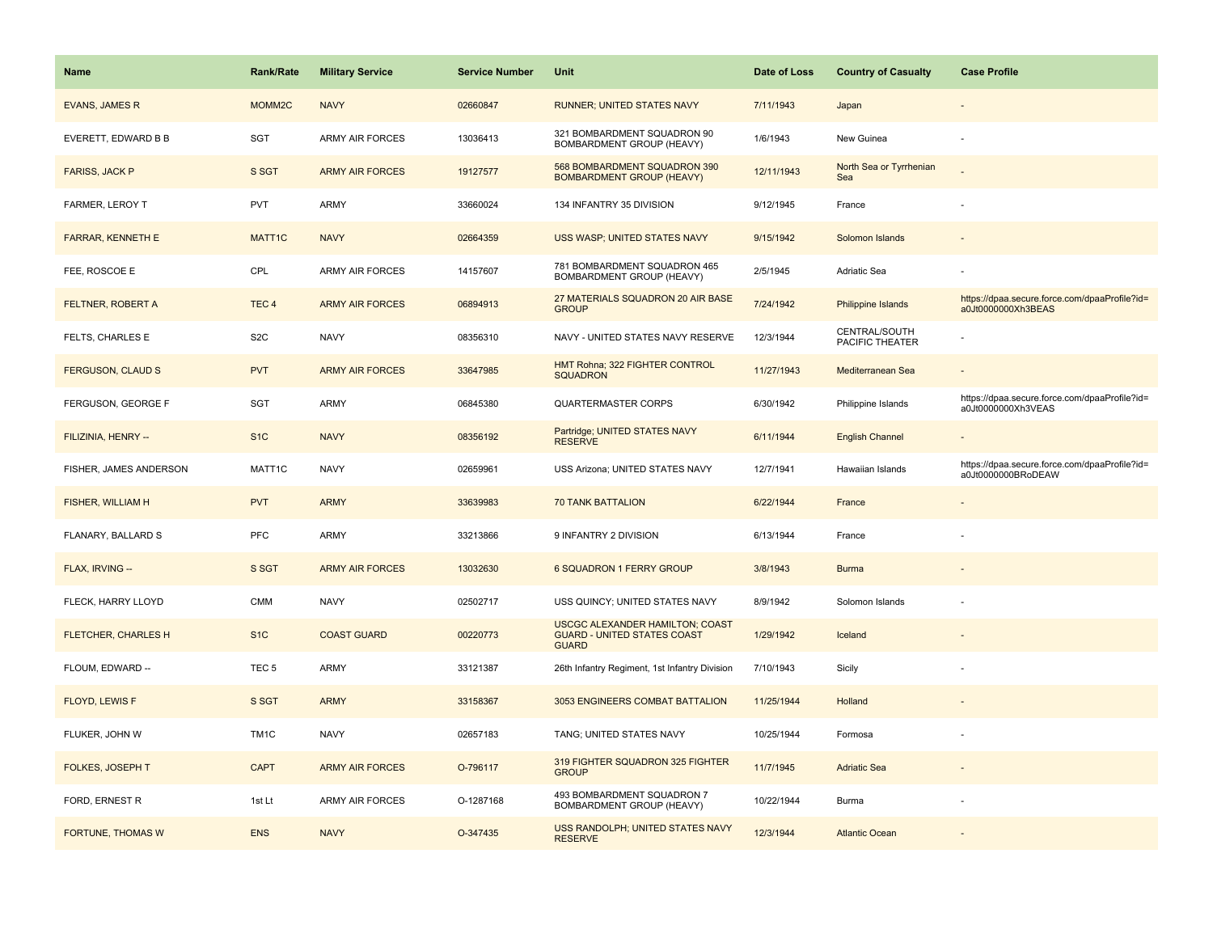| <b>Name</b>                | Rank/Rate          | <b>Military Service</b> | <b>Service Number</b> | Unit                                                                                         | Date of Loss | <b>Country of Casualty</b>       | <b>Case Profile</b>                                                 |
|----------------------------|--------------------|-------------------------|-----------------------|----------------------------------------------------------------------------------------------|--------------|----------------------------------|---------------------------------------------------------------------|
| <b>EVANS, JAMES R</b>      | MOMM2C             | <b>NAVY</b>             | 02660847              | RUNNER; UNITED STATES NAVY                                                                   | 7/11/1943    | Japan                            |                                                                     |
| EVERETT, EDWARD B B        | SGT                | ARMY AIR FORCES         | 13036413              | 321 BOMBARDMENT SQUADRON 90<br>BOMBARDMENT GROUP (HEAVY)                                     | 1/6/1943     | New Guinea                       |                                                                     |
| <b>FARISS, JACK P</b>      | S SGT              | <b>ARMY AIR FORCES</b>  | 19127577              | 568 BOMBARDMENT SQUADRON 390<br><b>BOMBARDMENT GROUP (HEAVY)</b>                             | 12/11/1943   | North Sea or Tyrrhenian<br>Sea   |                                                                     |
| <b>FARMER, LEROY T</b>     | <b>PVT</b>         | ARMY                    | 33660024              | 134 INFANTRY 35 DIVISION                                                                     | 9/12/1945    | France                           |                                                                     |
| FARRAR, KENNETH E          | MATT <sub>1C</sub> | <b>NAVY</b>             | 02664359              | USS WASP; UNITED STATES NAVY                                                                 | 9/15/1942    | Solomon Islands                  |                                                                     |
| FEE, ROSCOE E              | CPL                | <b>ARMY AIR FORCES</b>  | 14157607              | 781 BOMBARDMENT SQUADRON 465<br>BOMBARDMENT GROUP (HEAVY)                                    | 2/5/1945     | Adriatic Sea                     |                                                                     |
| <b>FELTNER, ROBERT A</b>   | TEC <sub>4</sub>   | <b>ARMY AIR FORCES</b>  | 06894913              | 27 MATERIALS SQUADRON 20 AIR BASE<br><b>GROUP</b>                                            | 7/24/1942    | <b>Philippine Islands</b>        | https://dpaa.secure.force.com/dpaaProfile?id=<br>a0Jt0000000Xh3BEAS |
| FELTS, CHARLES E           | S <sub>2</sub> C   | <b>NAVY</b>             | 08356310              | NAVY - UNITED STATES NAVY RESERVE                                                            | 12/3/1944    | CENTRAL/SOUTH<br>PACIFIC THEATER |                                                                     |
| <b>FERGUSON, CLAUD S</b>   | <b>PVT</b>         | <b>ARMY AIR FORCES</b>  | 33647985              | HMT Rohna; 322 FIGHTER CONTROL<br><b>SQUADRON</b>                                            | 11/27/1943   | Mediterranean Sea                |                                                                     |
| FERGUSON, GEORGE F         | SGT                | <b>ARMY</b>             | 06845380              | <b>QUARTERMASTER CORPS</b>                                                                   | 6/30/1942    | Philippine Islands               | https://dpaa.secure.force.com/dpaaProfile?id=<br>a0Jt0000000Xh3VEAS |
| FILIZINIA, HENRY --        | S <sub>1</sub> C   | <b>NAVY</b>             | 08356192              | Partridge; UNITED STATES NAVY<br><b>RESERVE</b>                                              | 6/11/1944    | <b>English Channel</b>           |                                                                     |
| FISHER, JAMES ANDERSON     | MATT1C             | <b>NAVY</b>             | 02659961              | USS Arizona; UNITED STATES NAVY                                                              | 12/7/1941    | Hawaiian Islands                 | https://dpaa.secure.force.com/dpaaProfile?id=<br>a0Jt0000000BRoDEAW |
| <b>FISHER, WILLIAM H</b>   | <b>PVT</b>         | <b>ARMY</b>             | 33639983              | <b>70 TANK BATTALION</b>                                                                     | 6/22/1944    | France                           |                                                                     |
| FLANARY, BALLARD S         | PFC                | <b>ARMY</b>             | 33213866              | 9 INFANTRY 2 DIVISION                                                                        | 6/13/1944    | France                           |                                                                     |
| FLAX, IRVING --            | S SGT              | <b>ARMY AIR FORCES</b>  | 13032630              | 6 SQUADRON 1 FERRY GROUP                                                                     | 3/8/1943     | <b>Burma</b>                     |                                                                     |
| FLECK, HARRY LLOYD         | <b>CMM</b>         | <b>NAVY</b>             | 02502717              | USS QUINCY; UNITED STATES NAVY                                                               | 8/9/1942     | Solomon Islands                  |                                                                     |
| <b>FLETCHER, CHARLES H</b> | S <sub>1</sub> C   | <b>COAST GUARD</b>      | 00220773              | <b>USCGC ALEXANDER HAMILTON; COAST</b><br><b>GUARD - UNITED STATES COAST</b><br><b>GUARD</b> | 1/29/1942    | Iceland                          |                                                                     |
| FLOUM, EDWARD --           | TEC <sub>5</sub>   | ARMY                    | 33121387              | 26th Infantry Regiment, 1st Infantry Division                                                | 7/10/1943    | Sicily                           |                                                                     |
| <b>FLOYD, LEWIS F</b>      | S SGT              | <b>ARMY</b>             | 33158367              | 3053 ENGINEERS COMBAT BATTALION                                                              | 11/25/1944   | Holland                          |                                                                     |
| FLUKER, JOHN W             | TM <sub>1</sub> C  | <b>NAVY</b>             | 02657183              | TANG; UNITED STATES NAVY                                                                     | 10/25/1944   | Formosa                          |                                                                     |
| <b>FOLKES, JOSEPH T</b>    | <b>CAPT</b>        | <b>ARMY AIR FORCES</b>  | O-796117              | 319 FIGHTER SQUADRON 325 FIGHTER<br><b>GROUP</b>                                             | 11/7/1945    | <b>Adriatic Sea</b>              |                                                                     |
| FORD, ERNEST R             | 1st Lt             | <b>ARMY AIR FORCES</b>  | O-1287168             | 493 BOMBARDMENT SQUADRON 7<br>BOMBARDMENT GROUP (HEAVY)                                      | 10/22/1944   | Burma                            |                                                                     |
| FORTUNE, THOMAS W          | <b>ENS</b>         | <b>NAVY</b>             | O-347435              | USS RANDOLPH; UNITED STATES NAVY<br><b>RESERVE</b>                                           | 12/3/1944    | <b>Atlantic Ocean</b>            |                                                                     |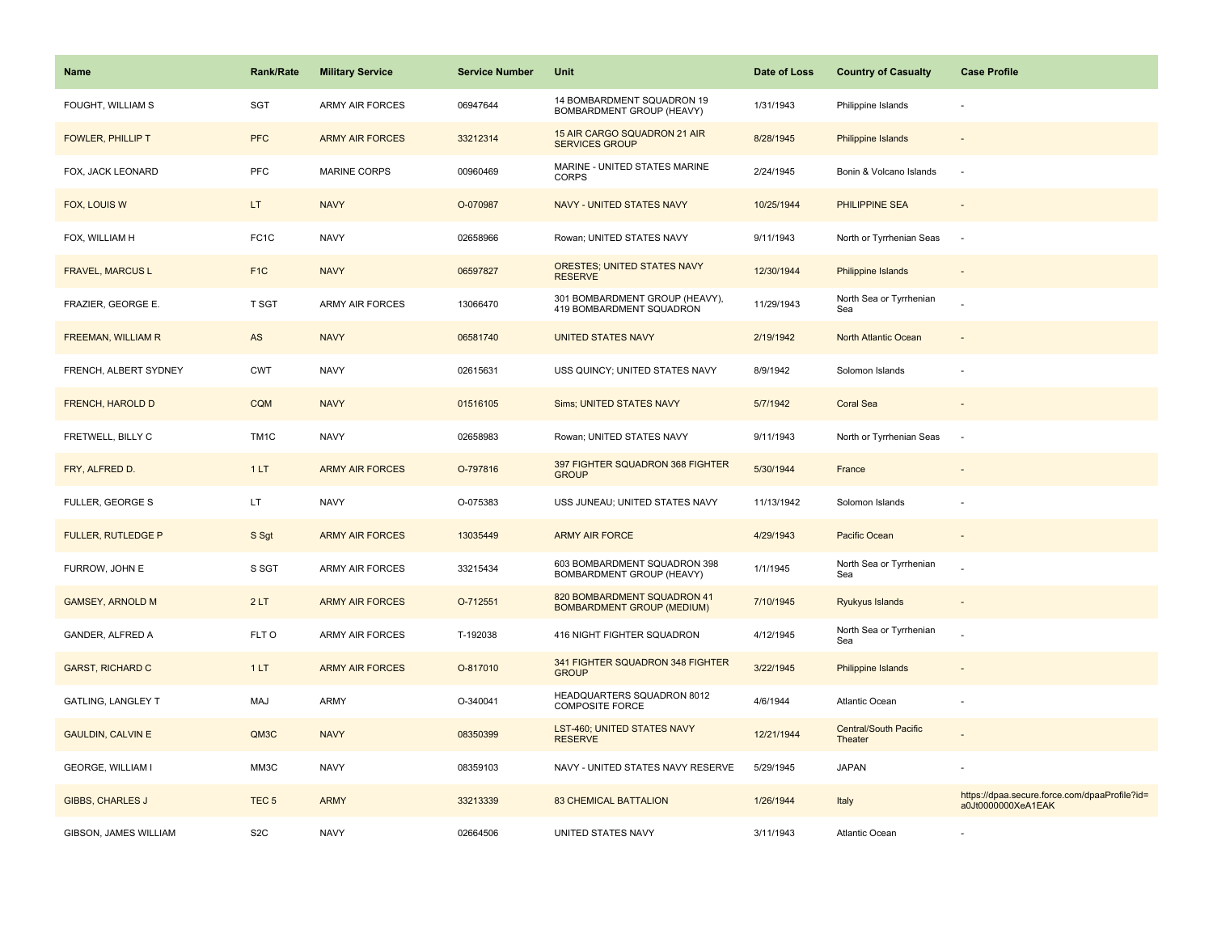| Name                      | <b>Rank/Rate</b>  | <b>Military Service</b> | <b>Service Number</b> | Unit                                                             | Date of Loss | <b>Country of Casualty</b>       | <b>Case Profile</b>                                                 |
|---------------------------|-------------------|-------------------------|-----------------------|------------------------------------------------------------------|--------------|----------------------------------|---------------------------------------------------------------------|
| FOUGHT, WILLIAM S         | <b>SGT</b>        | <b>ARMY AIR FORCES</b>  | 06947644              | 14 BOMBARDMENT SQUADRON 19<br>BOMBARDMENT GROUP (HEAVY)          | 1/31/1943    | Philippine Islands               |                                                                     |
| <b>FOWLER, PHILLIP T</b>  | <b>PFC</b>        | <b>ARMY AIR FORCES</b>  | 33212314              | 15 AIR CARGO SQUADRON 21 AIR<br><b>SERVICES GROUP</b>            | 8/28/1945    | <b>Philippine Islands</b>        |                                                                     |
| FOX, JACK LEONARD         | <b>PFC</b>        | <b>MARINE CORPS</b>     | 00960469              | MARINE - UNITED STATES MARINE<br><b>CORPS</b>                    | 2/24/1945    | Bonin & Volcano Islands          | ÷.                                                                  |
| FOX, LOUIS W              | LT.               | <b>NAVY</b>             | O-070987              | <b>NAVY - UNITED STATES NAVY</b>                                 | 10/25/1944   | PHILIPPINE SEA                   |                                                                     |
| FOX, WILLIAM H            | FC <sub>1</sub> C | <b>NAVY</b>             | 02658966              | Rowan; UNITED STATES NAVY                                        | 9/11/1943    | North or Tyrrhenian Seas         | $\sim$                                                              |
| <b>FRAVEL, MARCUS L</b>   | F <sub>1</sub> C  | <b>NAVY</b>             | 06597827              | ORESTES; UNITED STATES NAVY<br><b>RESERVE</b>                    | 12/30/1944   | Philippine Islands               |                                                                     |
| FRAZIER, GEORGE E.        | T SGT             | <b>ARMY AIR FORCES</b>  | 13066470              | 301 BOMBARDMENT GROUP (HEAVY),<br>419 BOMBARDMENT SQUADRON       | 11/29/1943   | North Sea or Tyrrhenian<br>Sea   |                                                                     |
| <b>FREEMAN, WILLIAM R</b> | AS                | <b>NAVY</b>             | 06581740              | <b>UNITED STATES NAVY</b>                                        | 2/19/1942    | North Atlantic Ocean             |                                                                     |
| FRENCH, ALBERT SYDNEY     | <b>CWT</b>        | <b>NAVY</b>             | 02615631              | USS QUINCY; UNITED STATES NAVY                                   | 8/9/1942     | Solomon Islands                  |                                                                     |
| FRENCH, HAROLD D          | CQM               | <b>NAVY</b>             | 01516105              | Sims; UNITED STATES NAVY                                         | 5/7/1942     | <b>Coral Sea</b>                 |                                                                     |
| FRETWELL, BILLY C         | TM <sub>1</sub> C | <b>NAVY</b>             | 02658983              | Rowan; UNITED STATES NAVY                                        | 9/11/1943    | North or Tyrrhenian Seas         |                                                                     |
| FRY, ALFRED D.            | 1LT               | <b>ARMY AIR FORCES</b>  | O-797816              | 397 FIGHTER SQUADRON 368 FIGHTER<br><b>GROUP</b>                 | 5/30/1944    | France                           |                                                                     |
| <b>FULLER, GEORGE S</b>   | LT.               | <b>NAVY</b>             | O-075383              | USS JUNEAU; UNITED STATES NAVY                                   | 11/13/1942   | Solomon Islands                  |                                                                     |
| <b>FULLER, RUTLEDGE P</b> | S Sgt             | <b>ARMY AIR FORCES</b>  | 13035449              | <b>ARMY AIR FORCE</b>                                            | 4/29/1943    | Pacific Ocean                    |                                                                     |
| FURROW, JOHN E            | S SGT             | ARMY AIR FORCES         | 33215434              | 603 BOMBARDMENT SQUADRON 398<br>BOMBARDMENT GROUP (HEAVY)        | 1/1/1945     | North Sea or Tyrrhenian<br>Sea   |                                                                     |
| <b>GAMSEY, ARNOLD M</b>   | 2LT               | <b>ARMY AIR FORCES</b>  | O-712551              | 820 BOMBARDMENT SQUADRON 41<br><b>BOMBARDMENT GROUP (MEDIUM)</b> | 7/10/1945    | Ryukyus Islands                  |                                                                     |
| GANDER, ALFRED A          | FLT O             | <b>ARMY AIR FORCES</b>  | T-192038              | 416 NIGHT FIGHTER SQUADRON                                       | 4/12/1945    | North Sea or Tyrrhenian<br>Sea   |                                                                     |
| <b>GARST, RICHARD C</b>   | 1LT               | <b>ARMY AIR FORCES</b>  | O-817010              | 341 FIGHTER SQUADRON 348 FIGHTER<br><b>GROUP</b>                 | 3/22/1945    | <b>Philippine Islands</b>        |                                                                     |
| <b>GATLING, LANGLEY T</b> | MAJ               | ARMY                    | O-340041              | HEADQUARTERS SQUADRON 8012<br><b>COMPOSITE FORCE</b>             | 4/6/1944     | Atlantic Ocean                   |                                                                     |
| <b>GAULDIN, CALVIN E</b>  | QM3C              | <b>NAVY</b>             | 08350399              | LST-460; UNITED STATES NAVY<br><b>RESERVE</b>                    | 12/21/1944   | Central/South Pacific<br>Theater |                                                                     |
| <b>GEORGE, WILLIAM I</b>  | MM3C              | <b>NAVY</b>             | 08359103              | NAVY - UNITED STATES NAVY RESERVE                                | 5/29/1945    | <b>JAPAN</b>                     |                                                                     |
| <b>GIBBS, CHARLES J</b>   | TEC <sub>5</sub>  | <b>ARMY</b>             | 33213339              | <b>83 CHEMICAL BATTALION</b>                                     | 1/26/1944    | Italy                            | https://dpaa.secure.force.com/dpaaProfile?id=<br>a0Jt0000000XeA1EAK |
| GIBSON, JAMES WILLIAM     | S <sub>2</sub> C  | <b>NAVY</b>             | 02664506              | UNITED STATES NAVY                                               | 3/11/1943    | Atlantic Ocean                   |                                                                     |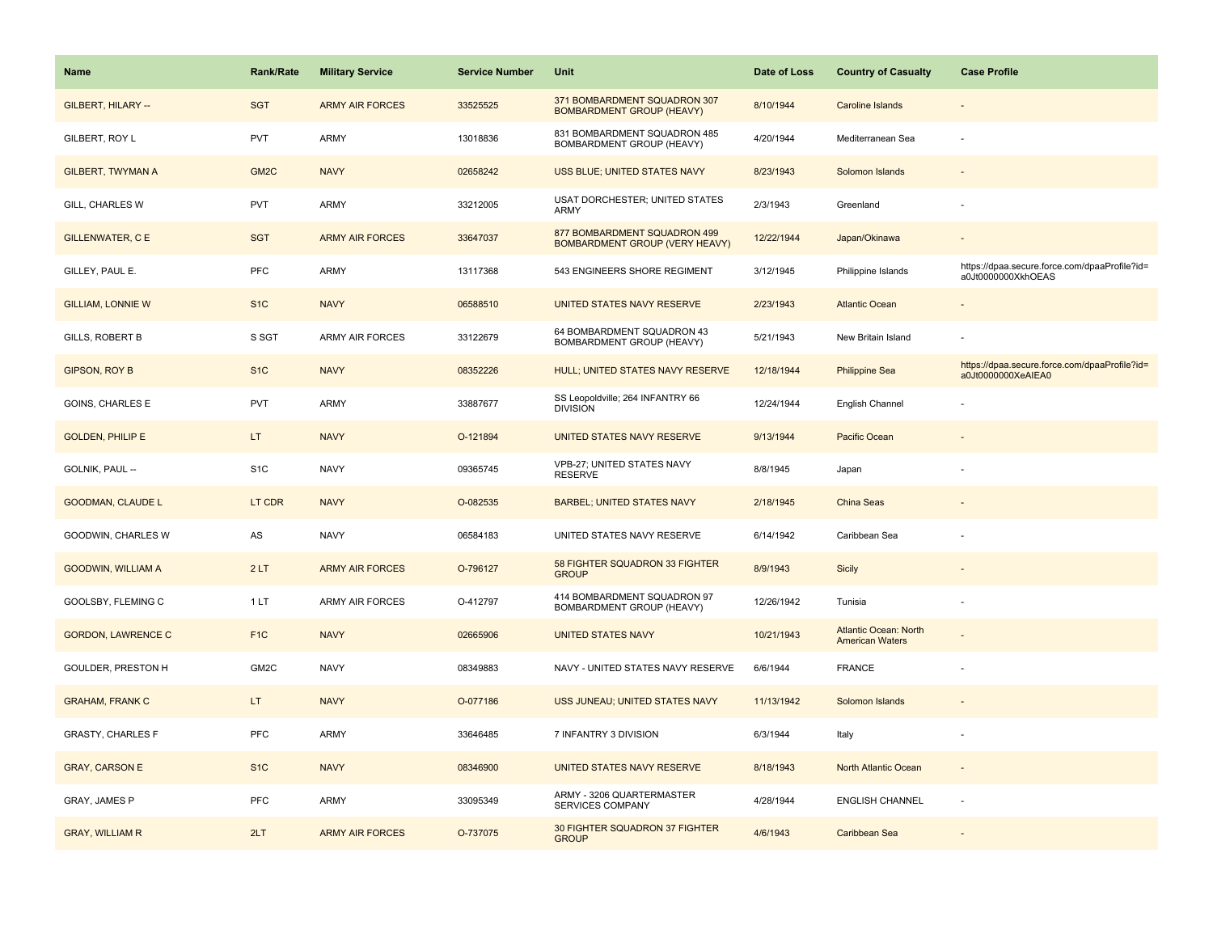| Name                      | <b>Rank/Rate</b>  | <b>Military Service</b> | <b>Service Number</b> | Unit                                                                  | Date of Loss | <b>Country of Casualty</b>                             | <b>Case Profile</b>                                                 |
|---------------------------|-------------------|-------------------------|-----------------------|-----------------------------------------------------------------------|--------------|--------------------------------------------------------|---------------------------------------------------------------------|
| GILBERT, HILARY --        | <b>SGT</b>        | <b>ARMY AIR FORCES</b>  | 33525525              | 371 BOMBARDMENT SQUADRON 307<br><b>BOMBARDMENT GROUP (HEAVY)</b>      | 8/10/1944    | Caroline Islands                                       |                                                                     |
| GILBERT, ROY L            | PVT               | ARMY                    | 13018836              | 831 BOMBARDMENT SQUADRON 485<br>BOMBARDMENT GROUP (HEAVY)             | 4/20/1944    | Mediterranean Sea                                      |                                                                     |
| <b>GILBERT, TWYMAN A</b>  | GM <sub>2</sub> C | <b>NAVY</b>             | 02658242              | <b>USS BLUE; UNITED STATES NAVY</b>                                   | 8/23/1943    | Solomon Islands                                        |                                                                     |
| GILL, CHARLES W           | <b>PVT</b>        | ARMY                    | 33212005              | USAT DORCHESTER; UNITED STATES<br>ARMY                                | 2/3/1943     | Greenland                                              |                                                                     |
| <b>GILLENWATER, C E</b>   | <b>SGT</b>        | <b>ARMY AIR FORCES</b>  | 33647037              | 877 BOMBARDMENT SQUADRON 499<br><b>BOMBARDMENT GROUP (VERY HEAVY)</b> | 12/22/1944   | Japan/Okinawa                                          |                                                                     |
| GILLEY, PAUL E.           | PFC               | ARMY                    | 13117368              | 543 ENGINEERS SHORE REGIMENT                                          | 3/12/1945    | Philippine Islands                                     | https://dpaa.secure.force.com/dpaaProfile?id=<br>a0Jt0000000XkhOEAS |
| <b>GILLIAM, LONNIE W</b>  | S <sub>1C</sub>   | <b>NAVY</b>             | 06588510              | UNITED STATES NAVY RESERVE                                            | 2/23/1943    | <b>Atlantic Ocean</b>                                  |                                                                     |
| GILLS, ROBERT B           | S SGT             | <b>ARMY AIR FORCES</b>  | 33122679              | 64 BOMBARDMENT SQUADRON 43<br>BOMBARDMENT GROUP (HEAVY)               | 5/21/1943    | New Britain Island                                     |                                                                     |
| <b>GIPSON, ROY B</b>      | S <sub>1C</sub>   | <b>NAVY</b>             | 08352226              | HULL; UNITED STATES NAVY RESERVE                                      | 12/18/1944   | <b>Philippine Sea</b>                                  | https://dpaa.secure.force.com/dpaaProfile?id=<br>a0Jt0000000XeAIEA0 |
| GOINS, CHARLES E          | PVT               | ARMY                    | 33887677              | SS Leopoldville; 264 INFANTRY 66<br><b>DIVISION</b>                   | 12/24/1944   | English Channel                                        |                                                                     |
| <b>GOLDEN, PHILIP E</b>   | LT.               | <b>NAVY</b>             | O-121894              | UNITED STATES NAVY RESERVE                                            | 9/13/1944    | Pacific Ocean                                          |                                                                     |
| GOLNIK, PAUL --           | S <sub>1</sub> C  | <b>NAVY</b>             | 09365745              | VPB-27; UNITED STATES NAVY<br><b>RESERVE</b>                          | 8/8/1945     | Japan                                                  |                                                                     |
| <b>GOODMAN, CLAUDE L</b>  | LT CDR            | <b>NAVY</b>             | O-082535              | <b>BARBEL; UNITED STATES NAVY</b>                                     | 2/18/1945    | China Seas                                             |                                                                     |
| GOODWIN, CHARLES W        | AS                | <b>NAVY</b>             | 06584183              | UNITED STATES NAVY RESERVE                                            | 6/14/1942    | Caribbean Sea                                          |                                                                     |
| <b>GOODWIN, WILLIAM A</b> | 2LT               | <b>ARMY AIR FORCES</b>  | O-796127              | 58 FIGHTER SQUADRON 33 FIGHTER<br><b>GROUP</b>                        | 8/9/1943     | Sicily                                                 |                                                                     |
| GOOLSBY, FLEMING C        | 1 LT              | ARMY AIR FORCES         | O-412797              | 414 BOMBARDMENT SQUADRON 97<br>BOMBARDMENT GROUP (HEAVY)              | 12/26/1942   | Tunisia                                                |                                                                     |
| <b>GORDON, LAWRENCE C</b> | F <sub>1C</sub>   | <b>NAVY</b>             | 02665906              | <b>UNITED STATES NAVY</b>                                             | 10/21/1943   | <b>Atlantic Ocean: North</b><br><b>American Waters</b> |                                                                     |
| GOULDER, PRESTON H        | GM2C              | <b>NAVY</b>             | 08349883              | NAVY - UNITED STATES NAVY RESERVE                                     | 6/6/1944     | <b>FRANCE</b>                                          |                                                                     |
| <b>GRAHAM, FRANK C</b>    | LT.               | <b>NAVY</b>             | O-077186              | USS JUNEAU; UNITED STATES NAVY                                        | 11/13/1942   | Solomon Islands                                        |                                                                     |
| <b>GRASTY, CHARLES F</b>  | <b>PFC</b>        | ARMY                    | 33646485              | 7 INFANTRY 3 DIVISION                                                 | 6/3/1944     | Italy                                                  |                                                                     |
| <b>GRAY, CARSON E</b>     | S <sub>1C</sub>   | <b>NAVY</b>             | 08346900              | UNITED STATES NAVY RESERVE                                            | 8/18/1943    | North Atlantic Ocean                                   | $\overline{\phantom{a}}$                                            |
| GRAY, JAMES P             | <b>PFC</b>        | ARMY                    | 33095349              | ARMY - 3206 QUARTERMASTER<br>SERVICES COMPANY                         | 4/28/1944    | <b>ENGLISH CHANNEL</b>                                 | ÷.                                                                  |
| <b>GRAY, WILLIAM R</b>    | 2LT               | <b>ARMY AIR FORCES</b>  | O-737075              | 30 FIGHTER SQUADRON 37 FIGHTER<br><b>GROUP</b>                        | 4/6/1943     | Caribbean Sea                                          |                                                                     |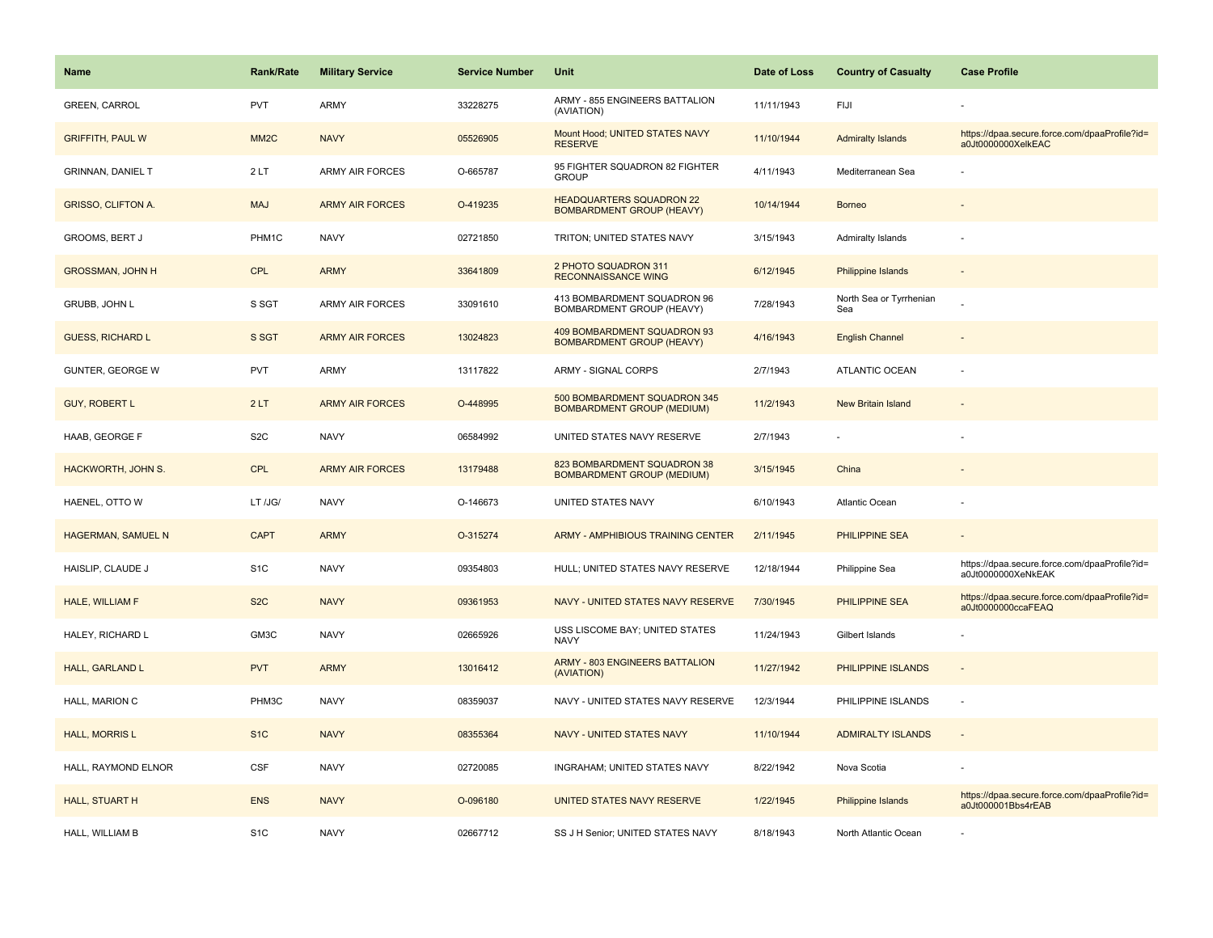| <b>Name</b>               | <b>Rank/Rate</b>  | <b>Military Service</b> | <b>Service Number</b> | Unit                                                                | Date of Loss | <b>Country of Casualty</b>     | <b>Case Profile</b>                                                 |
|---------------------------|-------------------|-------------------------|-----------------------|---------------------------------------------------------------------|--------------|--------------------------------|---------------------------------------------------------------------|
| <b>GREEN, CARROL</b>      | <b>PVT</b>        | ARMY                    | 33228275              | ARMY - 855 ENGINEERS BATTALION<br>(AVIATION)                        | 11/11/1943   | FIJI                           |                                                                     |
| <b>GRIFFITH, PAUL W</b>   | MM <sub>2</sub> C | <b>NAVY</b>             | 05526905              | Mount Hood; UNITED STATES NAVY<br><b>RESERVE</b>                    | 11/10/1944   | <b>Admiralty Islands</b>       | https://dpaa.secure.force.com/dpaaProfile?id=<br>a0Jt0000000XelkEAC |
| <b>GRINNAN, DANIEL T</b>  | 2LT               | <b>ARMY AIR FORCES</b>  | O-665787              | 95 FIGHTER SQUADRON 82 FIGHTER<br><b>GROUP</b>                      | 4/11/1943    | Mediterranean Sea              |                                                                     |
| <b>GRISSO, CLIFTON A.</b> | <b>MAJ</b>        | <b>ARMY AIR FORCES</b>  | O-419235              | <b>HEADQUARTERS SQUADRON 22</b><br><b>BOMBARDMENT GROUP (HEAVY)</b> | 10/14/1944   | <b>Borneo</b>                  |                                                                     |
| <b>GROOMS, BERT J</b>     | PHM1C             | <b>NAVY</b>             | 02721850              | TRITON; UNITED STATES NAVY                                          | 3/15/1943    | <b>Admiralty Islands</b>       |                                                                     |
| <b>GROSSMAN, JOHN H</b>   | <b>CPL</b>        | <b>ARMY</b>             | 33641809              | 2 PHOTO SQUADRON 311<br><b>RECONNAISSANCE WING</b>                  | 6/12/1945    | Philippine Islands             |                                                                     |
| GRUBB, JOHN L             | S SGT             | <b>ARMY AIR FORCES</b>  | 33091610              | 413 BOMBARDMENT SQUADRON 96<br>BOMBARDMENT GROUP (HEAVY)            | 7/28/1943    | North Sea or Tyrrhenian<br>Sea |                                                                     |
| <b>GUESS, RICHARD L</b>   | S SGT             | <b>ARMY AIR FORCES</b>  | 13024823              | 409 BOMBARDMENT SQUADRON 93<br><b>BOMBARDMENT GROUP (HEAVY)</b>     | 4/16/1943    | <b>English Channel</b>         |                                                                     |
| <b>GUNTER, GEORGE W</b>   | <b>PVT</b>        | ARMY                    | 13117822              | ARMY - SIGNAL CORPS                                                 | 2/7/1943     | <b>ATLANTIC OCEAN</b>          |                                                                     |
| <b>GUY, ROBERT L</b>      | 2LT               | <b>ARMY AIR FORCES</b>  | O-448995              | 500 BOMBARDMENT SQUADRON 345<br><b>BOMBARDMENT GROUP (MEDIUM)</b>   | 11/2/1943    | New Britain Island             |                                                                     |
| HAAB, GEORGE F            | S <sub>2</sub> C  | <b>NAVY</b>             | 06584992              | UNITED STATES NAVY RESERVE                                          | 2/7/1943     |                                |                                                                     |
| HACKWORTH, JOHN S.        | <b>CPL</b>        | <b>ARMY AIR FORCES</b>  | 13179488              | 823 BOMBARDMENT SQUADRON 38<br><b>BOMBARDMENT GROUP (MEDIUM)</b>    | 3/15/1945    | China                          |                                                                     |
| HAENEL, OTTO W            | LT /JG/           | <b>NAVY</b>             | O-146673              | UNITED STATES NAVY                                                  | 6/10/1943    | <b>Atlantic Ocean</b>          |                                                                     |
| HAGERMAN, SAMUEL N        | <b>CAPT</b>       | <b>ARMY</b>             | O-315274              | ARMY - AMPHIBIOUS TRAINING CENTER                                   | 2/11/1945    | PHILIPPINE SEA                 |                                                                     |
| HAISLIP, CLAUDE J         | S <sub>1</sub> C  | <b>NAVY</b>             | 09354803              | HULL; UNITED STATES NAVY RESERVE                                    | 12/18/1944   | Philippine Sea                 | https://dpaa.secure.force.com/dpaaProfile?id=<br>a0Jt0000000XeNkEAK |
| HALE, WILLIAM F           | S <sub>2</sub> C  | <b>NAVY</b>             | 09361953              | NAVY - UNITED STATES NAVY RESERVE                                   | 7/30/1945    | <b>PHILIPPINE SEA</b>          | https://dpaa.secure.force.com/dpaaProfile?id=<br>a0Jt0000000ccaFEAQ |
| HALEY, RICHARD L          | GM3C              | <b>NAVY</b>             | 02665926              | USS LISCOME BAY; UNITED STATES<br><b>NAVY</b>                       | 11/24/1943   | Gilbert Islands                |                                                                     |
| HALL, GARLAND L           | <b>PVT</b>        | <b>ARMY</b>             | 13016412              | <b>ARMY - 803 ENGINEERS BATTALION</b><br>(AVIATION)                 | 11/27/1942   | PHILIPPINE ISLANDS             |                                                                     |
| HALL, MARION C            | PHM3C             | <b>NAVY</b>             | 08359037              | NAVY - UNITED STATES NAVY RESERVE                                   | 12/3/1944    | PHILIPPINE ISLANDS             | $\sim$                                                              |
| <b>HALL, MORRIS L</b>     | S <sub>1</sub> C  | <b>NAVY</b>             | 08355364              | <b>NAVY - UNITED STATES NAVY</b>                                    | 11/10/1944   | <b>ADMIRALTY ISLANDS</b>       | $\sim$                                                              |
| HALL, RAYMOND ELNOR       | CSF               | <b>NAVY</b>             | 02720085              | <b>INGRAHAM; UNITED STATES NAVY</b>                                 | 8/22/1942    | Nova Scotia                    |                                                                     |
| HALL, STUART H            | <b>ENS</b>        | <b>NAVY</b>             | O-096180              | UNITED STATES NAVY RESERVE                                          | 1/22/1945    | Philippine Islands             | https://dpaa.secure.force.com/dpaaProfile?id=<br>a0Jt000001Bbs4rEAB |
| HALL, WILLIAM B           | S <sub>1</sub> C  | <b>NAVY</b>             | 02667712              | SS J H Senior; UNITED STATES NAVY                                   | 8/18/1943    | North Atlantic Ocean           |                                                                     |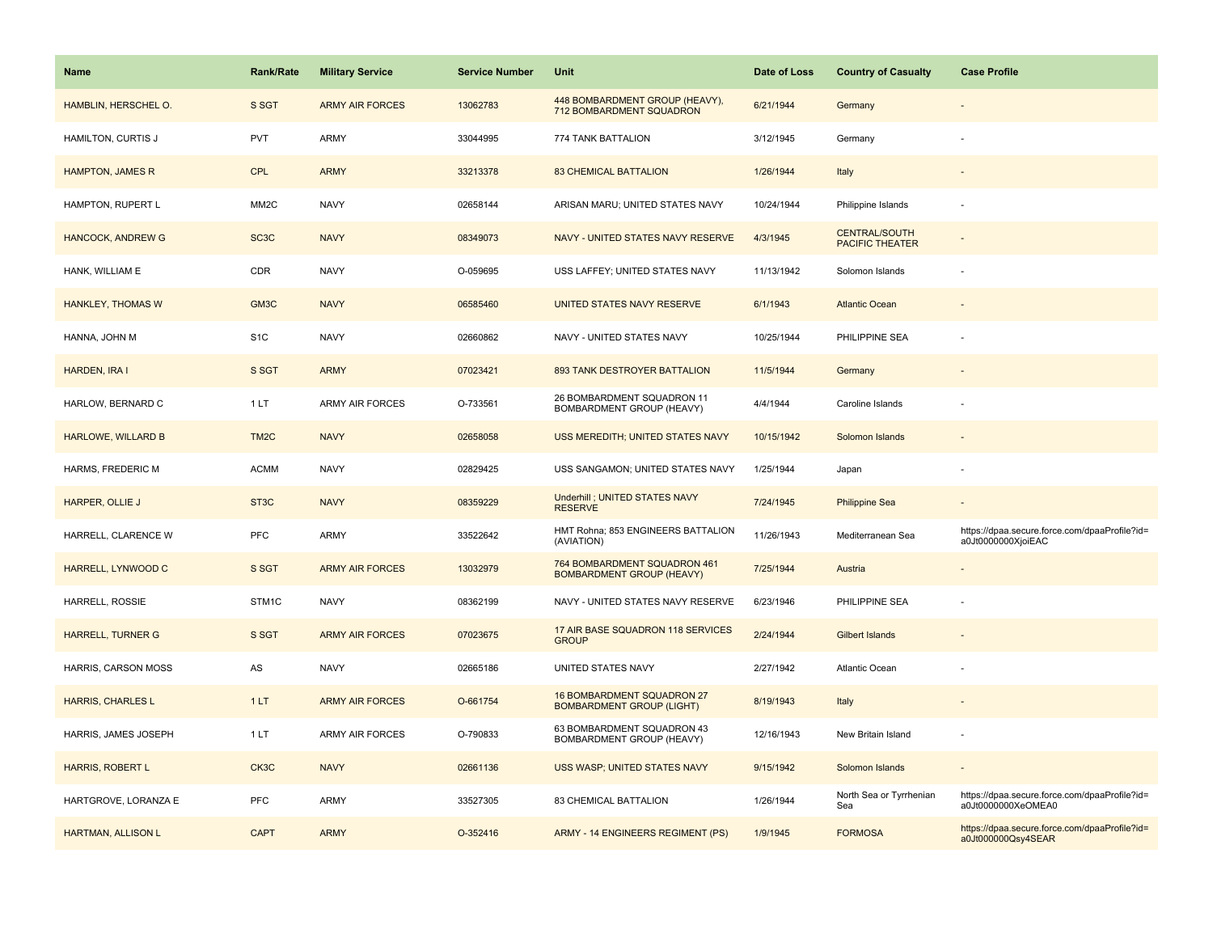| Name                      | <b>Rank/Rate</b>  | <b>Military Service</b> | <b>Service Number</b> | Unit                                                             | Date of Loss | <b>Country of Casualty</b>                     | <b>Case Profile</b>                                                 |
|---------------------------|-------------------|-------------------------|-----------------------|------------------------------------------------------------------|--------------|------------------------------------------------|---------------------------------------------------------------------|
| HAMBLIN, HERSCHEL O.      | S SGT             | <b>ARMY AIR FORCES</b>  | 13062783              | 448 BOMBARDMENT GROUP (HEAVY),<br>712 BOMBARDMENT SQUADRON       | 6/21/1944    | Germany                                        |                                                                     |
| HAMILTON, CURTIS J        | PVT               | ARMY                    | 33044995              | 774 TANK BATTALION                                               | 3/12/1945    | Germany                                        |                                                                     |
| <b>HAMPTON, JAMES R</b>   | <b>CPL</b>        | <b>ARMY</b>             | 33213378              | <b>83 CHEMICAL BATTALION</b>                                     | 1/26/1944    | Italy                                          |                                                                     |
| HAMPTON, RUPERT L         | MM <sub>2</sub> C | <b>NAVY</b>             | 02658144              | ARISAN MARU; UNITED STATES NAVY                                  | 10/24/1944   | Philippine Islands                             |                                                                     |
| <b>HANCOCK, ANDREW G</b>  | SC <sub>3</sub> C | <b>NAVY</b>             | 08349073              | NAVY - UNITED STATES NAVY RESERVE                                | 4/3/1945     | <b>CENTRAL/SOUTH</b><br><b>PACIFIC THEATER</b> |                                                                     |
| HANK, WILLIAM E           | CDR               | <b>NAVY</b>             | O-059695              | USS LAFFEY; UNITED STATES NAVY                                   | 11/13/1942   | Solomon Islands                                |                                                                     |
| <b>HANKLEY, THOMAS W</b>  | GM3C              | <b>NAVY</b>             | 06585460              | UNITED STATES NAVY RESERVE                                       | 6/1/1943     | <b>Atlantic Ocean</b>                          |                                                                     |
| HANNA, JOHN M             | S <sub>1</sub> C  | <b>NAVY</b>             | 02660862              | NAVY - UNITED STATES NAVY                                        | 10/25/1944   | PHILIPPINE SEA                                 |                                                                     |
| <b>HARDEN, IRA I</b>      | S SGT             | <b>ARMY</b>             | 07023421              | 893 TANK DESTROYER BATTALION                                     | 11/5/1944    | Germany                                        |                                                                     |
| HARLOW, BERNARD C         | 1LT               | ARMY AIR FORCES         | O-733561              | 26 BOMBARDMENT SQUADRON 11<br>BOMBARDMENT GROUP (HEAVY)          | 4/4/1944     | Caroline Islands                               |                                                                     |
| <b>HARLOWE, WILLARD B</b> | TM <sub>2</sub> C | <b>NAVY</b>             | 02658058              | USS MEREDITH; UNITED STATES NAVY                                 | 10/15/1942   | Solomon Islands                                |                                                                     |
| HARMS, FREDERIC M         | <b>ACMM</b>       | <b>NAVY</b>             | 02829425              | USS SANGAMON; UNITED STATES NAVY                                 | 1/25/1944    | Japan                                          |                                                                     |
| HARPER, OLLIE J           | ST <sub>3</sub> C | <b>NAVY</b>             | 08359229              | Underhill ; UNITED STATES NAVY<br><b>RESERVE</b>                 | 7/24/1945    | <b>Philippine Sea</b>                          |                                                                     |
| HARRELL, CLARENCE W       | <b>PFC</b>        | ARMY                    | 33522642              | HMT Rohna; 853 ENGINEERS BATTALION<br>(AVIATION)                 | 11/26/1943   | Mediterranean Sea                              | https://dpaa.secure.force.com/dpaaProfile?id=<br>a0Jt0000000XjoiEAC |
| HARRELL, LYNWOOD C        | S SGT             | <b>ARMY AIR FORCES</b>  | 13032979              | 764 BOMBARDMENT SQUADRON 461<br><b>BOMBARDMENT GROUP (HEAVY)</b> | 7/25/1944    | Austria                                        |                                                                     |
| HARRELL, ROSSIE           | STM1C             | <b>NAVY</b>             | 08362199              | NAVY - UNITED STATES NAVY RESERVE                                | 6/23/1946    | PHILIPPINE SEA                                 |                                                                     |
| <b>HARRELL, TURNER G</b>  | S SGT             | <b>ARMY AIR FORCES</b>  | 07023675              | 17 AIR BASE SQUADRON 118 SERVICES<br><b>GROUP</b>                | 2/24/1944    | <b>Gilbert Islands</b>                         |                                                                     |
| HARRIS, CARSON MOSS       | AS                | <b>NAVY</b>             | 02665186              | UNITED STATES NAVY                                               | 2/27/1942    | Atlantic Ocean                                 |                                                                     |
| <b>HARRIS, CHARLES L</b>  | 1LT               | <b>ARMY AIR FORCES</b>  | O-661754              | 16 BOMBARDMENT SQUADRON 27<br><b>BOMBARDMENT GROUP (LIGHT)</b>   | 8/19/1943    | Italy                                          |                                                                     |
| HARRIS, JAMES JOSEPH      | 1LT               | <b>ARMY AIR FORCES</b>  | O-790833              | 63 BOMBARDMENT SQUADRON 43<br>BOMBARDMENT GROUP (HEAVY)          | 12/16/1943   | New Britain Island                             |                                                                     |
| <b>HARRIS, ROBERT L</b>   | CK3C              | <b>NAVY</b>             | 02661136              | USS WASP; UNITED STATES NAVY                                     | 9/15/1942    | Solomon Islands                                |                                                                     |
| HARTGROVE, LORANZA E      | <b>PFC</b>        | ARMY                    | 33527305              | 83 CHEMICAL BATTALION                                            | 1/26/1944    | North Sea or Tyrrhenian<br>Sea                 | https://dpaa.secure.force.com/dpaaProfile?id=<br>a0Jt0000000XeOMEA0 |
| <b>HARTMAN, ALLISON L</b> | <b>CAPT</b>       | <b>ARMY</b>             | O-352416              | ARMY - 14 ENGINEERS REGIMENT (PS)                                | 1/9/1945     | <b>FORMOSA</b>                                 | https://dpaa.secure.force.com/dpaaProfile?id=<br>a0Jt000000Qsy4SEAR |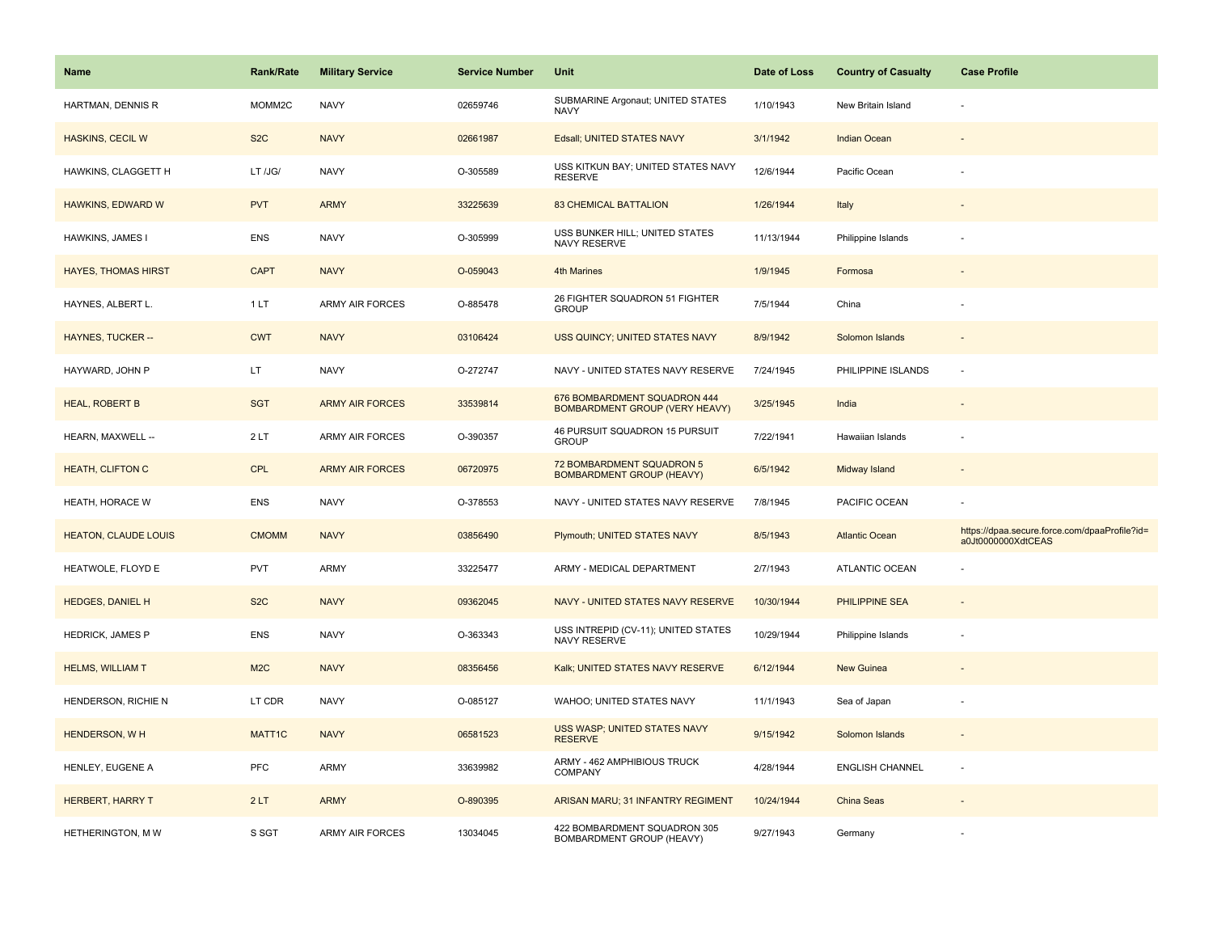| <b>Name</b>                 | <b>Rank/Rate</b>   | <b>Military Service</b> | <b>Service Number</b> | Unit                                                           | Date of Loss | <b>Country of Casualty</b> | <b>Case Profile</b>                                                 |
|-----------------------------|--------------------|-------------------------|-----------------------|----------------------------------------------------------------|--------------|----------------------------|---------------------------------------------------------------------|
| HARTMAN, DENNIS R           | MOMM2C             | <b>NAVY</b>             | 02659746              | SUBMARINE Argonaut; UNITED STATES<br>NAVY                      | 1/10/1943    | New Britain Island         |                                                                     |
| <b>HASKINS, CECIL W</b>     | S <sub>2</sub> C   | <b>NAVY</b>             | 02661987              | Edsall; UNITED STATES NAVY                                     | 3/1/1942     | <b>Indian Ocean</b>        |                                                                     |
| HAWKINS, CLAGGETT H         | LT /JG/            | <b>NAVY</b>             | O-305589              | USS KITKUN BAY; UNITED STATES NAVY<br><b>RESERVE</b>           | 12/6/1944    | Pacific Ocean              |                                                                     |
| HAWKINS, EDWARD W           | <b>PVT</b>         | <b>ARMY</b>             | 33225639              | <b>83 CHEMICAL BATTALION</b>                                   | 1/26/1944    | Italy                      |                                                                     |
| HAWKINS, JAMES I            | <b>ENS</b>         | <b>NAVY</b>             | O-305999              | USS BUNKER HILL; UNITED STATES<br>NAVY RESERVE                 | 11/13/1944   | Philippine Islands         |                                                                     |
| <b>HAYES, THOMAS HIRST</b>  | <b>CAPT</b>        | <b>NAVY</b>             | O-059043              | <b>4th Marines</b>                                             | 1/9/1945     | Formosa                    |                                                                     |
| HAYNES, ALBERT L.           | 1 LT               | <b>ARMY AIR FORCES</b>  | O-885478              | 26 FIGHTER SQUADRON 51 FIGHTER<br><b>GROUP</b>                 | 7/5/1944     | China                      |                                                                     |
| <b>HAYNES, TUCKER --</b>    | <b>CWT</b>         | <b>NAVY</b>             | 03106424              | USS QUINCY; UNITED STATES NAVY                                 | 8/9/1942     | Solomon Islands            |                                                                     |
| HAYWARD, JOHN P             | LT.                | <b>NAVY</b>             | O-272747              | NAVY - UNITED STATES NAVY RESERVE                              | 7/24/1945    | PHILIPPINE ISLANDS         | $\overline{\phantom{a}}$                                            |
| <b>HEAL, ROBERT B</b>       | <b>SGT</b>         | <b>ARMY AIR FORCES</b>  | 33539814              | 676 BOMBARDMENT SQUADRON 444<br>BOMBARDMENT GROUP (VERY HEAVY) | 3/25/1945    | India                      |                                                                     |
| HEARN, MAXWELL --           | 2 LT               | <b>ARMY AIR FORCES</b>  | O-390357              | 46 PURSUIT SQUADRON 15 PURSUIT<br><b>GROUP</b>                 | 7/22/1941    | Hawaiian Islands           |                                                                     |
| <b>HEATH, CLIFTON C</b>     | <b>CPL</b>         | <b>ARMY AIR FORCES</b>  | 06720975              | 72 BOMBARDMENT SQUADRON 5<br><b>BOMBARDMENT GROUP (HEAVY)</b>  | 6/5/1942     | Midway Island              |                                                                     |
| HEATH, HORACE W             | ENS                | <b>NAVY</b>             | O-378553              | NAVY - UNITED STATES NAVY RESERVE                              | 7/8/1945     | PACIFIC OCEAN              |                                                                     |
| <b>HEATON, CLAUDE LOUIS</b> | <b>CMOMM</b>       | <b>NAVY</b>             | 03856490              | Plymouth; UNITED STATES NAVY                                   | 8/5/1943     | <b>Atlantic Ocean</b>      | https://dpaa.secure.force.com/dpaaProfile?id=<br>a0Jt0000000XdtCEAS |
| HEATWOLE, FLOYD E           | <b>PVT</b>         | ARMY                    | 33225477              | ARMY - MEDICAL DEPARTMENT                                      | 2/7/1943     | <b>ATLANTIC OCEAN</b>      |                                                                     |
| <b>HEDGES, DANIEL H</b>     | S <sub>2</sub> C   | <b>NAVY</b>             | 09362045              | NAVY - UNITED STATES NAVY RESERVE                              | 10/30/1944   | PHILIPPINE SEA             |                                                                     |
| <b>HEDRICK, JAMES P</b>     | <b>ENS</b>         | <b>NAVY</b>             | O-363343              | USS INTREPID (CV-11); UNITED STATES<br>NAVY RESERVE            | 10/29/1944   | Philippine Islands         |                                                                     |
| <b>HELMS, WILLIAM T</b>     | M2C                | <b>NAVY</b>             | 08356456              | Kalk; UNITED STATES NAVY RESERVE                               | 6/12/1944    | <b>New Guinea</b>          |                                                                     |
| HENDERSON, RICHIE N         | LT CDR             | <b>NAVY</b>             | O-085127              | WAHOO; UNITED STATES NAVY                                      | 11/1/1943    | Sea of Japan               |                                                                     |
| <b>HENDERSON, WH</b>        | MATT <sub>1C</sub> | <b>NAVY</b>             | 06581523              | USS WASP; UNITED STATES NAVY<br><b>RESERVE</b>                 | 9/15/1942    | Solomon Islands            |                                                                     |
| HENLEY, EUGENE A            | <b>PFC</b>         | <b>ARMY</b>             | 33639982              | ARMY - 462 AMPHIBIOUS TRUCK<br><b>COMPANY</b>                  | 4/28/1944    | <b>ENGLISH CHANNEL</b>     | ×.                                                                  |
| <b>HERBERT, HARRY T</b>     | 2LT                | <b>ARMY</b>             | O-890395              | ARISAN MARU; 31 INFANTRY REGIMENT                              | 10/24/1944   | China Seas                 |                                                                     |
| HETHERINGTON, M W           | S SGT              | <b>ARMY AIR FORCES</b>  | 13034045              | 422 BOMBARDMENT SQUADRON 305<br>BOMBARDMENT GROUP (HEAVY)      | 9/27/1943    | Germany                    |                                                                     |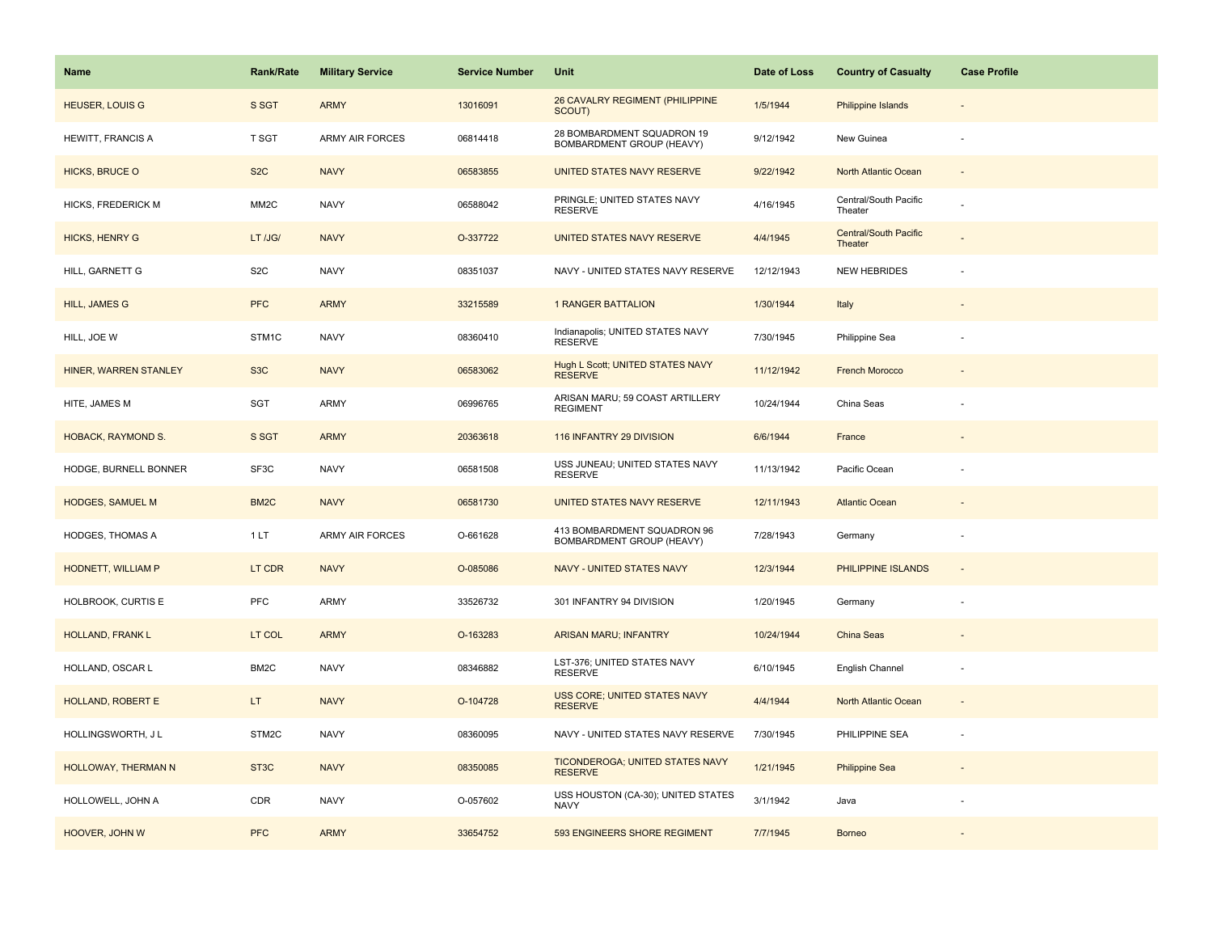| Name                    | <b>Rank/Rate</b>  | <b>Military Service</b> | <b>Service Number</b> | Unit                                                      | Date of Loss | <b>Country of Casualty</b>              | <b>Case Profile</b>      |
|-------------------------|-------------------|-------------------------|-----------------------|-----------------------------------------------------------|--------------|-----------------------------------------|--------------------------|
| <b>HEUSER, LOUIS G</b>  | S SGT             | <b>ARMY</b>             | 13016091              | 26 CAVALRY REGIMENT (PHILIPPINE<br>SCOUT)                 | 1/5/1944     | Philippine Islands                      |                          |
| HEWITT, FRANCIS A       | T SGT             | <b>ARMY AIR FORCES</b>  | 06814418              | 28 BOMBARDMENT SQUADRON 19<br>BOMBARDMENT GROUP (HEAVY)   | 9/12/1942    | New Guinea                              |                          |
| <b>HICKS, BRUCE O</b>   | S <sub>2</sub> C  | <b>NAVY</b>             | 06583855              | UNITED STATES NAVY RESERVE                                | 9/22/1942    | North Atlantic Ocean                    |                          |
| HICKS, FREDERICK M      | MM <sub>2</sub> C | <b>NAVY</b>             | 06588042              | PRINGLE; UNITED STATES NAVY<br><b>RESERVE</b>             | 4/16/1945    | Central/South Pacific<br>Theater        |                          |
| <b>HICKS, HENRY G</b>   | LT /JG/           | <b>NAVY</b>             | O-337722              | UNITED STATES NAVY RESERVE                                | 4/4/1945     | <b>Central/South Pacific</b><br>Theater |                          |
| HILL, GARNETT G         | S <sub>2</sub> C  | <b>NAVY</b>             | 08351037              | NAVY - UNITED STATES NAVY RESERVE                         | 12/12/1943   | <b>NEW HEBRIDES</b>                     |                          |
| <b>HILL, JAMES G</b>    | <b>PFC</b>        | <b>ARMY</b>             | 33215589              | <b>1 RANGER BATTALION</b>                                 | 1/30/1944    | Italy                                   |                          |
| HILL, JOE W             | STM1C             | <b>NAVY</b>             | 08360410              | Indianapolis; UNITED STATES NAVY<br><b>RESERVE</b>        | 7/30/1945    | Philippine Sea                          |                          |
| HINER, WARREN STANLEY   | S <sub>3</sub> C  | <b>NAVY</b>             | 06583062              | <b>Hugh L Scott; UNITED STATES NAVY</b><br><b>RESERVE</b> | 11/12/1942   | <b>French Morocco</b>                   |                          |
| HITE, JAMES M           | SGT               | ARMY                    | 06996765              | ARISAN MARU; 59 COAST ARTILLERY<br><b>REGIMENT</b>        | 10/24/1944   | China Seas                              |                          |
| HOBACK, RAYMOND S.      | S SGT             | <b>ARMY</b>             | 20363618              | 116 INFANTRY 29 DIVISION                                  | 6/6/1944     | France                                  |                          |
| HODGE, BURNELL BONNER   | SF3C              | <b>NAVY</b>             | 06581508              | USS JUNEAU; UNITED STATES NAVY<br><b>RESERVE</b>          | 11/13/1942   | Pacific Ocean                           |                          |
| <b>HODGES, SAMUEL M</b> | BM <sub>2</sub> C | <b>NAVY</b>             | 06581730              | UNITED STATES NAVY RESERVE                                | 12/11/1943   | <b>Atlantic Ocean</b>                   |                          |
| <b>HODGES, THOMAS A</b> | 1 LT              | <b>ARMY AIR FORCES</b>  | O-661628              | 413 BOMBARDMENT SQUADRON 96<br>BOMBARDMENT GROUP (HEAVY)  | 7/28/1943    | Germany                                 | $\overline{\phantom{a}}$ |
| HODNETT, WILLIAM P      | LT CDR            | <b>NAVY</b>             | O-085086              | NAVY - UNITED STATES NAVY                                 | 12/3/1944    | PHILIPPINE ISLANDS                      | $\sim$                   |
| HOLBROOK, CURTIS E      | <b>PFC</b>        | ARMY                    | 33526732              | 301 INFANTRY 94 DIVISION                                  | 1/20/1945    | Germany                                 |                          |
| HOLLAND, FRANK L        | LT COL            | <b>ARMY</b>             | O-163283              | <b>ARISAN MARU; INFANTRY</b>                              | 10/24/1944   | China Seas                              |                          |
| HOLLAND, OSCAR L        | BM2C              | <b>NAVY</b>             | 08346882              | LST-376; UNITED STATES NAVY<br><b>RESERVE</b>             | 6/10/1945    | English Channel                         |                          |
| HOLLAND, ROBERT E       | LT.               | <b>NAVY</b>             | O-104728              | USS CORE; UNITED STATES NAVY<br><b>RESERVE</b>            | 4/4/1944     | North Atlantic Ocean                    |                          |
| HOLLINGSWORTH, J L      | STM2C             | <b>NAVY</b>             | 08360095              | NAVY - UNITED STATES NAVY RESERVE                         | 7/30/1945    | PHILIPPINE SEA                          |                          |
| HOLLOWAY, THERMAN N     | ST <sub>3</sub> C | <b>NAVY</b>             | 08350085              | TICONDEROGA; UNITED STATES NAVY<br><b>RESERVE</b>         | 1/21/1945    | <b>Philippine Sea</b>                   |                          |
| HOLLOWELL, JOHN A       | CDR               | <b>NAVY</b>             | O-057602              | USS HOUSTON (CA-30); UNITED STATES<br><b>NAVY</b>         | 3/1/1942     | Java                                    |                          |
| HOOVER, JOHN W          | <b>PFC</b>        | <b>ARMY</b>             | 33654752              | 593 ENGINEERS SHORE REGIMENT                              | 7/7/1945     | <b>Borneo</b>                           |                          |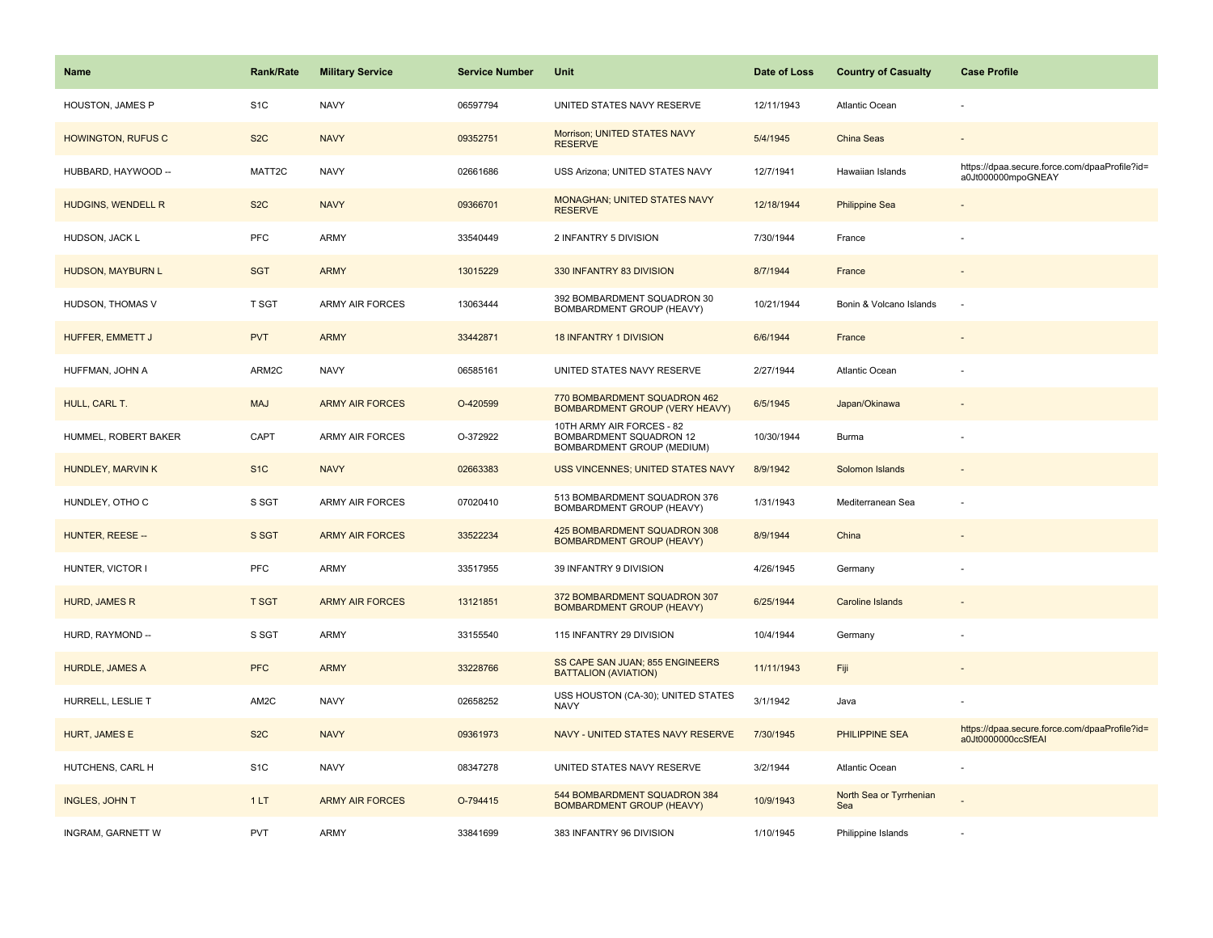| <b>Name</b>               | <b>Rank/Rate</b> | <b>Military Service</b> | <b>Service Number</b> | Unit                                                                               | Date of Loss | <b>Country of Casualty</b>     | <b>Case Profile</b>                                                 |
|---------------------------|------------------|-------------------------|-----------------------|------------------------------------------------------------------------------------|--------------|--------------------------------|---------------------------------------------------------------------|
| HOUSTON, JAMES P          | S <sub>1</sub> C | <b>NAVY</b>             | 06597794              | UNITED STATES NAVY RESERVE                                                         | 12/11/1943   | <b>Atlantic Ocean</b>          |                                                                     |
| <b>HOWINGTON, RUFUS C</b> | S <sub>2</sub> C | <b>NAVY</b>             | 09352751              | Morrison; UNITED STATES NAVY<br><b>RESERVE</b>                                     | 5/4/1945     | China Seas                     |                                                                     |
| HUBBARD, HAYWOOD --       | MATT2C           | <b>NAVY</b>             | 02661686              | USS Arizona; UNITED STATES NAVY                                                    | 12/7/1941    | Hawaiian Islands               | https://dpaa.secure.force.com/dpaaProfile?id=<br>a0Jt000000mpoGNEAY |
| HUDGINS, WENDELL R        | S <sub>2</sub> C | <b>NAVY</b>             | 09366701              | MONAGHAN; UNITED STATES NAVY<br><b>RESERVE</b>                                     | 12/18/1944   | <b>Philippine Sea</b>          |                                                                     |
| HUDSON, JACK L            | PFC              | ARMY                    | 33540449              | 2 INFANTRY 5 DIVISION                                                              | 7/30/1944    | France                         |                                                                     |
| <b>HUDSON, MAYBURN L</b>  | <b>SGT</b>       | <b>ARMY</b>             | 13015229              | 330 INFANTRY 83 DIVISION                                                           | 8/7/1944     | France                         |                                                                     |
| HUDSON, THOMAS V          | T SGT            | ARMY AIR FORCES         | 13063444              | 392 BOMBARDMENT SQUADRON 30<br>BOMBARDMENT GROUP (HEAVY)                           | 10/21/1944   | Bonin & Volcano Islands        |                                                                     |
| <b>HUFFER, EMMETT J</b>   | <b>PVT</b>       | <b>ARMY</b>             | 33442871              | <b>18 INFANTRY 1 DIVISION</b>                                                      | 6/6/1944     | France                         |                                                                     |
| HUFFMAN, JOHN A           | ARM2C            | <b>NAVY</b>             | 06585161              | UNITED STATES NAVY RESERVE                                                         | 2/27/1944    | <b>Atlantic Ocean</b>          |                                                                     |
| HULL, CARL T.             | <b>MAJ</b>       | <b>ARMY AIR FORCES</b>  | O-420599              | 770 BOMBARDMENT SQUADRON 462<br>BOMBARDMENT GROUP (VERY HEAVY)                     | 6/5/1945     | Japan/Okinawa                  |                                                                     |
| HUMMEL, ROBERT BAKER      | CAPT             | <b>ARMY AIR FORCES</b>  | O-372922              | 10TH ARMY AIR FORCES - 82<br>BOMBARDMENT SQUADRON 12<br>BOMBARDMENT GROUP (MEDIUM) | 10/30/1944   | Burma                          |                                                                     |
| HUNDLEY, MARVIN K         | S <sub>1C</sub>  | <b>NAVY</b>             | 02663383              | USS VINCENNES; UNITED STATES NAVY                                                  | 8/9/1942     | Solomon Islands                |                                                                     |
| HUNDLEY, OTHO C           | S SGT            | <b>ARMY AIR FORCES</b>  | 07020410              | 513 BOMBARDMENT SQUADRON 376<br>BOMBARDMENT GROUP (HEAVY)                          | 1/31/1943    | Mediterranean Sea              |                                                                     |
| HUNTER, REESE --          | S SGT            | <b>ARMY AIR FORCES</b>  | 33522234              | 425 BOMBARDMENT SQUADRON 308<br><b>BOMBARDMENT GROUP (HEAVY)</b>                   | 8/9/1944     | China                          |                                                                     |
| HUNTER, VICTOR I          | PFC              | <b>ARMY</b>             | 33517955              | 39 INFANTRY 9 DIVISION                                                             | 4/26/1945    | Germany                        |                                                                     |
| HURD, JAMES R             | <b>T SGT</b>     | <b>ARMY AIR FORCES</b>  | 13121851              | 372 BOMBARDMENT SQUADRON 307<br><b>BOMBARDMENT GROUP (HEAVY)</b>                   | 6/25/1944    | <b>Caroline Islands</b>        |                                                                     |
| HURD, RAYMOND --          | S SGT            | ARMY                    | 33155540              | 115 INFANTRY 29 DIVISION                                                           | 10/4/1944    | Germany                        |                                                                     |
| <b>HURDLE, JAMES A</b>    | <b>PFC</b>       | <b>ARMY</b>             | 33228766              | SS CAPE SAN JUAN; 855 ENGINEERS<br><b>BATTALION (AVIATION)</b>                     | 11/11/1943   | Fiji                           |                                                                     |
| HURRELL, LESLIE T         | AM2C             | <b>NAVY</b>             | 02658252              | USS HOUSTON (CA-30); UNITED STATES<br><b>NAVY</b>                                  | 3/1/1942     | Java                           |                                                                     |
| HURT, JAMES E             | S <sub>2</sub> C | <b>NAVY</b>             | 09361973              | NAVY - UNITED STATES NAVY RESERVE                                                  | 7/30/1945    | PHILIPPINE SEA                 | https://dpaa.secure.force.com/dpaaProfile?id=<br>a0Jt0000000ccSfEAI |
| HUTCHENS, CARL H          | S <sub>1C</sub>  | <b>NAVY</b>             | 08347278              | UNITED STATES NAVY RESERVE                                                         | 3/2/1944     | Atlantic Ocean                 |                                                                     |
| <b>INGLES, JOHN T</b>     | 1LT              | <b>ARMY AIR FORCES</b>  | O-794415              | 544 BOMBARDMENT SQUADRON 384<br><b>BOMBARDMENT GROUP (HEAVY)</b>                   | 10/9/1943    | North Sea or Tyrrhenian<br>Sea |                                                                     |
| INGRAM, GARNETT W         | <b>PVT</b>       | ARMY                    | 33841699              | 383 INFANTRY 96 DIVISION                                                           | 1/10/1945    | Philippine Islands             |                                                                     |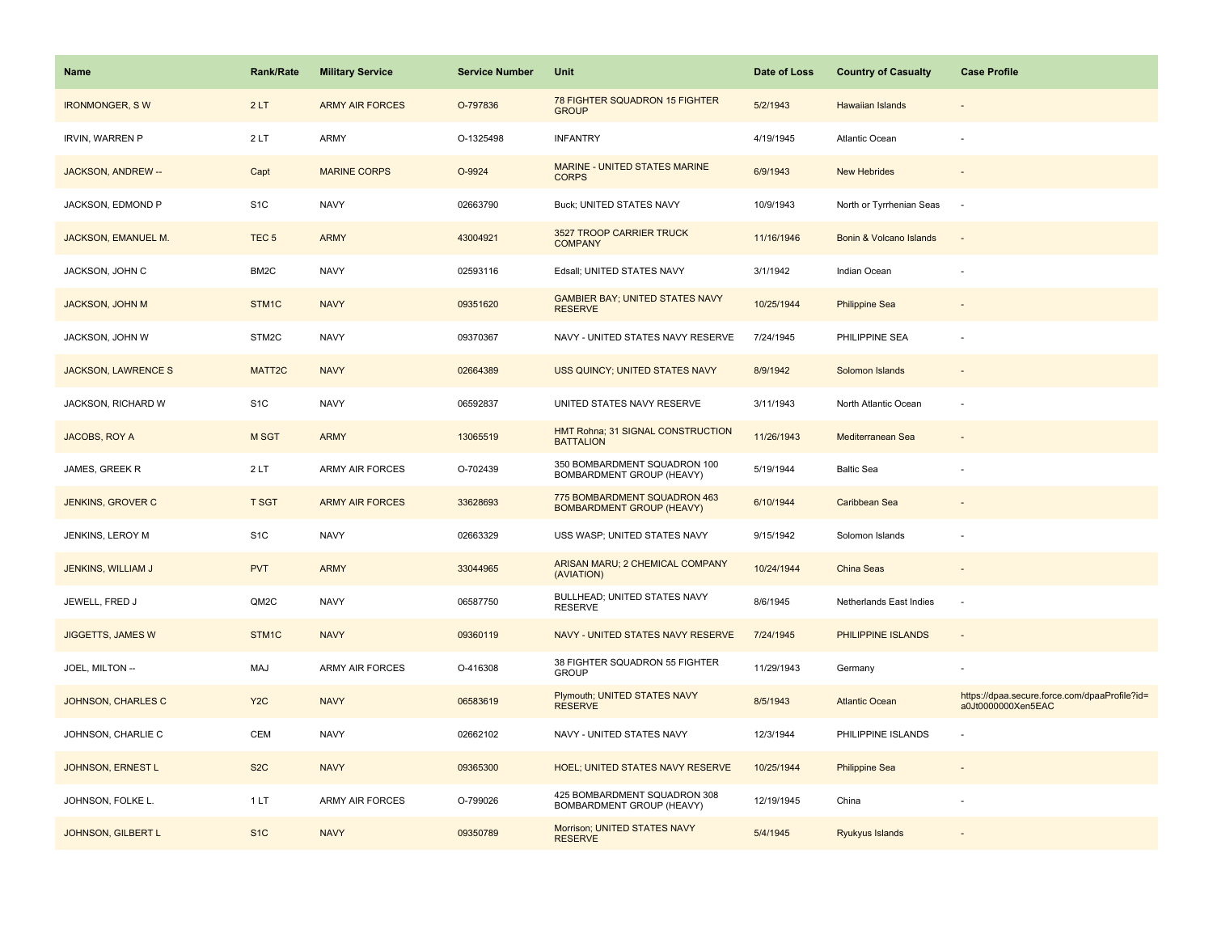| <b>Name</b>                | Rank/Rate        | <b>Military Service</b> | <b>Service Number</b> | Unit                                                             | Date of Loss | <b>Country of Casualty</b> | <b>Case Profile</b>                                                 |
|----------------------------|------------------|-------------------------|-----------------------|------------------------------------------------------------------|--------------|----------------------------|---------------------------------------------------------------------|
| <b>IRONMONGER, SW</b>      | 2LT              | <b>ARMY AIR FORCES</b>  | O-797836              | 78 FIGHTER SQUADRON 15 FIGHTER<br><b>GROUP</b>                   | 5/2/1943     | <b>Hawaiian Islands</b>    |                                                                     |
| <b>IRVIN, WARREN P</b>     | 2LT              | ARMY                    | O-1325498             | <b>INFANTRY</b>                                                  | 4/19/1945    | Atlantic Ocean             |                                                                     |
| JACKSON, ANDREW --         | Capt             | <b>MARINE CORPS</b>     | O-9924                | MARINE - UNITED STATES MARINE<br><b>CORPS</b>                    | 6/9/1943     | <b>New Hebrides</b>        |                                                                     |
| JACKSON, EDMOND P          | S <sub>1</sub> C | <b>NAVY</b>             | 02663790              | Buck; UNITED STATES NAVY                                         | 10/9/1943    | North or Tyrrhenian Seas   | $\sim$                                                              |
| JACKSON, EMANUEL M.        | TEC <sub>5</sub> | <b>ARMY</b>             | 43004921              | 3527 TROOP CARRIER TRUCK<br><b>COMPANY</b>                       | 11/16/1946   | Bonin & Volcano Islands    |                                                                     |
| JACKSON, JOHN C            | BM2C             | <b>NAVY</b>             | 02593116              | Edsall; UNITED STATES NAVY                                       | 3/1/1942     | Indian Ocean               |                                                                     |
| <b>JACKSON, JOHN M</b>     | STM1C            | <b>NAVY</b>             | 09351620              | <b>GAMBIER BAY; UNITED STATES NAVY</b><br><b>RESERVE</b>         | 10/25/1944   | <b>Philippine Sea</b>      |                                                                     |
| JACKSON, JOHN W            | STM2C            | <b>NAVY</b>             | 09370367              | NAVY - UNITED STATES NAVY RESERVE                                | 7/24/1945    | PHILIPPINE SEA             |                                                                     |
| <b>JACKSON, LAWRENCE S</b> | MATT2C           | <b>NAVY</b>             | 02664389              | USS QUINCY; UNITED STATES NAVY                                   | 8/9/1942     | Solomon Islands            |                                                                     |
| JACKSON, RICHARD W         | S <sub>1</sub> C | <b>NAVY</b>             | 06592837              | UNITED STATES NAVY RESERVE                                       | 3/11/1943    | North Atlantic Ocean       |                                                                     |
| JACOBS, ROY A              | <b>M SGT</b>     | <b>ARMY</b>             | 13065519              | HMT Rohna; 31 SIGNAL CONSTRUCTION<br><b>BATTALION</b>            | 11/26/1943   | Mediterranean Sea          |                                                                     |
| JAMES, GREEK R             | 2LT              | <b>ARMY AIR FORCES</b>  | O-702439              | 350 BOMBARDMENT SQUADRON 100<br>BOMBARDMENT GROUP (HEAVY)        | 5/19/1944    | <b>Baltic Sea</b>          |                                                                     |
| JENKINS, GROVER C          | <b>T SGT</b>     | <b>ARMY AIR FORCES</b>  | 33628693              | 775 BOMBARDMENT SQUADRON 463<br><b>BOMBARDMENT GROUP (HEAVY)</b> | 6/10/1944    | Caribbean Sea              |                                                                     |
| JENKINS, LEROY M           | S <sub>1</sub> C | <b>NAVY</b>             | 02663329              | USS WASP; UNITED STATES NAVY                                     | 9/15/1942    | Solomon Islands            |                                                                     |
| JENKINS, WILLIAM J         | <b>PVT</b>       | <b>ARMY</b>             | 33044965              | ARISAN MARU; 2 CHEMICAL COMPANY<br>(AVIATION)                    | 10/24/1944   | China Seas                 | $\sim$                                                              |
| JEWELL, FRED J             | QM2C             | <b>NAVY</b>             | 06587750              | BULLHEAD; UNITED STATES NAVY<br><b>RESERVE</b>                   | 8/6/1945     | Netherlands East Indies    |                                                                     |
| <b>JIGGETTS, JAMES W</b>   | STM1C            | <b>NAVY</b>             | 09360119              | NAVY - UNITED STATES NAVY RESERVE                                | 7/24/1945    | PHILIPPINE ISLANDS         | $\sim$                                                              |
| JOEL, MILTON --            | MAJ              | <b>ARMY AIR FORCES</b>  | O-416308              | 38 FIGHTER SQUADRON 55 FIGHTER<br><b>GROUP</b>                   | 11/29/1943   | Germany                    |                                                                     |
| JOHNSON, CHARLES C         | Y <sub>2</sub> C | <b>NAVY</b>             | 06583619              | Plymouth; UNITED STATES NAVY<br><b>RESERVE</b>                   | 8/5/1943     | <b>Atlantic Ocean</b>      | https://dpaa.secure.force.com/dpaaProfile?id=<br>a0Jt0000000Xen5EAC |
| JOHNSON, CHARLIE C         | <b>CEM</b>       | <b>NAVY</b>             | 02662102              | NAVY - UNITED STATES NAVY                                        | 12/3/1944    | PHILIPPINE ISLANDS         |                                                                     |
| JOHNSON, ERNEST L          | S <sub>2</sub> C | <b>NAVY</b>             | 09365300              | <b>HOEL; UNITED STATES NAVY RESERVE</b>                          | 10/25/1944   | <b>Philippine Sea</b>      |                                                                     |
| JOHNSON, FOLKE L.          | 1LT              | <b>ARMY AIR FORCES</b>  | O-799026              | 425 BOMBARDMENT SQUADRON 308<br>BOMBARDMENT GROUP (HEAVY)        | 12/19/1945   | China                      |                                                                     |
| JOHNSON, GILBERT L         | S <sub>1</sub> C | <b>NAVY</b>             | 09350789              | Morrison; UNITED STATES NAVY<br><b>RESERVE</b>                   | 5/4/1945     | Ryukyus Islands            |                                                                     |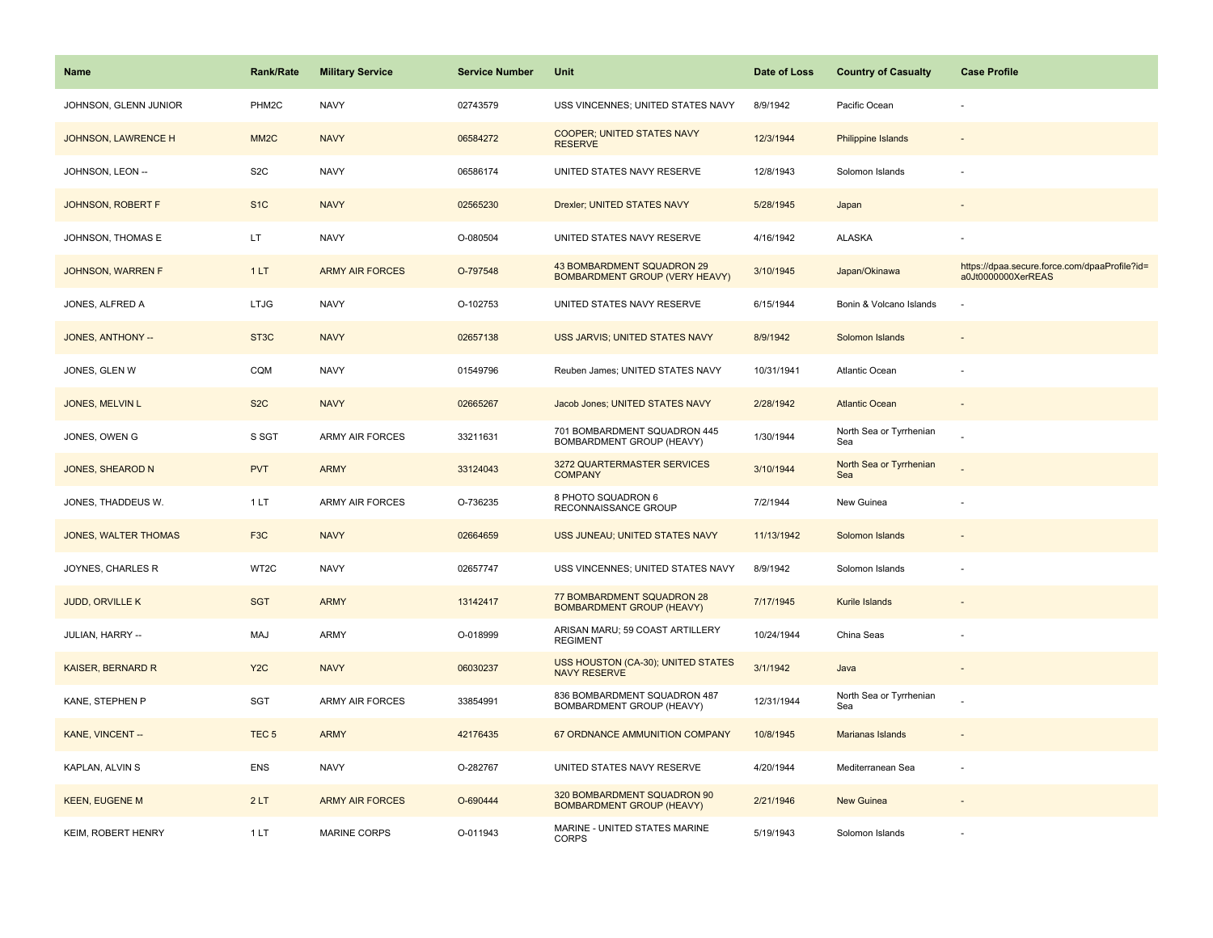| <b>Name</b>               | <b>Rank/Rate</b>  | <b>Military Service</b> | <b>Service Number</b> | Unit                                                                | Date of Loss | <b>Country of Casualty</b>     | <b>Case Profile</b>                                                 |
|---------------------------|-------------------|-------------------------|-----------------------|---------------------------------------------------------------------|--------------|--------------------------------|---------------------------------------------------------------------|
| JOHNSON, GLENN JUNIOR     | PHM2C             | <b>NAVY</b>             | 02743579              | USS VINCENNES; UNITED STATES NAVY                                   | 8/9/1942     | Pacific Ocean                  |                                                                     |
| JOHNSON, LAWRENCE H       | MM <sub>2</sub> C | <b>NAVY</b>             | 06584272              | COOPER; UNITED STATES NAVY<br><b>RESERVE</b>                        | 12/3/1944    | <b>Philippine Islands</b>      |                                                                     |
| JOHNSON, LEON --          | S <sub>2</sub> C  | <b>NAVY</b>             | 06586174              | UNITED STATES NAVY RESERVE                                          | 12/8/1943    | Solomon Islands                |                                                                     |
| JOHNSON, ROBERT F         | S <sub>1</sub> C  | <b>NAVY</b>             | 02565230              | Drexler; UNITED STATES NAVY                                         | 5/28/1945    | Japan                          |                                                                     |
| JOHNSON, THOMAS E         | LT                | <b>NAVY</b>             | O-080504              | UNITED STATES NAVY RESERVE                                          | 4/16/1942    | <b>ALASKA</b>                  |                                                                     |
| JOHNSON, WARREN F         | 1LT               | <b>ARMY AIR FORCES</b>  | O-797548              | 43 BOMBARDMENT SQUADRON 29<br><b>BOMBARDMENT GROUP (VERY HEAVY)</b> | 3/10/1945    | Japan/Okinawa                  | https://dpaa.secure.force.com/dpaaProfile?id=<br>a0Jt0000000XerREAS |
| JONES, ALFRED A           | <b>LTJG</b>       | <b>NAVY</b>             | O-102753              | UNITED STATES NAVY RESERVE                                          | 6/15/1944    | Bonin & Volcano Islands        |                                                                     |
| JONES, ANTHONY --         | ST <sub>3</sub> C | <b>NAVY</b>             | 02657138              | USS JARVIS; UNITED STATES NAVY                                      | 8/9/1942     | Solomon Islands                |                                                                     |
| JONES, GLEN W             | CQM               | <b>NAVY</b>             | 01549796              | Reuben James; UNITED STATES NAVY                                    | 10/31/1941   | Atlantic Ocean                 |                                                                     |
| JONES, MELVIN L           | S <sub>2</sub> C  | <b>NAVY</b>             | 02665267              | Jacob Jones; UNITED STATES NAVY                                     | 2/28/1942    | <b>Atlantic Ocean</b>          |                                                                     |
| JONES, OWEN G             | S SGT             | ARMY AIR FORCES         | 33211631              | 701 BOMBARDMENT SQUADRON 445<br>BOMBARDMENT GROUP (HEAVY)           | 1/30/1944    | North Sea or Tyrrhenian<br>Sea |                                                                     |
| <b>JONES, SHEAROD N</b>   | <b>PVT</b>        | <b>ARMY</b>             | 33124043              | 3272 QUARTERMASTER SERVICES<br><b>COMPANY</b>                       | 3/10/1944    | North Sea or Tyrrhenian<br>Sea |                                                                     |
| JONES, THADDEUS W.        | 1 LT              | <b>ARMY AIR FORCES</b>  | O-736235              | 8 PHOTO SQUADRON 6<br>RECONNAISSANCE GROUP                          | 7/2/1944     | New Guinea                     |                                                                     |
| JONES, WALTER THOMAS      | F <sub>3</sub> C  | <b>NAVY</b>             | 02664659              | USS JUNEAU; UNITED STATES NAVY                                      | 11/13/1942   | Solomon Islands                |                                                                     |
| JOYNES, CHARLES R         | WT2C              | <b>NAVY</b>             | 02657747              | USS VINCENNES; UNITED STATES NAVY                                   | 8/9/1942     | Solomon Islands                |                                                                     |
| JUDD, ORVILLE K           | <b>SGT</b>        | <b>ARMY</b>             | 13142417              | 77 BOMBARDMENT SQUADRON 28<br><b>BOMBARDMENT GROUP (HEAVY)</b>      | 7/17/1945    | Kurile Islands                 |                                                                     |
| JULIAN, HARRY --          | <b>MAJ</b>        | <b>ARMY</b>             | O-018999              | ARISAN MARU; 59 COAST ARTILLERY<br><b>REGIMENT</b>                  | 10/24/1944   | China Seas                     |                                                                     |
| <b>KAISER, BERNARD R</b>  | Y <sub>2</sub> C  | <b>NAVY</b>             | 06030237              | USS HOUSTON (CA-30); UNITED STATES<br><b>NAVY RESERVE</b>           | 3/1/1942     | Java                           |                                                                     |
| KANE, STEPHEN P           | SGT               | <b>ARMY AIR FORCES</b>  | 33854991              | 836 BOMBARDMENT SQUADRON 487<br>BOMBARDMENT GROUP (HEAVY)           | 12/31/1944   | North Sea or Tyrrhenian<br>Sea |                                                                     |
| KANE, VINCENT --          | TEC <sub>5</sub>  | <b>ARMY</b>             | 42176435              | 67 ORDNANCE AMMUNITION COMPANY                                      | 10/8/1945    | Marianas Islands               |                                                                     |
| KAPLAN, ALVIN S           | <b>ENS</b>        | <b>NAVY</b>             | O-282767              | UNITED STATES NAVY RESERVE                                          | 4/20/1944    | Mediterranean Sea              | $\overline{\phantom{a}}$                                            |
| <b>KEEN, EUGENE M</b>     | 2LT               | <b>ARMY AIR FORCES</b>  | O-690444              | 320 BOMBARDMENT SQUADRON 90<br><b>BOMBARDMENT GROUP (HEAVY)</b>     | 2/21/1946    | <b>New Guinea</b>              |                                                                     |
| <b>KEIM, ROBERT HENRY</b> | 1LT               | <b>MARINE CORPS</b>     | O-011943              | MARINE - UNITED STATES MARINE<br><b>CORPS</b>                       | 5/19/1943    | Solomon Islands                |                                                                     |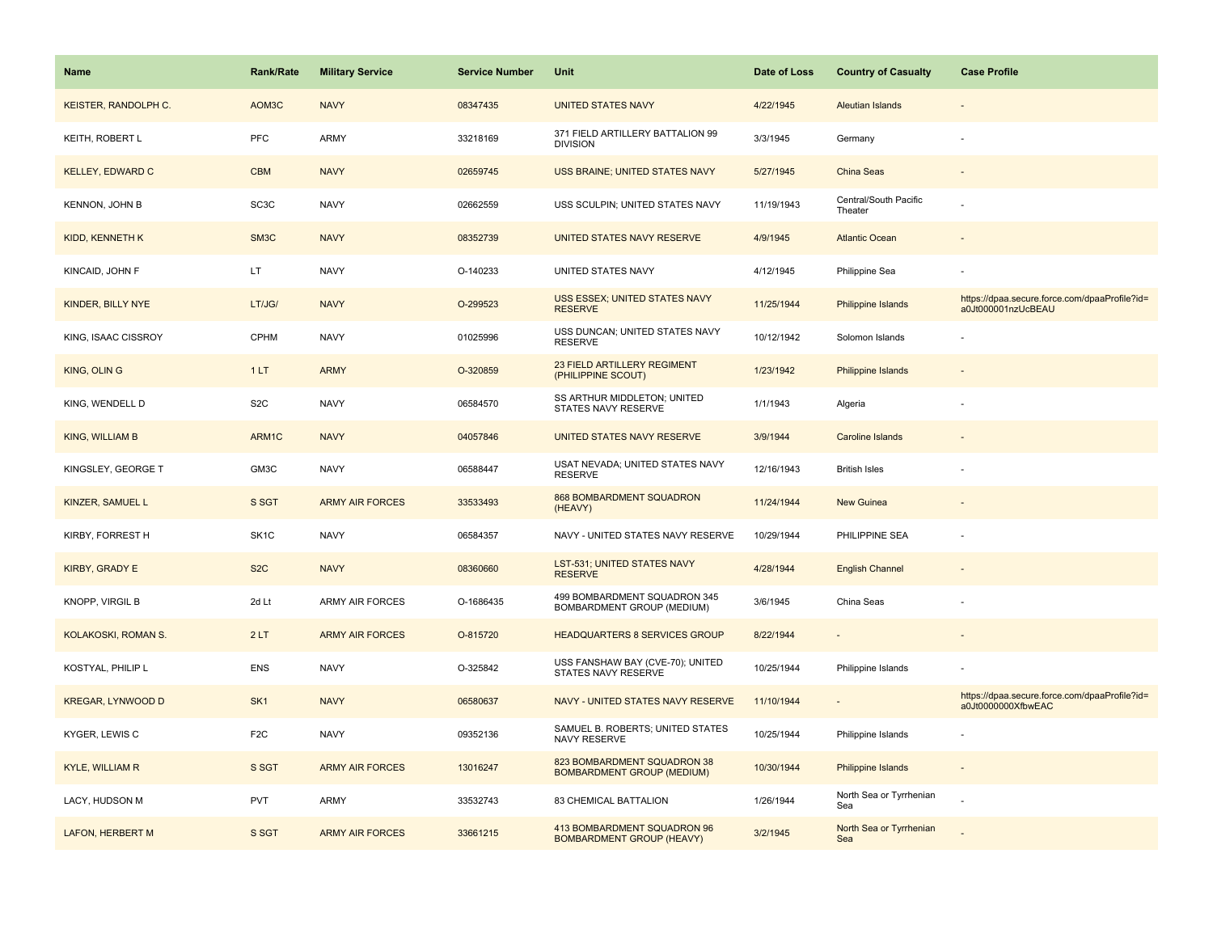| <b>Name</b>              | <b>Rank/Rate</b>  | <b>Military Service</b> | <b>Service Number</b> | Unit                                                             | Date of Loss | <b>Country of Casualty</b>       | <b>Case Profile</b>                                                 |
|--------------------------|-------------------|-------------------------|-----------------------|------------------------------------------------------------------|--------------|----------------------------------|---------------------------------------------------------------------|
| KEISTER, RANDOLPH C.     | AOM3C             | <b>NAVY</b>             | 08347435              | <b>UNITED STATES NAVY</b>                                        | 4/22/1945    | Aleutian Islands                 |                                                                     |
| KEITH, ROBERT L          | PFC               | ARMY                    | 33218169              | 371 FIELD ARTILLERY BATTALION 99<br><b>DIVISION</b>              | 3/3/1945     | Germany                          |                                                                     |
| <b>KELLEY, EDWARD C</b>  | <b>CBM</b>        | <b>NAVY</b>             | 02659745              | USS BRAINE; UNITED STATES NAVY                                   | 5/27/1945    | <b>China Seas</b>                |                                                                     |
| <b>KENNON, JOHN B</b>    | SC <sub>3</sub> C | <b>NAVY</b>             | 02662559              | USS SCULPIN; UNITED STATES NAVY                                  | 11/19/1943   | Central/South Pacific<br>Theater |                                                                     |
| <b>KIDD, KENNETH K</b>   | SM <sub>3</sub> C | <b>NAVY</b>             | 08352739              | UNITED STATES NAVY RESERVE                                       | 4/9/1945     | <b>Atlantic Ocean</b>            |                                                                     |
| KINCAID, JOHN F          | LT.               | <b>NAVY</b>             | O-140233              | UNITED STATES NAVY                                               | 4/12/1945    | Philippine Sea                   |                                                                     |
| KINDER, BILLY NYE        | LT/JG/            | <b>NAVY</b>             | O-299523              | USS ESSEX; UNITED STATES NAVY<br><b>RESERVE</b>                  | 11/25/1944   | Philippine Islands               | https://dpaa.secure.force.com/dpaaProfile?id=<br>a0Jt000001nzUcBEAU |
| KING, ISAAC CISSROY      | CPHM              | <b>NAVY</b>             | 01025996              | USS DUNCAN; UNITED STATES NAVY<br>RESERVE                        | 10/12/1942   | Solomon Islands                  |                                                                     |
| <b>KING, OLIN G</b>      | 1LT               | <b>ARMY</b>             | O-320859              | 23 FIELD ARTILLERY REGIMENT<br>(PHILIPPINE SCOUT)                | 1/23/1942    | Philippine Islands               |                                                                     |
| KING, WENDELL D          | S <sub>2</sub> C  | <b>NAVY</b>             | 06584570              | SS ARTHUR MIDDLETON; UNITED<br>STATES NAVY RESERVE               | 1/1/1943     | Algeria                          |                                                                     |
| <b>KING, WILLIAM B</b>   | ARM1C             | <b>NAVY</b>             | 04057846              | UNITED STATES NAVY RESERVE                                       | 3/9/1944     | <b>Caroline Islands</b>          |                                                                     |
| KINGSLEY, GEORGE T       | GM3C              | <b>NAVY</b>             | 06588447              | USAT NEVADA; UNITED STATES NAVY<br><b>RESERVE</b>                | 12/16/1943   | <b>British Isles</b>             |                                                                     |
| KINZER, SAMUEL L         | S SGT             | <b>ARMY AIR FORCES</b>  | 33533493              | 868 BOMBARDMENT SQUADRON<br>(HEAVY)                              | 11/24/1944   | <b>New Guinea</b>                |                                                                     |
| KIRBY, FORREST H         | SK <sub>1</sub> C | <b>NAVY</b>             | 06584357              | NAVY - UNITED STATES NAVY RESERVE                                | 10/29/1944   | PHILIPPINE SEA                   |                                                                     |
| <b>KIRBY, GRADY E</b>    | S <sub>2</sub> C  | <b>NAVY</b>             | 08360660              | LST-531; UNITED STATES NAVY<br><b>RESERVE</b>                    | 4/28/1944    | <b>English Channel</b>           |                                                                     |
| KNOPP, VIRGIL B          | 2d Lt             | <b>ARMY AIR FORCES</b>  | O-1686435             | 499 BOMBARDMENT SQUADRON 345<br>BOMBARDMENT GROUP (MEDIUM)       | 3/6/1945     | China Seas                       |                                                                     |
| KOLAKOSKI, ROMAN S.      | 2LT               | <b>ARMY AIR FORCES</b>  | O-815720              | <b>HEADQUARTERS 8 SERVICES GROUP</b>                             | 8/22/1944    |                                  |                                                                     |
| KOSTYAL, PHILIP L        | ENS               | <b>NAVY</b>             | O-325842              | USS FANSHAW BAY (CVE-70); UNITED<br>STATES NAVY RESERVE          | 10/25/1944   | Philippine Islands               |                                                                     |
| <b>KREGAR, LYNWOOD D</b> | SK <sub>1</sub>   | <b>NAVY</b>             | 06580637              | NAVY - UNITED STATES NAVY RESERVE                                | 11/10/1944   |                                  | https://dpaa.secure.force.com/dpaaProfile?id=<br>a0Jt0000000XfbwEAC |
| KYGER, LEWIS C           | F <sub>2</sub> C  | <b>NAVY</b>             | 09352136              | SAMUEL B. ROBERTS; UNITED STATES<br>NAVY RESERVE                 | 10/25/1944   | Philippine Islands               |                                                                     |
| <b>KYLE, WILLIAM R</b>   | S SGT             | <b>ARMY AIR FORCES</b>  | 13016247              | 823 BOMBARDMENT SQUADRON 38<br><b>BOMBARDMENT GROUP (MEDIUM)</b> | 10/30/1944   | Philippine Islands               | $\sim$                                                              |
| LACY, HUDSON M           | <b>PVT</b>        | ARMY                    | 33532743              | 83 CHEMICAL BATTALION                                            | 1/26/1944    | North Sea or Tyrrhenian<br>Sea   |                                                                     |
| <b>LAFON, HERBERT M</b>  | S SGT             | <b>ARMY AIR FORCES</b>  | 33661215              | 413 BOMBARDMENT SQUADRON 96<br><b>BOMBARDMENT GROUP (HEAVY)</b>  | 3/2/1945     | North Sea or Tyrrhenian<br>Sea   |                                                                     |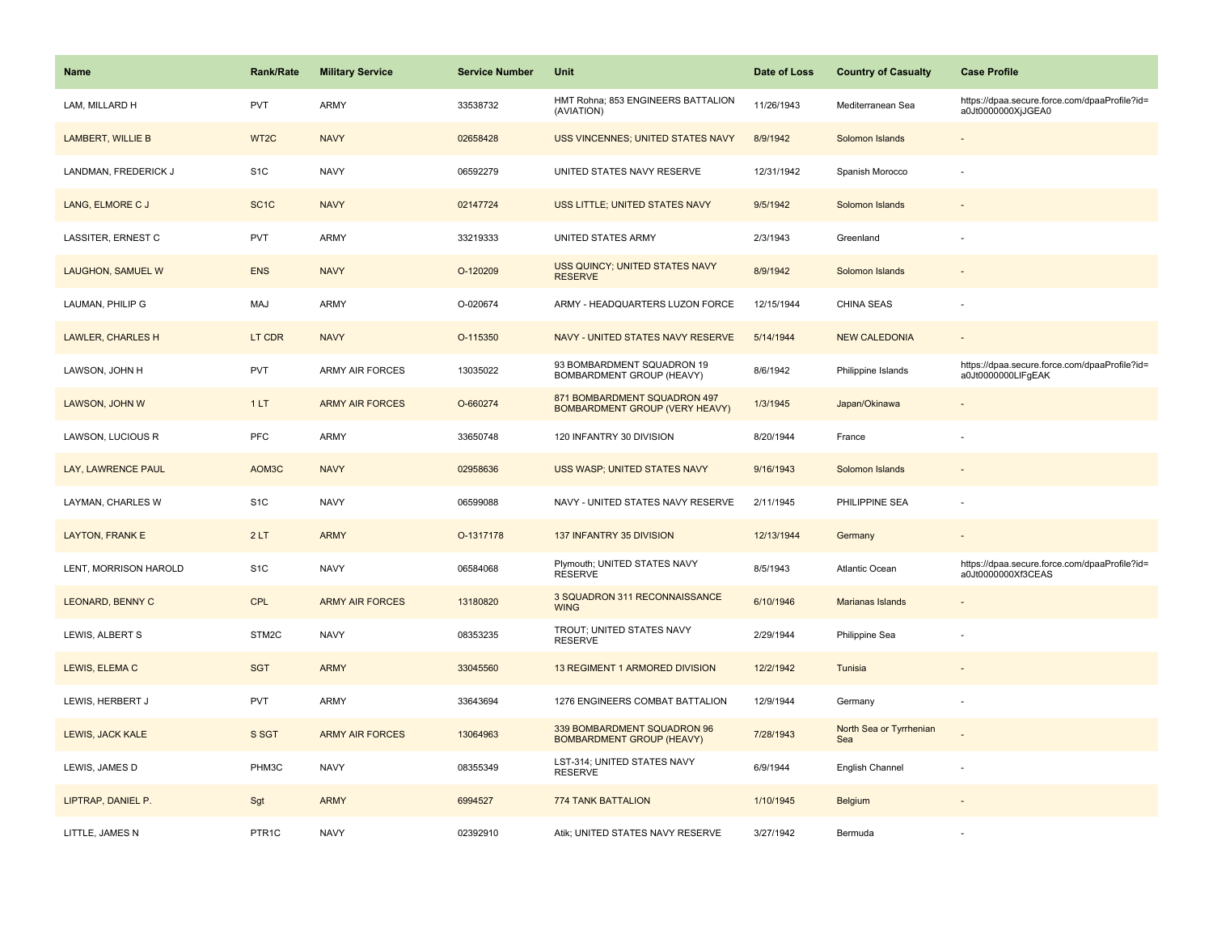| Name                     | <b>Rank/Rate</b>  | <b>Military Service</b> | <b>Service Number</b> | Unit                                                                  | Date of Loss | <b>Country of Casualty</b>     | <b>Case Profile</b>                                                 |
|--------------------------|-------------------|-------------------------|-----------------------|-----------------------------------------------------------------------|--------------|--------------------------------|---------------------------------------------------------------------|
| LAM, MILLARD H           | <b>PVT</b>        | <b>ARMY</b>             | 33538732              | HMT Rohna; 853 ENGINEERS BATTALION<br>(AVIATION)                      | 11/26/1943   | Mediterranean Sea              | https://dpaa.secure.force.com/dpaaProfile?id=<br>a0Jt0000000XjJGEA0 |
| <b>LAMBERT, WILLIE B</b> | WT2C              | <b>NAVY</b>             | 02658428              | <b>USS VINCENNES; UNITED STATES NAVY</b>                              | 8/9/1942     | Solomon Islands                |                                                                     |
| LANDMAN, FREDERICK J     | S <sub>1</sub> C  | <b>NAVY</b>             | 06592279              | UNITED STATES NAVY RESERVE                                            | 12/31/1942   | Spanish Morocco                |                                                                     |
| LANG, ELMORE C J         | SC <sub>1</sub> C | <b>NAVY</b>             | 02147724              | USS LITTLE; UNITED STATES NAVY                                        | 9/5/1942     | Solomon Islands                |                                                                     |
| LASSITER, ERNEST C       | <b>PVT</b>        | <b>ARMY</b>             | 33219333              | UNITED STATES ARMY                                                    | 2/3/1943     | Greenland                      |                                                                     |
| LAUGHON, SAMUEL W        | <b>ENS</b>        | <b>NAVY</b>             | O-120209              | USS QUINCY; UNITED STATES NAVY<br><b>RESERVE</b>                      | 8/9/1942     | Solomon Islands                |                                                                     |
| LAUMAN, PHILIP G         | MAJ               | <b>ARMY</b>             | O-020674              | ARMY - HEADQUARTERS LUZON FORCE                                       | 12/15/1944   | CHINA SEAS                     |                                                                     |
| <b>LAWLER, CHARLES H</b> | LT CDR            | <b>NAVY</b>             | O-115350              | NAVY - UNITED STATES NAVY RESERVE                                     | 5/14/1944    | <b>NEW CALEDONIA</b>           |                                                                     |
| LAWSON, JOHN H           | <b>PVT</b>        | <b>ARMY AIR FORCES</b>  | 13035022              | 93 BOMBARDMENT SQUADRON 19<br>BOMBARDMENT GROUP (HEAVY)               | 8/6/1942     | Philippine Islands             | https://dpaa.secure.force.com/dpaaProfile?id=<br>a0Jt0000000LlFgEAK |
| LAWSON, JOHN W           | 1LT               | <b>ARMY AIR FORCES</b>  | O-660274              | 871 BOMBARDMENT SQUADRON 497<br><b>BOMBARDMENT GROUP (VERY HEAVY)</b> | 1/3/1945     | Japan/Okinawa                  |                                                                     |
| LAWSON, LUCIOUS R        | <b>PFC</b>        | <b>ARMY</b>             | 33650748              | 120 INFANTRY 30 DIVISION                                              | 8/20/1944    | France                         |                                                                     |
| LAY, LAWRENCE PAUL       | AOM3C             | <b>NAVY</b>             | 02958636              | USS WASP; UNITED STATES NAVY                                          | 9/16/1943    | Solomon Islands                |                                                                     |
| LAYMAN, CHARLES W        | S <sub>1</sub> C  | <b>NAVY</b>             | 06599088              | NAVY - UNITED STATES NAVY RESERVE                                     | 2/11/1945    | PHILIPPINE SEA                 | ÷.                                                                  |
| <b>LAYTON, FRANK E</b>   | 2LT               | <b>ARMY</b>             | O-1317178             | 137 INFANTRY 35 DIVISION                                              | 12/13/1944   | Germany                        |                                                                     |
| LENT, MORRISON HAROLD    | S <sub>1</sub> C  | <b>NAVY</b>             | 06584068              | Plymouth; UNITED STATES NAVY<br><b>RESERVE</b>                        | 8/5/1943     | Atlantic Ocean                 | https://dpaa.secure.force.com/dpaaProfile?id=<br>a0Jt0000000Xf3CEAS |
| <b>LEONARD, BENNY C</b>  | <b>CPL</b>        | <b>ARMY AIR FORCES</b>  | 13180820              | 3 SQUADRON 311 RECONNAISSANCE<br><b>WING</b>                          | 6/10/1946    | <b>Marianas Islands</b>        |                                                                     |
| LEWIS, ALBERT S          | STM2C             | <b>NAVY</b>             | 08353235              | TROUT; UNITED STATES NAVY<br><b>RESERVE</b>                           | 2/29/1944    | Philippine Sea                 |                                                                     |
| LEWIS, ELEMA C           | <b>SGT</b>        | <b>ARMY</b>             | 33045560              | <b>13 REGIMENT 1 ARMORED DIVISION</b>                                 | 12/2/1942    | Tunisia                        | $\sim$                                                              |
| LEWIS, HERBERT J         | <b>PVT</b>        | <b>ARMY</b>             | 33643694              | 1276 ENGINEERS COMBAT BATTALION                                       | 12/9/1944    | Germany                        | ÷,                                                                  |
| LEWIS, JACK KALE         | S SGT             | <b>ARMY AIR FORCES</b>  | 13064963              | 339 BOMBARDMENT SQUADRON 96<br><b>BOMBARDMENT GROUP (HEAVY)</b>       | 7/28/1943    | North Sea or Tyrrhenian<br>Sea |                                                                     |
| LEWIS, JAMES D           | PHM3C             | <b>NAVY</b>             | 08355349              | LST-314; UNITED STATES NAVY<br><b>RESERVE</b>                         | 6/9/1944     | English Channel                |                                                                     |
| LIPTRAP, DANIEL P.       | Sgt               | <b>ARMY</b>             | 6994527               | 774 TANK BATTALION                                                    | 1/10/1945    | Belgium                        |                                                                     |
| LITTLE, JAMES N          | PTR <sub>1C</sub> | <b>NAVY</b>             | 02392910              | Atik; UNITED STATES NAVY RESERVE                                      | 3/27/1942    | Bermuda                        |                                                                     |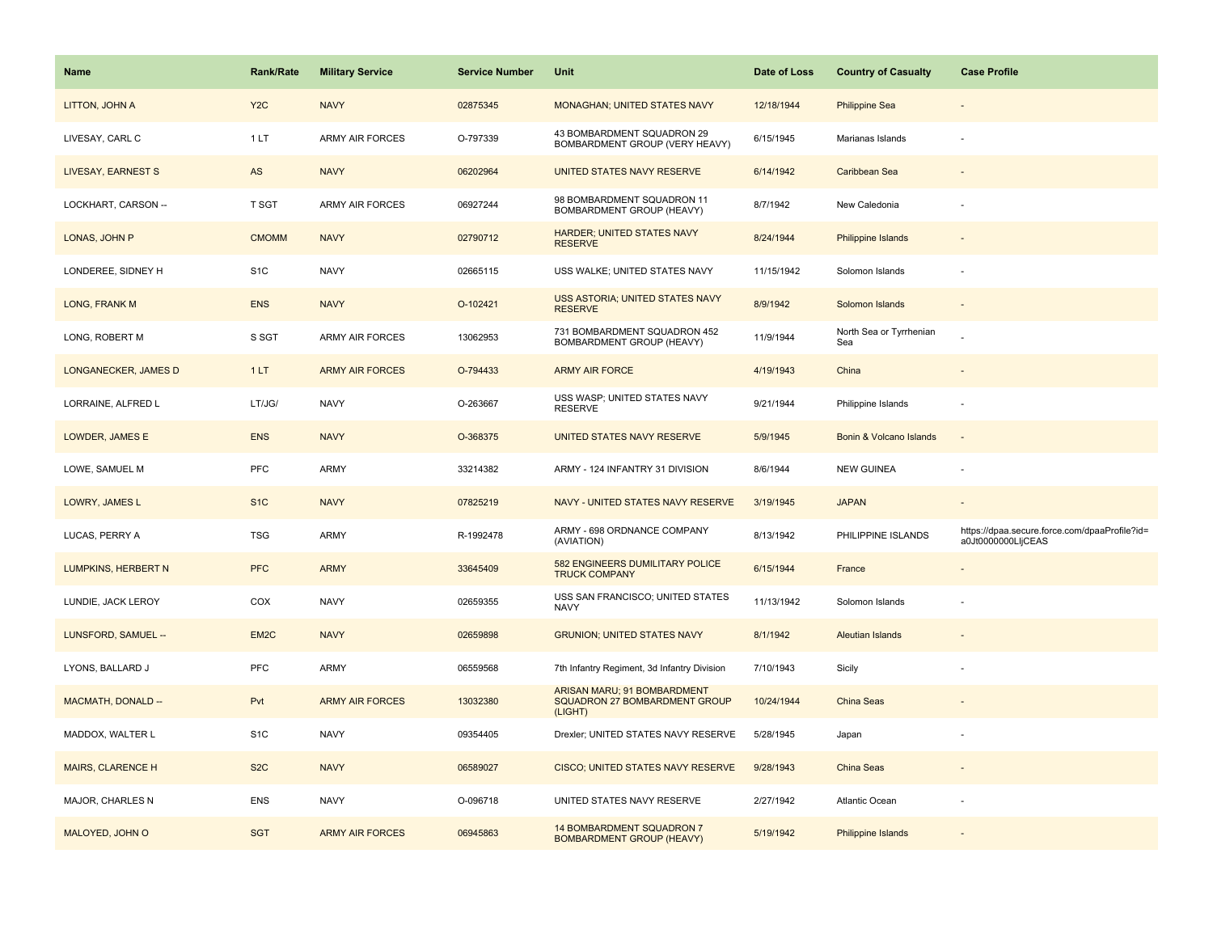| <b>Name</b>                | <b>Rank/Rate</b>  | <b>Military Service</b> | <b>Service Number</b> | Unit                                                                    | Date of Loss | <b>Country of Casualty</b>     | <b>Case Profile</b>                                                 |
|----------------------------|-------------------|-------------------------|-----------------------|-------------------------------------------------------------------------|--------------|--------------------------------|---------------------------------------------------------------------|
| LITTON, JOHN A             | Y <sub>2</sub> C  | <b>NAVY</b>             | 02875345              | MONAGHAN; UNITED STATES NAVY                                            | 12/18/1944   | <b>Philippine Sea</b>          |                                                                     |
| LIVESAY, CARL C            | 1LT               | ARMY AIR FORCES         | O-797339              | 43 BOMBARDMENT SQUADRON 29<br>BOMBARDMENT GROUP (VERY HEAVY)            | 6/15/1945    | Marianas Islands               |                                                                     |
| LIVESAY, EARNEST S         | AS                | <b>NAVY</b>             | 06202964              | UNITED STATES NAVY RESERVE                                              | 6/14/1942    | Caribbean Sea                  |                                                                     |
| LOCKHART, CARSON --        | T SGT             | ARMY AIR FORCES         | 06927244              | 98 BOMBARDMENT SQUADRON 11<br>BOMBARDMENT GROUP (HEAVY)                 | 8/7/1942     | New Caledonia                  |                                                                     |
| LONAS, JOHN P              | <b>CMOMM</b>      | <b>NAVY</b>             | 02790712              | <b>HARDER; UNITED STATES NAVY</b><br><b>RESERVE</b>                     | 8/24/1944    | Philippine Islands             |                                                                     |
| LONDEREE, SIDNEY H         | S <sub>1</sub> C  | <b>NAVY</b>             | 02665115              | USS WALKE; UNITED STATES NAVY                                           | 11/15/1942   | Solomon Islands                |                                                                     |
| LONG, FRANK M              | <b>ENS</b>        | <b>NAVY</b>             | O-102421              | USS ASTORIA; UNITED STATES NAVY<br><b>RESERVE</b>                       | 8/9/1942     | Solomon Islands                | $\overline{\phantom{a}}$                                            |
| LONG, ROBERT M             | S SGT             | ARMY AIR FORCES         | 13062953              | 731 BOMBARDMENT SQUADRON 452<br>BOMBARDMENT GROUP (HEAVY)               | 11/9/1944    | North Sea or Tyrrhenian<br>Sea |                                                                     |
| LONGANECKER, JAMES D       | 1LT               | <b>ARMY AIR FORCES</b>  | O-794433              | <b>ARMY AIR FORCE</b>                                                   | 4/19/1943    | China                          |                                                                     |
| LORRAINE, ALFRED L         | LT/JG/            | <b>NAVY</b>             | O-263667              | USS WASP; UNITED STATES NAVY<br><b>RESERVE</b>                          | 9/21/1944    | Philippine Islands             |                                                                     |
| LOWDER, JAMES E            | <b>ENS</b>        | <b>NAVY</b>             | O-368375              | UNITED STATES NAVY RESERVE                                              | 5/9/1945     | Bonin & Volcano Islands        |                                                                     |
| LOWE, SAMUEL M             | PFC               | <b>ARMY</b>             | 33214382              | ARMY - 124 INFANTRY 31 DIVISION                                         | 8/6/1944     | <b>NEW GUINEA</b>              |                                                                     |
| LOWRY, JAMES L             | S <sub>1C</sub>   | <b>NAVY</b>             | 07825219              | NAVY - UNITED STATES NAVY RESERVE                                       | 3/19/1945    | <b>JAPAN</b>                   |                                                                     |
| LUCAS, PERRY A             | <b>TSG</b>        | <b>ARMY</b>             | R-1992478             | ARMY - 698 ORDNANCE COMPANY<br>(AVIATION)                               | 8/13/1942    | PHILIPPINE ISLANDS             | https://dpaa.secure.force.com/dpaaProfile?id=<br>a0Jt0000000LIjCEAS |
| <b>LUMPKINS, HERBERT N</b> | <b>PFC</b>        | <b>ARMY</b>             | 33645409              | 582 ENGINEERS DUMILITARY POLICE<br><b>TRUCK COMPANY</b>                 | 6/15/1944    | France                         |                                                                     |
| LUNDIE, JACK LEROY         | COX               | <b>NAVY</b>             | 02659355              | USS SAN FRANCISCO; UNITED STATES<br><b>NAVY</b>                         | 11/13/1942   | Solomon Islands                |                                                                     |
| LUNSFORD, SAMUEL --        | EM <sub>2</sub> C | <b>NAVY</b>             | 02659898              | <b>GRUNION; UNITED STATES NAVY</b>                                      | 8/1/1942     | <b>Aleutian Islands</b>        |                                                                     |
| LYONS, BALLARD J           | PFC               | ARMY                    | 06559568              | 7th Infantry Regiment, 3d Infantry Division                             | 7/10/1943    | Sicily                         |                                                                     |
| <b>MACMATH, DONALD --</b>  | Pvt               | <b>ARMY AIR FORCES</b>  | 13032380              | ARISAN MARU; 91 BOMBARDMENT<br>SQUADRON 27 BOMBARDMENT GROUP<br>(LIGHT) | 10/24/1944   | <b>China Seas</b>              |                                                                     |
| MADDOX, WALTER L           | S <sub>1</sub> C  | <b>NAVY</b>             | 09354405              | Drexler; UNITED STATES NAVY RESERVE                                     | 5/28/1945    | Japan                          |                                                                     |
| <b>MAIRS, CLARENCE H</b>   | S <sub>2</sub> C  | <b>NAVY</b>             | 06589027              | CISCO; UNITED STATES NAVY RESERVE                                       | 9/28/1943    | China Seas                     |                                                                     |
| MAJOR, CHARLES N           | <b>ENS</b>        | <b>NAVY</b>             | O-096718              | UNITED STATES NAVY RESERVE                                              | 2/27/1942    | Atlantic Ocean                 |                                                                     |
| MALOYED, JOHN O            | <b>SGT</b>        | <b>ARMY AIR FORCES</b>  | 06945863              | 14 BOMBARDMENT SQUADRON 7<br><b>BOMBARDMENT GROUP (HEAVY)</b>           | 5/19/1942    | Philippine Islands             |                                                                     |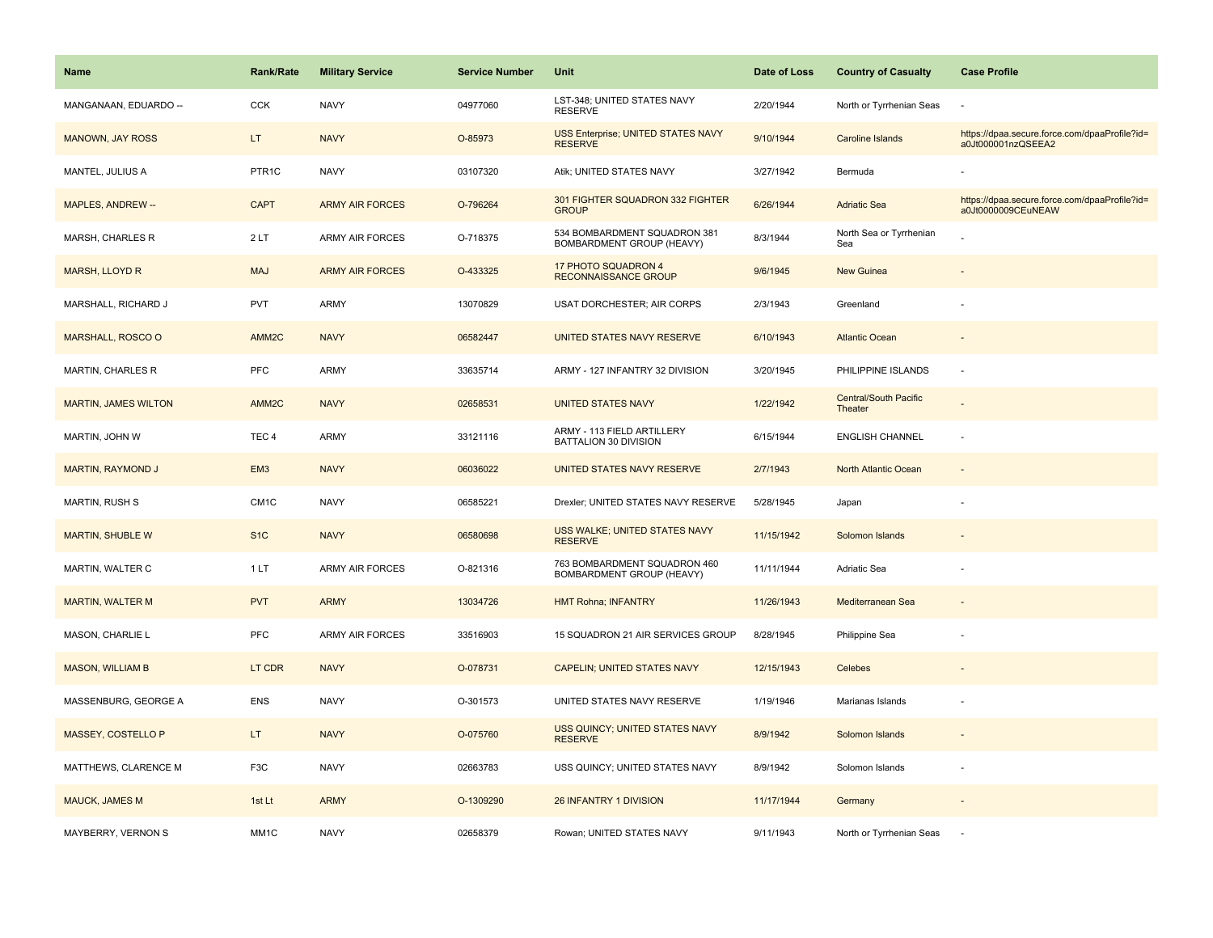| <b>Name</b>                 | Rank/Rate          | <b>Military Service</b> | <b>Service Number</b> | Unit                                                      | Date of Loss | <b>Country of Casualty</b>              | <b>Case Profile</b>                                                 |
|-----------------------------|--------------------|-------------------------|-----------------------|-----------------------------------------------------------|--------------|-----------------------------------------|---------------------------------------------------------------------|
| MANGANAAN, EDUARDO --       | CCK                | <b>NAVY</b>             | 04977060              | LST-348; UNITED STATES NAVY<br><b>RESERVE</b>             | 2/20/1944    | North or Tyrrhenian Seas                |                                                                     |
| <b>MANOWN, JAY ROSS</b>     | LT.                | <b>NAVY</b>             | O-85973               | USS Enterprise; UNITED STATES NAVY<br><b>RESERVE</b>      | 9/10/1944    | <b>Caroline Islands</b>                 | https://dpaa.secure.force.com/dpaaProfile?id=<br>a0Jt000001nzQSEEA2 |
| MANTEL, JULIUS A            | PTR <sub>1</sub> C | <b>NAVY</b>             | 03107320              | Atik; UNITED STATES NAVY                                  | 3/27/1942    | Bermuda                                 |                                                                     |
| MAPLES, ANDREW --           | <b>CAPT</b>        | <b>ARMY AIR FORCES</b>  | O-796264              | 301 FIGHTER SQUADRON 332 FIGHTER<br><b>GROUP</b>          | 6/26/1944    | <b>Adriatic Sea</b>                     | https://dpaa.secure.force.com/dpaaProfile?id=<br>a0Jt0000009CEuNEAW |
| MARSH, CHARLES R            | 2LT                | <b>ARMY AIR FORCES</b>  | O-718375              | 534 BOMBARDMENT SQUADRON 381<br>BOMBARDMENT GROUP (HEAVY) | 8/3/1944     | North Sea or Tyrrhenian<br>Sea          |                                                                     |
| MARSH, LLOYD R              | <b>MAJ</b>         | <b>ARMY AIR FORCES</b>  | O-433325              | 17 PHOTO SQUADRON 4<br><b>RECONNAISSANCE GROUP</b>        | 9/6/1945     | <b>New Guinea</b>                       |                                                                     |
| MARSHALL, RICHARD J         | PVT                | <b>ARMY</b>             | 13070829              | USAT DORCHESTER; AIR CORPS                                | 2/3/1943     | Greenland                               |                                                                     |
| MARSHALL, ROSCO O           | AMM <sub>2C</sub>  | <b>NAVY</b>             | 06582447              | UNITED STATES NAVY RESERVE                                | 6/10/1943    | <b>Atlantic Ocean</b>                   |                                                                     |
| MARTIN, CHARLES R           | PFC                | <b>ARMY</b>             | 33635714              | ARMY - 127 INFANTRY 32 DIVISION                           | 3/20/1945    | PHILIPPINE ISLANDS                      | ÷,                                                                  |
| <b>MARTIN, JAMES WILTON</b> | AMM <sub>2C</sub>  | <b>NAVY</b>             | 02658531              | <b>UNITED STATES NAVY</b>                                 | 1/22/1942    | <b>Central/South Pacific</b><br>Theater |                                                                     |
| MARTIN, JOHN W              | TEC <sub>4</sub>   | ARMY                    | 33121116              | ARMY - 113 FIELD ARTILLERY<br>BATTALION 30 DIVISION       | 6/15/1944    | <b>ENGLISH CHANNEL</b>                  |                                                                     |
| <b>MARTIN, RAYMOND J</b>    | EM <sub>3</sub>    | <b>NAVY</b>             | 06036022              | UNITED STATES NAVY RESERVE                                | 2/7/1943     | North Atlantic Ocean                    | $\blacksquare$                                                      |
| <b>MARTIN, RUSH S</b>       | CM <sub>1</sub> C  | <b>NAVY</b>             | 06585221              | Drexler; UNITED STATES NAVY RESERVE                       | 5/28/1945    | Japan                                   |                                                                     |
| <b>MARTIN, SHUBLE W</b>     | S <sub>1</sub> C   | <b>NAVY</b>             | 06580698              | USS WALKE; UNITED STATES NAVY<br><b>RESERVE</b>           | 11/15/1942   | Solomon Islands                         |                                                                     |
| MARTIN, WALTER C            | 1LT                | ARMY AIR FORCES         | O-821316              | 763 BOMBARDMENT SQUADRON 460<br>BOMBARDMENT GROUP (HEAVY) | 11/11/1944   | Adriatic Sea                            |                                                                     |
| <b>MARTIN, WALTER M</b>     | <b>PVT</b>         | <b>ARMY</b>             | 13034726              | <b>HMT Rohna; INFANTRY</b>                                | 11/26/1943   | Mediterranean Sea                       |                                                                     |
| MASON, CHARLIE L            | <b>PFC</b>         | <b>ARMY AIR FORCES</b>  | 33516903              | 15 SQUADRON 21 AIR SERVICES GROUP                         | 8/28/1945    | Philippine Sea                          |                                                                     |
| <b>MASON, WILLIAM B</b>     | LT CDR             | <b>NAVY</b>             | O-078731              | <b>CAPELIN; UNITED STATES NAVY</b>                        | 12/15/1943   | Celebes                                 |                                                                     |
| MASSENBURG, GEORGE A        | ENS                | <b>NAVY</b>             | O-301573              | UNITED STATES NAVY RESERVE                                | 1/19/1946    | Marianas Islands                        |                                                                     |
| MASSEY, COSTELLO P          | LT.                | <b>NAVY</b>             | O-075760              | USS QUINCY; UNITED STATES NAVY<br><b>RESERVE</b>          | 8/9/1942     | Solomon Islands                         |                                                                     |
| MATTHEWS, CLARENCE M        | F <sub>3</sub> C   | <b>NAVY</b>             | 02663783              | USS QUINCY; UNITED STATES NAVY                            | 8/9/1942     | Solomon Islands                         | ÷,                                                                  |
| <b>MAUCK, JAMES M</b>       | 1st Lt             | <b>ARMY</b>             | O-1309290             | 26 INFANTRY 1 DIVISION                                    | 11/17/1944   | Germany                                 |                                                                     |
| MAYBERRY, VERNON S          | MM1C               | <b>NAVY</b>             | 02658379              | Rowan; UNITED STATES NAVY                                 | 9/11/1943    | North or Tyrrhenian Seas                | ÷                                                                   |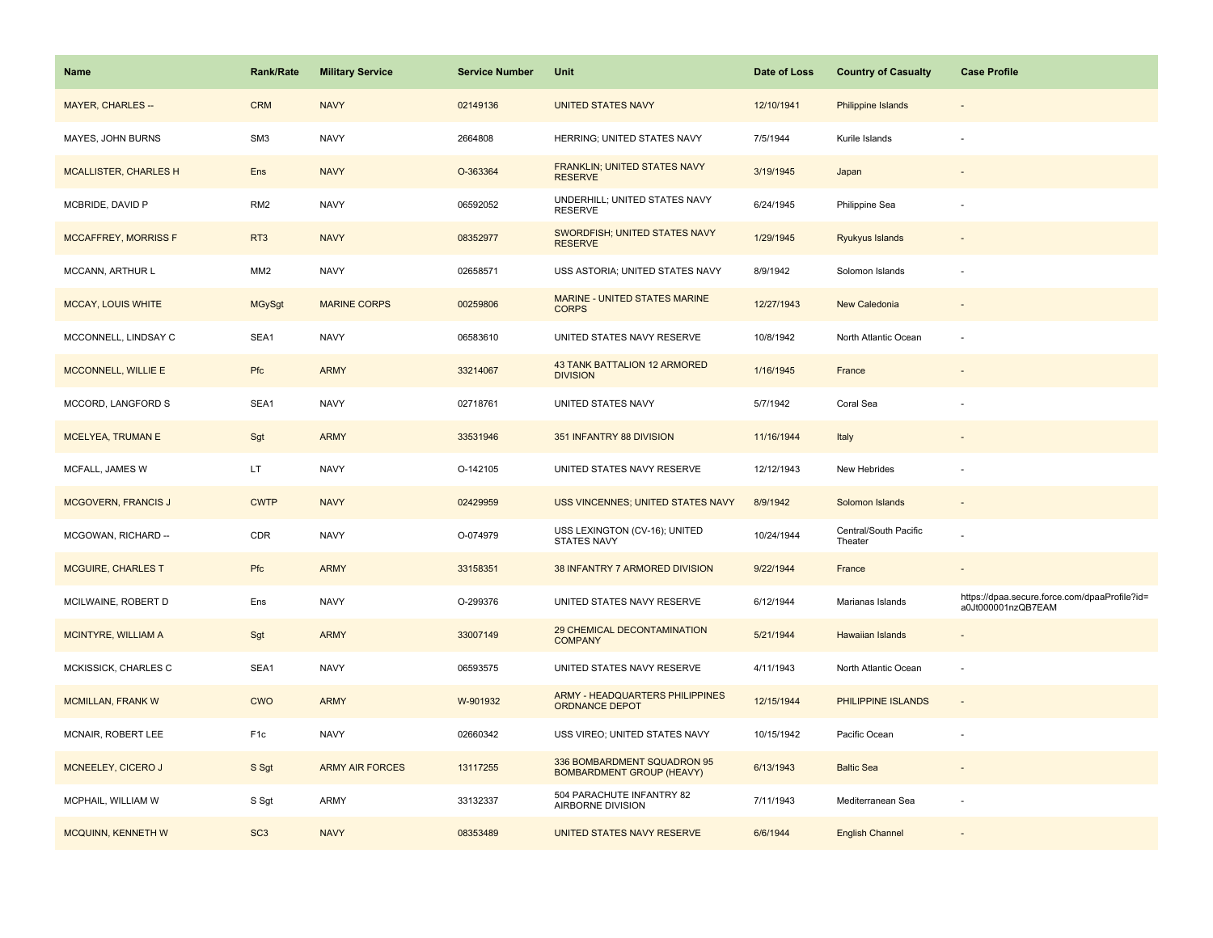| <b>Name</b>                  | <b>Rank/Rate</b> | <b>Military Service</b> | <b>Service Number</b> | Unit                                                            | Date of Loss | <b>Country of Casualty</b>       | <b>Case Profile</b>                                                 |
|------------------------------|------------------|-------------------------|-----------------------|-----------------------------------------------------------------|--------------|----------------------------------|---------------------------------------------------------------------|
| <b>MAYER, CHARLES --</b>     | <b>CRM</b>       | <b>NAVY</b>             | 02149136              | <b>UNITED STATES NAVY</b>                                       | 12/10/1941   | <b>Philippine Islands</b>        |                                                                     |
| MAYES, JOHN BURNS            | SM <sub>3</sub>  | <b>NAVY</b>             | 2664808               | HERRING; UNITED STATES NAVY                                     | 7/5/1944     | Kurile Islands                   |                                                                     |
| <b>MCALLISTER, CHARLES H</b> | Ens              | <b>NAVY</b>             | O-363364              | FRANKLIN; UNITED STATES NAVY<br><b>RESERVE</b>                  | 3/19/1945    | Japan                            |                                                                     |
| MCBRIDE, DAVID P             | RM <sub>2</sub>  | <b>NAVY</b>             | 06592052              | UNDERHILL; UNITED STATES NAVY<br><b>RESERVE</b>                 | 6/24/1945    | Philippine Sea                   |                                                                     |
| <b>MCCAFFREY, MORRISS F</b>  | RT <sub>3</sub>  | <b>NAVY</b>             | 08352977              | SWORDFISH; UNITED STATES NAVY<br><b>RESERVE</b>                 | 1/29/1945    | Ryukyus Islands                  |                                                                     |
| MCCANN, ARTHUR L             | MM <sub>2</sub>  | <b>NAVY</b>             | 02658571              | USS ASTORIA; UNITED STATES NAVY                                 | 8/9/1942     | Solomon Islands                  |                                                                     |
| <b>MCCAY, LOUIS WHITE</b>    | <b>MGySgt</b>    | <b>MARINE CORPS</b>     | 00259806              | <b>MARINE - UNITED STATES MARINE</b><br><b>CORPS</b>            | 12/27/1943   | New Caledonia                    | $\overline{\phantom{a}}$                                            |
| MCCONNELL, LINDSAY C         | SEA1             | <b>NAVY</b>             | 06583610              | UNITED STATES NAVY RESERVE                                      | 10/8/1942    | North Atlantic Ocean             |                                                                     |
| <b>MCCONNELL, WILLIE E</b>   | Pfc              | <b>ARMY</b>             | 33214067              | <b>43 TANK BATTALION 12 ARMORED</b><br><b>DIVISION</b>          | 1/16/1945    | France                           |                                                                     |
| MCCORD, LANGFORD S           | SEA1             | <b>NAVY</b>             | 02718761              | UNITED STATES NAVY                                              | 5/7/1942     | Coral Sea                        |                                                                     |
| <b>MCELYEA, TRUMAN E</b>     | Sgt              | <b>ARMY</b>             | 33531946              | 351 INFANTRY 88 DIVISION                                        | 11/16/1944   | Italy                            |                                                                     |
| MCFALL, JAMES W              | LT.              | <b>NAVY</b>             | O-142105              | UNITED STATES NAVY RESERVE                                      | 12/12/1943   | New Hebrides                     |                                                                     |
| <b>MCGOVERN, FRANCIS J</b>   | <b>CWTP</b>      | <b>NAVY</b>             | 02429959              | <b>USS VINCENNES; UNITED STATES NAVY</b>                        | 8/9/1942     | Solomon Islands                  |                                                                     |
| MCGOWAN, RICHARD --          | CDR              | <b>NAVY</b>             | O-074979              | USS LEXINGTON (CV-16); UNITED<br><b>STATES NAVY</b>             | 10/24/1944   | Central/South Pacific<br>Theater |                                                                     |
| <b>MCGUIRE, CHARLES T</b>    | Pfc              | <b>ARMY</b>             | 33158351              | 38 INFANTRY 7 ARMORED DIVISION                                  | 9/22/1944    | France                           | $\overline{\phantom{a}}$                                            |
| MCILWAINE, ROBERT D          | Ens              | <b>NAVY</b>             | O-299376              | UNITED STATES NAVY RESERVE                                      | 6/12/1944    | Marianas Islands                 | https://dpaa.secure.force.com/dpaaProfile?id=<br>a0Jt000001nzQB7EAM |
| MCINTYRE, WILLIAM A          | Sgt              | <b>ARMY</b>             | 33007149              | 29 CHEMICAL DECONTAMINATION<br><b>COMPANY</b>                   | 5/21/1944    | <b>Hawaiian Islands</b>          |                                                                     |
| MCKISSICK, CHARLES C         | SEA1             | <b>NAVY</b>             | 06593575              | UNITED STATES NAVY RESERVE                                      | 4/11/1943    | North Atlantic Ocean             |                                                                     |
| <b>MCMILLAN, FRANK W</b>     | <b>CWO</b>       | <b>ARMY</b>             | W-901932              | ARMY - HEADQUARTERS PHILIPPINES<br>ORDNANCE DEPOT               | 12/15/1944   | PHILIPPINE ISLANDS               |                                                                     |
| MCNAIR, ROBERT LEE           | F <sub>1c</sub>  | <b>NAVY</b>             | 02660342              | USS VIREO; UNITED STATES NAVY                                   | 10/15/1942   | Pacific Ocean                    |                                                                     |
| MCNEELEY, CICERO J           | S Sgt            | <b>ARMY AIR FORCES</b>  | 13117255              | 336 BOMBARDMENT SQUADRON 95<br><b>BOMBARDMENT GROUP (HEAVY)</b> | 6/13/1943    | <b>Baltic Sea</b>                |                                                                     |
| MCPHAIL, WILLIAM W           | S Sgt            | ARMY                    | 33132337              | 504 PARACHUTE INFANTRY 82<br>AIRBORNE DIVISION                  | 7/11/1943    | Mediterranean Sea                |                                                                     |
| MCQUINN, KENNETH W           | SC <sub>3</sub>  | <b>NAVY</b>             | 08353489              | UNITED STATES NAVY RESERVE                                      | 6/6/1944     | <b>English Channel</b>           |                                                                     |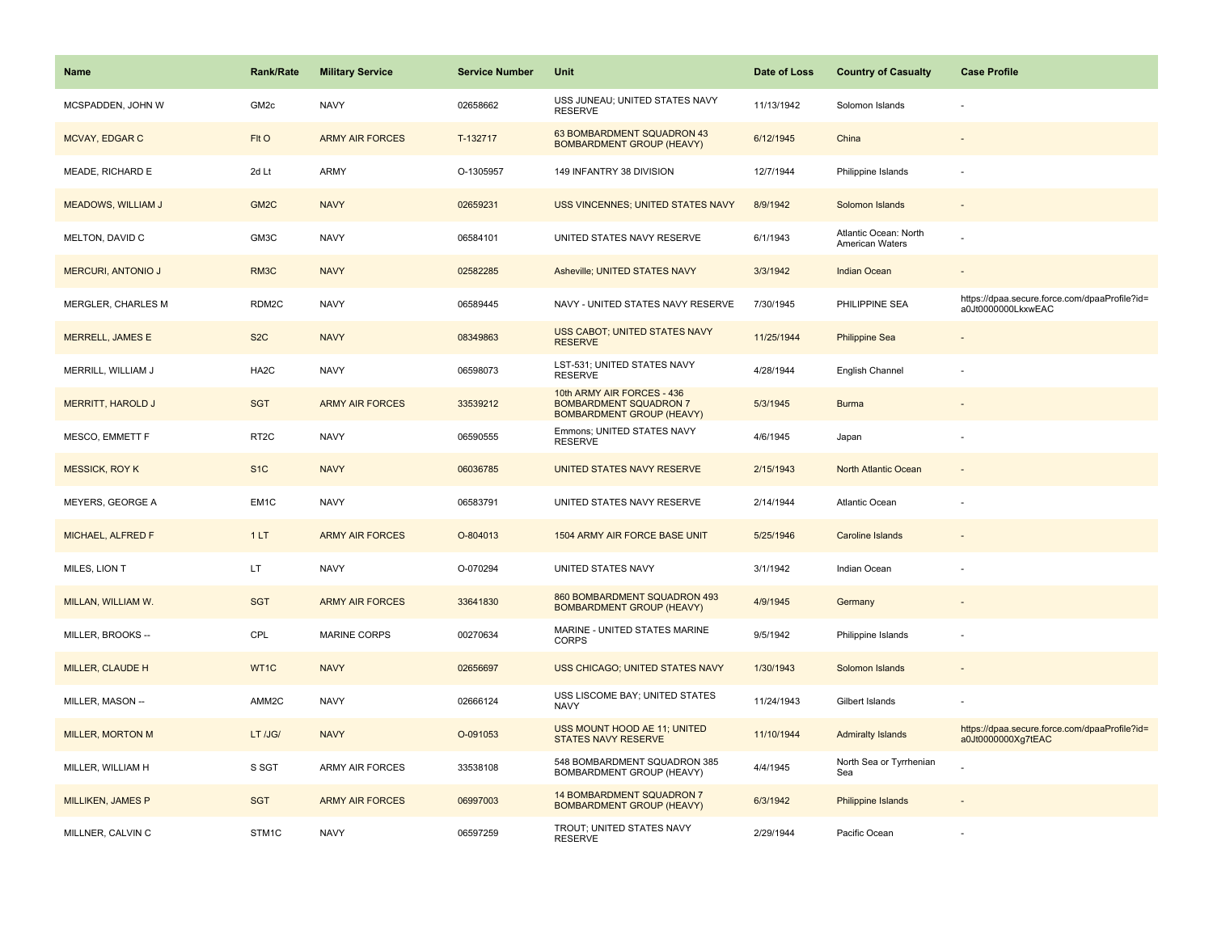| <b>Name</b>               | Rank/Rate         | <b>Military Service</b> | <b>Service Number</b> | Unit                                                                                            | Date of Loss | <b>Country of Casualty</b>               | <b>Case Profile</b>                                                 |
|---------------------------|-------------------|-------------------------|-----------------------|-------------------------------------------------------------------------------------------------|--------------|------------------------------------------|---------------------------------------------------------------------|
| MCSPADDEN, JOHN W         | GM <sub>2c</sub>  | <b>NAVY</b>             | 02658662              | USS JUNEAU; UNITED STATES NAVY<br><b>RESERVE</b>                                                | 11/13/1942   | Solomon Islands                          |                                                                     |
| MCVAY, EDGAR C            | Flt O             | <b>ARMY AIR FORCES</b>  | T-132717              | 63 BOMBARDMENT SQUADRON 43<br><b>BOMBARDMENT GROUP (HEAVY)</b>                                  | 6/12/1945    | China                                    |                                                                     |
| MEADE, RICHARD E          | 2d Lt             | <b>ARMY</b>             | O-1305957             | 149 INFANTRY 38 DIVISION                                                                        | 12/7/1944    | Philippine Islands                       |                                                                     |
| <b>MEADOWS, WILLIAM J</b> | GM <sub>2</sub> C | <b>NAVY</b>             | 02659231              | USS VINCENNES; UNITED STATES NAVY                                                               | 8/9/1942     | Solomon Islands                          |                                                                     |
| MELTON, DAVID C           | GM3C              | <b>NAVY</b>             | 06584101              | UNITED STATES NAVY RESERVE                                                                      | 6/1/1943     | Atlantic Ocean: North<br>American Waters |                                                                     |
| <b>MERCURI, ANTONIO J</b> | RM3C              | <b>NAVY</b>             | 02582285              | Asheville; UNITED STATES NAVY                                                                   | 3/3/1942     | Indian Ocean                             | $\overline{\phantom{a}}$                                            |
| MERGLER, CHARLES M        | RDM2C             | <b>NAVY</b>             | 06589445              | NAVY - UNITED STATES NAVY RESERVE                                                               | 7/30/1945    | PHILIPPINE SEA                           | https://dpaa.secure.force.com/dpaaProfile?id=<br>a0Jt0000000LkxwEAC |
| MERRELL, JAMES E          | S <sub>2</sub> C  | <b>NAVY</b>             | 08349863              | USS CABOT; UNITED STATES NAVY<br><b>RESERVE</b>                                                 | 11/25/1944   | <b>Philippine Sea</b>                    |                                                                     |
| MERRILL, WILLIAM J        | HA <sub>2</sub> C | <b>NAVY</b>             | 06598073              | LST-531; UNITED STATES NAVY<br><b>RESERVE</b>                                                   | 4/28/1944    | English Channel                          |                                                                     |
| <b>MERRITT, HAROLD J</b>  | <b>SGT</b>        | <b>ARMY AIR FORCES</b>  | 33539212              | 10th ARMY AIR FORCES - 436<br><b>BOMBARDMENT SQUADRON 7</b><br><b>BOMBARDMENT GROUP (HEAVY)</b> | 5/3/1945     | <b>Burma</b>                             |                                                                     |
| MESCO, EMMETT F           | RT <sub>2</sub> C | <b>NAVY</b>             | 06590555              | Emmons; UNITED STATES NAVY<br><b>RESERVE</b>                                                    | 4/6/1945     | Japan                                    |                                                                     |
| <b>MESSICK, ROY K</b>     | S <sub>1</sub> C  | <b>NAVY</b>             | 06036785              | UNITED STATES NAVY RESERVE                                                                      | 2/15/1943    | North Atlantic Ocean                     |                                                                     |
| MEYERS, GEORGE A          | EM <sub>1</sub> C | <b>NAVY</b>             | 06583791              | UNITED STATES NAVY RESERVE                                                                      | 2/14/1944    | <b>Atlantic Ocean</b>                    |                                                                     |
| MICHAEL, ALFRED F         | 1LT               | <b>ARMY AIR FORCES</b>  | O-804013              | 1504 ARMY AIR FORCE BASE UNIT                                                                   | 5/25/1946    | Caroline Islands                         |                                                                     |
| MILES, LION T             | LT.               | <b>NAVY</b>             | O-070294              | UNITED STATES NAVY                                                                              | 3/1/1942     | Indian Ocean                             |                                                                     |
| MILLAN, WILLIAM W.        | <b>SGT</b>        | <b>ARMY AIR FORCES</b>  | 33641830              | 860 BOMBARDMENT SQUADRON 493<br><b>BOMBARDMENT GROUP (HEAVY)</b>                                | 4/9/1945     | Germany                                  |                                                                     |
| MILLER, BROOKS --         | CPL               | <b>MARINE CORPS</b>     | 00270634              | MARINE - UNITED STATES MARINE<br><b>CORPS</b>                                                   | 9/5/1942     | Philippine Islands                       |                                                                     |
| MILLER, CLAUDE H          | WT1C              | <b>NAVY</b>             | 02656697              | USS CHICAGO; UNITED STATES NAVY                                                                 | 1/30/1943    | Solomon Islands                          |                                                                     |
| MILLER, MASON --          | AMM2C             | <b>NAVY</b>             | 02666124              | USS LISCOME BAY; UNITED STATES<br><b>NAVY</b>                                                   | 11/24/1943   | Gilbert Islands                          |                                                                     |
| <b>MILLER, MORTON M</b>   | LT /JG/           | <b>NAVY</b>             | O-091053              | USS MOUNT HOOD AE 11; UNITED<br><b>STATES NAVY RESERVE</b>                                      | 11/10/1944   | <b>Admiralty Islands</b>                 | https://dpaa.secure.force.com/dpaaProfile?id=<br>a0Jt0000000Xg7tEAC |
| MILLER, WILLIAM H         | S SGT             | <b>ARMY AIR FORCES</b>  | 33538108              | 548 BOMBARDMENT SQUADRON 385<br>BOMBARDMENT GROUP (HEAVY)                                       | 4/4/1945     | North Sea or Tyrrhenian<br>Sea           |                                                                     |
| <b>MILLIKEN, JAMES P</b>  | <b>SGT</b>        | <b>ARMY AIR FORCES</b>  | 06997003              | 14 BOMBARDMENT SQUADRON 7<br><b>BOMBARDMENT GROUP (HEAVY)</b>                                   | 6/3/1942     | Philippine Islands                       |                                                                     |
| MILLNER, CALVIN C         | STM1C             | <b>NAVY</b>             | 06597259              | TROUT; UNITED STATES NAVY<br><b>RESERVE</b>                                                     | 2/29/1944    | Pacific Ocean                            |                                                                     |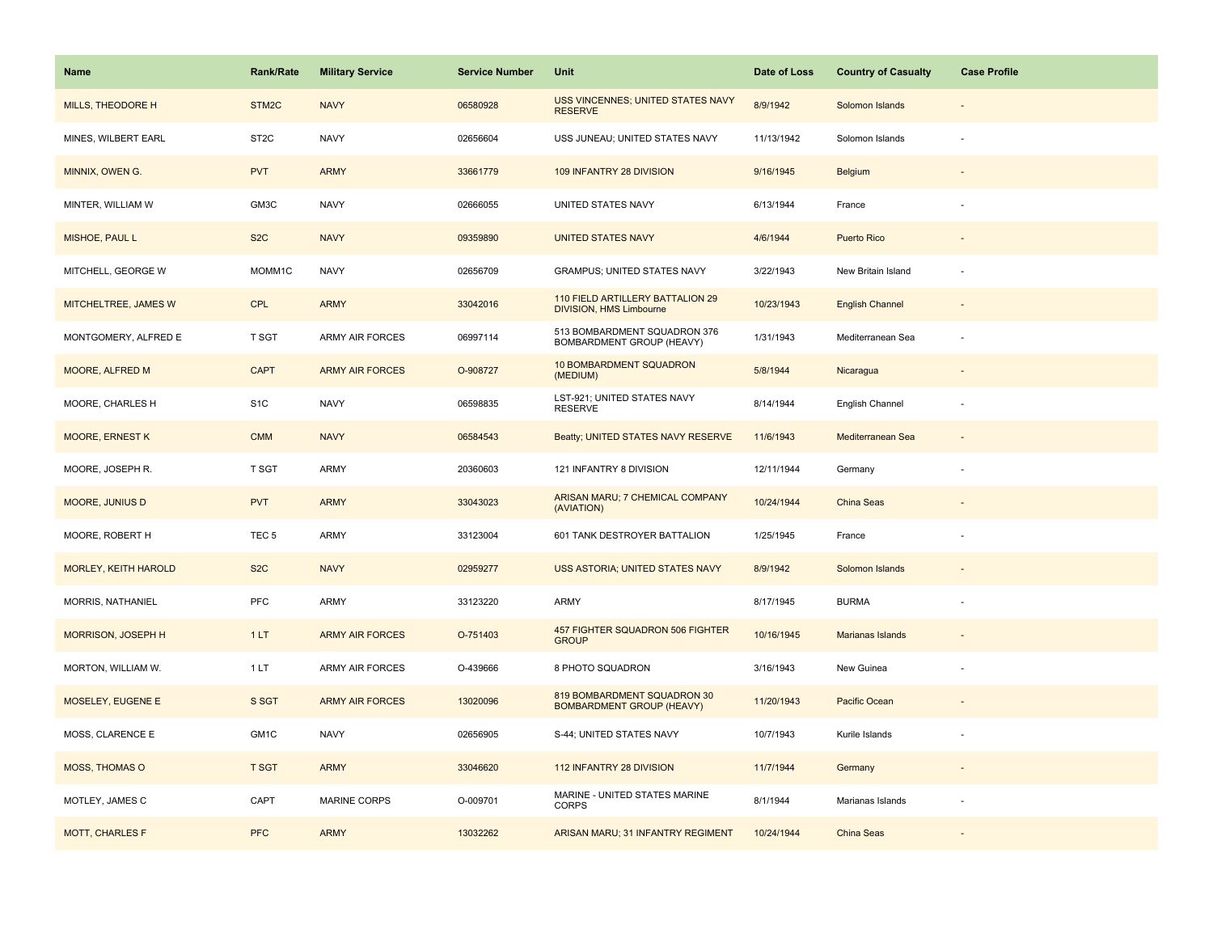| Name                        | <b>Rank/Rate</b>   | <b>Military Service</b> | <b>Service Number</b> | Unit                                                               | Date of Loss | <b>Country of Casualty</b> | <b>Case Profile</b>      |
|-----------------------------|--------------------|-------------------------|-----------------------|--------------------------------------------------------------------|--------------|----------------------------|--------------------------|
| MILLS, THEODORE H           | STM <sub>2</sub> C | <b>NAVY</b>             | 06580928              | USS VINCENNES; UNITED STATES NAVY<br><b>RESERVE</b>                | 8/9/1942     | Solomon Islands            |                          |
| MINES, WILBERT EARL         | ST <sub>2</sub> C  | <b>NAVY</b>             | 02656604              | USS JUNEAU; UNITED STATES NAVY                                     | 11/13/1942   | Solomon Islands            |                          |
| MINNIX, OWEN G.             | <b>PVT</b>         | <b>ARMY</b>             | 33661779              | 109 INFANTRY 28 DIVISION                                           | 9/16/1945    | Belgium                    |                          |
| MINTER, WILLIAM W           | GM3C               | <b>NAVY</b>             | 02666055              | UNITED STATES NAVY                                                 | 6/13/1944    | France                     |                          |
| MISHOE, PAUL L              | S <sub>2</sub> C   | <b>NAVY</b>             | 09359890              | <b>UNITED STATES NAVY</b>                                          | 4/6/1944     | <b>Puerto Rico</b>         |                          |
| MITCHELL, GEORGE W          | MOMM1C             | <b>NAVY</b>             | 02656709              | <b>GRAMPUS; UNITED STATES NAVY</b>                                 | 3/22/1943    | New Britain Island         |                          |
| MITCHELTREE, JAMES W        | CPL                | <b>ARMY</b>             | 33042016              | 110 FIELD ARTILLERY BATTALION 29<br><b>DIVISION, HMS Limbourne</b> | 10/23/1943   | <b>English Channel</b>     | $\overline{\phantom{a}}$ |
| MONTGOMERY, ALFRED E        | T SGT              | ARMY AIR FORCES         | 06997114              | 513 BOMBARDMENT SQUADRON 376<br>BOMBARDMENT GROUP (HEAVY)          | 1/31/1943    | Mediterranean Sea          |                          |
| <b>MOORE, ALFRED M</b>      | <b>CAPT</b>        | <b>ARMY AIR FORCES</b>  | O-908727              | 10 BOMBARDMENT SQUADRON<br>(MEDIUM)                                | 5/8/1944     | Nicaragua                  |                          |
| MOORE, CHARLES H            | S <sub>1</sub> C   | <b>NAVY</b>             | 06598835              | LST-921; UNITED STATES NAVY<br><b>RESERVE</b>                      | 8/14/1944    | English Channel            |                          |
| <b>MOORE, ERNEST K</b>      | <b>CMM</b>         | <b>NAVY</b>             | 06584543              | Beatty; UNITED STATES NAVY RESERVE                                 | 11/6/1943    | Mediterranean Sea          |                          |
| MOORE, JOSEPH R.            | T SGT              | ARMY                    | 20360603              | 121 INFANTRY 8 DIVISION                                            | 12/11/1944   | Germany                    |                          |
| <b>MOORE, JUNIUS D</b>      | <b>PVT</b>         | <b>ARMY</b>             | 33043023              | ARISAN MARU; 7 CHEMICAL COMPANY<br>(AVIATION)                      | 10/24/1944   | China Seas                 |                          |
| MOORE, ROBERT H             | TEC <sub>5</sub>   | ARMY                    | 33123004              | 601 TANK DESTROYER BATTALION                                       | 1/25/1945    | France                     |                          |
| <b>MORLEY, KEITH HAROLD</b> | S <sub>2</sub> C   | <b>NAVY</b>             | 02959277              | <b>USS ASTORIA: UNITED STATES NAVY</b>                             | 8/9/1942     | Solomon Islands            |                          |
| MORRIS, NATHANIEL           | PFC                | ARMY                    | 33123220              | <b>ARMY</b>                                                        | 8/17/1945    | <b>BURMA</b>               |                          |
| <b>MORRISON, JOSEPH H</b>   | 1LT                | <b>ARMY AIR FORCES</b>  | O-751403              | 457 FIGHTER SQUADRON 506 FIGHTER<br><b>GROUP</b>                   | 10/16/1945   | Marianas Islands           |                          |
| MORTON, WILLIAM W.          | 1LT                | ARMY AIR FORCES         | O-439666              | 8 PHOTO SQUADRON                                                   | 3/16/1943    | New Guinea                 |                          |
| MOSELEY, EUGENE E           | S SGT              | <b>ARMY AIR FORCES</b>  | 13020096              | 819 BOMBARDMENT SQUADRON 30<br><b>BOMBARDMENT GROUP (HEAVY)</b>    | 11/20/1943   | Pacific Ocean              |                          |
| MOSS, CLARENCE E            | GM1C               | <b>NAVY</b>             | 02656905              | S-44; UNITED STATES NAVY                                           | 10/7/1943    | Kurile Islands             |                          |
| <b>MOSS, THOMAS O</b>       | <b>T SGT</b>       | <b>ARMY</b>             | 33046620              | 112 INFANTRY 28 DIVISION                                           | 11/7/1944    | Germany                    |                          |
| MOTLEY, JAMES C             | CAPT               | <b>MARINE CORPS</b>     | O-009701              | MARINE - UNITED STATES MARINE<br><b>CORPS</b>                      | 8/1/1944     | Marianas Islands           |                          |
| <b>MOTT, CHARLES F</b>      | <b>PFC</b>         | <b>ARMY</b>             | 13032262              | ARISAN MARU; 31 INFANTRY REGIMENT                                  | 10/24/1944   | China Seas                 |                          |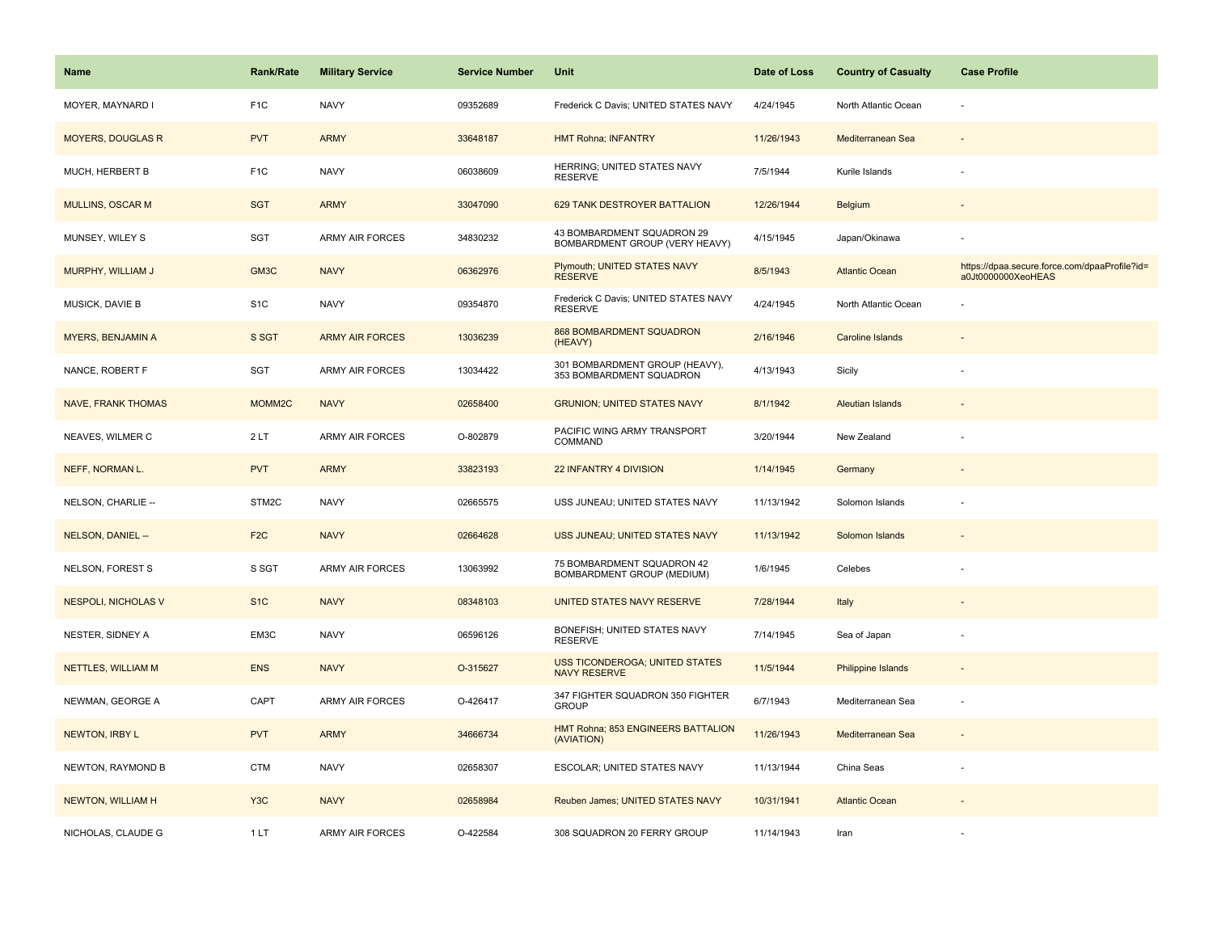| <b>Name</b>                | Rank/Rate          | <b>Military Service</b> | <b>Service Number</b> | Unit                                                         | Date of Loss | <b>Country of Casualty</b> | <b>Case Profile</b>                                                 |
|----------------------------|--------------------|-------------------------|-----------------------|--------------------------------------------------------------|--------------|----------------------------|---------------------------------------------------------------------|
| MOYER, MAYNARD I           | F <sub>1</sub> C   | <b>NAVY</b>             | 09352689              | Frederick C Davis; UNITED STATES NAVY                        | 4/24/1945    | North Atlantic Ocean       | ÷,                                                                  |
| <b>MOYERS, DOUGLAS R</b>   | <b>PVT</b>         | <b>ARMY</b>             | 33648187              | <b>HMT Rohna; INFANTRY</b>                                   | 11/26/1943   | Mediterranean Sea          |                                                                     |
| MUCH, HERBERT B            | F <sub>1C</sub>    | <b>NAVY</b>             | 06038609              | HERRING; UNITED STATES NAVY<br><b>RESERVE</b>                | 7/5/1944     | Kurile Islands             |                                                                     |
| <b>MULLINS, OSCAR M</b>    | <b>SGT</b>         | <b>ARMY</b>             | 33047090              | 629 TANK DESTROYER BATTALION                                 | 12/26/1944   | Belgium                    |                                                                     |
| MUNSEY, WILEY S            | SGT                | <b>ARMY AIR FORCES</b>  | 34830232              | 43 BOMBARDMENT SQUADRON 29<br>BOMBARDMENT GROUP (VERY HEAVY) | 4/15/1945    | Japan/Okinawa              |                                                                     |
| MURPHY, WILLIAM J          | GM3C               | <b>NAVY</b>             | 06362976              | Plymouth; UNITED STATES NAVY<br><b>RESERVE</b>               | 8/5/1943     | <b>Atlantic Ocean</b>      | https://dpaa.secure.force.com/dpaaProfile?id=<br>a0Jt0000000XeoHEAS |
| MUSICK, DAVIE B            | S <sub>1</sub> C   | <b>NAVY</b>             | 09354870              | Frederick C Davis; UNITED STATES NAVY<br><b>RESERVE</b>      | 4/24/1945    | North Atlantic Ocean       |                                                                     |
| <b>MYERS, BENJAMIN A</b>   | S SGT              | <b>ARMY AIR FORCES</b>  | 13036239              | <b>868 BOMBARDMENT SQUADRON</b><br>(HEAVY)                   | 2/16/1946    | <b>Caroline Islands</b>    |                                                                     |
| NANCE, ROBERT F            | SGT                | <b>ARMY AIR FORCES</b>  | 13034422              | 301 BOMBARDMENT GROUP (HEAVY),<br>353 BOMBARDMENT SQUADRON   | 4/13/1943    | Sicily                     |                                                                     |
| <b>NAVE, FRANK THOMAS</b>  | MOMM <sub>2C</sub> | <b>NAVY</b>             | 02658400              | <b>GRUNION; UNITED STATES NAVY</b>                           | 8/1/1942     | <b>Aleutian Islands</b>    |                                                                     |
| NEAVES, WILMER C           | 2LT                | <b>ARMY AIR FORCES</b>  | O-802879              | PACIFIC WING ARMY TRANSPORT<br>COMMAND                       | 3/20/1944    | New Zealand                |                                                                     |
| NEFF, NORMAN L.            | <b>PVT</b>         | <b>ARMY</b>             | 33823193              | 22 INFANTRY 4 DIVISION                                       | 1/14/1945    | Germany                    |                                                                     |
| NELSON, CHARLIE --         | STM2C              | <b>NAVY</b>             | 02665575              | USS JUNEAU; UNITED STATES NAVY                               | 11/13/1942   | Solomon Islands            |                                                                     |
| NELSON, DANIEL --          | F <sub>2C</sub>    | <b>NAVY</b>             | 02664628              | USS JUNEAU; UNITED STATES NAVY                               | 11/13/1942   | Solomon Islands            |                                                                     |
| NELSON, FOREST S           | S SGT              | ARMY AIR FORCES         | 13063992              | 75 BOMBARDMENT SQUADRON 42<br>BOMBARDMENT GROUP (MEDIUM)     | 1/6/1945     | Celebes                    |                                                                     |
| <b>NESPOLI, NICHOLAS V</b> | S <sub>1</sub> C   | <b>NAVY</b>             | 08348103              | UNITED STATES NAVY RESERVE                                   | 7/28/1944    | Italy                      |                                                                     |
| NESTER, SIDNEY A           | EM3C               | <b>NAVY</b>             | 06596126              | BONEFISH; UNITED STATES NAVY<br><b>RESERVE</b>               | 7/14/1945    | Sea of Japan               |                                                                     |
| NETTLES, WILLIAM M         | <b>ENS</b>         | <b>NAVY</b>             | O-315627              | <b>USS TICONDEROGA; UNITED STATES</b><br><b>NAVY RESERVE</b> | 11/5/1944    | <b>Philippine Islands</b>  | $\overline{\phantom{a}}$                                            |
| NEWMAN, GEORGE A           | CAPT               | <b>ARMY AIR FORCES</b>  | O-426417              | 347 FIGHTER SQUADRON 350 FIGHTER<br><b>GROUP</b>             | 6/7/1943     | Mediterranean Sea          | ÷,                                                                  |
| <b>NEWTON, IRBY L</b>      | <b>PVT</b>         | <b>ARMY</b>             | 34666734              | HMT Rohna; 853 ENGINEERS BATTALION<br>(AVIATION)             | 11/26/1943   | Mediterranean Sea          |                                                                     |
| NEWTON, RAYMOND B          | <b>CTM</b>         | <b>NAVY</b>             | 02658307              | ESCOLAR; UNITED STATES NAVY                                  | 11/13/1944   | China Seas                 |                                                                     |
| NEWTON, WILLIAM H          | Y <sub>3</sub> C   | <b>NAVY</b>             | 02658984              | Reuben James; UNITED STATES NAVY                             | 10/31/1941   | <b>Atlantic Ocean</b>      |                                                                     |
| NICHOLAS, CLAUDE G         | 1LT                | <b>ARMY AIR FORCES</b>  | O-422584              | 308 SQUADRON 20 FERRY GROUP                                  | 11/14/1943   | Iran                       |                                                                     |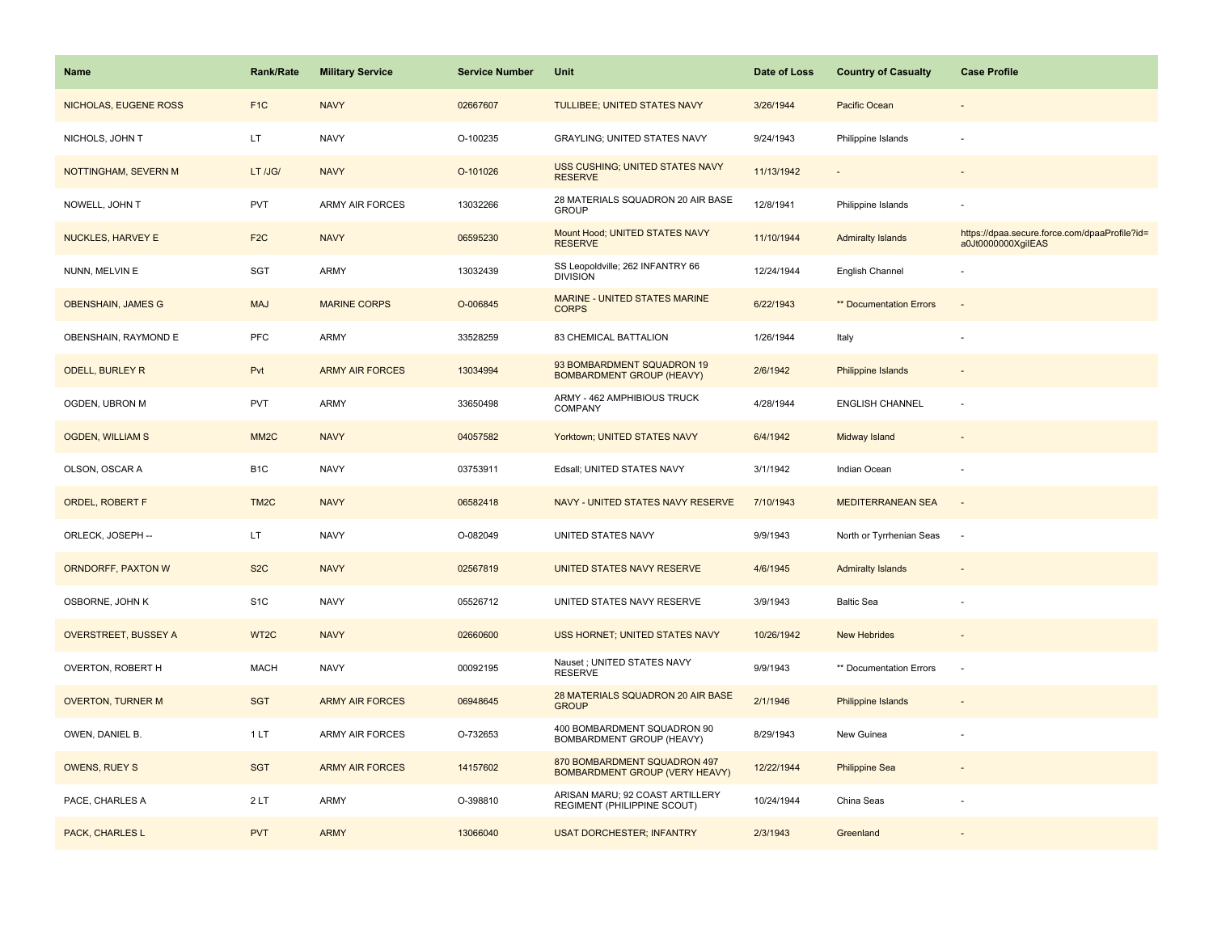| Name                        | Rank/Rate         | <b>Military Service</b> | <b>Service Number</b> | Unit                                                           | Date of Loss | <b>Country of Casualty</b> | <b>Case Profile</b>                                                 |
|-----------------------------|-------------------|-------------------------|-----------------------|----------------------------------------------------------------|--------------|----------------------------|---------------------------------------------------------------------|
| NICHOLAS, EUGENE ROSS       | F <sub>1</sub> C  | <b>NAVY</b>             | 02667607              | TULLIBEE; UNITED STATES NAVY                                   | 3/26/1944    | Pacific Ocean              |                                                                     |
| NICHOLS, JOHN T             | LT                | <b>NAVY</b>             | O-100235              | GRAYLING; UNITED STATES NAVY                                   | 9/24/1943    | Philippine Islands         | ÷,                                                                  |
| NOTTINGHAM, SEVERN M        | LT /JG/           | <b>NAVY</b>             | O-101026              | USS CUSHING; UNITED STATES NAVY<br><b>RESERVE</b>              | 11/13/1942   |                            |                                                                     |
| NOWELL, JOHN T              | <b>PVT</b>        | <b>ARMY AIR FORCES</b>  | 13032266              | 28 MATERIALS SQUADRON 20 AIR BASE<br><b>GROUP</b>              | 12/8/1941    | Philippine Islands         |                                                                     |
| <b>NUCKLES, HARVEY E</b>    | F <sub>2</sub> C  | <b>NAVY</b>             | 06595230              | Mount Hood; UNITED STATES NAVY<br><b>RESERVE</b>               | 11/10/1944   | <b>Admiralty Islands</b>   | https://dpaa.secure.force.com/dpaaProfile?id=<br>a0Jt0000000XgiIEAS |
| NUNN, MELVIN E              | SGT               | <b>ARMY</b>             | 13032439              | SS Leopoldville; 262 INFANTRY 66<br><b>DIVISION</b>            | 12/24/1944   | English Channel            |                                                                     |
| <b>OBENSHAIN, JAMES G</b>   | <b>MAJ</b>        | <b>MARINE CORPS</b>     | O-006845              | <b>MARINE - UNITED STATES MARINE</b><br><b>CORPS</b>           | 6/22/1943    | ** Documentation Errors    | ÷,                                                                  |
| OBENSHAIN, RAYMOND E        | <b>PFC</b>        | <b>ARMY</b>             | 33528259              | 83 CHEMICAL BATTALION                                          | 1/26/1944    | Italy                      |                                                                     |
| <b>ODELL, BURLEY R</b>      | Pvt               | <b>ARMY AIR FORCES</b>  | 13034994              | 93 BOMBARDMENT SQUADRON 19<br><b>BOMBARDMENT GROUP (HEAVY)</b> | 2/6/1942     | Philippine Islands         |                                                                     |
| OGDEN, UBRON M              | <b>PVT</b>        | ARMY                    | 33650498              | ARMY - 462 AMPHIBIOUS TRUCK<br>COMPANY                         | 4/28/1944    | <b>ENGLISH CHANNEL</b>     | ÷,                                                                  |
| <b>OGDEN, WILLIAM S</b>     | MM <sub>2</sub> C | <b>NAVY</b>             | 04057582              | Yorktown; UNITED STATES NAVY                                   | 6/4/1942     | Midway Island              |                                                                     |
| OLSON, OSCAR A              | B <sub>1</sub> C  | <b>NAVY</b>             | 03753911              | Edsall; UNITED STATES NAVY                                     | 3/1/1942     | Indian Ocean               |                                                                     |
| <b>ORDEL, ROBERT F</b>      | TM <sub>2</sub> C | <b>NAVY</b>             | 06582418              | NAVY - UNITED STATES NAVY RESERVE                              | 7/10/1943    | <b>MEDITERRANEAN SEA</b>   | $\overline{a}$                                                      |
| ORLECK, JOSEPH --           | LT                | <b>NAVY</b>             | O-082049              | UNITED STATES NAVY                                             | 9/9/1943     | North or Tyrrhenian Seas   | $\sim$                                                              |
| <b>ORNDORFF, PAXTON W</b>   | S <sub>2</sub> C  | <b>NAVY</b>             | 02567819              | UNITED STATES NAVY RESERVE                                     | 4/6/1945     | <b>Admiralty Islands</b>   | $\overline{\phantom{a}}$                                            |
| OSBORNE, JOHN K             | S <sub>1</sub> C  | <b>NAVY</b>             | 05526712              | UNITED STATES NAVY RESERVE                                     | 3/9/1943     | <b>Baltic Sea</b>          | ÷,                                                                  |
| <b>OVERSTREET, BUSSEY A</b> | WT <sub>2</sub> C | <b>NAVY</b>             | 02660600              | USS HORNET; UNITED STATES NAVY                                 | 10/26/1942   | <b>New Hebrides</b>        |                                                                     |
| OVERTON, ROBERT H           | <b>MACH</b>       | <b>NAVY</b>             | 00092195              | Nauset ; UNITED STATES NAVY<br><b>RESERVE</b>                  | 9/9/1943     | ** Documentation Errors    | ÷,                                                                  |
| <b>OVERTON, TURNER M</b>    | <b>SGT</b>        | <b>ARMY AIR FORCES</b>  | 06948645              | 28 MATERIALS SQUADRON 20 AIR BASE<br><b>GROUP</b>              | 2/1/1946     | <b>Philippine Islands</b>  |                                                                     |
| OWEN, DANIEL B.             | 1LT               | <b>ARMY AIR FORCES</b>  | O-732653              | 400 BOMBARDMENT SQUADRON 90<br>BOMBARDMENT GROUP (HEAVY)       | 8/29/1943    | New Guinea                 |                                                                     |
| <b>OWENS, RUEY S</b>        | <b>SGT</b>        | <b>ARMY AIR FORCES</b>  | 14157602              | 870 BOMBARDMENT SQUADRON 497<br>BOMBARDMENT GROUP (VERY HEAVY) | 12/22/1944   | <b>Philippine Sea</b>      |                                                                     |
| PACE, CHARLES A             | 2LT               | <b>ARMY</b>             | O-398810              | ARISAN MARU; 92 COAST ARTILLERY<br>REGIMENT (PHILIPPINE SCOUT) | 10/24/1944   | China Seas                 |                                                                     |
| PACK, CHARLES L             | <b>PVT</b>        | <b>ARMY</b>             | 13066040              | <b>USAT DORCHESTER; INFANTRY</b>                               | 2/3/1943     | Greenland                  |                                                                     |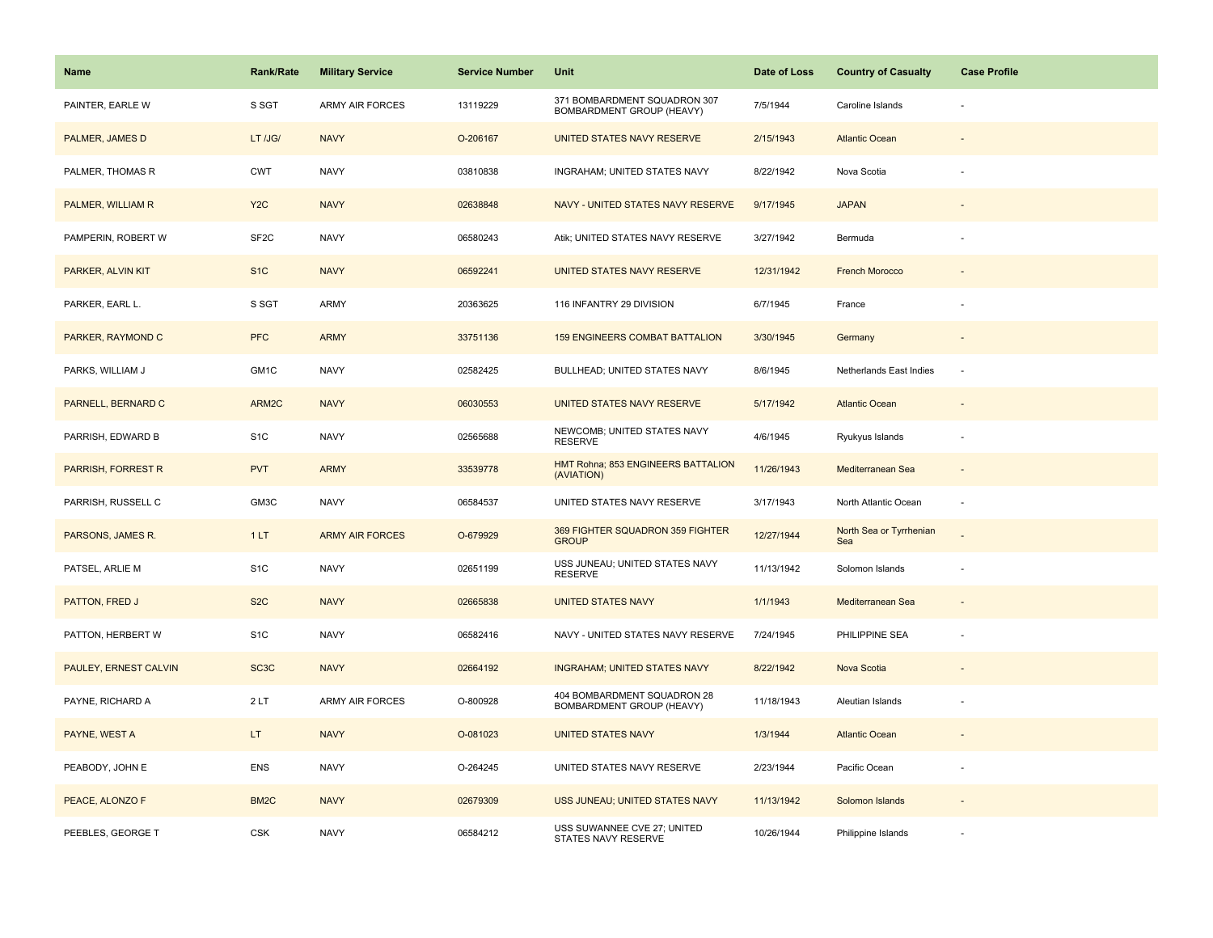| Name                  | <b>Rank/Rate</b>  | <b>Military Service</b> | <b>Service Number</b> | Unit                                                      | Date of Loss | <b>Country of Casualty</b>     | <b>Case Profile</b>      |
|-----------------------|-------------------|-------------------------|-----------------------|-----------------------------------------------------------|--------------|--------------------------------|--------------------------|
| PAINTER, EARLE W      | S SGT             | <b>ARMY AIR FORCES</b>  | 13119229              | 371 BOMBARDMENT SQUADRON 307<br>BOMBARDMENT GROUP (HEAVY) | 7/5/1944     | Caroline Islands               |                          |
| PALMER, JAMES D       | LT /JG/           | <b>NAVY</b>             | O-206167              | UNITED STATES NAVY RESERVE                                | 2/15/1943    | <b>Atlantic Ocean</b>          |                          |
| PALMER, THOMAS R      | <b>CWT</b>        | <b>NAVY</b>             | 03810838              | INGRAHAM; UNITED STATES NAVY                              | 8/22/1942    | Nova Scotia                    |                          |
| PALMER, WILLIAM R     | Y <sub>2</sub> C  | <b>NAVY</b>             | 02638848              | NAVY - UNITED STATES NAVY RESERVE                         | 9/17/1945    | <b>JAPAN</b>                   |                          |
| PAMPERIN, ROBERT W    | SF <sub>2</sub> C | <b>NAVY</b>             | 06580243              | Atik; UNITED STATES NAVY RESERVE                          | 3/27/1942    | Bermuda                        |                          |
| PARKER, ALVIN KIT     | S <sub>1</sub> C  | <b>NAVY</b>             | 06592241              | UNITED STATES NAVY RESERVE                                | 12/31/1942   | <b>French Morocco</b>          |                          |
| PARKER, EARL L.       | S SGT             | ARMY                    | 20363625              | 116 INFANTRY 29 DIVISION                                  | 6/7/1945     | France                         |                          |
| PARKER, RAYMOND C     | <b>PFC</b>        | <b>ARMY</b>             | 33751136              | <b>159 ENGINEERS COMBAT BATTALION</b>                     | 3/30/1945    | Germany                        |                          |
| PARKS, WILLIAM J      | GM1C              | <b>NAVY</b>             | 02582425              | <b>BULLHEAD: UNITED STATES NAVY</b>                       | 8/6/1945     | Netherlands East Indies        | ×.                       |
| PARNELL, BERNARD C    | ARM2C             | <b>NAVY</b>             | 06030553              | UNITED STATES NAVY RESERVE                                | 5/17/1942    | <b>Atlantic Ocean</b>          |                          |
| PARRISH, EDWARD B     | S <sub>1</sub> C  | <b>NAVY</b>             | 02565688              | NEWCOMB; UNITED STATES NAVY<br><b>RESERVE</b>             | 4/6/1945     | Ryukyus Islands                |                          |
| PARRISH, FORREST R    | <b>PVT</b>        | <b>ARMY</b>             | 33539778              | HMT Rohna; 853 ENGINEERS BATTALION<br>(AVIATION)          | 11/26/1943   | Mediterranean Sea              | $\sim$                   |
| PARRISH, RUSSELL C    | GM3C              | <b>NAVY</b>             | 06584537              | UNITED STATES NAVY RESERVE                                | 3/17/1943    | North Atlantic Ocean           | $\overline{\phantom{a}}$ |
| PARSONS, JAMES R.     | 1LT               | <b>ARMY AIR FORCES</b>  | O-679929              | 369 FIGHTER SQUADRON 359 FIGHTER<br><b>GROUP</b>          | 12/27/1944   | North Sea or Tyrrhenian<br>Sea |                          |
| PATSEL, ARLIE M       | S <sub>1</sub> C  | <b>NAVY</b>             | 02651199              | USS JUNEAU; UNITED STATES NAVY<br><b>RESERVE</b>          | 11/13/1942   | Solomon Islands                | $\overline{\phantom{a}}$ |
| PATTON, FRED J        | S <sub>2</sub> C  | <b>NAVY</b>             | 02665838              | <b>UNITED STATES NAVY</b>                                 | 1/1/1943     | Mediterranean Sea              |                          |
| PATTON, HERBERT W     | S <sub>1</sub> C  | <b>NAVY</b>             | 06582416              | NAVY - UNITED STATES NAVY RESERVE                         | 7/24/1945    | PHILIPPINE SEA                 |                          |
| PAULEY, ERNEST CALVIN | SC <sub>3</sub> C | <b>NAVY</b>             | 02664192              | <b>INGRAHAM; UNITED STATES NAVY</b>                       | 8/22/1942    | Nova Scotia                    |                          |
| PAYNE, RICHARD A      | 2LT               | ARMY AIR FORCES         | O-800928              | 404 BOMBARDMENT SQUADRON 28<br>BOMBARDMENT GROUP (HEAVY)  | 11/18/1943   | Aleutian Islands               |                          |
| PAYNE, WEST A         | LT.               | <b>NAVY</b>             | O-081023              | <b>UNITED STATES NAVY</b>                                 | 1/3/1944     | <b>Atlantic Ocean</b>          |                          |
| PEABODY, JOHN E       | ENS               | <b>NAVY</b>             | O-264245              | UNITED STATES NAVY RESERVE                                | 2/23/1944    | Pacific Ocean                  |                          |
| PEACE, ALONZO F       | BM <sub>2</sub> C | <b>NAVY</b>             | 02679309              | USS JUNEAU; UNITED STATES NAVY                            | 11/13/1942   | Solomon Islands                |                          |
| PEEBLES, GEORGE T     | CSK               | <b>NAVY</b>             | 06584212              | USS SUWANNEE CVE 27; UNITED<br>STATES NAVY RESERVE        | 10/26/1944   | Philippine Islands             |                          |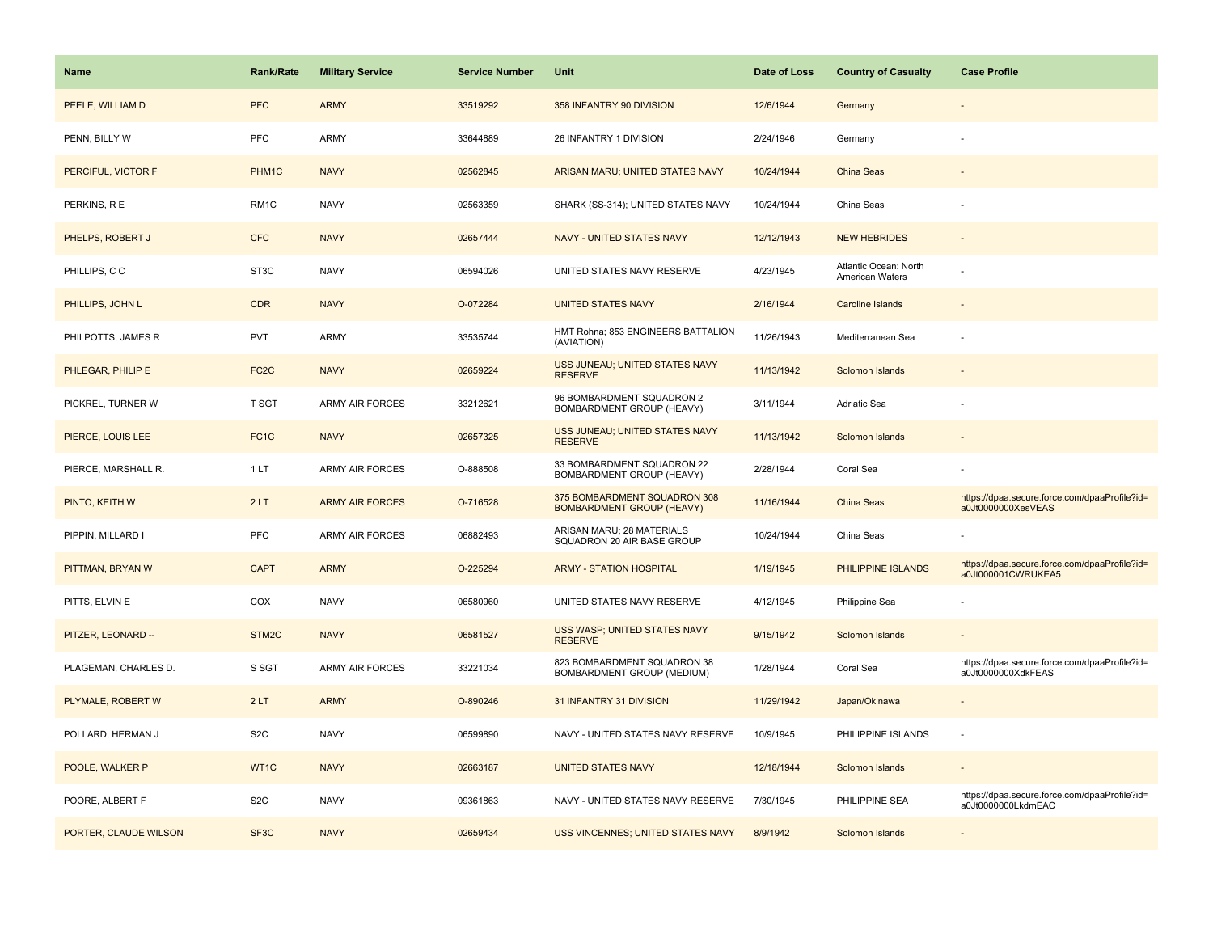| Name                  | <b>Rank/Rate</b>  | <b>Military Service</b> | <b>Service Number</b> | Unit                                                             | Date of Loss | <b>Country of Casualty</b>               | <b>Case Profile</b>                                                 |
|-----------------------|-------------------|-------------------------|-----------------------|------------------------------------------------------------------|--------------|------------------------------------------|---------------------------------------------------------------------|
| PEELE, WILLIAM D      | <b>PFC</b>        | <b>ARMY</b>             | 33519292              | 358 INFANTRY 90 DIVISION                                         | 12/6/1944    | Germany                                  |                                                                     |
| PENN, BILLY W         | PFC               | ARMY                    | 33644889              | 26 INFANTRY 1 DIVISION                                           | 2/24/1946    | Germany                                  |                                                                     |
| PERCIFUL, VICTOR F    | PHM1C             | <b>NAVY</b>             | 02562845              | ARISAN MARU; UNITED STATES NAVY                                  | 10/24/1944   | <b>China Seas</b>                        |                                                                     |
| PERKINS, R E          | RM1C              | <b>NAVY</b>             | 02563359              | SHARK (SS-314); UNITED STATES NAVY                               | 10/24/1944   | China Seas                               |                                                                     |
| PHELPS, ROBERT J      | <b>CFC</b>        | <b>NAVY</b>             | 02657444              | NAVY - UNITED STATES NAVY                                        | 12/12/1943   | <b>NEW HEBRIDES</b>                      |                                                                     |
| PHILLIPS, CC          | ST <sub>3</sub> C | <b>NAVY</b>             | 06594026              | UNITED STATES NAVY RESERVE                                       | 4/23/1945    | Atlantic Ocean: North<br>American Waters |                                                                     |
| PHILLIPS, JOHN L      | <b>CDR</b>        | <b>NAVY</b>             | O-072284              | <b>UNITED STATES NAVY</b>                                        | 2/16/1944    | Caroline Islands                         | $\sim$                                                              |
| PHILPOTTS, JAMES R    | <b>PVT</b>        | ARMY                    | 33535744              | HMT Rohna; 853 ENGINEERS BATTALION<br>(AVIATION)                 | 11/26/1943   | Mediterranean Sea                        |                                                                     |
| PHLEGAR, PHILIP E     | FC <sub>2</sub> C | <b>NAVY</b>             | 02659224              | USS JUNEAU; UNITED STATES NAVY<br><b>RESERVE</b>                 | 11/13/1942   | Solomon Islands                          |                                                                     |
| PICKREL, TURNER W     | T SGT             | <b>ARMY AIR FORCES</b>  | 33212621              | 96 BOMBARDMENT SQUADRON 2<br>BOMBARDMENT GROUP (HEAVY)           | 3/11/1944    | Adriatic Sea                             |                                                                     |
| PIERCE, LOUIS LEE     | FC <sub>1</sub> C | <b>NAVY</b>             | 02657325              | USS JUNEAU; UNITED STATES NAVY<br><b>RESERVE</b>                 | 11/13/1942   | Solomon Islands                          |                                                                     |
| PIERCE, MARSHALL R.   | 1 LT              | ARMY AIR FORCES         | O-888508              | 33 BOMBARDMENT SQUADRON 22<br>BOMBARDMENT GROUP (HEAVY)          | 2/28/1944    | Coral Sea                                |                                                                     |
| PINTO, KEITH W        | 2LT               | <b>ARMY AIR FORCES</b>  | O-716528              | 375 BOMBARDMENT SQUADRON 308<br><b>BOMBARDMENT GROUP (HEAVY)</b> | 11/16/1944   | <b>China Seas</b>                        | https://dpaa.secure.force.com/dpaaProfile?id=<br>a0Jt0000000XesVEAS |
| PIPPIN, MILLARD I     | PFC               | ARMY AIR FORCES         | 06882493              | ARISAN MARU; 28 MATERIALS<br>SQUADRON 20 AIR BASE GROUP          | 10/24/1944   | China Seas                               |                                                                     |
| PITTMAN, BRYAN W      | <b>CAPT</b>       | <b>ARMY</b>             | O-225294              | <b>ARMY - STATION HOSPITAL</b>                                   | 1/19/1945    | PHILIPPINE ISLANDS                       | https://dpaa.secure.force.com/dpaaProfile?id=<br>a0Jt000001CWRUKEA5 |
| PITTS, ELVIN E        | COX               | <b>NAVY</b>             | 06580960              | UNITED STATES NAVY RESERVE                                       | 4/12/1945    | Philippine Sea                           |                                                                     |
| PITZER, LEONARD --    | STM <sub>2C</sub> | <b>NAVY</b>             | 06581527              | <b>USS WASP; UNITED STATES NAVY</b><br><b>RESERVE</b>            | 9/15/1942    | Solomon Islands                          |                                                                     |
| PLAGEMAN, CHARLES D.  | S SGT             | ARMY AIR FORCES         | 33221034              | 823 BOMBARDMENT SQUADRON 38<br>BOMBARDMENT GROUP (MEDIUM)        | 1/28/1944    | Coral Sea                                | https://dpaa.secure.force.com/dpaaProfile?id=<br>a0Jt0000000XdkFEAS |
| PLYMALE, ROBERT W     | 2LT               | <b>ARMY</b>             | O-890246              | 31 INFANTRY 31 DIVISION                                          | 11/29/1942   | Japan/Okinawa                            |                                                                     |
| POLLARD, HERMAN J     | S <sub>2</sub> C  | <b>NAVY</b>             | 06599890              | NAVY - UNITED STATES NAVY RESERVE                                | 10/9/1945    | PHILIPPINE ISLANDS                       |                                                                     |
| POOLE, WALKER P       | WT1C              | <b>NAVY</b>             | 02663187              | <b>UNITED STATES NAVY</b>                                        | 12/18/1944   | Solomon Islands                          |                                                                     |
| POORE, ALBERT F       | S <sub>2</sub> C  | <b>NAVY</b>             | 09361863              | NAVY - UNITED STATES NAVY RESERVE                                | 7/30/1945    | PHILIPPINE SEA                           | https://dpaa.secure.force.com/dpaaProfile?id=<br>a0Jt0000000LkdmEAC |
| PORTER, CLAUDE WILSON | SF <sub>3</sub> C | <b>NAVY</b>             | 02659434              | USS VINCENNES; UNITED STATES NAVY                                | 8/9/1942     | Solomon Islands                          |                                                                     |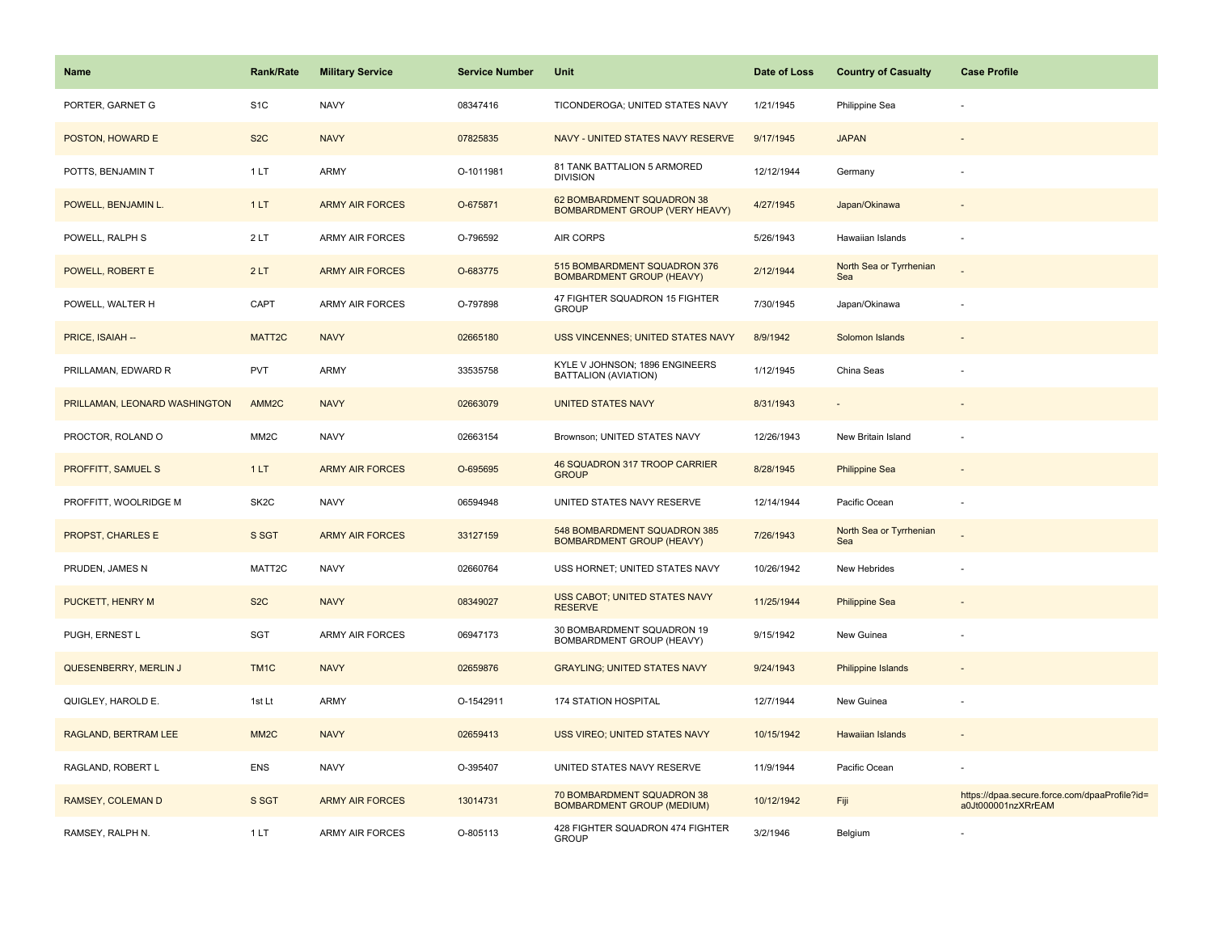| Name                          | <b>Rank/Rate</b>  | <b>Military Service</b> | <b>Service Number</b> | Unit                                                                | Date of Loss | <b>Country of Casualty</b>     | <b>Case Profile</b>                                                 |
|-------------------------------|-------------------|-------------------------|-----------------------|---------------------------------------------------------------------|--------------|--------------------------------|---------------------------------------------------------------------|
| PORTER, GARNET G              | S <sub>1</sub> C  | <b>NAVY</b>             | 08347416              | TICONDEROGA; UNITED STATES NAVY                                     | 1/21/1945    | Philippine Sea                 |                                                                     |
| POSTON, HOWARD E              | S <sub>2</sub> C  | <b>NAVY</b>             | 07825835              | NAVY - UNITED STATES NAVY RESERVE                                   | 9/17/1945    | <b>JAPAN</b>                   |                                                                     |
| POTTS, BENJAMIN T             | 1LT               | ARMY                    | O-1011981             | 81 TANK BATTALION 5 ARMORED<br><b>DIVISION</b>                      | 12/12/1944   | Germany                        |                                                                     |
| POWELL, BENJAMIN L.           | 1LT               | <b>ARMY AIR FORCES</b>  | O-675871              | 62 BOMBARDMENT SQUADRON 38<br><b>BOMBARDMENT GROUP (VERY HEAVY)</b> | 4/27/1945    | Japan/Okinawa                  |                                                                     |
| POWELL, RALPH S               | 2LT               | ARMY AIR FORCES         | O-796592              | <b>AIR CORPS</b>                                                    | 5/26/1943    | Hawaiian Islands               |                                                                     |
| POWELL, ROBERT E              | 2LT               | <b>ARMY AIR FORCES</b>  | O-683775              | 515 BOMBARDMENT SQUADRON 376<br><b>BOMBARDMENT GROUP (HEAVY)</b>    | 2/12/1944    | North Sea or Tyrrhenian<br>Sea |                                                                     |
| POWELL, WALTER H              | CAPT              | <b>ARMY AIR FORCES</b>  | O-797898              | 47 FIGHTER SQUADRON 15 FIGHTER<br><b>GROUP</b>                      | 7/30/1945    | Japan/Okinawa                  | ÷                                                                   |
| PRICE, ISAIAH --              | MATT2C            | <b>NAVY</b>             | 02665180              | USS VINCENNES; UNITED STATES NAVY                                   | 8/9/1942     | Solomon Islands                |                                                                     |
| PRILLAMAN, EDWARD R           | PVT               | ARMY                    | 33535758              | KYLE V JOHNSON; 1896 ENGINEERS<br>BATTALION (AVIATION)              | 1/12/1945    | China Seas                     |                                                                     |
| PRILLAMAN, LEONARD WASHINGTON | AMM <sub>2C</sub> | <b>NAVY</b>             | 02663079              | <b>UNITED STATES NAVY</b>                                           | 8/31/1943    |                                |                                                                     |
| PROCTOR, ROLAND O             | MM <sub>2</sub> C | <b>NAVY</b>             | 02663154              | Brownson; UNITED STATES NAVY                                        | 12/26/1943   | New Britain Island             |                                                                     |
| PROFFITT, SAMUEL S            | 1LT               | <b>ARMY AIR FORCES</b>  | O-695695              | 46 SQUADRON 317 TROOP CARRIER<br><b>GROUP</b>                       | 8/28/1945    | <b>Philippine Sea</b>          |                                                                     |
| PROFFITT, WOOLRIDGE M         | SK <sub>2</sub> C | <b>NAVY</b>             | 06594948              | UNITED STATES NAVY RESERVE                                          | 12/14/1944   | Pacific Ocean                  | ÷,                                                                  |
| PROPST, CHARLES E             | S SGT             | <b>ARMY AIR FORCES</b>  | 33127159              | 548 BOMBARDMENT SQUADRON 385<br><b>BOMBARDMENT GROUP (HEAVY)</b>    | 7/26/1943    | North Sea or Tyrrhenian<br>Sea |                                                                     |
| PRUDEN, JAMES N               | MATT2C            | <b>NAVY</b>             | 02660764              | USS HORNET; UNITED STATES NAVY                                      | 10/26/1942   | New Hebrides                   |                                                                     |
| PUCKETT, HENRY M              | S <sub>2</sub> C  | <b>NAVY</b>             | 08349027              | <b>USS CABOT; UNITED STATES NAVY</b><br><b>RESERVE</b>              | 11/25/1944   | <b>Philippine Sea</b>          |                                                                     |
| PUGH, ERNEST L                | SGT               | <b>ARMY AIR FORCES</b>  | 06947173              | 30 BOMBARDMENT SQUADRON 19<br>BOMBARDMENT GROUP (HEAVY)             | 9/15/1942    | New Guinea                     |                                                                     |
| QUESENBERRY, MERLIN J         | TM <sub>1C</sub>  | <b>NAVY</b>             | 02659876              | <b>GRAYLING; UNITED STATES NAVY</b>                                 | 9/24/1943    | Philippine Islands             |                                                                     |
| QUIGLEY, HAROLD E.            | 1st Lt            | ARMY                    | O-1542911             | 174 STATION HOSPITAL                                                | 12/7/1944    | New Guinea                     |                                                                     |
| RAGLAND, BERTRAM LEE          | MM <sub>2</sub> C | <b>NAVY</b>             | 02659413              | USS VIREO; UNITED STATES NAVY                                       | 10/15/1942   | <b>Hawaiian Islands</b>        | $\overline{\phantom{a}}$                                            |
| RAGLAND, ROBERT L             | <b>ENS</b>        | <b>NAVY</b>             | O-395407              | UNITED STATES NAVY RESERVE                                          | 11/9/1944    | Pacific Ocean                  |                                                                     |
| RAMSEY, COLEMAN D             | S SGT             | <b>ARMY AIR FORCES</b>  | 13014731              | 70 BOMBARDMENT SQUADRON 38<br><b>BOMBARDMENT GROUP (MEDIUM)</b>     | 10/12/1942   | Fiji                           | https://dpaa.secure.force.com/dpaaProfile?id=<br>a0Jt000001nzXRrEAM |
| RAMSEY, RALPH N.              | 1LT               | <b>ARMY AIR FORCES</b>  | O-805113              | 428 FIGHTER SQUADRON 474 FIGHTER<br><b>GROUP</b>                    | 3/2/1946     | Belgium                        |                                                                     |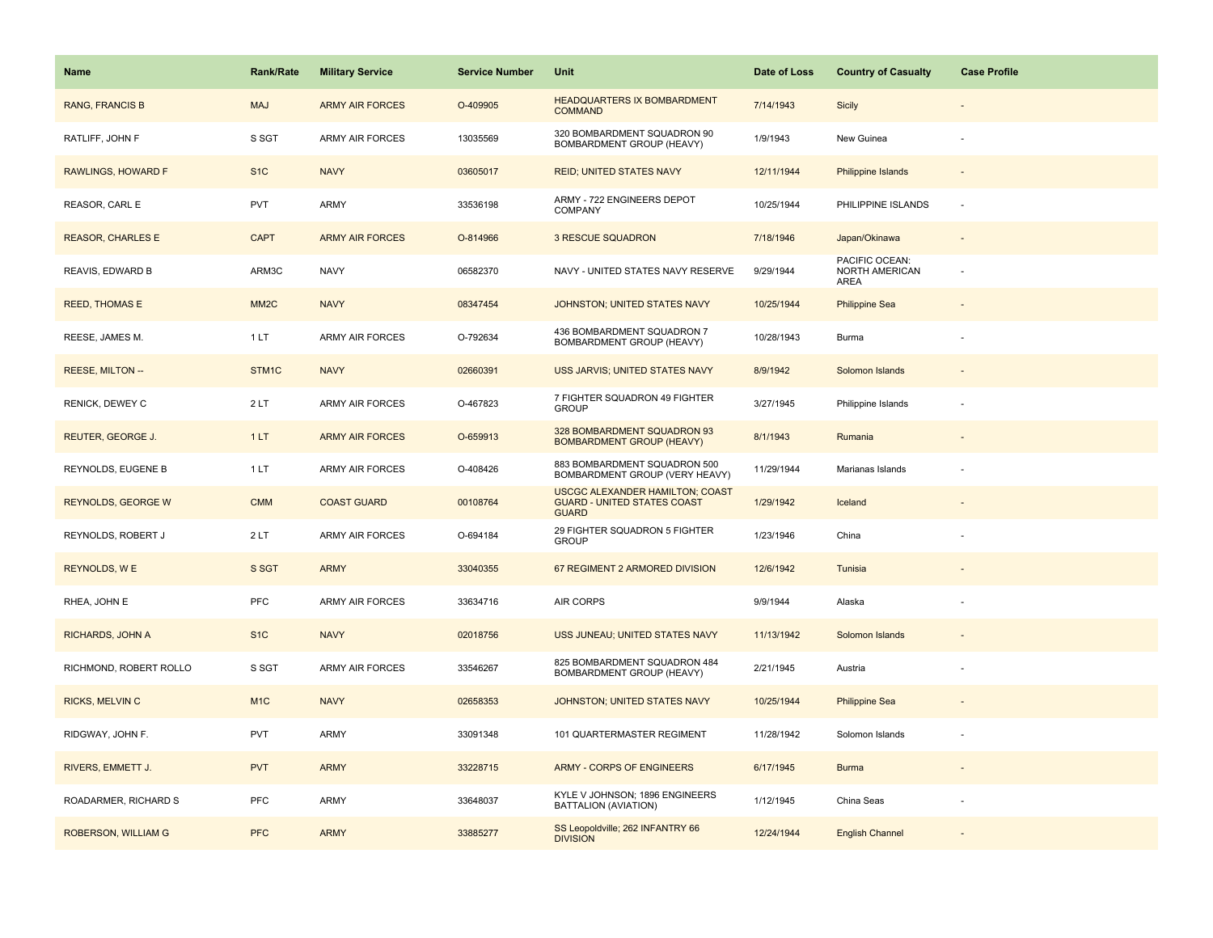| <b>Name</b>               | <b>Rank/Rate</b>  | <b>Military Service</b> | <b>Service Number</b> | Unit                                                                                         | Date of Loss | <b>Country of Casualty</b>               | <b>Case Profile</b> |
|---------------------------|-------------------|-------------------------|-----------------------|----------------------------------------------------------------------------------------------|--------------|------------------------------------------|---------------------|
| <b>RANG, FRANCIS B</b>    | <b>MAJ</b>        | <b>ARMY AIR FORCES</b>  | O-409905              | <b>HEADQUARTERS IX BOMBARDMENT</b><br><b>COMMAND</b>                                         | 7/14/1943    | <b>Sicily</b>                            |                     |
| RATLIFF, JOHN F           | S SGT             | ARMY AIR FORCES         | 13035569              | 320 BOMBARDMENT SQUADRON 90<br>BOMBARDMENT GROUP (HEAVY)                                     | 1/9/1943     | New Guinea                               |                     |
| RAWLINGS, HOWARD F        | S <sub>1</sub> C  | <b>NAVY</b>             | 03605017              | <b>REID; UNITED STATES NAVY</b>                                                              | 12/11/1944   | <b>Philippine Islands</b>                |                     |
| REASOR, CARL E            | <b>PVT</b>        | ARMY                    | 33536198              | ARMY - 722 ENGINEERS DEPOT<br>COMPANY                                                        | 10/25/1944   | PHILIPPINE ISLANDS                       | $\sim$              |
| <b>REASOR, CHARLES E</b>  | <b>CAPT</b>       | <b>ARMY AIR FORCES</b>  | O-814966              | <b>3 RESCUE SQUADRON</b>                                                                     | 7/18/1946    | Japan/Okinawa                            |                     |
| REAVIS, EDWARD B          | ARM3C             | <b>NAVY</b>             | 06582370              | NAVY - UNITED STATES NAVY RESERVE                                                            | 9/29/1944    | PACIFIC OCEAN:<br>NORTH AMERICAN<br>AREA |                     |
| <b>REED, THOMAS E</b>     | MM <sub>2</sub> C | <b>NAVY</b>             | 08347454              | JOHNSTON; UNITED STATES NAVY                                                                 | 10/25/1944   | <b>Philippine Sea</b>                    |                     |
| REESE, JAMES M.           | 1LT               | <b>ARMY AIR FORCES</b>  | O-792634              | 436 BOMBARDMENT SQUADRON 7<br>BOMBARDMENT GROUP (HEAVY)                                      | 10/28/1943   | Burma                                    |                     |
| <b>REESE, MILTON --</b>   | STM1C             | <b>NAVY</b>             | 02660391              | USS JARVIS; UNITED STATES NAVY                                                               | 8/9/1942     | Solomon Islands                          |                     |
| RENICK, DEWEY C           | 2LT               | <b>ARMY AIR FORCES</b>  | O-467823              | 7 FIGHTER SQUADRON 49 FIGHTER<br><b>GROUP</b>                                                | 3/27/1945    | Philippine Islands                       |                     |
| REUTER, GEORGE J.         | 1LT               | <b>ARMY AIR FORCES</b>  | O-659913              | 328 BOMBARDMENT SQUADRON 93<br><b>BOMBARDMENT GROUP (HEAVY)</b>                              | 8/1/1943     | Rumania                                  |                     |
| REYNOLDS, EUGENE B        | 1 LT              | <b>ARMY AIR FORCES</b>  | O-408426              | 883 BOMBARDMENT SQUADRON 500<br>BOMBARDMENT GROUP (VERY HEAVY)                               | 11/29/1944   | Marianas Islands                         |                     |
| <b>REYNOLDS, GEORGE W</b> | <b>CMM</b>        | <b>COAST GUARD</b>      | 00108764              | <b>USCGC ALEXANDER HAMILTON; COAST</b><br><b>GUARD - UNITED STATES COAST</b><br><b>GUARD</b> | 1/29/1942    | Iceland                                  |                     |
| REYNOLDS, ROBERT J        | 2LT               | ARMY AIR FORCES         | O-694184              | 29 FIGHTER SQUADRON 5 FIGHTER<br><b>GROUP</b>                                                | 1/23/1946    | China                                    |                     |
| <b>REYNOLDS, WE</b>       | S SGT             | <b>ARMY</b>             | 33040355              | 67 REGIMENT 2 ARMORED DIVISION                                                               | 12/6/1942    | Tunisia                                  |                     |
| RHEA, JOHN E              | PFC               | ARMY AIR FORCES         | 33634716              | AIR CORPS                                                                                    | 9/9/1944     | Alaska                                   |                     |
| <b>RICHARDS, JOHN A</b>   | S <sub>1C</sub>   | <b>NAVY</b>             | 02018756              | USS JUNEAU; UNITED STATES NAVY                                                               | 11/13/1942   | Solomon Islands                          |                     |
| RICHMOND, ROBERT ROLLO    | S SGT             | <b>ARMY AIR FORCES</b>  | 33546267              | 825 BOMBARDMENT SQUADRON 484<br>BOMBARDMENT GROUP (HEAVY)                                    | 2/21/1945    | Austria                                  |                     |
| <b>RICKS, MELVIN C</b>    | M <sub>1</sub> C  | <b>NAVY</b>             | 02658353              | <b>JOHNSTON; UNITED STATES NAVY</b>                                                          | 10/25/1944   | <b>Philippine Sea</b>                    |                     |
| RIDGWAY, JOHN F.          | <b>PVT</b>        | ARMY                    | 33091348              | 101 QUARTERMASTER REGIMENT                                                                   | 11/28/1942   | Solomon Islands                          |                     |
| RIVERS, EMMETT J.         | <b>PVT</b>        | <b>ARMY</b>             | 33228715              | ARMY - CORPS OF ENGINEERS                                                                    | 6/17/1945    | <b>Burma</b>                             |                     |
| ROADARMER, RICHARD S      | <b>PFC</b>        | ARMY                    | 33648037              | KYLE V JOHNSON; 1896 ENGINEERS<br>BATTALION (AVIATION)                                       | 1/12/1945    | China Seas                               |                     |
| ROBERSON, WILLIAM G       | <b>PFC</b>        | <b>ARMY</b>             | 33885277              | SS Leopoldville; 262 INFANTRY 66<br><b>DIVISION</b>                                          | 12/24/1944   | <b>English Channel</b>                   |                     |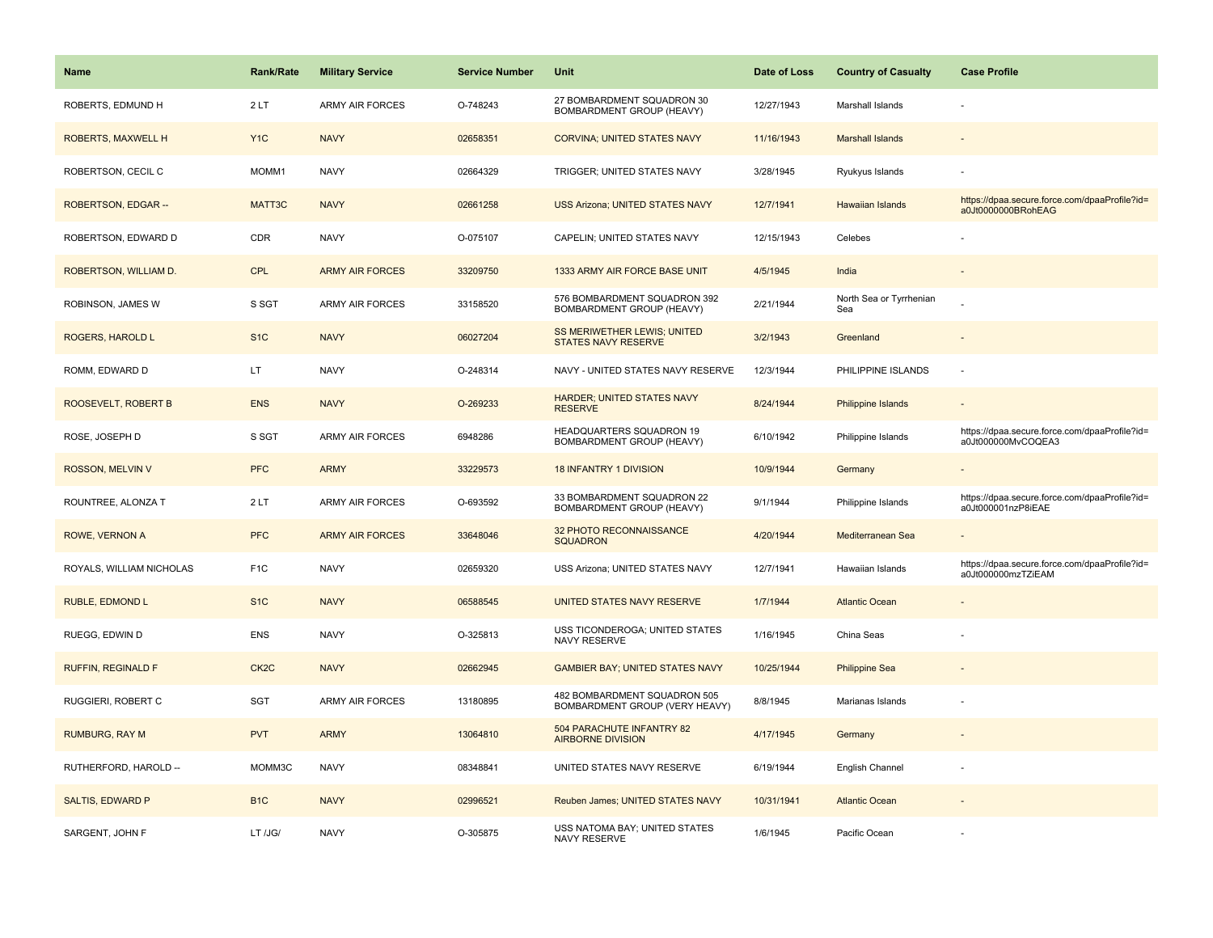| <b>Name</b>               | <b>Rank/Rate</b>  | <b>Military Service</b> | <b>Service Number</b> | Unit                                                           | Date of Loss | <b>Country of Casualty</b>     | <b>Case Profile</b>                                                 |
|---------------------------|-------------------|-------------------------|-----------------------|----------------------------------------------------------------|--------------|--------------------------------|---------------------------------------------------------------------|
| ROBERTS, EDMUND H         | 2LT               | <b>ARMY AIR FORCES</b>  | O-748243              | 27 BOMBARDMENT SQUADRON 30<br>BOMBARDMENT GROUP (HEAVY)        | 12/27/1943   | Marshall Islands               |                                                                     |
| <b>ROBERTS, MAXWELL H</b> | Y <sub>1</sub> C  | <b>NAVY</b>             | 02658351              | <b>CORVINA: UNITED STATES NAVY</b>                             | 11/16/1943   | <b>Marshall Islands</b>        |                                                                     |
| ROBERTSON, CECIL C        | MOMM1             | <b>NAVY</b>             | 02664329              | TRIGGER; UNITED STATES NAVY                                    | 3/28/1945    | Ryukyus Islands                |                                                                     |
| ROBERTSON, EDGAR --       | MATT3C            | <b>NAVY</b>             | 02661258              | <b>USS Arizona; UNITED STATES NAVY</b>                         | 12/7/1941    | Hawaiian Islands               | https://dpaa.secure.force.com/dpaaProfile?id=<br>a0Jt0000000BRohEAG |
| ROBERTSON, EDWARD D       | CDR               | <b>NAVY</b>             | O-075107              | CAPELIN; UNITED STATES NAVY                                    | 12/15/1943   | Celebes                        |                                                                     |
| ROBERTSON, WILLIAM D.     | <b>CPL</b>        | <b>ARMY AIR FORCES</b>  | 33209750              | 1333 ARMY AIR FORCE BASE UNIT                                  | 4/5/1945     | India                          |                                                                     |
| ROBINSON, JAMES W         | S SGT             | <b>ARMY AIR FORCES</b>  | 33158520              | 576 BOMBARDMENT SQUADRON 392<br>BOMBARDMENT GROUP (HEAVY)      | 2/21/1944    | North Sea or Tyrrhenian<br>Sea |                                                                     |
| ROGERS, HAROLD L          | S <sub>1C</sub>   | <b>NAVY</b>             | 06027204              | SS MERIWETHER LEWIS; UNITED<br><b>STATES NAVY RESERVE</b>      | 3/2/1943     | Greenland                      |                                                                     |
| ROMM, EDWARD D            | LT                | <b>NAVY</b>             | O-248314              | NAVY - UNITED STATES NAVY RESERVE                              | 12/3/1944    | PHILIPPINE ISLANDS             | ÷.                                                                  |
| ROOSEVELT, ROBERT B       | <b>ENS</b>        | <b>NAVY</b>             | O-269233              | <b>HARDER: UNITED STATES NAVY</b><br><b>RESERVE</b>            | 8/24/1944    | <b>Philippine Islands</b>      |                                                                     |
| ROSE, JOSEPH D            | S SGT             | <b>ARMY AIR FORCES</b>  | 6948286               | HEADQUARTERS SQUADRON 19<br>BOMBARDMENT GROUP (HEAVY)          | 6/10/1942    | Philippine Islands             | https://dpaa.secure.force.com/dpaaProfile?id=<br>a0Jt000000MvCOQEA3 |
| ROSSON, MELVIN V          | <b>PFC</b>        | <b>ARMY</b>             | 33229573              | <b>18 INFANTRY 1 DIVISION</b>                                  | 10/9/1944    | Germany                        |                                                                     |
| ROUNTREE, ALONZA T        | 2LT               | ARMY AIR FORCES         | O-693592              | 33 BOMBARDMENT SQUADRON 22<br>BOMBARDMENT GROUP (HEAVY)        | 9/1/1944     | Philippine Islands             | https://dpaa.secure.force.com/dpaaProfile?id=<br>a0Jt000001nzP8iEAE |
| ROWE, VERNON A            | <b>PFC</b>        | <b>ARMY AIR FORCES</b>  | 33648046              | 32 PHOTO RECONNAISSANCE<br><b>SQUADRON</b>                     | 4/20/1944    | Mediterranean Sea              |                                                                     |
| ROYALS, WILLIAM NICHOLAS  | F <sub>1</sub> C  | <b>NAVY</b>             | 02659320              | USS Arizona; UNITED STATES NAVY                                | 12/7/1941    | Hawaiian Islands               | https://dpaa.secure.force.com/dpaaProfile?id=<br>a0Jt000000mzTZiEAM |
| RUBLE, EDMOND L           | S <sub>1</sub> C  | <b>NAVY</b>             | 06588545              | UNITED STATES NAVY RESERVE                                     | 1/7/1944     | <b>Atlantic Ocean</b>          |                                                                     |
| RUEGG, EDWIN D            | <b>ENS</b>        | <b>NAVY</b>             | O-325813              | USS TICONDEROGA; UNITED STATES<br>NAVY RESERVE                 | 1/16/1945    | China Seas                     |                                                                     |
| <b>RUFFIN, REGINALD F</b> | CK <sub>2</sub> C | <b>NAVY</b>             | 02662945              | <b>GAMBIER BAY; UNITED STATES NAVY</b>                         | 10/25/1944   | <b>Philippine Sea</b>          |                                                                     |
| RUGGIERI, ROBERT C        | SGT               | <b>ARMY AIR FORCES</b>  | 13180895              | 482 BOMBARDMENT SQUADRON 505<br>BOMBARDMENT GROUP (VERY HEAVY) | 8/8/1945     | Marianas Islands               |                                                                     |
| <b>RUMBURG, RAY M</b>     | <b>PVT</b>        | <b>ARMY</b>             | 13064810              | 504 PARACHUTE INFANTRY 82<br><b>AIRBORNE DIVISION</b>          | 4/17/1945    | Germany                        |                                                                     |
| RUTHERFORD, HAROLD --     | MOMM3C            | <b>NAVY</b>             | 08348841              | UNITED STATES NAVY RESERVE                                     | 6/19/1944    | English Channel                |                                                                     |
| <b>SALTIS, EDWARD P</b>   | B <sub>1C</sub>   | <b>NAVY</b>             | 02996521              | Reuben James; UNITED STATES NAVY                               | 10/31/1941   | <b>Atlantic Ocean</b>          |                                                                     |
| SARGENT, JOHN F           | LT /JG/           | <b>NAVY</b>             | O-305875              | USS NATOMA BAY; UNITED STATES<br>NAVY RESERVE                  | 1/6/1945     | Pacific Ocean                  |                                                                     |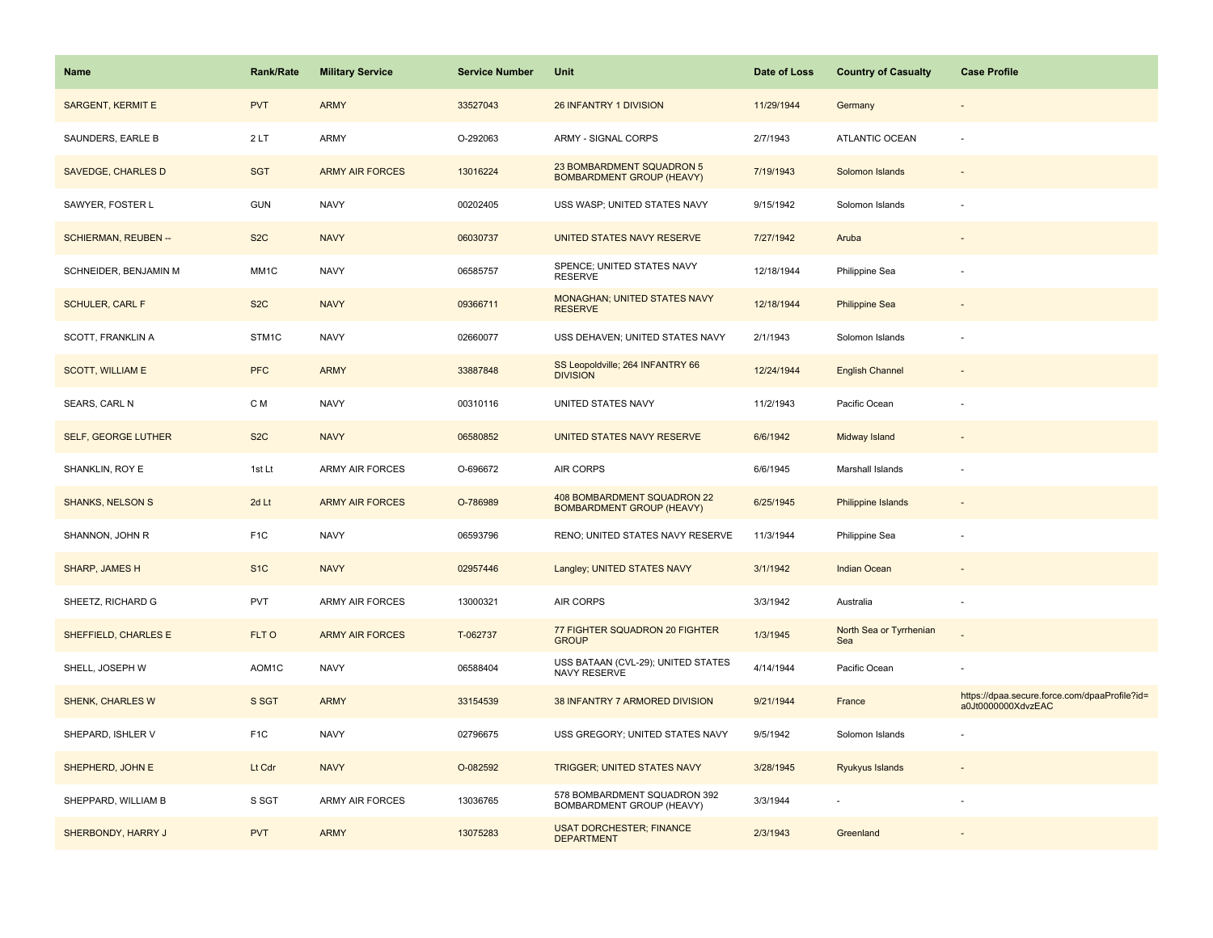| Name                        | <b>Rank/Rate</b> | <b>Military Service</b> | <b>Service Number</b> | Unit                                                            | Date of Loss | <b>Country of Casualty</b>     | <b>Case Profile</b>                                                 |
|-----------------------------|------------------|-------------------------|-----------------------|-----------------------------------------------------------------|--------------|--------------------------------|---------------------------------------------------------------------|
| <b>SARGENT, KERMIT E</b>    | <b>PVT</b>       | <b>ARMY</b>             | 33527043              | 26 INFANTRY 1 DIVISION                                          | 11/29/1944   | Germany                        |                                                                     |
| SAUNDERS, EARLE B           | 2LT              | <b>ARMY</b>             | O-292063              | ARMY - SIGNAL CORPS                                             | 2/7/1943     | ATLANTIC OCEAN                 |                                                                     |
| <b>SAVEDGE, CHARLES D</b>   | <b>SGT</b>       | <b>ARMY AIR FORCES</b>  | 13016224              | 23 BOMBARDMENT SQUADRON 5<br><b>BOMBARDMENT GROUP (HEAVY)</b>   | 7/19/1943    | Solomon Islands                |                                                                     |
| SAWYER, FOSTER L            | <b>GUN</b>       | <b>NAVY</b>             | 00202405              | USS WASP; UNITED STATES NAVY                                    | 9/15/1942    | Solomon Islands                |                                                                     |
| <b>SCHIERMAN, REUBEN --</b> | S <sub>2</sub> C | <b>NAVY</b>             | 06030737              | UNITED STATES NAVY RESERVE                                      | 7/27/1942    | Aruba                          |                                                                     |
| SCHNEIDER, BENJAMIN M       | MM1C             | <b>NAVY</b>             | 06585757              | SPENCE; UNITED STATES NAVY<br><b>RESERVE</b>                    | 12/18/1944   | Philippine Sea                 |                                                                     |
| <b>SCHULER, CARL F</b>      | S <sub>2</sub> C | <b>NAVY</b>             | 09366711              | MONAGHAN; UNITED STATES NAVY<br><b>RESERVE</b>                  | 12/18/1944   | <b>Philippine Sea</b>          |                                                                     |
| SCOTT, FRANKLIN A           | STM1C            | <b>NAVY</b>             | 02660077              | USS DEHAVEN; UNITED STATES NAVY                                 | 2/1/1943     | Solomon Islands                |                                                                     |
| <b>SCOTT, WILLIAM E</b>     | <b>PFC</b>       | <b>ARMY</b>             | 33887848              | SS Leopoldville; 264 INFANTRY 66<br><b>DIVISION</b>             | 12/24/1944   | <b>English Channel</b>         |                                                                     |
| SEARS, CARL N               | C M              | <b>NAVY</b>             | 00310116              | UNITED STATES NAVY                                              | 11/2/1943    | Pacific Ocean                  |                                                                     |
| <b>SELF, GEORGE LUTHER</b>  | S <sub>2</sub> C | <b>NAVY</b>             | 06580852              | UNITED STATES NAVY RESERVE                                      | 6/6/1942     | Midway Island                  |                                                                     |
| SHANKLIN, ROY E             | 1st Lt           | ARMY AIR FORCES         | O-696672              | AIR CORPS                                                       | 6/6/1945     | Marshall Islands               |                                                                     |
| <b>SHANKS, NELSON S</b>     | 2d Lt            | <b>ARMY AIR FORCES</b>  | O-786989              | 408 BOMBARDMENT SQUADRON 22<br><b>BOMBARDMENT GROUP (HEAVY)</b> | 6/25/1945    | <b>Philippine Islands</b>      |                                                                     |
| SHANNON, JOHN R             | F <sub>1</sub> C | <b>NAVY</b>             | 06593796              | RENO; UNITED STATES NAVY RESERVE                                | 11/3/1944    | Philippine Sea                 |                                                                     |
| SHARP, JAMES H              | S <sub>1</sub> C | <b>NAVY</b>             | 02957446              | Langley; UNITED STATES NAVY                                     | 3/1/1942     | <b>Indian Ocean</b>            |                                                                     |
| SHEETZ, RICHARD G           | PVT              | <b>ARMY AIR FORCES</b>  | 13000321              | AIR CORPS                                                       | 3/3/1942     | Australia                      | $\overline{a}$                                                      |
| SHEFFIELD, CHARLES E        | FLT O            | <b>ARMY AIR FORCES</b>  | T-062737              | 77 FIGHTER SQUADRON 20 FIGHTER<br><b>GROUP</b>                  | 1/3/1945     | North Sea or Tyrrhenian<br>Sea |                                                                     |
| SHELL, JOSEPH W             | AOM1C            | <b>NAVY</b>             | 06588404              | USS BATAAN (CVL-29); UNITED STATES<br>NAVY RESERVE              | 4/14/1944    | Pacific Ocean                  |                                                                     |
| <b>SHENK, CHARLES W</b>     | S SGT            | <b>ARMY</b>             | 33154539              | 38 INFANTRY 7 ARMORED DIVISION                                  | 9/21/1944    | France                         | https://dpaa.secure.force.com/dpaaProfile?id=<br>a0Jt0000000XdvzEAC |
| SHEPARD, ISHLER V           | F <sub>1</sub> C | <b>NAVY</b>             | 02796675              | USS GREGORY; UNITED STATES NAVY                                 | 9/5/1942     | Solomon Islands                |                                                                     |
| SHEPHERD, JOHN E            | Lt Cdr           | <b>NAVY</b>             | O-082592              | <b>TRIGGER; UNITED STATES NAVY</b>                              | 3/28/1945    | Ryukyus Islands                |                                                                     |
| SHEPPARD, WILLIAM B         | S SGT            | <b>ARMY AIR FORCES</b>  | 13036765              | 578 BOMBARDMENT SQUADRON 392<br>BOMBARDMENT GROUP (HEAVY)       | 3/3/1944     |                                |                                                                     |
| SHERBONDY, HARRY J          | <b>PVT</b>       | <b>ARMY</b>             | 13075283              | <b>USAT DORCHESTER; FINANCE</b><br><b>DEPARTMENT</b>            | 2/3/1943     | Greenland                      |                                                                     |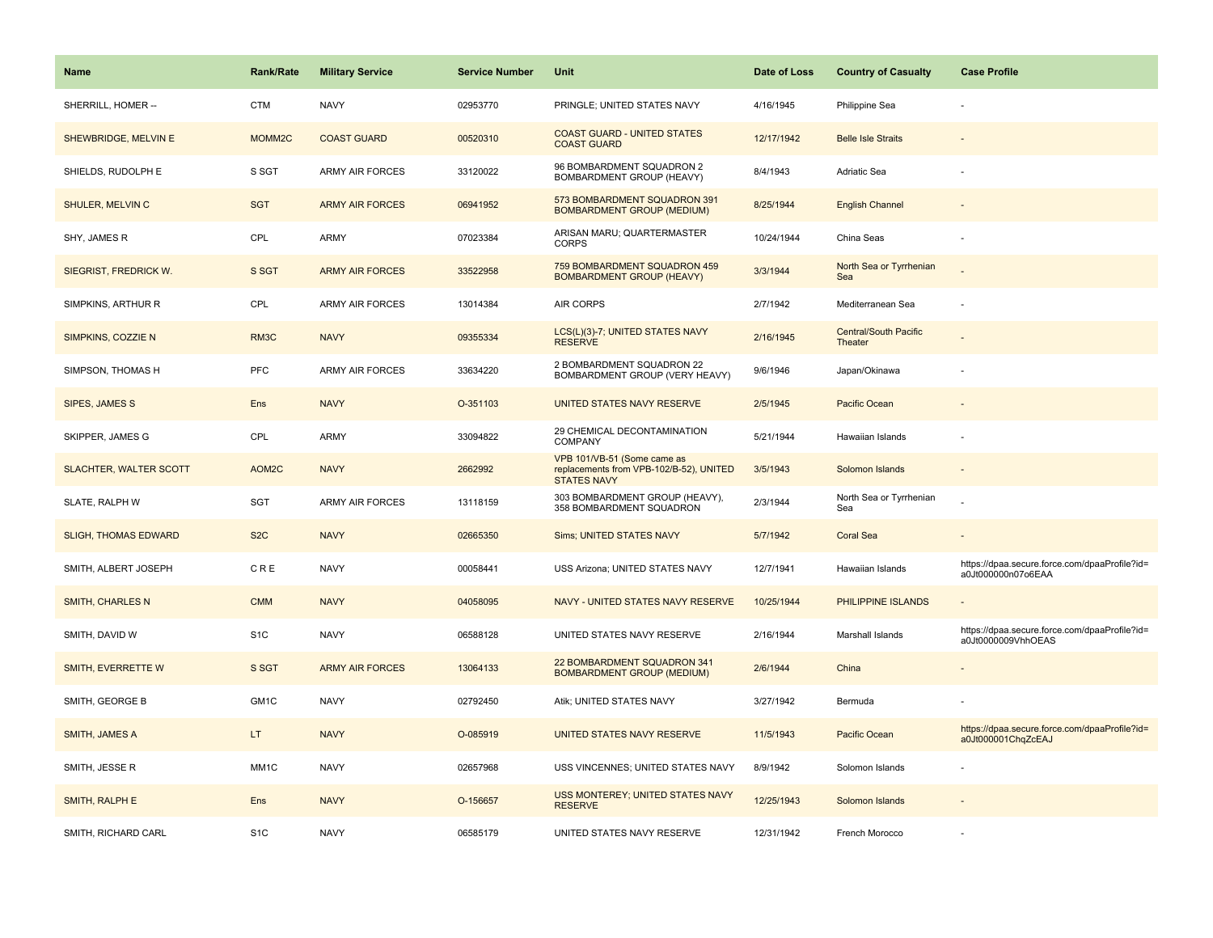| <b>Name</b>                 | <b>Rank/Rate</b> | <b>Military Service</b> | <b>Service Number</b> | Unit                                                                                         | Date of Loss | <b>Country of Casualty</b>              | <b>Case Profile</b>                                                 |
|-----------------------------|------------------|-------------------------|-----------------------|----------------------------------------------------------------------------------------------|--------------|-----------------------------------------|---------------------------------------------------------------------|
| SHERRILL, HOMER --          | <b>CTM</b>       | <b>NAVY</b>             | 02953770              | PRINGLE; UNITED STATES NAVY                                                                  | 4/16/1945    | Philippine Sea                          |                                                                     |
| SHEWBRIDGE, MELVIN E        | MOMM2C           | <b>COAST GUARD</b>      | 00520310              | <b>COAST GUARD - UNITED STATES</b><br><b>COAST GUARD</b>                                     | 12/17/1942   | <b>Belle Isle Straits</b>               |                                                                     |
| SHIELDS, RUDOLPH E          | S SGT            | ARMY AIR FORCES         | 33120022              | 96 BOMBARDMENT SQUADRON 2<br>BOMBARDMENT GROUP (HEAVY)                                       | 8/4/1943     | Adriatic Sea                            |                                                                     |
| SHULER, MELVIN C            | <b>SGT</b>       | <b>ARMY AIR FORCES</b>  | 06941952              | 573 BOMBARDMENT SQUADRON 391<br><b>BOMBARDMENT GROUP (MEDIUM)</b>                            | 8/25/1944    | <b>English Channel</b>                  |                                                                     |
| SHY, JAMES R                | CPL              | ARMY                    | 07023384              | ARISAN MARU; QUARTERMASTER<br><b>CORPS</b>                                                   | 10/24/1944   | China Seas                              |                                                                     |
| SIEGRIST, FREDRICK W.       | S SGT            | <b>ARMY AIR FORCES</b>  | 33522958              | 759 BOMBARDMENT SQUADRON 459<br><b>BOMBARDMENT GROUP (HEAVY)</b>                             | 3/3/1944     | North Sea or Tyrrhenian<br>Sea          |                                                                     |
| SIMPKINS, ARTHUR R          | CPL              | <b>ARMY AIR FORCES</b>  | 13014384              | <b>AIR CORPS</b>                                                                             | 2/7/1942     | Mediterranean Sea                       |                                                                     |
| SIMPKINS, COZZIE N          | RM3C             | <b>NAVY</b>             | 09355334              | LCS(L)(3)-7; UNITED STATES NAVY<br><b>RESERVE</b>                                            | 2/16/1945    | <b>Central/South Pacific</b><br>Theater |                                                                     |
| SIMPSON, THOMAS H           | <b>PFC</b>       | <b>ARMY AIR FORCES</b>  | 33634220              | 2 BOMBARDMENT SQUADRON 22<br>BOMBARDMENT GROUP (VERY HEAVY)                                  | 9/6/1946     | Japan/Okinawa                           |                                                                     |
| SIPES, JAMES S              | Ens              | <b>NAVY</b>             | O-351103              | UNITED STATES NAVY RESERVE                                                                   | 2/5/1945     | Pacific Ocean                           |                                                                     |
| SKIPPER, JAMES G            | CPL              | ARMY                    | 33094822              | 29 CHEMICAL DECONTAMINATION<br>COMPANY                                                       | 5/21/1944    | Hawaiian Islands                        |                                                                     |
| SLACHTER, WALTER SCOTT      | AOM2C            | <b>NAVY</b>             | 2662992               | VPB 101/VB-51 (Some came as<br>replacements from VPB-102/B-52), UNITED<br><b>STATES NAVY</b> | 3/5/1943     | Solomon Islands                         |                                                                     |
| SLATE, RALPH W              | SGT              | ARMY AIR FORCES         | 13118159              | 303 BOMBARDMENT GROUP (HEAVY),<br>358 BOMBARDMENT SQUADRON                                   | 2/3/1944     | North Sea or Tyrrhenian<br>Sea          |                                                                     |
| <b>SLIGH, THOMAS EDWARD</b> | S <sub>2</sub> C | <b>NAVY</b>             | 02665350              | <b>Sims; UNITED STATES NAVY</b>                                                              | 5/7/1942     | <b>Coral Sea</b>                        | $\sim$                                                              |
| SMITH, ALBERT JOSEPH        | CRE              | <b>NAVY</b>             | 00058441              | USS Arizona; UNITED STATES NAVY                                                              | 12/7/1941    | Hawaiian Islands                        | https://dpaa.secure.force.com/dpaaProfile?id=<br>a0Jt000000n07o6EAA |
| <b>SMITH, CHARLES N</b>     | <b>CMM</b>       | <b>NAVY</b>             | 04058095              | NAVY - UNITED STATES NAVY RESERVE                                                            | 10/25/1944   | PHILIPPINE ISLANDS                      |                                                                     |
| SMITH, DAVID W              | S <sub>1</sub> C | <b>NAVY</b>             | 06588128              | UNITED STATES NAVY RESERVE                                                                   | 2/16/1944    | Marshall Islands                        | https://dpaa.secure.force.com/dpaaProfile?id=<br>a0Jt0000009VhhOEAS |
| SMITH, EVERRETTE W          | S SGT            | <b>ARMY AIR FORCES</b>  | 13064133              | 22 BOMBARDMENT SQUADRON 341<br><b>BOMBARDMENT GROUP (MEDIUM)</b>                             | 2/6/1944     | China                                   |                                                                     |
| SMITH, GEORGE B             | GM1C             | <b>NAVY</b>             | 02792450              | Atik; UNITED STATES NAVY                                                                     | 3/27/1942    | Bermuda                                 |                                                                     |
| <b>SMITH, JAMES A</b>       | LT.              | <b>NAVY</b>             | O-085919              | UNITED STATES NAVY RESERVE                                                                   | 11/5/1943    | Pacific Ocean                           | https://dpaa.secure.force.com/dpaaProfile?id=<br>a0Jt000001ChqZcEAJ |
| SMITH, JESSE R              | MM1C             | <b>NAVY</b>             | 02657968              | USS VINCENNES; UNITED STATES NAVY                                                            | 8/9/1942     | Solomon Islands                         |                                                                     |
| SMITH, RALPH E              | Ens              | <b>NAVY</b>             | O-156657              | USS MONTEREY; UNITED STATES NAVY<br><b>RESERVE</b>                                           | 12/25/1943   | Solomon Islands                         |                                                                     |
| SMITH, RICHARD CARL         | S <sub>1</sub> C | <b>NAVY</b>             | 06585179              | UNITED STATES NAVY RESERVE                                                                   | 12/31/1942   | French Morocco                          |                                                                     |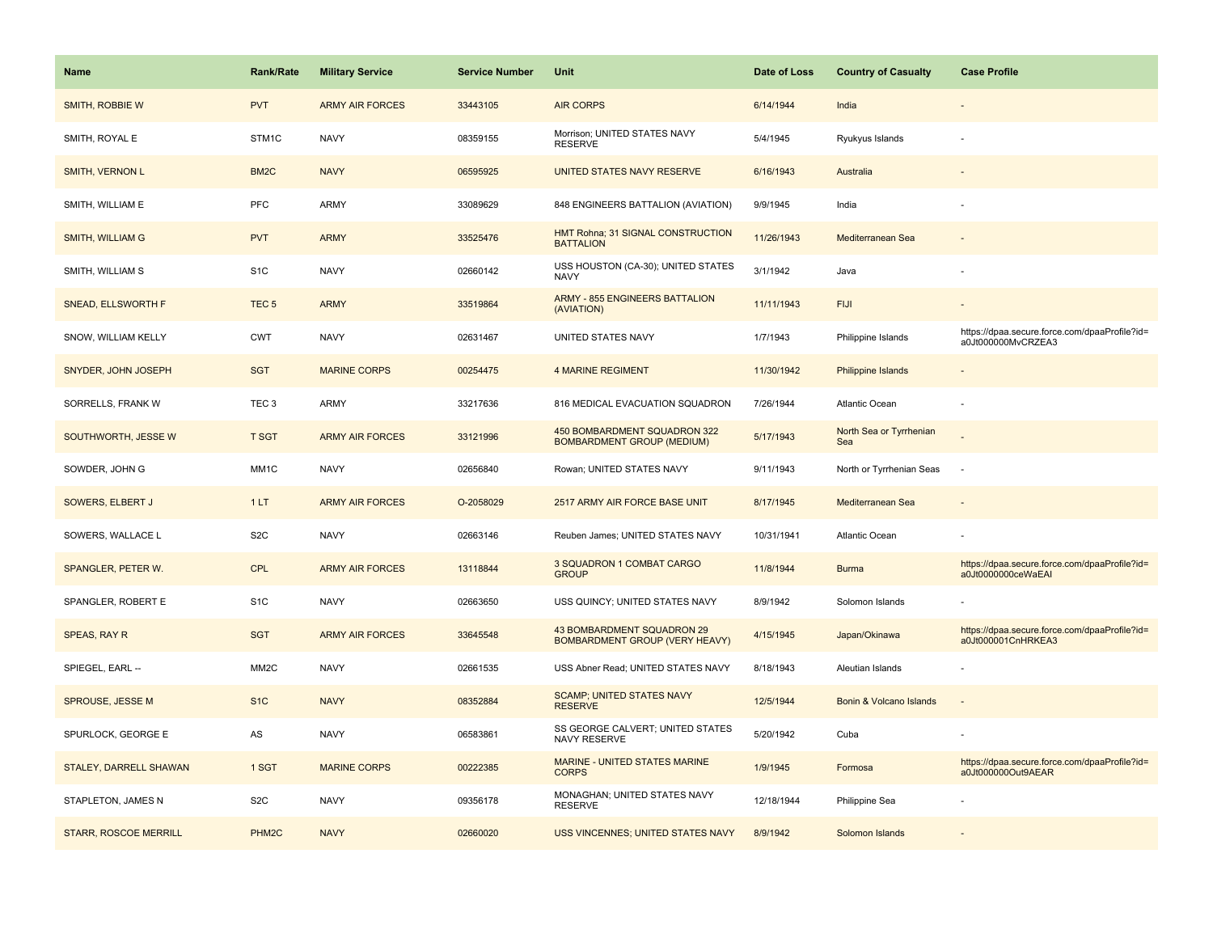| <b>Name</b>                  | <b>Rank/Rate</b>  | <b>Military Service</b> | <b>Service Number</b> | <b>Unit</b>                                                         | Date of Loss | <b>Country of Casualty</b>     | <b>Case Profile</b>                                                 |
|------------------------------|-------------------|-------------------------|-----------------------|---------------------------------------------------------------------|--------------|--------------------------------|---------------------------------------------------------------------|
| SMITH, ROBBIE W              | <b>PVT</b>        | <b>ARMY AIR FORCES</b>  | 33443105              | <b>AIR CORPS</b>                                                    | 6/14/1944    | India                          |                                                                     |
| SMITH, ROYAL E               | STM1C             | <b>NAVY</b>             | 08359155              | Morrison; UNITED STATES NAVY<br><b>RESERVE</b>                      | 5/4/1945     | Ryukyus Islands                |                                                                     |
| <b>SMITH, VERNON L</b>       | BM <sub>2</sub> C | <b>NAVY</b>             | 06595925              | UNITED STATES NAVY RESERVE                                          | 6/16/1943    | Australia                      |                                                                     |
| SMITH, WILLIAM E             | <b>PFC</b>        | <b>ARMY</b>             | 33089629              | 848 ENGINEERS BATTALION (AVIATION)                                  | 9/9/1945     | India                          |                                                                     |
| <b>SMITH, WILLIAM G</b>      | <b>PVT</b>        | <b>ARMY</b>             | 33525476              | HMT Rohna; 31 SIGNAL CONSTRUCTION<br><b>BATTALION</b>               | 11/26/1943   | Mediterranean Sea              |                                                                     |
| SMITH, WILLIAM S             | S <sub>1</sub> C  | <b>NAVY</b>             | 02660142              | USS HOUSTON (CA-30); UNITED STATES<br><b>NAVY</b>                   | 3/1/1942     | Java                           |                                                                     |
| SNEAD, ELLSWORTH F           | TEC <sub>5</sub>  | <b>ARMY</b>             | 33519864              | <b>ARMY - 855 ENGINEERS BATTALION</b><br>(AVIATION)                 | 11/11/1943   | <b>FIJI</b>                    |                                                                     |
| SNOW, WILLIAM KELLY          | <b>CWT</b>        | <b>NAVY</b>             | 02631467              | UNITED STATES NAVY                                                  | 1/7/1943     | Philippine Islands             | https://dpaa.secure.force.com/dpaaProfile?id=<br>a0Jt000000MvCRZEA3 |
| SNYDER, JOHN JOSEPH          | <b>SGT</b>        | <b>MARINE CORPS</b>     | 00254475              | <b>4 MARINE REGIMENT</b>                                            | 11/30/1942   | Philippine Islands             |                                                                     |
| SORRELLS, FRANK W            | TEC <sub>3</sub>  | ARMY                    | 33217636              | 816 MEDICAL EVACUATION SQUADRON                                     | 7/26/1944    | Atlantic Ocean                 |                                                                     |
| SOUTHWORTH, JESSE W          | <b>T SGT</b>      | <b>ARMY AIR FORCES</b>  | 33121996              | 450 BOMBARDMENT SQUADRON 322<br><b>BOMBARDMENT GROUP (MEDIUM)</b>   | 5/17/1943    | North Sea or Tyrrhenian<br>Sea |                                                                     |
| SOWDER, JOHN G               | MM1C              | <b>NAVY</b>             | 02656840              | Rowan; UNITED STATES NAVY                                           | 9/11/1943    | North or Tyrrhenian Seas       | $\sim$                                                              |
| SOWERS, ELBERT J             | 1LT               | <b>ARMY AIR FORCES</b>  | O-2058029             | 2517 ARMY AIR FORCE BASE UNIT                                       | 8/17/1945    | Mediterranean Sea              |                                                                     |
| SOWERS, WALLACE L            | S <sub>2</sub> C  | <b>NAVY</b>             | 02663146              | Reuben James; UNITED STATES NAVY                                    | 10/31/1941   | Atlantic Ocean                 |                                                                     |
| SPANGLER, PETER W.           | <b>CPL</b>        | <b>ARMY AIR FORCES</b>  | 13118844              | 3 SQUADRON 1 COMBAT CARGO<br><b>GROUP</b>                           | 11/8/1944    | <b>Burma</b>                   | https://dpaa.secure.force.com/dpaaProfile?id=<br>a0Jt0000000ceWaEAI |
| SPANGLER, ROBERT E           | S <sub>1</sub> C  | <b>NAVY</b>             | 02663650              | USS QUINCY; UNITED STATES NAVY                                      | 8/9/1942     | Solomon Islands                |                                                                     |
| SPEAS, RAY R                 | <b>SGT</b>        | <b>ARMY AIR FORCES</b>  | 33645548              | 43 BOMBARDMENT SQUADRON 29<br><b>BOMBARDMENT GROUP (VERY HEAVY)</b> | 4/15/1945    | Japan/Okinawa                  | https://dpaa.secure.force.com/dpaaProfile?id=<br>a0Jt000001CnHRKEA3 |
| SPIEGEL, EARL --             | MM <sub>2</sub> C | <b>NAVY</b>             | 02661535              | USS Abner Read; UNITED STATES NAVY                                  | 8/18/1943    | Aleutian Islands               |                                                                     |
| SPROUSE, JESSE M             | S <sub>1C</sub>   | <b>NAVY</b>             | 08352884              | <b>SCAMP; UNITED STATES NAVY</b><br><b>RESERVE</b>                  | 12/5/1944    | Bonin & Volcano Islands        |                                                                     |
| SPURLOCK, GEORGE E           | AS                | <b>NAVY</b>             | 06583861              | SS GEORGE CALVERT; UNITED STATES<br><b>NAVY RESERVE</b>             | 5/20/1942    | Cuba                           |                                                                     |
| STALEY, DARRELL SHAWAN       | 1 SGT             | <b>MARINE CORPS</b>     | 00222385              | MARINE - UNITED STATES MARINE<br><b>CORPS</b>                       | 1/9/1945     | Formosa                        | https://dpaa.secure.force.com/dpaaProfile?id=<br>a0Jt000000Out9AEAR |
| STAPLETON, JAMES N           | S <sub>2</sub> C  | <b>NAVY</b>             | 09356178              | MONAGHAN; UNITED STATES NAVY<br><b>RESERVE</b>                      | 12/18/1944   | Philippine Sea                 |                                                                     |
| <b>STARR, ROSCOE MERRILL</b> | PHM2C             | <b>NAVY</b>             | 02660020              | <b>USS VINCENNES; UNITED STATES NAVY</b>                            | 8/9/1942     | Solomon Islands                |                                                                     |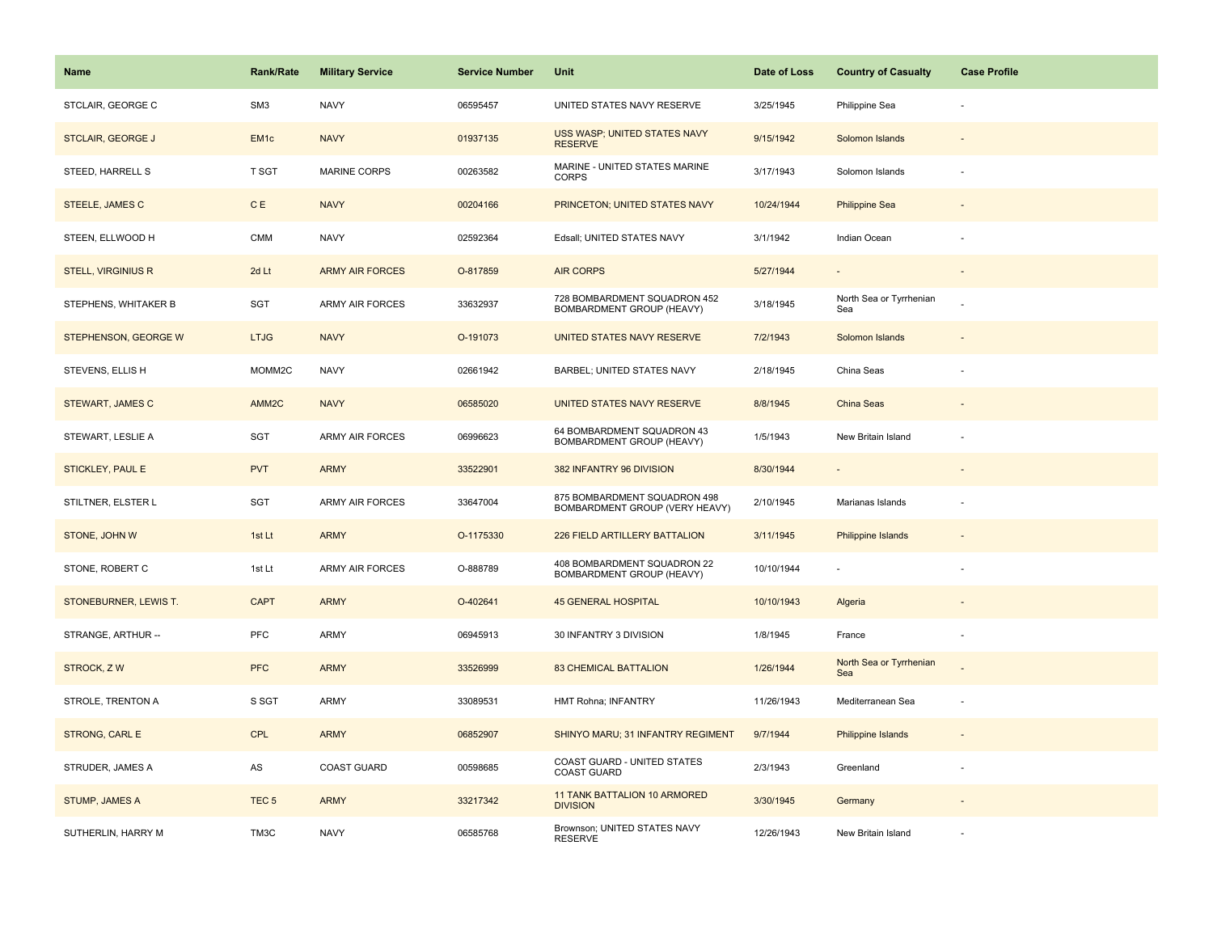| Name                      | <b>Rank/Rate</b>  | <b>Military Service</b> | <b>Service Number</b> | Unit                                                           | Date of Loss | <b>Country of Casualty</b>     | <b>Case Profile</b> |
|---------------------------|-------------------|-------------------------|-----------------------|----------------------------------------------------------------|--------------|--------------------------------|---------------------|
| STCLAIR, GEORGE C         | SM <sub>3</sub>   | <b>NAVY</b>             | 06595457              | UNITED STATES NAVY RESERVE                                     | 3/25/1945    | Philippine Sea                 |                     |
| <b>STCLAIR, GEORGE J</b>  | EM <sub>1c</sub>  | <b>NAVY</b>             | 01937135              | USS WASP; UNITED STATES NAVY<br><b>RESERVE</b>                 | 9/15/1942    | Solomon Islands                |                     |
| STEED, HARRELL S          | T SGT             | <b>MARINE CORPS</b>     | 00263582              | MARINE - UNITED STATES MARINE<br><b>CORPS</b>                  | 3/17/1943    | Solomon Islands                |                     |
| STEELE, JAMES C           | <b>CE</b>         | <b>NAVY</b>             | 00204166              | PRINCETON; UNITED STATES NAVY                                  | 10/24/1944   | <b>Philippine Sea</b>          |                     |
| STEEN, ELLWOOD H          | CMM               | <b>NAVY</b>             | 02592364              | Edsall; UNITED STATES NAVY                                     | 3/1/1942     | Indian Ocean                   |                     |
| <b>STELL, VIRGINIUS R</b> | 2d Lt             | <b>ARMY AIR FORCES</b>  | O-817859              | <b>AIR CORPS</b>                                               | 5/27/1944    | $\overline{\phantom{a}}$       |                     |
| STEPHENS, WHITAKER B      | SGT               | ARMY AIR FORCES         | 33632937              | 728 BOMBARDMENT SQUADRON 452<br>BOMBARDMENT GROUP (HEAVY)      | 3/18/1945    | North Sea or Tyrrhenian<br>Sea |                     |
| STEPHENSON, GEORGE W      | <b>LTJG</b>       | <b>NAVY</b>             | O-191073              | UNITED STATES NAVY RESERVE                                     | 7/2/1943     | Solomon Islands                |                     |
| STEVENS, ELLIS H          | MOMM2C            | <b>NAVY</b>             | 02661942              | BARBEL; UNITED STATES NAVY                                     | 2/18/1945    | China Seas                     |                     |
| <b>STEWART, JAMES C</b>   | AMM <sub>2C</sub> | <b>NAVY</b>             | 06585020              | UNITED STATES NAVY RESERVE                                     | 8/8/1945     | China Seas                     |                     |
| STEWART, LESLIE A         | SGT               | <b>ARMY AIR FORCES</b>  | 06996623              | 64 BOMBARDMENT SQUADRON 43<br>BOMBARDMENT GROUP (HEAVY)        | 1/5/1943     | New Britain Island             |                     |
| <b>STICKLEY, PAUL E</b>   | <b>PVT</b>        | <b>ARMY</b>             | 33522901              | 382 INFANTRY 96 DIVISION                                       | 8/30/1944    |                                |                     |
| STILTNER, ELSTER L        | SGT               | ARMY AIR FORCES         | 33647004              | 875 BOMBARDMENT SQUADRON 498<br>BOMBARDMENT GROUP (VERY HEAVY) | 2/10/1945    | Marianas Islands               |                     |
| STONE, JOHN W             | 1st Lt            | <b>ARMY</b>             | O-1175330             | 226 FIELD ARTILLERY BATTALION                                  | 3/11/1945    | Philippine Islands             |                     |
| STONE, ROBERT C           | 1st Lt            | ARMY AIR FORCES         | O-888789              | 408 BOMBARDMENT SQUADRON 22<br>BOMBARDMENT GROUP (HEAVY)       | 10/10/1944   | $\sim$                         |                     |
| STONEBURNER, LEWIS T.     | <b>CAPT</b>       | <b>ARMY</b>             | O-402641              | <b>45 GENERAL HOSPITAL</b>                                     | 10/10/1943   | Algeria                        |                     |
| STRANGE, ARTHUR --        | PFC               | ARMY                    | 06945913              | 30 INFANTRY 3 DIVISION                                         | 1/8/1945     | France                         |                     |
| STROCK, ZW                | <b>PFC</b>        | <b>ARMY</b>             | 33526999              | <b>83 CHEMICAL BATTALION</b>                                   | 1/26/1944    | North Sea or Tyrrhenian<br>Sea |                     |
| STROLE, TRENTON A         | S SGT             | ARMY                    | 33089531              | HMT Rohna; INFANTRY                                            | 11/26/1943   | Mediterranean Sea              |                     |
| STRONG, CARL E            | CPL               | <b>ARMY</b>             | 06852907              | SHINYO MARU; 31 INFANTRY REGIMENT                              | 9/7/1944     | Philippine Islands             |                     |
| STRUDER, JAMES A          | AS                | <b>COAST GUARD</b>      | 00598685              | COAST GUARD - UNITED STATES<br><b>COAST GUARD</b>              | 2/3/1943     | Greenland                      |                     |
| STUMP, JAMES A            | TEC <sub>5</sub>  | <b>ARMY</b>             | 33217342              | 11 TANK BATTALION 10 ARMORED<br><b>DIVISION</b>                | 3/30/1945    | Germany                        |                     |
| SUTHERLIN, HARRY M        | TM3C              | <b>NAVY</b>             | 06585768              | Brownson; UNITED STATES NAVY<br><b>RESERVE</b>                 | 12/26/1943   | New Britain Island             |                     |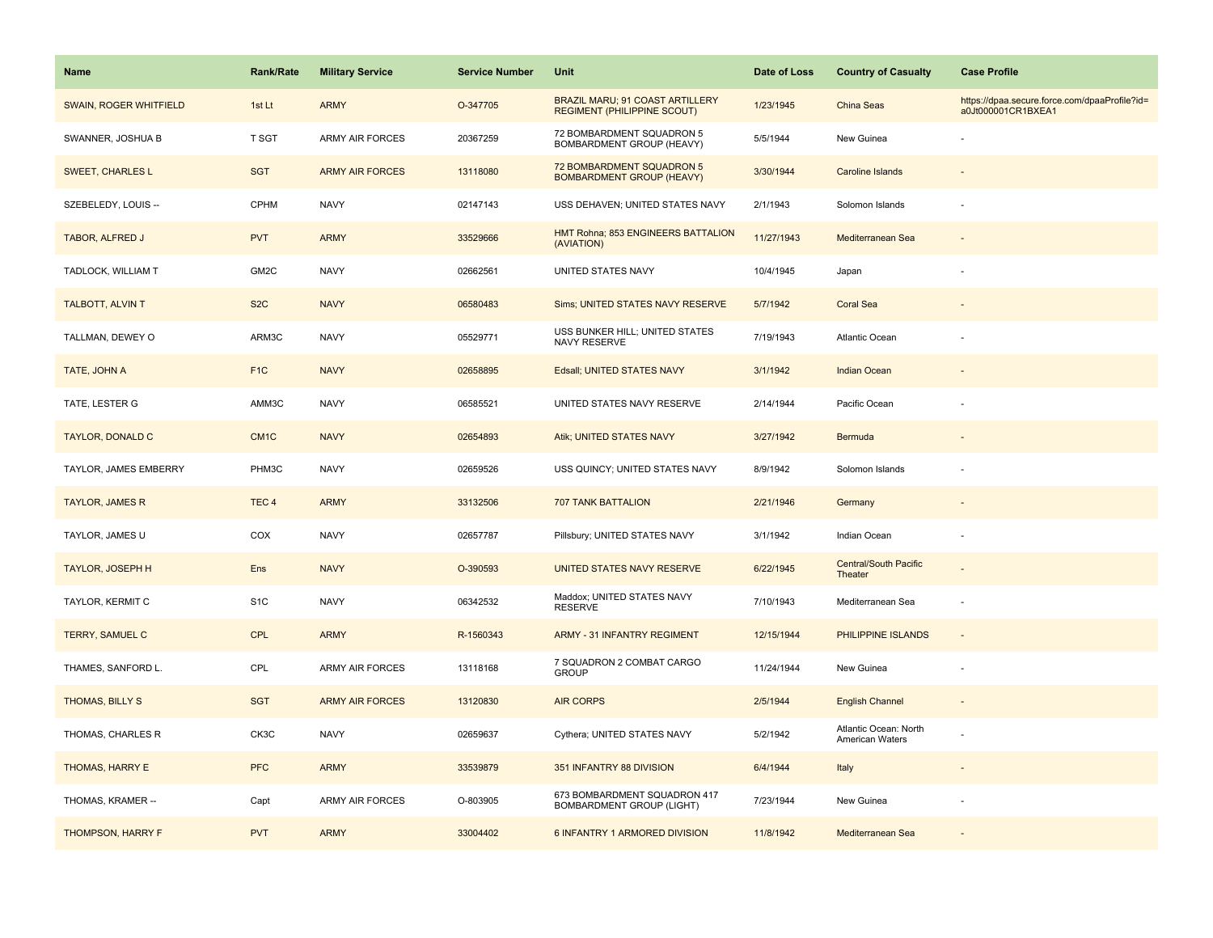| Name                     | Rank/Rate        | <b>Military Service</b> | <b>Service Number</b> | Unit                                                                  | Date of Loss | <b>Country of Casualty</b>               | <b>Case Profile</b>                                                 |
|--------------------------|------------------|-------------------------|-----------------------|-----------------------------------------------------------------------|--------------|------------------------------------------|---------------------------------------------------------------------|
| SWAIN, ROGER WHITFIELD   | 1st Lt           | <b>ARMY</b>             | O-347705              | BRAZIL MARU; 91 COAST ARTILLERY<br><b>REGIMENT (PHILIPPINE SCOUT)</b> | 1/23/1945    | China Seas                               | https://dpaa.secure.force.com/dpaaProfile?id=<br>a0Jt000001CR1BXEA1 |
| SWANNER, JOSHUA B        | T SGT            | <b>ARMY AIR FORCES</b>  | 20367259              | 72 BOMBARDMENT SQUADRON 5<br>BOMBARDMENT GROUP (HEAVY)                | 5/5/1944     | New Guinea                               |                                                                     |
| <b>SWEET, CHARLES L</b>  | <b>SGT</b>       | <b>ARMY AIR FORCES</b>  | 13118080              | 72 BOMBARDMENT SQUADRON 5<br><b>BOMBARDMENT GROUP (HEAVY)</b>         | 3/30/1944    | Caroline Islands                         |                                                                     |
| SZEBELEDY, LOUIS --      | <b>CPHM</b>      | <b>NAVY</b>             | 02147143              | USS DEHAVEN; UNITED STATES NAVY                                       | 2/1/1943     | Solomon Islands                          |                                                                     |
| TABOR, ALFRED J          | <b>PVT</b>       | <b>ARMY</b>             | 33529666              | HMT Rohna; 853 ENGINEERS BATTALION<br>(AVIATION)                      | 11/27/1943   | Mediterranean Sea                        |                                                                     |
| TADLOCK, WILLIAM T       | GM2C             | <b>NAVY</b>             | 02662561              | UNITED STATES NAVY                                                    | 10/4/1945    | Japan                                    |                                                                     |
| TALBOTT, ALVIN T         | S <sub>2</sub> C | <b>NAVY</b>             | 06580483              | Sims; UNITED STATES NAVY RESERVE                                      | 5/7/1942     | <b>Coral Sea</b>                         |                                                                     |
| TALLMAN, DEWEY O         | ARM3C            | <b>NAVY</b>             | 05529771              | USS BUNKER HILL; UNITED STATES<br>NAVY RESERVE                        | 7/19/1943    | Atlantic Ocean                           |                                                                     |
| TATE, JOHN A             | F <sub>1</sub> C | <b>NAVY</b>             | 02658895              | Edsall; UNITED STATES NAVY                                            | 3/1/1942     | <b>Indian Ocean</b>                      |                                                                     |
| TATE, LESTER G           | AMM3C            | <b>NAVY</b>             | 06585521              | UNITED STATES NAVY RESERVE                                            | 2/14/1944    | Pacific Ocean                            |                                                                     |
| <b>TAYLOR, DONALD C</b>  | CM <sub>1C</sub> | <b>NAVY</b>             | 02654893              | Atik; UNITED STATES NAVY                                              | 3/27/1942    | Bermuda                                  |                                                                     |
| TAYLOR, JAMES EMBERRY    | PHM3C            | <b>NAVY</b>             | 02659526              | USS QUINCY; UNITED STATES NAVY                                        | 8/9/1942     | Solomon Islands                          |                                                                     |
| <b>TAYLOR, JAMES R</b>   | TEC <sub>4</sub> | <b>ARMY</b>             | 33132506              | <b>707 TANK BATTALION</b>                                             | 2/21/1946    | Germany                                  |                                                                     |
| TAYLOR, JAMES U          | COX              | <b>NAVY</b>             | 02657787              | Pillsbury; UNITED STATES NAVY                                         | 3/1/1942     | Indian Ocean                             |                                                                     |
| <b>TAYLOR, JOSEPH H</b>  | <b>Ens</b>       | <b>NAVY</b>             | O-390593              | UNITED STATES NAVY RESERVE                                            | 6/22/1945    | <b>Central/South Pacific</b><br>Theater  |                                                                     |
| TAYLOR, KERMIT C         | S <sub>1</sub> C | <b>NAVY</b>             | 06342532              | Maddox; UNITED STATES NAVY<br><b>RESERVE</b>                          | 7/10/1943    | Mediterranean Sea                        | ÷,                                                                  |
| TERRY, SAMUEL C          | <b>CPL</b>       | <b>ARMY</b>             | R-1560343             | <b>ARMY - 31 INFANTRY REGIMENT</b>                                    | 12/15/1944   | PHILIPPINE ISLANDS                       | $\overline{\phantom{a}}$                                            |
| THAMES, SANFORD L.       | CPL              | ARMY AIR FORCES         | 13118168              | 7 SQUADRON 2 COMBAT CARGO<br><b>GROUP</b>                             | 11/24/1944   | New Guinea                               | $\overline{\phantom{a}}$                                            |
| THOMAS, BILLY S          | <b>SGT</b>       | <b>ARMY AIR FORCES</b>  | 13120830              | <b>AIR CORPS</b>                                                      | 2/5/1944     | <b>English Channel</b>                   |                                                                     |
| THOMAS, CHARLES R        | CK3C             | <b>NAVY</b>             | 02659637              | Cythera; UNITED STATES NAVY                                           | 5/2/1942     | Atlantic Ocean: North<br>American Waters |                                                                     |
| THOMAS, HARRY E          | <b>PFC</b>       | <b>ARMY</b>             | 33539879              | 351 INFANTRY 88 DIVISION                                              | 6/4/1944     | Italy                                    |                                                                     |
| THOMAS, KRAMER --        | Capt             | <b>ARMY AIR FORCES</b>  | O-803905              | 673 BOMBARDMENT SQUADRON 417<br><b>BOMBARDMENT GROUP (LIGHT)</b>      | 7/23/1944    | New Guinea                               |                                                                     |
| <b>THOMPSON, HARRY F</b> | <b>PVT</b>       | <b>ARMY</b>             | 33004402              | 6 INFANTRY 1 ARMORED DIVISION                                         | 11/8/1942    | Mediterranean Sea                        |                                                                     |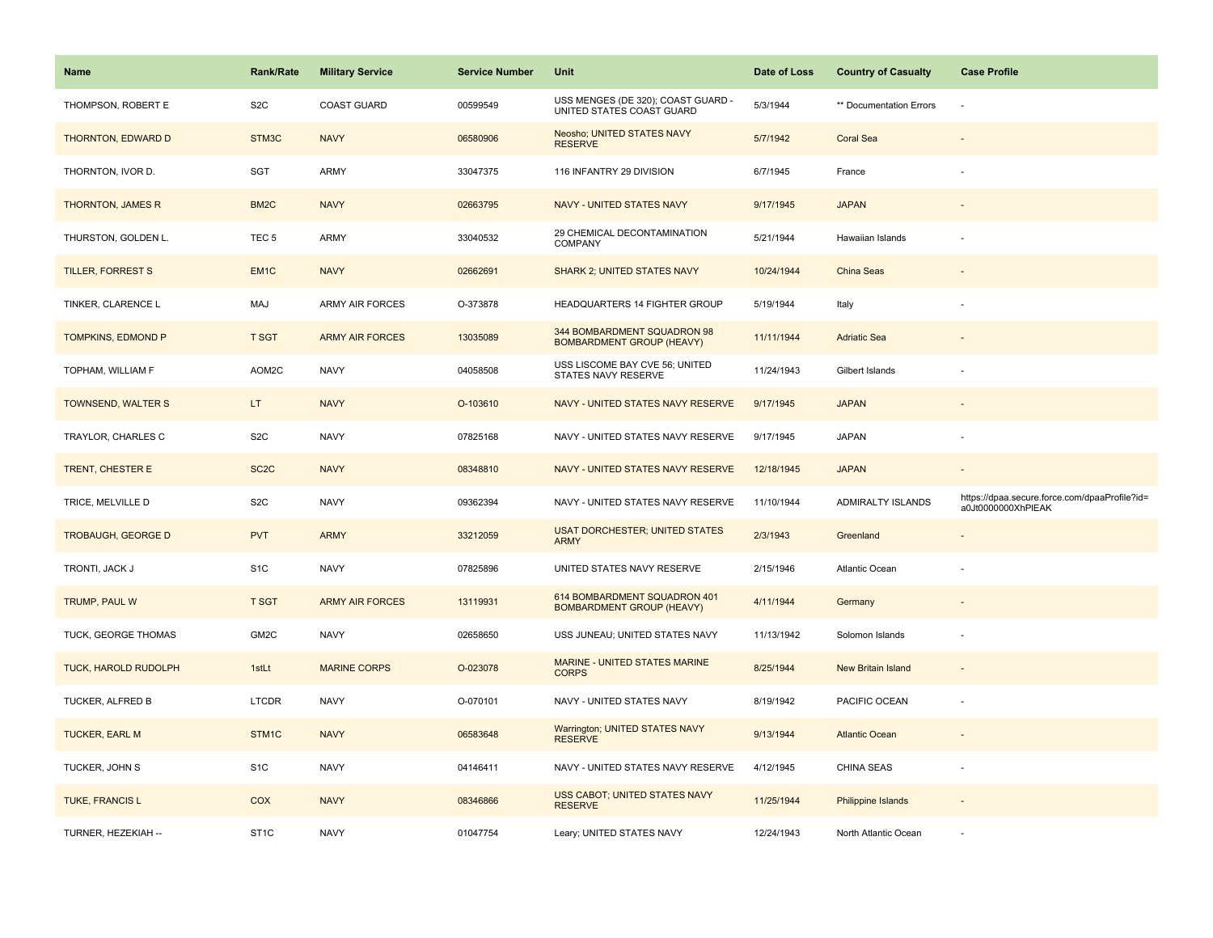| Name                        | <b>Rank/Rate</b>  | <b>Military Service</b> | <b>Service Number</b> | Unit                                                             | Date of Loss | <b>Country of Casualty</b> | <b>Case Profile</b>                                                 |
|-----------------------------|-------------------|-------------------------|-----------------------|------------------------------------------------------------------|--------------|----------------------------|---------------------------------------------------------------------|
| THOMPSON, ROBERT E          | S <sub>2</sub> C  | <b>COAST GUARD</b>      | 00599549              | USS MENGES (DE 320); COAST GUARD -<br>UNITED STATES COAST GUARD  | 5/3/1944     | ** Documentation Errors    |                                                                     |
| THORNTON, EDWARD D          | STM3C             | <b>NAVY</b>             | 06580906              | Neosho; UNITED STATES NAVY<br><b>RESERVE</b>                     | 5/7/1942     | <b>Coral Sea</b>           |                                                                     |
| THORNTON, IVOR D.           | SGT               | ARMY                    | 33047375              | 116 INFANTRY 29 DIVISION                                         | 6/7/1945     | France                     |                                                                     |
| THORNTON, JAMES R           | BM <sub>2</sub> C | <b>NAVY</b>             | 02663795              | NAVY - UNITED STATES NAVY                                        | 9/17/1945    | <b>JAPAN</b>               |                                                                     |
| THURSTON, GOLDEN L.         | TEC <sub>5</sub>  | <b>ARMY</b>             | 33040532              | 29 CHEMICAL DECONTAMINATION<br><b>COMPANY</b>                    | 5/21/1944    | Hawaiian Islands           |                                                                     |
| <b>TILLER, FORREST S</b>    | EM <sub>1C</sub>  | <b>NAVY</b>             | 02662691              | <b>SHARK 2; UNITED STATES NAVY</b>                               | 10/24/1944   | China Seas                 |                                                                     |
| TINKER, CLARENCE L          | MAJ               | <b>ARMY AIR FORCES</b>  | O-373878              | HEADQUARTERS 14 FIGHTER GROUP                                    | 5/19/1944    | Italy                      |                                                                     |
| TOMPKINS, EDMOND P          | <b>T SGT</b>      | <b>ARMY AIR FORCES</b>  | 13035089              | 344 BOMBARDMENT SQUADRON 98<br><b>BOMBARDMENT GROUP (HEAVY)</b>  | 11/11/1944   | <b>Adriatic Sea</b>        |                                                                     |
| TOPHAM, WILLIAM F           | AOM2C             | <b>NAVY</b>             | 04058508              | USS LISCOME BAY CVE 56; UNITED<br><b>STATES NAVY RESERVE</b>     | 11/24/1943   | Gilbert Islands            |                                                                     |
| TOWNSEND, WALTER S          | LT.               | <b>NAVY</b>             | O-103610              | NAVY - UNITED STATES NAVY RESERVE                                | 9/17/1945    | <b>JAPAN</b>               |                                                                     |
| TRAYLOR, CHARLES C          | S <sub>2</sub> C  | <b>NAVY</b>             | 07825168              | NAVY - UNITED STATES NAVY RESERVE                                | 9/17/1945    | <b>JAPAN</b>               |                                                                     |
| TRENT, CHESTER E            | SC <sub>2</sub> C | <b>NAVY</b>             | 08348810              | NAVY - UNITED STATES NAVY RESERVE                                | 12/18/1945   | <b>JAPAN</b>               | $\sim$                                                              |
| TRICE, MELVILLE D           | S <sub>2</sub> C  | <b>NAVY</b>             | 09362394              | NAVY - UNITED STATES NAVY RESERVE                                | 11/10/1944   | ADMIRALTY ISLANDS          | https://dpaa.secure.force.com/dpaaProfile?id=<br>a0Jt0000000XhPIEAK |
| <b>TROBAUGH, GEORGE D</b>   | <b>PVT</b>        | <b>ARMY</b>             | 33212059              | <b>USAT DORCHESTER; UNITED STATES</b><br><b>ARMY</b>             | 2/3/1943     | Greenland                  |                                                                     |
| TRONTI, JACK J              | S <sub>1</sub> C  | <b>NAVY</b>             | 07825896              | UNITED STATES NAVY RESERVE                                       | 2/15/1946    | Atlantic Ocean             |                                                                     |
| TRUMP, PAUL W               | <b>T SGT</b>      | <b>ARMY AIR FORCES</b>  | 13119931              | 614 BOMBARDMENT SQUADRON 401<br><b>BOMBARDMENT GROUP (HEAVY)</b> | 4/11/1944    | Germany                    |                                                                     |
| TUCK, GEORGE THOMAS         | GM2C              | <b>NAVY</b>             | 02658650              | USS JUNEAU; UNITED STATES NAVY                                   | 11/13/1942   | Solomon Islands            |                                                                     |
| <b>TUCK, HAROLD RUDOLPH</b> | 1stLt             | <b>MARINE CORPS</b>     | O-023078              | MARINE - UNITED STATES MARINE<br><b>CORPS</b>                    | 8/25/1944    | New Britain Island         |                                                                     |
| TUCKER, ALFRED B            | LTCDR             | <b>NAVY</b>             | O-070101              | NAVY - UNITED STATES NAVY                                        | 8/19/1942    | PACIFIC OCEAN              |                                                                     |
| <b>TUCKER, EARL M</b>       | STM1C             | <b>NAVY</b>             | 06583648              | Warrington; UNITED STATES NAVY<br><b>RESERVE</b>                 | 9/13/1944    | <b>Atlantic Ocean</b>      |                                                                     |
| TUCKER, JOHN S              | S <sub>1</sub> C  | <b>NAVY</b>             | 04146411              | NAVY - UNITED STATES NAVY RESERVE                                | 4/12/1945    | <b>CHINA SEAS</b>          |                                                                     |
| <b>TUKE, FRANCIS L</b>      | COX               | <b>NAVY</b>             | 08346866              | <b>USS CABOT; UNITED STATES NAVY</b><br><b>RESERVE</b>           | 11/25/1944   | <b>Philippine Islands</b>  |                                                                     |
| TURNER, HEZEKIAH --         | ST <sub>1</sub> C | <b>NAVY</b>             | 01047754              | Leary; UNITED STATES NAVY                                        | 12/24/1943   | North Atlantic Ocean       |                                                                     |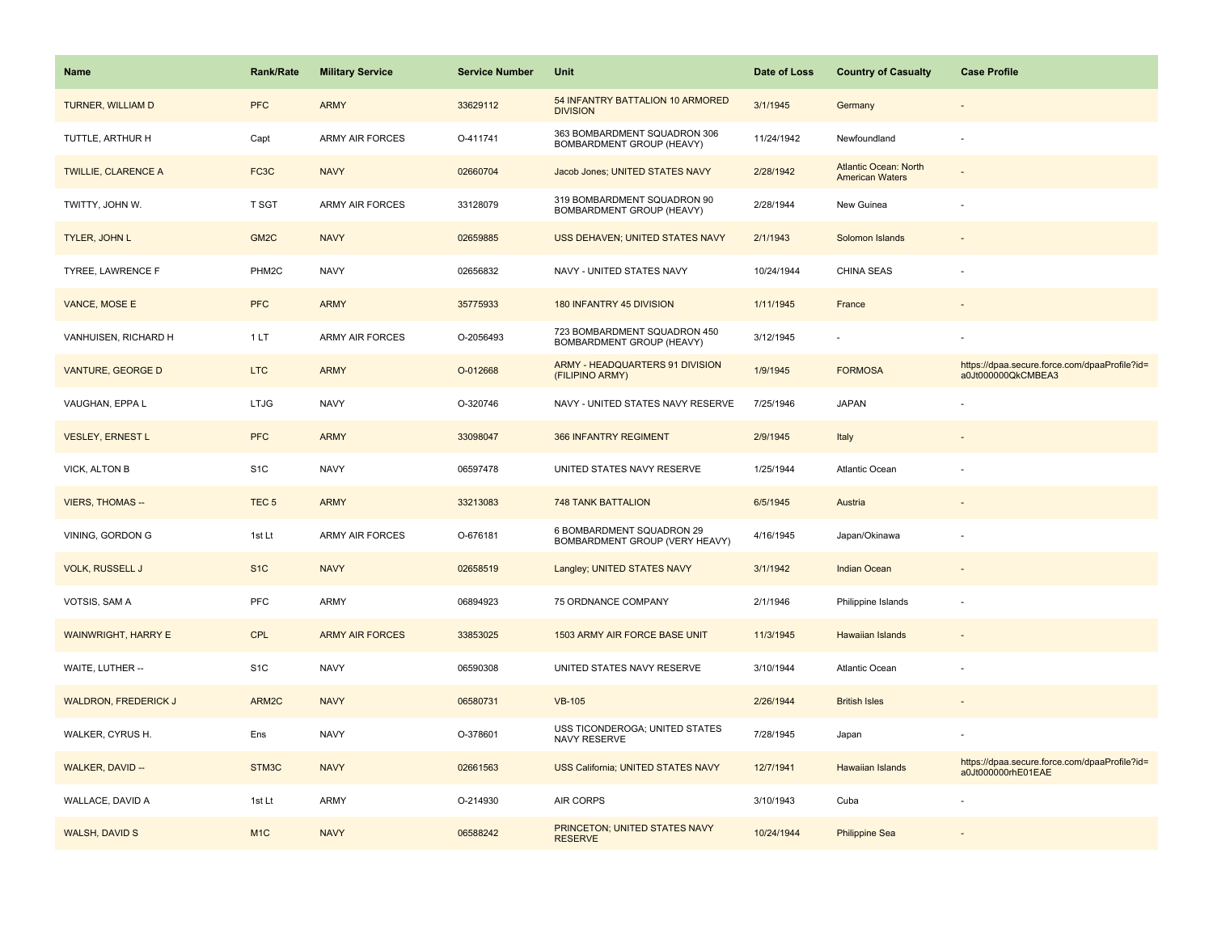| Name                        | Rank/Rate         | <b>Military Service</b> | <b>Service Number</b> | Unit                                                        | Date of Loss | <b>Country of Casualty</b>                             | <b>Case Profile</b>                                                 |
|-----------------------------|-------------------|-------------------------|-----------------------|-------------------------------------------------------------|--------------|--------------------------------------------------------|---------------------------------------------------------------------|
| TURNER, WILLIAM D           | <b>PFC</b>        | <b>ARMY</b>             | 33629112              | 54 INFANTRY BATTALION 10 ARMORED<br><b>DIVISION</b>         | 3/1/1945     | Germany                                                |                                                                     |
| TUTTLE, ARTHUR H            | Capt              | <b>ARMY AIR FORCES</b>  | O-411741              | 363 BOMBARDMENT SQUADRON 306<br>BOMBARDMENT GROUP (HEAVY)   | 11/24/1942   | Newfoundland                                           | ÷,                                                                  |
| <b>TWILLIE, CLARENCE A</b>  | FC <sub>3</sub> C | <b>NAVY</b>             | 02660704              | Jacob Jones; UNITED STATES NAVY                             | 2/28/1942    | <b>Atlantic Ocean: North</b><br><b>American Waters</b> |                                                                     |
| TWITTY, JOHN W.             | T SGT             | <b>ARMY AIR FORCES</b>  | 33128079              | 319 BOMBARDMENT SQUADRON 90<br>BOMBARDMENT GROUP (HEAVY)    | 2/28/1944    | New Guinea                                             |                                                                     |
| <b>TYLER, JOHN L</b>        | GM <sub>2</sub> C | <b>NAVY</b>             | 02659885              | USS DEHAVEN; UNITED STATES NAVY                             | 2/1/1943     | Solomon Islands                                        |                                                                     |
| TYREE, LAWRENCE F           | PHM2C             | <b>NAVY</b>             | 02656832              | NAVY - UNITED STATES NAVY                                   | 10/24/1944   | CHINA SEAS                                             |                                                                     |
| VANCE, MOSE E               | <b>PFC</b>        | <b>ARMY</b>             | 35775933              | 180 INFANTRY 45 DIVISION                                    | 1/11/1945    | France                                                 |                                                                     |
| VANHUISEN, RICHARD H        | 1LT               | <b>ARMY AIR FORCES</b>  | O-2056493             | 723 BOMBARDMENT SQUADRON 450<br>BOMBARDMENT GROUP (HEAVY)   | 3/12/1945    |                                                        |                                                                     |
| VANTURE, GEORGE D           | <b>LTC</b>        | <b>ARMY</b>             | O-012668              | ARMY - HEADQUARTERS 91 DIVISION<br>(FILIPINO ARMY)          | 1/9/1945     | <b>FORMOSA</b>                                         | https://dpaa.secure.force.com/dpaaProfile?id=<br>a0Jt000000QkCMBEA3 |
| VAUGHAN, EPPA L             | <b>LTJG</b>       | <b>NAVY</b>             | O-320746              | NAVY - UNITED STATES NAVY RESERVE                           | 7/25/1946    | <b>JAPAN</b>                                           |                                                                     |
| <b>VESLEY, ERNEST L</b>     | <b>PFC</b>        | <b>ARMY</b>             | 33098047              | 366 INFANTRY REGIMENT                                       | 2/9/1945     | Italy                                                  |                                                                     |
| VICK, ALTON B               | S <sub>1</sub> C  | <b>NAVY</b>             | 06597478              | UNITED STATES NAVY RESERVE                                  | 1/25/1944    | Atlantic Ocean                                         |                                                                     |
| <b>VIERS, THOMAS --</b>     | TEC <sub>5</sub>  | <b>ARMY</b>             | 33213083              | <b>748 TANK BATTALION</b>                                   | 6/5/1945     | Austria                                                |                                                                     |
| VINING, GORDON G            | 1st Lt            | ARMY AIR FORCES         | O-676181              | 6 BOMBARDMENT SQUADRON 29<br>BOMBARDMENT GROUP (VERY HEAVY) | 4/16/1945    | Japan/Okinawa                                          |                                                                     |
| <b>VOLK, RUSSELL J</b>      | S <sub>1</sub> C  | <b>NAVY</b>             | 02658519              | Langley; UNITED STATES NAVY                                 | 3/1/1942     | <b>Indian Ocean</b>                                    |                                                                     |
| VOTSIS, SAM A               | PFC               | ARMY                    | 06894923              | 75 ORDNANCE COMPANY                                         | 2/1/1946     | Philippine Islands                                     | ÷,                                                                  |
| WAINWRIGHT, HARRY E         | CPL               | <b>ARMY AIR FORCES</b>  | 33853025              | 1503 ARMY AIR FORCE BASE UNIT                               | 11/3/1945    | <b>Hawaiian Islands</b>                                |                                                                     |
| WAITE, LUTHER --            | S <sub>1</sub> C  | <b>NAVY</b>             | 06590308              | UNITED STATES NAVY RESERVE                                  | 3/10/1944    | Atlantic Ocean                                         |                                                                     |
| <b>WALDRON, FREDERICK J</b> | ARM2C             | <b>NAVY</b>             | 06580731              | <b>VB-105</b>                                               | 2/26/1944    | <b>British Isles</b>                                   |                                                                     |
| WALKER, CYRUS H.            | Ens               | <b>NAVY</b>             | O-378601              | USS TICONDEROGA; UNITED STATES<br>NAVY RESERVE              | 7/28/1945    | Japan                                                  |                                                                     |
| WALKER, DAVID --            | STM3C             | <b>NAVY</b>             | 02661563              | USS California; UNITED STATES NAVY                          | 12/7/1941    | Hawaiian Islands                                       | https://dpaa.secure.force.com/dpaaProfile?id=<br>a0Jt000000rhE01EAE |
| WALLACE, DAVID A            | 1st Lt            | <b>ARMY</b>             | O-214930              | <b>AIR CORPS</b>                                            | 3/10/1943    | Cuba                                                   |                                                                     |
| <b>WALSH, DAVID S</b>       | M <sub>1C</sub>   | <b>NAVY</b>             | 06588242              | PRINCETON; UNITED STATES NAVY<br><b>RESERVE</b>             | 10/24/1944   | <b>Philippine Sea</b>                                  |                                                                     |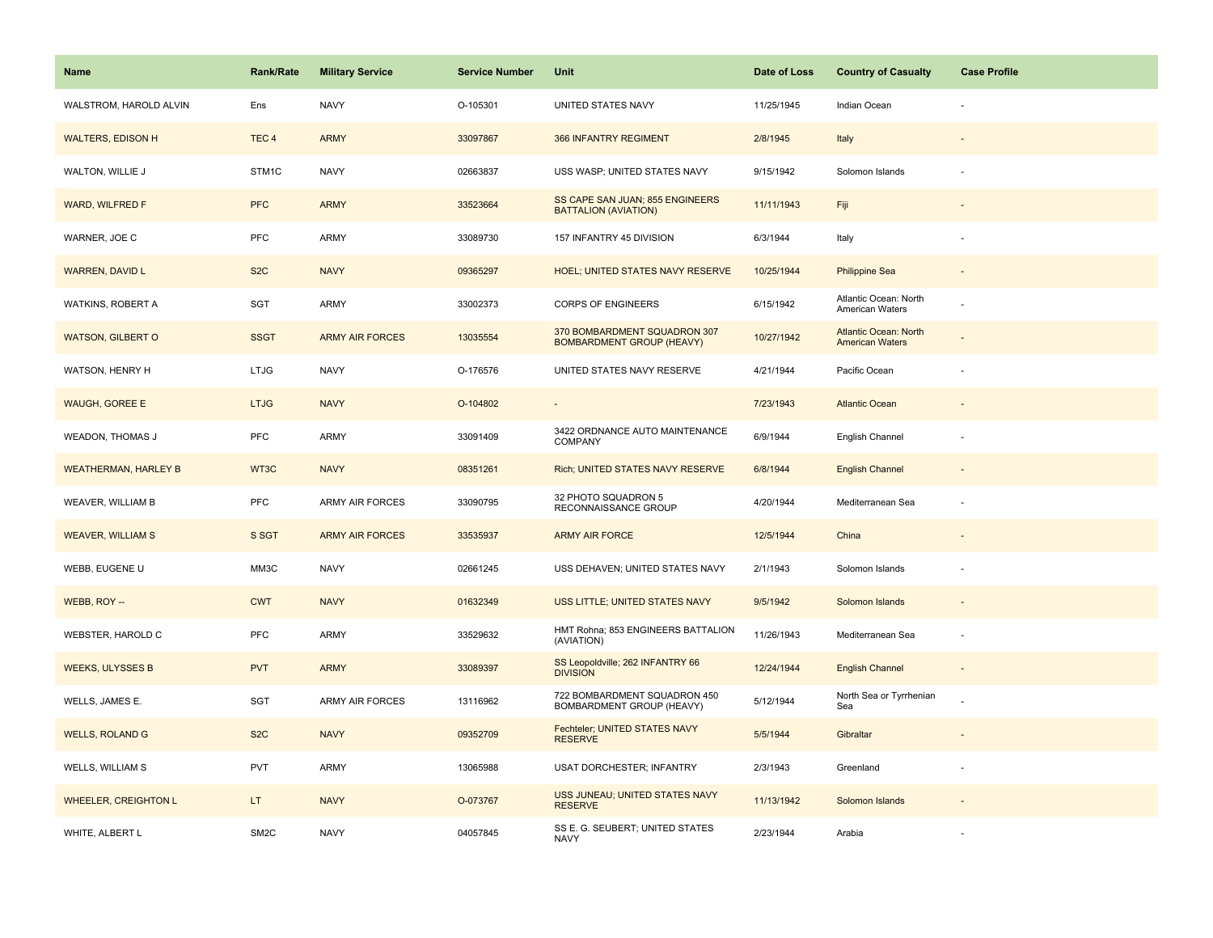| Name                        | <b>Rank/Rate</b>  | <b>Military Service</b> | <b>Service Number</b> | Unit                                                             | Date of Loss | <b>Country of Casualty</b>                             | <b>Case Profile</b> |
|-----------------------------|-------------------|-------------------------|-----------------------|------------------------------------------------------------------|--------------|--------------------------------------------------------|---------------------|
| WALSTROM, HAROLD ALVIN      | Ens               | <b>NAVY</b>             | O-105301              | UNITED STATES NAVY                                               | 11/25/1945   | Indian Ocean                                           |                     |
| <b>WALTERS, EDISON H</b>    | TEC <sub>4</sub>  | <b>ARMY</b>             | 33097867              | 366 INFANTRY REGIMENT                                            | 2/8/1945     | Italy                                                  |                     |
| WALTON, WILLIE J            | STM1C             | <b>NAVY</b>             | 02663837              | USS WASP; UNITED STATES NAVY                                     | 9/15/1942    | Solomon Islands                                        |                     |
| WARD, WILFRED F             | <b>PFC</b>        | <b>ARMY</b>             | 33523664              | SS CAPE SAN JUAN; 855 ENGINEERS<br><b>BATTALION (AVIATION)</b>   | 11/11/1943   | Fiji                                                   |                     |
| WARNER, JOE C               | PFC               | <b>ARMY</b>             | 33089730              | 157 INFANTRY 45 DIVISION                                         | 6/3/1944     | Italy                                                  |                     |
| <b>WARREN, DAVID L</b>      | S <sub>2</sub> C  | <b>NAVY</b>             | 09365297              | HOEL; UNITED STATES NAVY RESERVE                                 | 10/25/1944   | <b>Philippine Sea</b>                                  |                     |
| WATKINS, ROBERT A           | SGT               | ARMY                    | 33002373              | <b>CORPS OF ENGINEERS</b>                                        | 6/15/1942    | Atlantic Ocean: North<br>American Waters               |                     |
| <b>WATSON, GILBERT O</b>    | <b>SSGT</b>       | <b>ARMY AIR FORCES</b>  | 13035554              | 370 BOMBARDMENT SQUADRON 307<br><b>BOMBARDMENT GROUP (HEAVY)</b> | 10/27/1942   | <b>Atlantic Ocean: North</b><br><b>American Waters</b> |                     |
| WATSON, HENRY H             | LTJG              | <b>NAVY</b>             | O-176576              | UNITED STATES NAVY RESERVE                                       | 4/21/1944    | Pacific Ocean                                          |                     |
| <b>WAUGH, GOREE E</b>       | <b>LTJG</b>       | <b>NAVY</b>             | O-104802              |                                                                  | 7/23/1943    | <b>Atlantic Ocean</b>                                  |                     |
| <b>WEADON, THOMAS J</b>     | PFC               | <b>ARMY</b>             | 33091409              | 3422 ORDNANCE AUTO MAINTENANCE<br>COMPANY                        | 6/9/1944     | English Channel                                        |                     |
| <b>WEATHERMAN, HARLEY B</b> | WT3C              | <b>NAVY</b>             | 08351261              | Rich; UNITED STATES NAVY RESERVE                                 | 6/8/1944     | <b>English Channel</b>                                 | $\sim$              |
| WEAVER, WILLIAM B           | PFC               | <b>ARMY AIR FORCES</b>  | 33090795              | 32 PHOTO SQUADRON 5<br>RECONNAISSANCE GROUP                      | 4/20/1944    | Mediterranean Sea                                      |                     |
| <b>WEAVER, WILLIAM S</b>    | S SGT             | <b>ARMY AIR FORCES</b>  | 33535937              | <b>ARMY AIR FORCE</b>                                            | 12/5/1944    | China                                                  |                     |
| WEBB, EUGENE U              | MM3C              | <b>NAVY</b>             | 02661245              | USS DEHAVEN; UNITED STATES NAVY                                  | 2/1/1943     | Solomon Islands                                        |                     |
| WEBB, ROY --                | <b>CWT</b>        | <b>NAVY</b>             | 01632349              | USS LITTLE; UNITED STATES NAVY                                   | 9/5/1942     | Solomon Islands                                        |                     |
| WEBSTER, HAROLD C           | PFC               | <b>ARMY</b>             | 33529632              | HMT Rohna; 853 ENGINEERS BATTALION<br>(AVIATION)                 | 11/26/1943   | Mediterranean Sea                                      |                     |
| <b>WEEKS, ULYSSES B</b>     | <b>PVT</b>        | <b>ARMY</b>             | 33089397              | SS Leopoldville; 262 INFANTRY 66<br><b>DIVISION</b>              | 12/24/1944   | <b>English Channel</b>                                 |                     |
| WELLS, JAMES E.             | SGT               | ARMY AIR FORCES         | 13116962              | 722 BOMBARDMENT SQUADRON 450<br>BOMBARDMENT GROUP (HEAVY)        | 5/12/1944    | North Sea or Tyrrhenian<br>Sea                         |                     |
| <b>WELLS, ROLAND G</b>      | S <sub>2</sub> C  | <b>NAVY</b>             | 09352709              | Fechteler; UNITED STATES NAVY<br><b>RESERVE</b>                  | 5/5/1944     | Gibraltar                                              |                     |
| WELLS, WILLIAM S            | PVT               | <b>ARMY</b>             | 13065988              | <b>USAT DORCHESTER; INFANTRY</b>                                 | 2/3/1943     | Greenland                                              |                     |
| <b>WHEELER, CREIGHTON L</b> | LT.               | <b>NAVY</b>             | O-073767              | USS JUNEAU; UNITED STATES NAVY<br><b>RESERVE</b>                 | 11/13/1942   | Solomon Islands                                        |                     |
| WHITE, ALBERT L             | SM <sub>2</sub> C | <b>NAVY</b>             | 04057845              | SS E. G. SEUBERT; UNITED STATES<br><b>NAVY</b>                   | 2/23/1944    | Arabia                                                 |                     |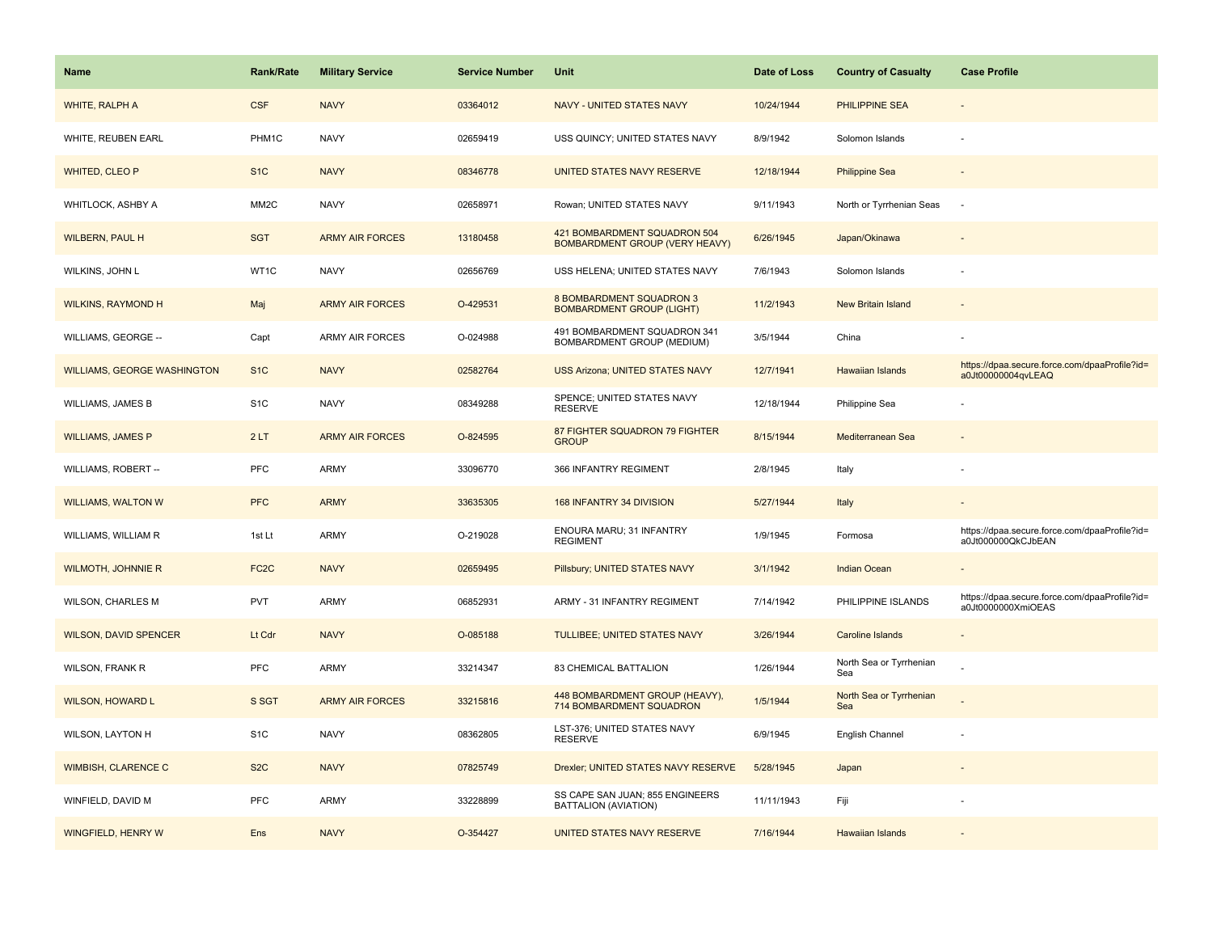| Name                               | <b>Rank/Rate</b>  | <b>Military Service</b> | <b>Service Number</b> | Unit                                                                  | Date of Loss | <b>Country of Casualty</b>     | <b>Case Profile</b>                                                 |
|------------------------------------|-------------------|-------------------------|-----------------------|-----------------------------------------------------------------------|--------------|--------------------------------|---------------------------------------------------------------------|
| <b>WHITE, RALPH A</b>              | <b>CSF</b>        | <b>NAVY</b>             | 03364012              | <b>NAVY - UNITED STATES NAVY</b>                                      | 10/24/1944   | <b>PHILIPPINE SEA</b>          |                                                                     |
| WHITE, REUBEN EARL                 | PHM1C             | <b>NAVY</b>             | 02659419              | USS QUINCY; UNITED STATES NAVY                                        | 8/9/1942     | Solomon Islands                |                                                                     |
| WHITED, CLEO P                     | S <sub>1</sub> C  | <b>NAVY</b>             | 08346778              | UNITED STATES NAVY RESERVE                                            | 12/18/1944   | <b>Philippine Sea</b>          |                                                                     |
| WHITLOCK, ASHBY A                  | MM <sub>2</sub> C | <b>NAVY</b>             | 02658971              | Rowan; UNITED STATES NAVY                                             | 9/11/1943    | North or Tyrrhenian Seas       |                                                                     |
| <b>WILBERN, PAUL H</b>             | <b>SGT</b>        | <b>ARMY AIR FORCES</b>  | 13180458              | 421 BOMBARDMENT SQUADRON 504<br><b>BOMBARDMENT GROUP (VERY HEAVY)</b> | 6/26/1945    | Japan/Okinawa                  |                                                                     |
| WILKINS, JOHN L                    | WT1C              | <b>NAVY</b>             | 02656769              | USS HELENA; UNITED STATES NAVY                                        | 7/6/1943     | Solomon Islands                |                                                                     |
| <b>WILKINS, RAYMOND H</b>          | Maj               | <b>ARMY AIR FORCES</b>  | O-429531              | 8 BOMBARDMENT SQUADRON 3<br><b>BOMBARDMENT GROUP (LIGHT)</b>          | 11/2/1943    | <b>New Britain Island</b>      |                                                                     |
| WILLIAMS, GEORGE --                | Capt              | ARMY AIR FORCES         | O-024988              | 491 BOMBARDMENT SQUADRON 341<br>BOMBARDMENT GROUP (MEDIUM)            | 3/5/1944     | China                          |                                                                     |
| <b>WILLIAMS, GEORGE WASHINGTON</b> | S <sub>1C</sub>   | <b>NAVY</b>             | 02582764              | <b>USS Arizona; UNITED STATES NAVY</b>                                | 12/7/1941    | <b>Hawaiian Islands</b>        | https://dpaa.secure.force.com/dpaaProfile?id=<br>a0Jt00000004qvLEAQ |
| WILLIAMS, JAMES B                  | S <sub>1</sub> C  | <b>NAVY</b>             | 08349288              | SPENCE; UNITED STATES NAVY<br><b>RESERVE</b>                          | 12/18/1944   | Philippine Sea                 |                                                                     |
| <b>WILLIAMS, JAMES P</b>           | 2LT               | <b>ARMY AIR FORCES</b>  | O-824595              | 87 FIGHTER SQUADRON 79 FIGHTER<br><b>GROUP</b>                        | 8/15/1944    | Mediterranean Sea              |                                                                     |
| WILLIAMS, ROBERT --                | <b>PFC</b>        | <b>ARMY</b>             | 33096770              | 366 INFANTRY REGIMENT                                                 | 2/8/1945     | Italy                          |                                                                     |
| <b>WILLIAMS, WALTON W</b>          | <b>PFC</b>        | <b>ARMY</b>             | 33635305              | 168 INFANTRY 34 DIVISION                                              | 5/27/1944    | Italy                          |                                                                     |
| WILLIAMS, WILLIAM R                | 1st Lt            | <b>ARMY</b>             | O-219028              | ENOURA MARU; 31 INFANTRY<br><b>REGIMENT</b>                           | 1/9/1945     | Formosa                        | https://dpaa.secure.force.com/dpaaProfile?id=<br>a0Jt000000QkCJbEAN |
| <b>WILMOTH, JOHNNIE R</b>          | FC <sub>2</sub> C | <b>NAVY</b>             | 02659495              | Pillsbury; UNITED STATES NAVY                                         | 3/1/1942     | <b>Indian Ocean</b>            |                                                                     |
| WILSON, CHARLES M                  | <b>PVT</b>        | ARMY                    | 06852931              | ARMY - 31 INFANTRY REGIMENT                                           | 7/14/1942    | PHILIPPINE ISLANDS             | https://dpaa.secure.force.com/dpaaProfile?id=<br>a0Jt0000000XmiOEAS |
| <b>WILSON, DAVID SPENCER</b>       | Lt Cdr            | <b>NAVY</b>             | O-085188              | TULLIBEE; UNITED STATES NAVY                                          | 3/26/1944    | Caroline Islands               |                                                                     |
| WILSON, FRANK R                    | PFC               | ARMY                    | 33214347              | 83 CHEMICAL BATTALION                                                 | 1/26/1944    | North Sea or Tyrrhenian<br>Sea |                                                                     |
| <b>WILSON, HOWARD L</b>            | S SGT             | <b>ARMY AIR FORCES</b>  | 33215816              | 448 BOMBARDMENT GROUP (HEAVY),<br>714 BOMBARDMENT SQUADRON            | 1/5/1944     | North Sea or Tyrrhenian<br>Sea |                                                                     |
| WILSON, LAYTON H                   | S <sub>1</sub> C  | <b>NAVY</b>             | 08362805              | LST-376; UNITED STATES NAVY<br><b>RESERVE</b>                         | 6/9/1945     | English Channel                |                                                                     |
| <b>WIMBISH, CLARENCE C</b>         | S <sub>2</sub> C  | <b>NAVY</b>             | 07825749              | Drexler; UNITED STATES NAVY RESERVE                                   | 5/28/1945    | Japan                          |                                                                     |
| WINFIELD, DAVID M                  | <b>PFC</b>        | <b>ARMY</b>             | 33228899              | SS CAPE SAN JUAN; 855 ENGINEERS<br>BATTALION (AVIATION)               | 11/11/1943   | Fiji                           |                                                                     |
| WINGFIELD, HENRY W                 | Ens               | <b>NAVY</b>             | O-354427              | UNITED STATES NAVY RESERVE                                            | 7/16/1944    | <b>Hawaiian Islands</b>        |                                                                     |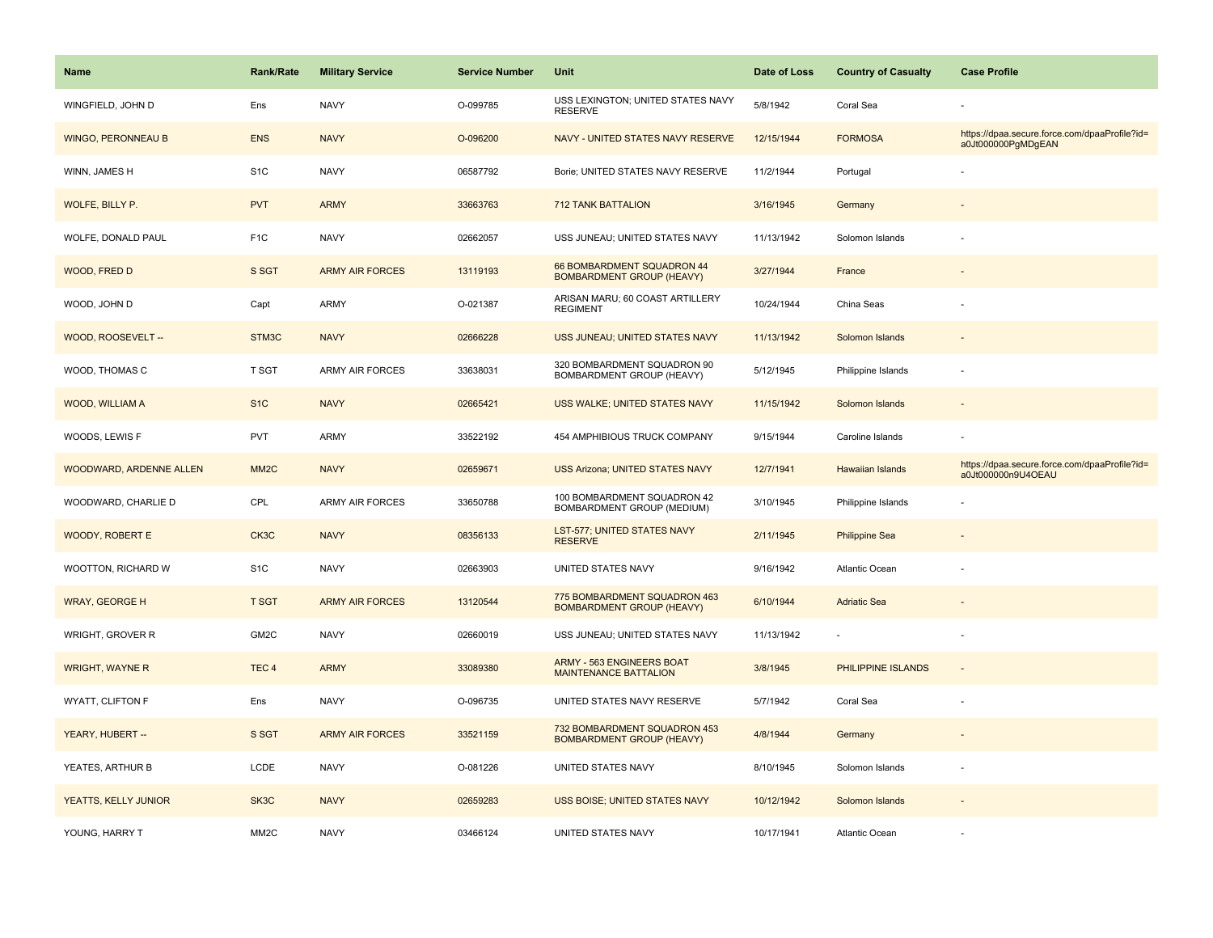| <b>Name</b>               | Rank/Rate         | <b>Military Service</b> | <b>Service Number</b> | Unit                                                             | Date of Loss | <b>Country of Casualty</b> | <b>Case Profile</b>                                                 |
|---------------------------|-------------------|-------------------------|-----------------------|------------------------------------------------------------------|--------------|----------------------------|---------------------------------------------------------------------|
| WINGFIELD, JOHN D         | Ens               | <b>NAVY</b>             | O-099785              | USS LEXINGTON; UNITED STATES NAVY<br><b>RESERVE</b>              | 5/8/1942     | Coral Sea                  |                                                                     |
| <b>WINGO, PERONNEAU B</b> | <b>ENS</b>        | <b>NAVY</b>             | O-096200              | NAVY - UNITED STATES NAVY RESERVE                                | 12/15/1944   | <b>FORMOSA</b>             | https://dpaa.secure.force.com/dpaaProfile?id=<br>a0Jt000000PgMDgEAN |
| WINN, JAMES H             | S <sub>1</sub> C  | <b>NAVY</b>             | 06587792              | Borie; UNITED STATES NAVY RESERVE                                | 11/2/1944    | Portugal                   |                                                                     |
| WOLFE, BILLY P.           | <b>PVT</b>        | <b>ARMY</b>             | 33663763              | <b>712 TANK BATTALION</b>                                        | 3/16/1945    | Germany                    |                                                                     |
| WOLFE, DONALD PAUL        | F <sub>1</sub> C  | <b>NAVY</b>             | 02662057              | USS JUNEAU; UNITED STATES NAVY                                   | 11/13/1942   | Solomon Islands            |                                                                     |
| WOOD, FRED D              | S SGT             | <b>ARMY AIR FORCES</b>  | 13119193              | 66 BOMBARDMENT SQUADRON 44<br><b>BOMBARDMENT GROUP (HEAVY)</b>   | 3/27/1944    | France                     |                                                                     |
| WOOD, JOHN D              | Capt              | <b>ARMY</b>             | O-021387              | ARISAN MARU; 60 COAST ARTILLERY<br><b>REGIMENT</b>               | 10/24/1944   | China Seas                 |                                                                     |
| WOOD, ROOSEVELT --        | STM3C             | <b>NAVY</b>             | 02666228              | USS JUNEAU; UNITED STATES NAVY                                   | 11/13/1942   | Solomon Islands            |                                                                     |
| WOOD, THOMAS C            | <b>T SGT</b>      | ARMY AIR FORCES         | 33638031              | 320 BOMBARDMENT SQUADRON 90<br>BOMBARDMENT GROUP (HEAVY)         | 5/12/1945    | Philippine Islands         |                                                                     |
| <b>WOOD, WILLIAM A</b>    | S <sub>1</sub> C  | <b>NAVY</b>             | 02665421              | USS WALKE; UNITED STATES NAVY                                    | 11/15/1942   | Solomon Islands            |                                                                     |
| WOODS, LEWIS F            | <b>PVT</b>        | ARMY                    | 33522192              | 454 AMPHIBIOUS TRUCK COMPANY                                     | 9/15/1944    | Caroline Islands           |                                                                     |
| WOODWARD, ARDENNE ALLEN   | MM <sub>2</sub> C | <b>NAVY</b>             | 02659671              | <b>USS Arizona; UNITED STATES NAVY</b>                           | 12/7/1941    | Hawaiian Islands           | https://dpaa.secure.force.com/dpaaProfile?id=<br>a0Jt000000n9U4OEAU |
| WOODWARD, CHARLIE D       | <b>CPL</b>        | <b>ARMY AIR FORCES</b>  | 33650788              | 100 BOMBARDMENT SQUADRON 42<br>BOMBARDMENT GROUP (MEDIUM)        | 3/10/1945    | Philippine Islands         |                                                                     |
| <b>WOODY, ROBERT E</b>    | CK3C              | <b>NAVY</b>             | 08356133              | LST-577; UNITED STATES NAVY<br><b>RESERVE</b>                    | 2/11/1945    | <b>Philippine Sea</b>      |                                                                     |
| WOOTTON, RICHARD W        | S <sub>1</sub> C  | <b>NAVY</b>             | 02663903              | UNITED STATES NAVY                                               | 9/16/1942    | Atlantic Ocean             |                                                                     |
| <b>WRAY, GEORGE H</b>     | <b>T SGT</b>      | <b>ARMY AIR FORCES</b>  | 13120544              | 775 BOMBARDMENT SQUADRON 463<br><b>BOMBARDMENT GROUP (HEAVY)</b> | 6/10/1944    | <b>Adriatic Sea</b>        |                                                                     |
| WRIGHT, GROVER R          | GM2C              | <b>NAVY</b>             | 02660019              | USS JUNEAU; UNITED STATES NAVY                                   | 11/13/1942   |                            |                                                                     |
| <b>WRIGHT, WAYNE R</b>    | TEC <sub>4</sub>  | <b>ARMY</b>             | 33089380              | ARMY - 563 ENGINEERS BOAT<br><b>MAINTENANCE BATTALION</b>        | 3/8/1945     | PHILIPPINE ISLANDS         |                                                                     |
| WYATT, CLIFTON F          | Ens               | <b>NAVY</b>             | O-096735              | UNITED STATES NAVY RESERVE                                       | 5/7/1942     | Coral Sea                  | ÷,                                                                  |
| YEARY, HUBERT --          | S SGT             | <b>ARMY AIR FORCES</b>  | 33521159              | 732 BOMBARDMENT SQUADRON 453<br><b>BOMBARDMENT GROUP (HEAVY)</b> | 4/8/1944     | Germany                    |                                                                     |
| YEATES, ARTHUR B          | LCDE              | <b>NAVY</b>             | O-081226              | UNITED STATES NAVY                                               | 8/10/1945    | Solomon Islands            | ÷,                                                                  |
| YEATTS, KELLY JUNIOR      | SK3C              | <b>NAVY</b>             | 02659283              | USS BOISE; UNITED STATES NAVY                                    | 10/12/1942   | Solomon Islands            |                                                                     |
| YOUNG, HARRY T            | MM <sub>2</sub> C | <b>NAVY</b>             | 03466124              | UNITED STATES NAVY                                               | 10/17/1941   | <b>Atlantic Ocean</b>      |                                                                     |